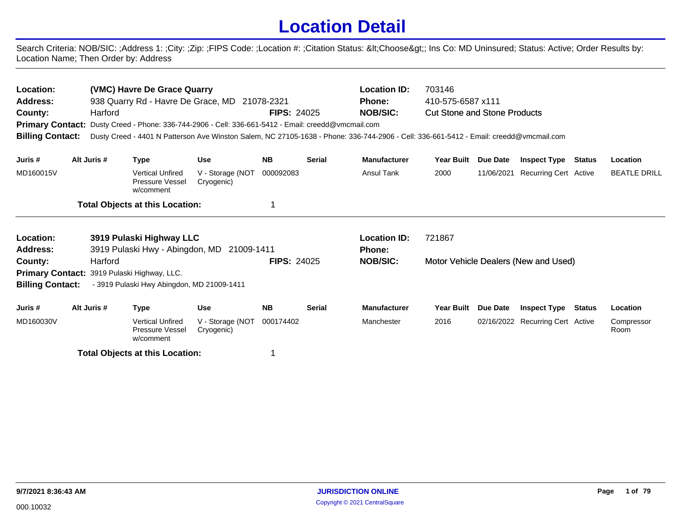## **Location Detail**

Search Criteria: NOB/SIC: ;Address 1: ;City: ;Zip: ;FIPS Code: ;Location #: ;Citation Status: <Choose&gt;; Ins Co: MD Uninsured; Status: Active; Order Results by: Location Name; Then Order by: Address

| Location:<br><b>Address:</b><br>County:<br><b>Billing Contact:</b> |                                                                                           | Harford     | (VMC) Havre De Grace Quarry                             | 938 Quarry Rd - Havre De Grace, MD 21078-2321<br><b>Primary Contact:</b> Dusty Creed - Phone: 336-744-2906 - Cell: 336-661-5412 - Email: creedd@vmcmail.com | <b>FIPS: 24025</b> |               | <b>Location ID:</b><br><b>Phone:</b><br><b>NOB/SIC:</b><br>Dusty Creed - 4401 N Patterson Ave Winston Salem, NC 27105-1638 - Phone: 336-744-2906 - Cell: 336-661-5412 - Email: creedd@vmcmail.com | 703146<br>410-575-6587 x111<br><b>Cut Stone and Stone Products</b> |                                  |                                      |                    |                     |
|--------------------------------------------------------------------|-------------------------------------------------------------------------------------------|-------------|---------------------------------------------------------|-------------------------------------------------------------------------------------------------------------------------------------------------------------|--------------------|---------------|---------------------------------------------------------------------------------------------------------------------------------------------------------------------------------------------------|--------------------------------------------------------------------|----------------------------------|--------------------------------------|--------------------|---------------------|
| Juris #                                                            |                                                                                           | Alt Juris # | <b>Type</b>                                             | <b>Use</b>                                                                                                                                                  | <b>NB</b>          | <b>Serial</b> | <b>Manufacturer</b>                                                                                                                                                                               | <b>Year Built</b>                                                  | <b>Due Date</b>                  | <b>Inspect Type</b>                  | <b>Status</b>      | Location            |
| MD160015V                                                          |                                                                                           |             | <b>Vertical Unfired</b><br>Pressure Vessel<br>w/comment | V - Storage (NOT<br>Cryogenic)                                                                                                                              | 000092083          |               | <b>Ansul Tank</b>                                                                                                                                                                                 | 2000                                                               | 11/06/2021                       | Recurring Cert Active                |                    | <b>BEATLE DRILL</b> |
|                                                                    |                                                                                           |             | <b>Total Objects at this Location:</b>                  |                                                                                                                                                             |                    |               |                                                                                                                                                                                                   |                                                                    |                                  |                                      |                    |                     |
| Location:                                                          |                                                                                           |             | 3919 Pulaski Highway LLC                                |                                                                                                                                                             |                    |               | <b>Location ID:</b>                                                                                                                                                                               | 721867                                                             |                                  |                                      |                    |                     |
| Address:<br>County:                                                |                                                                                           | Harford     |                                                         | 3919 Pulaski Hwy - Abingdon, MD 21009-1411                                                                                                                  | <b>FIPS: 24025</b> |               | <b>Phone:</b><br><b>NOB/SIC:</b>                                                                                                                                                                  |                                                                    |                                  |                                      |                    |                     |
|                                                                    |                                                                                           |             | Primary Contact: 3919 Pulaski Highway, LLC.             |                                                                                                                                                             |                    |               |                                                                                                                                                                                                   |                                                                    |                                  | Motor Vehicle Dealers (New and Used) |                    |                     |
| <b>Billing Contact:</b>                                            |                                                                                           |             | - 3919 Pulaski Hwy Abingdon, MD 21009-1411              |                                                                                                                                                             |                    |               |                                                                                                                                                                                                   |                                                                    |                                  |                                      |                    |                     |
| Juris #                                                            |                                                                                           | Alt Juris # | <b>Type</b>                                             | <b>Use</b>                                                                                                                                                  | <b>NB</b>          | <b>Serial</b> | <b>Manufacturer</b>                                                                                                                                                                               | <b>Year Built</b>                                                  | Due Date                         | <b>Inspect Type</b>                  | Status             | Location            |
| MD160030V                                                          | <b>Vertical Unfired</b><br>V - Storage (NOT<br>Pressure Vessel<br>Cryogenic)<br>w/comment |             |                                                         | 000174402                                                                                                                                                   |                    | Manchester    | 2016                                                                                                                                                                                              |                                                                    | 02/16/2022 Recurring Cert Active |                                      | Compressor<br>Room |                     |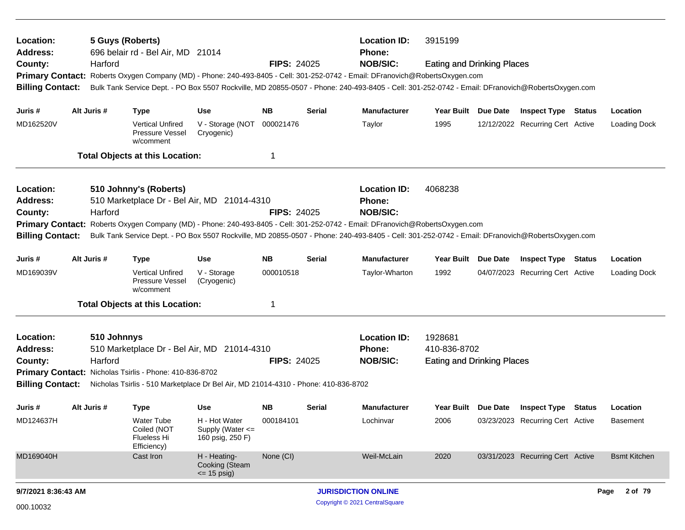| Location:                                                                                                                                                                                                                                                                                                                                                    |  | 5 Guys (Roberts) |                                                                       |                                                       |                    |               | <b>Location ID:</b>                                                                                                                                                                                                                                                                                                                         | 3915199                                                      |          |                                  |        |                     |
|--------------------------------------------------------------------------------------------------------------------------------------------------------------------------------------------------------------------------------------------------------------------------------------------------------------------------------------------------------------|--|------------------|-----------------------------------------------------------------------|-------------------------------------------------------|--------------------|---------------|---------------------------------------------------------------------------------------------------------------------------------------------------------------------------------------------------------------------------------------------------------------------------------------------------------------------------------------------|--------------------------------------------------------------|----------|----------------------------------|--------|---------------------|
| <b>Address:</b><br>County:<br><b>Primary Contact:</b><br><b>Billing Contact:</b>                                                                                                                                                                                                                                                                             |  | Harford          | 696 belair rd - Bel Air, MD 21014                                     |                                                       | <b>FIPS: 24025</b> |               | Phone:<br><b>NOB/SIC:</b><br>Roberts Oxygen Company (MD) - Phone: 240-493-8405 - Cell: 301-252-0742 - Email: DFranovich@RobertsOxygen.com<br>Bulk Tank Service Dept. - PO Box 5507 Rockville, MD 20855-0507 - Phone: 240-493-8405 - Cell: 301-252-0742 - Email: DFranovich@RobertsOxygen.com                                                | <b>Eating and Drinking Places</b>                            |          |                                  |        |                     |
| Juris #                                                                                                                                                                                                                                                                                                                                                      |  | Alt Juris #      | <b>Type</b>                                                           | <b>Use</b>                                            | NB.                | <b>Serial</b> | <b>Manufacturer</b>                                                                                                                                                                                                                                                                                                                         | Year Built Due Date                                          |          | <b>Inspect Type Status</b>       |        | Location            |
| MD162520V                                                                                                                                                                                                                                                                                                                                                    |  |                  | <b>Vertical Unfired</b><br>Pressure Vessel<br>w/comment               | V - Storage (NOT<br>Cryogenic)                        | 000021476          |               | Taylor                                                                                                                                                                                                                                                                                                                                      | 1995                                                         |          | 12/12/2022 Recurring Cert Active |        | <b>Loading Dock</b> |
|                                                                                                                                                                                                                                                                                                                                                              |  |                  | <b>Total Objects at this Location:</b>                                |                                                       | 1                  |               |                                                                                                                                                                                                                                                                                                                                             |                                                              |          |                                  |        |                     |
| Location:<br><b>Address:</b><br>County:<br><b>Billing Contact:</b>                                                                                                                                                                                                                                                                                           |  | Harford          | 510 Johnny's (Roberts)<br>510 Marketplace Dr - Bel Air, MD 21014-4310 |                                                       | <b>FIPS: 24025</b> |               | <b>Location ID:</b><br><b>Phone:</b><br><b>NOB/SIC:</b><br>Primary Contact: Roberts Oxygen Company (MD) - Phone: 240-493-8405 - Cell: 301-252-0742 - Email: DFranovich@RobertsOxygen.com<br>Bulk Tank Service Dept. - PO Box 5507 Rockville, MD 20855-0507 - Phone: 240-493-8405 - Cell: 301-252-0742 - Email: DFranovich@RobertsOxygen.com | 4068238                                                      |          |                                  |        |                     |
| Juris #                                                                                                                                                                                                                                                                                                                                                      |  | Alt Juris #      | <b>Type</b>                                                           | Use                                                   | NB.                | <b>Serial</b> | Manufacturer                                                                                                                                                                                                                                                                                                                                | Year Built Due Date                                          |          | <b>Inspect Type Status</b>       |        | Location            |
| MD169039V                                                                                                                                                                                                                                                                                                                                                    |  |                  | Vertical Unfired<br><b>Pressure Vessel</b><br>w/comment               | V - Storage<br>(Cryogenic)                            | 000010518          |               | Taylor-Wharton                                                                                                                                                                                                                                                                                                                              | 1992                                                         |          | 04/07/2023 Recurring Cert Active |        | <b>Loading Dock</b> |
|                                                                                                                                                                                                                                                                                                                                                              |  |                  |                                                                       |                                                       | 1                  |               |                                                                                                                                                                                                                                                                                                                                             |                                                              |          |                                  |        |                     |
| <b>Total Objects at this Location:</b><br>Location:<br>510 Johnnys<br><b>Address:</b><br>510 Marketplace Dr - Bel Air, MD 21014-4310<br>Harford<br><b>FIPS: 24025</b><br>County:<br>Primary Contact: Nicholas Tsirlis - Phone: 410-836-8702<br><b>Billing Contact:</b><br>Nicholas Tsirlis - 510 Marketplace Dr Bel Air, MD 21014-4310 - Phone: 410-836-8702 |  |                  |                                                                       |                                                       |                    |               | <b>Location ID:</b><br><b>Phone:</b><br><b>NOB/SIC:</b>                                                                                                                                                                                                                                                                                     | 1928681<br>410-836-8702<br><b>Eating and Drinking Places</b> |          |                                  |        |                     |
| Juris #                                                                                                                                                                                                                                                                                                                                                      |  | Alt Juris #      | <b>Type</b>                                                           | <b>Use</b>                                            | <b>NB</b>          | <b>Serial</b> | <b>Manufacturer</b>                                                                                                                                                                                                                                                                                                                         | Year Built                                                   | Due Date | <b>Inspect Type</b>              | Status | Location            |
| MD124637H                                                                                                                                                                                                                                                                                                                                                    |  |                  | Water Tube<br>Coiled (NOT<br><b>Flueless Hi</b><br>Efficiency)        | H - Hot Water<br>Supply (Water <=<br>160 psig, 250 F) | 000184101          |               | Lochinvar                                                                                                                                                                                                                                                                                                                                   | 2006                                                         |          | 03/23/2023 Recurring Cert Active |        | <b>Basement</b>     |
| MD169040H                                                                                                                                                                                                                                                                                                                                                    |  |                  | Cast Iron                                                             | H - Heating-<br>Cooking (Steam<br>$\le$ 15 psig)      | None (CI)          |               | Weil-McLain                                                                                                                                                                                                                                                                                                                                 | 2020                                                         |          | 03/31/2023 Recurring Cert Active |        | <b>Bsmt Kitchen</b> |
| 9/7/2021 8:36:43 AM                                                                                                                                                                                                                                                                                                                                          |  |                  |                                                                       |                                                       |                    |               | <b>JURISDICTION ONLINE</b>                                                                                                                                                                                                                                                                                                                  |                                                              |          |                                  |        | 2 of 79<br>Page     |
| 000.10032                                                                                                                                                                                                                                                                                                                                                    |  |                  |                                                                       |                                                       |                    |               | Copyright © 2021 CentralSquare                                                                                                                                                                                                                                                                                                              |                                                              |          |                                  |        |                     |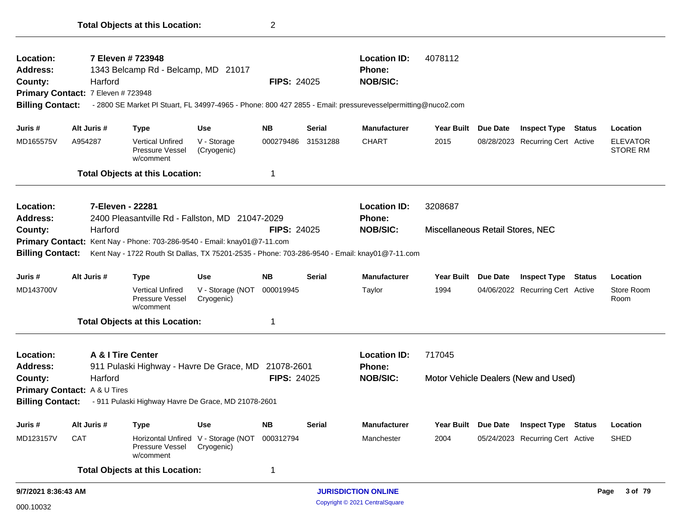| 9/7/2021 8:36:43 AM     |                                    |                                                                                                             |                                                   |                    |               | <b>JURISDICTION ONLINE</b> |                                  |          |                                      | 3 of 79<br>Page                    |
|-------------------------|------------------------------------|-------------------------------------------------------------------------------------------------------------|---------------------------------------------------|--------------------|---------------|----------------------------|----------------------------------|----------|--------------------------------------|------------------------------------|
|                         |                                    | <b>Total Objects at this Location:</b>                                                                      |                                                   | 1                  |               |                            |                                  |          |                                      |                                    |
| MD123157V               | <b>CAT</b>                         | Pressure Vessel<br>w/comment                                                                                | Horizontal Unfired V - Storage (NOT<br>Cryogenic) | 000312794          |               | Manchester                 | 2004                             |          | 05/24/2023 Recurring Cert Active     | <b>SHED</b>                        |
| Juris #                 | Alt Juris #                        | Type                                                                                                        | Use                                               | <b>NB</b>          | <b>Serial</b> | <b>Manufacturer</b>        | Year Built Due Date              |          | <b>Inspect Type Status</b>           | Location                           |
| <b>Billing Contact:</b> |                                    | - 911 Pulaski Highway Havre De Grace, MD 21078-2601                                                         |                                                   |                    |               |                            |                                  |          |                                      |                                    |
|                         | Primary Contact: A & U Tires       |                                                                                                             |                                                   |                    |               |                            |                                  |          |                                      |                                    |
| County:                 | Harford                            |                                                                                                             |                                                   | <b>FIPS: 24025</b> |               | <b>NOB/SIC:</b>            |                                  |          | Motor Vehicle Dealers (New and Used) |                                    |
| <b>Address:</b>         |                                    | 911 Pulaski Highway - Havre De Grace, MD                                                                    |                                                   | 21078-2601         |               | <b>Phone:</b>              |                                  |          |                                      |                                    |
| <b>Location:</b>        |                                    | A & I Tire Center                                                                                           |                                                   |                    |               | <b>Location ID:</b>        | 717045                           |          |                                      |                                    |
|                         |                                    | <b>Total Objects at this Location:</b>                                                                      |                                                   | 1                  |               |                            |                                  |          |                                      |                                    |
| MD143700V               |                                    | <b>Vertical Unfired</b><br>Pressure Vessel<br>w/comment                                                     | V - Storage (NOT<br>Cryogenic)                    | 000019945          |               | Taylor                     | 1994                             |          | 04/06/2022 Recurring Cert Active     | Store Room<br>Room                 |
| Juris #                 | Alt Juris #                        | Type                                                                                                        | <b>Use</b>                                        | <b>NB</b>          | <b>Serial</b> | <b>Manufacturer</b>        | <b>Year Built</b>                | Due Date | <b>Inspect Type Status</b>           | Location                           |
| <b>Billing Contact:</b> |                                    | Kent Nay - 1722 Routh St Dallas, TX 75201-2535 - Phone: 703-286-9540 - Email: knay01@7-11.com               |                                                   |                    |               |                            |                                  |          |                                      |                                    |
|                         |                                    | Primary Contact: Kent Nay - Phone: 703-286-9540 - Email: knay01@7-11.com                                    |                                                   |                    |               |                            |                                  |          |                                      |                                    |
| County:                 | Harford                            |                                                                                                             |                                                   | <b>FIPS: 24025</b> |               | <b>NOB/SIC:</b>            | Miscellaneous Retail Stores, NEC |          |                                      |                                    |
| <b>Address:</b>         |                                    | 2400 Pleasantville Rd - Fallston, MD 21047-2029                                                             |                                                   |                    |               | Phone:                     |                                  |          |                                      |                                    |
| Location:               |                                    | 7-Eleven - 22281                                                                                            |                                                   |                    |               | <b>Location ID:</b>        | 3208687                          |          |                                      |                                    |
|                         |                                    | <b>Total Objects at this Location:</b>                                                                      |                                                   | 1                  |               |                            |                                  |          |                                      |                                    |
| MD165575V               | A954287                            | <b>Vertical Unfired</b><br>Pressure Vessel<br>w/comment                                                     | V - Storage<br>(Cryogenic)                        | 000279486          | 31531288      | <b>CHART</b>               | 2015                             |          | 08/28/2023 Recurring Cert Active     | <b>ELEVATOR</b><br><b>STORE RM</b> |
| Juris #                 | Alt Juris #                        | <b>Type</b>                                                                                                 | <b>Use</b>                                        | <b>NB</b>          | <b>Serial</b> | <b>Manufacturer</b>        | Year Built Due Date              |          | <b>Inspect Type Status</b>           | Location                           |
| <b>Billing Contact:</b> | Primary Contact: 7 Eleven # 723948 | - 2800 SE Market PI Stuart, FL 34997-4965 - Phone: 800 427 2855 - Email: pressurevesselpermitting@nuco2.com |                                                   |                    |               |                            |                                  |          |                                      |                                    |
| County:                 | Harford                            |                                                                                                             |                                                   | <b>FIPS: 24025</b> |               | <b>NOB/SIC:</b>            |                                  |          |                                      |                                    |
| <b>Address:</b>         |                                    | 1343 Belcamp Rd - Belcamp, MD 21017                                                                         |                                                   |                    |               | <b>Phone:</b>              |                                  |          |                                      |                                    |
| Location:               |                                    | 7 Eleven # 723948                                                                                           |                                                   |                    |               | <b>Location ID:</b>        | 4078112                          |          |                                      |                                    |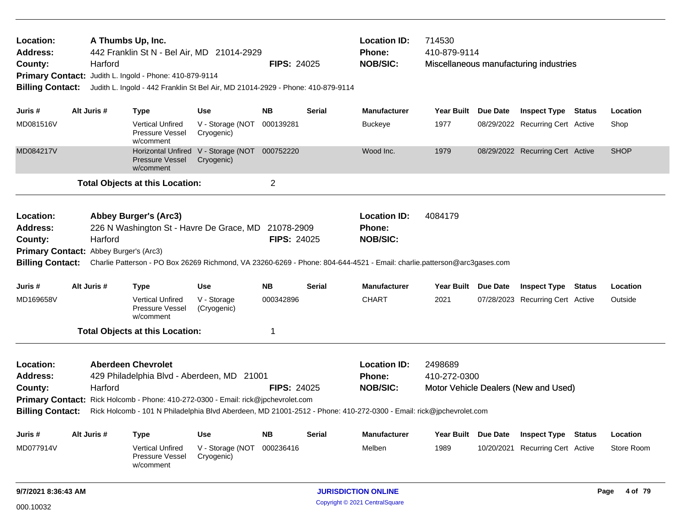| Location:<br>Address:<br>County:<br><b>Billing Contact:</b>                       |  | Harford     | A Thumbs Up, Inc.<br>442 Franklin St N - Bel Air, MD 21014-2929<br>Primary Contact: Judith L. Ingold - Phone: 410-879-9114<br>Judith L. Ingold - 442 Franklin St Bel Air, MD 21014-2929 - Phone: 410-879-9114 |                                                             | <b>FIPS: 24025</b> |               | <b>Location ID:</b><br>Phone:<br><b>NOB/SIC:</b>                                                                                                                                                    | 714530<br>410-879-9114  |          | Miscellaneous manufacturing industries |                 |
|-----------------------------------------------------------------------------------|--|-------------|---------------------------------------------------------------------------------------------------------------------------------------------------------------------------------------------------------------|-------------------------------------------------------------|--------------------|---------------|-----------------------------------------------------------------------------------------------------------------------------------------------------------------------------------------------------|-------------------------|----------|----------------------------------------|-----------------|
| Juris #                                                                           |  | Alt Juris # | <b>Type</b>                                                                                                                                                                                                   | <b>Use</b>                                                  | <b>NB</b>          | Serial        | <b>Manufacturer</b>                                                                                                                                                                                 | Year Built Due Date     |          | <b>Inspect Type Status</b>             | Location        |
| MD081516V                                                                         |  |             | <b>Vertical Unfired</b><br><b>Pressure Vessel</b><br>w/comment                                                                                                                                                | V - Storage (NOT 000139281<br>Cryogenic)                    |                    |               | <b>Buckeye</b>                                                                                                                                                                                      | 1977                    |          | 08/29/2022 Recurring Cert Active       | Shop            |
| MD084217V                                                                         |  |             | <b>Pressure Vessel</b><br>w/comment                                                                                                                                                                           | Horizontal Unfired V - Storage (NOT 000752220<br>Cryogenic) |                    |               | Wood Inc.                                                                                                                                                                                           | 1979                    |          | 08/29/2022 Recurring Cert Active       | <b>SHOP</b>     |
|                                                                                   |  |             | <b>Total Objects at this Location:</b>                                                                                                                                                                        |                                                             | $\overline{2}$     |               |                                                                                                                                                                                                     |                         |          |                                        |                 |
| Location:<br><b>Address:</b><br>County:<br>Primary Contact: Abbey Burger's (Arc3) |  | Harford     | <b>Abbey Burger's (Arc3)</b><br>226 N Washington St - Havre De Grace, MD 21078-2909                                                                                                                           |                                                             | <b>FIPS: 24025</b> |               | <b>Location ID:</b><br><b>Phone:</b><br><b>NOB/SIC:</b><br>Billing Contact: Charlie Patterson - PO Box 26269 Richmond, VA 23260-6269 - Phone: 804-644-4521 - Email: charlie.patterson@arc3gases.com | 4084179                 |          |                                        |                 |
| Juris #                                                                           |  | Alt Juris # | <b>Type</b>                                                                                                                                                                                                   | <b>Use</b>                                                  | <b>NB</b>          | <b>Serial</b> | <b>Manufacturer</b>                                                                                                                                                                                 | Year Built Due Date     |          | <b>Inspect Type Status</b>             | Location        |
| MD169658V                                                                         |  |             | <b>Vertical Unfired</b><br>Pressure Vessel<br>w/comment                                                                                                                                                       | V - Storage<br>(Cryogenic)                                  | 000342896          |               | <b>CHART</b>                                                                                                                                                                                        | 2021                    |          | 07/28/2023 Recurring Cert Active       | Outside         |
|                                                                                   |  |             | <b>Total Objects at this Location:</b>                                                                                                                                                                        |                                                             | 1                  |               |                                                                                                                                                                                                     |                         |          |                                        |                 |
| Location:<br><b>Address:</b><br>County:<br><b>Billing Contact:</b>                |  | Harford     | <b>Aberdeen Chevrolet</b><br>429 Philadelphia Blvd - Aberdeen, MD 21001<br>Primary Contact: Rick Holcomb - Phone: 410-272-0300 - Email: rick@jpchevrolet.com                                                  |                                                             | <b>FIPS: 24025</b> |               | <b>Location ID:</b><br>Phone:<br><b>NOB/SIC:</b><br>Rick Holcomb - 101 N Philadelphia Blvd Aberdeen, MD 21001-2512 - Phone: 410-272-0300 - Email: rick@jpchevrolet.com                              | 2498689<br>410-272-0300 |          | Motor Vehicle Dealers (New and Used)   |                 |
| Juris #                                                                           |  | Alt Juris # | <b>Type</b>                                                                                                                                                                                                   | <b>Use</b>                                                  | <b>NB</b>          | Serial        | <b>Manufacturer</b>                                                                                                                                                                                 | Year Built              | Due Date | <b>Inspect Type Status</b>             | Location        |
| MD077914V                                                                         |  |             | <b>Vertical Unfired</b><br>Pressure Vessel<br>w/comment                                                                                                                                                       | V - Storage (NOT 000236416<br>Cryogenic)                    |                    |               | Melben                                                                                                                                                                                              | 1989                    |          | 10/20/2021 Recurring Cert Active       | Store Room      |
| 9/7/2021 8:36:43 AM                                                               |  |             |                                                                                                                                                                                                               |                                                             |                    |               | <b>JURISDICTION ONLINE</b>                                                                                                                                                                          |                         |          |                                        | 4 of 79<br>Page |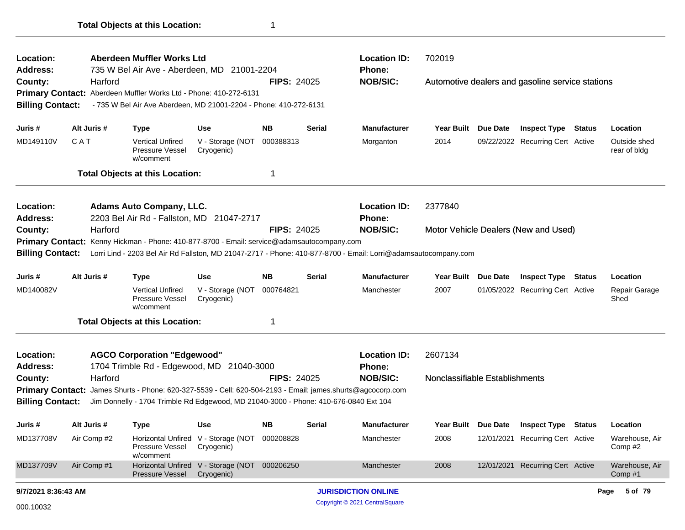| Location:                                                                                  |                                |             | Aberdeen Muffler Works Ltd                                                                 |                                                             |                    |               | <b>Location ID:</b>                                                                                            | 702019                         |          |                                                  |        |                              |
|--------------------------------------------------------------------------------------------|--------------------------------|-------------|--------------------------------------------------------------------------------------------|-------------------------------------------------------------|--------------------|---------------|----------------------------------------------------------------------------------------------------------------|--------------------------------|----------|--------------------------------------------------|--------|------------------------------|
| Address:                                                                                   |                                |             | 735 W Bel Air Ave - Aberdeen, MD                                                           | 21001-2204                                                  |                    |               | Phone:                                                                                                         |                                |          |                                                  |        |                              |
| County:                                                                                    |                                | Harford     |                                                                                            |                                                             | <b>FIPS: 24025</b> |               | <b>NOB/SIC:</b>                                                                                                |                                |          | Automotive dealers and gasoline service stations |        |                              |
|                                                                                            |                                |             | Primary Contact: Aberdeen Muffler Works Ltd - Phone: 410-272-6131                          |                                                             |                    |               |                                                                                                                |                                |          |                                                  |        |                              |
| <b>Billing Contact:</b>                                                                    |                                |             | - 735 W Bel Air Ave Aberdeen, MD 21001-2204 - Phone: 410-272-6131                          |                                                             |                    |               |                                                                                                                |                                |          |                                                  |        |                              |
| Juris #                                                                                    | Alt Juris #                    |             | <b>Type</b>                                                                                | <b>Use</b>                                                  | <b>NB</b>          | <b>Serial</b> | <b>Manufacturer</b>                                                                                            | <b>Year Built</b>              | Due Date | <b>Inspect Type Status</b>                       |        | Location                     |
| MD149110V                                                                                  | CAT                            |             | Vertical Unfired<br>Pressure Vessel<br>w/comment                                           | V - Storage (NOT<br>Cryogenic)                              | 000388313          |               | Morganton                                                                                                      | 2014                           |          | 09/22/2022 Recurring Cert Active                 |        | Outside shed<br>rear of bldg |
|                                                                                            |                                |             | <b>Total Objects at this Location:</b>                                                     |                                                             | 1                  |               |                                                                                                                |                                |          |                                                  |        |                              |
| Location:<br><b>Address:</b>                                                               |                                |             | <b>Adams Auto Company, LLC.</b><br>2203 Bel Air Rd - Fallston, MD 21047-2717               |                                                             |                    |               | <b>Location ID:</b><br><b>Phone:</b>                                                                           | 2377840                        |          |                                                  |        |                              |
| County:                                                                                    |                                | Harford     |                                                                                            |                                                             | <b>FIPS: 24025</b> |               | <b>NOB/SIC:</b>                                                                                                |                                |          | Motor Vehicle Dealers (New and Used)             |        |                              |
| Primary Contact: Kenny Hickman - Phone: 410-877-8700 - Email: service@adamsautocompany.com |                                |             |                                                                                            |                                                             |                    |               |                                                                                                                |                                |          |                                                  |        |                              |
| <b>Billing Contact:</b>                                                                    |                                |             |                                                                                            |                                                             |                    |               | Lorri Lind - 2203 Bel Air Rd Fallston, MD 21047-2717 - Phone: 410-877-8700 - Email: Lorri@adamsautocompany.com |                                |          |                                                  |        |                              |
| Juris #                                                                                    |                                | Alt Juris # | <b>Type</b>                                                                                | <b>Use</b>                                                  | <b>NB</b>          | <b>Serial</b> | <b>Manufacturer</b>                                                                                            | Year Built Due Date            |          | <b>Inspect Type</b>                              | Status | Location                     |
| MD140082V                                                                                  |                                |             | <b>Vertical Unfired</b><br>Pressure Vessel<br>w/comment                                    | V - Storage (NOT<br>Cryogenic)                              | 000764821          |               | Manchester                                                                                                     | 2007                           |          | 01/05/2022 Recurring Cert Active                 |        | Repair Garage<br>Shed        |
|                                                                                            |                                |             | <b>Total Objects at this Location:</b>                                                     |                                                             | 1                  |               |                                                                                                                |                                |          |                                                  |        |                              |
| Location:<br><b>Address:</b>                                                               |                                |             | <b>AGCO Corporation "Edgewood"</b><br>1704 Trimble Rd - Edgewood, MD                       | 21040-3000                                                  |                    |               | <b>Location ID:</b><br><b>Phone:</b>                                                                           | 2607134                        |          |                                                  |        |                              |
| County:                                                                                    |                                | Harford     |                                                                                            |                                                             | <b>FIPS: 24025</b> |               | <b>NOB/SIC:</b>                                                                                                | Nonclassifiable Establishments |          |                                                  |        |                              |
| <b>Primary Contact:</b>                                                                    |                                |             | James Shurts - Phone: 620-327-5539 - Cell: 620-504-2193 - Email: james.shurts@agcocorp.com |                                                             |                    |               |                                                                                                                |                                |          |                                                  |        |                              |
| <b>Billing Contact:</b>                                                                    |                                |             | Jim Donnelly - 1704 Trimble Rd Edgewood, MD 21040-3000 - Phone: 410-676-0840 Ext 104       |                                                             |                    |               |                                                                                                                |                                |          |                                                  |        |                              |
| Juris #                                                                                    | Alt Juris #                    |             | <b>Type</b>                                                                                | Use                                                         | <b>NB</b>          | <b>Serial</b> | <b>Manufacturer</b>                                                                                            | Year Built Due Date            |          | <b>Inspect Type</b>                              | Status | Location                     |
| MD137708V                                                                                  |                                | Air Comp #2 | Pressure Vessel<br>w/comment                                                               | Horizontal Unfired V - Storage (NOT 000208828<br>Cryogenic) |                    |               | Manchester                                                                                                     | 2008                           |          | 12/01/2021 Recurring Cert Active                 |        | Warehouse, Air<br>Comp#2     |
| MD137709V                                                                                  |                                | Air Comp #1 | Pressure Vessel                                                                            | Horizontal Unfired V - Storage (NOT 000206250<br>Cryogenic) |                    |               | Manchester                                                                                                     | 2008                           |          | 12/01/2021 Recurring Cert Active                 |        | Warehouse, Air<br>Comp#1     |
| 9/7/2021 8:36:43 AM                                                                        |                                |             |                                                                                            |                                                             |                    |               | <b>JURISDICTION ONLINE</b>                                                                                     |                                |          |                                                  |        | 5 of 79<br>Page              |
| 000.10032                                                                                  | Copyright © 2021 CentralSquare |             |                                                                                            |                                                             |                    |               |                                                                                                                |                                |          |                                                  |        |                              |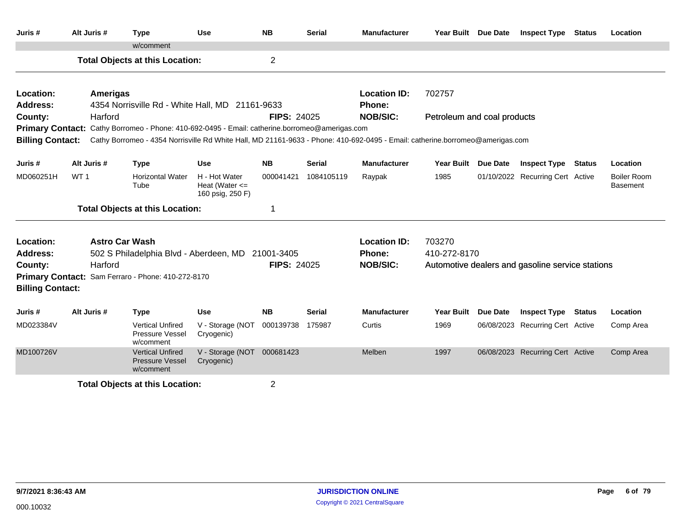| Juris #                 | Alt Juris #     | <b>Type</b>                                                                                                                   | <b>Use</b>                                              | <b>NB</b>          | <b>Serial</b> | <b>Manufacturer</b> | Year Built Due Date         |                 | <b>Inspect Type</b>                              | <b>Status</b> | Location                              |
|-------------------------|-----------------|-------------------------------------------------------------------------------------------------------------------------------|---------------------------------------------------------|--------------------|---------------|---------------------|-----------------------------|-----------------|--------------------------------------------------|---------------|---------------------------------------|
|                         |                 | w/comment                                                                                                                     |                                                         |                    |               |                     |                             |                 |                                                  |               |                                       |
|                         |                 | <b>Total Objects at this Location:</b>                                                                                        |                                                         | $\overline{2}$     |               |                     |                             |                 |                                                  |               |                                       |
| Location:               | <b>Amerigas</b> |                                                                                                                               |                                                         |                    |               | <b>Location ID:</b> | 702757                      |                 |                                                  |               |                                       |
| <b>Address:</b>         |                 | 4354 Norrisville Rd - White Hall, MD 21161-9633                                                                               |                                                         |                    |               | Phone:              |                             |                 |                                                  |               |                                       |
| County:                 | Harford         |                                                                                                                               |                                                         | <b>FIPS: 24025</b> |               | <b>NOB/SIC:</b>     | Petroleum and coal products |                 |                                                  |               |                                       |
|                         |                 | Primary Contact: Cathy Borromeo - Phone: 410-692-0495 - Email: catherine.borromeo@amerigas.com                                |                                                         |                    |               |                     |                             |                 |                                                  |               |                                       |
| <b>Billing Contact:</b> |                 | Cathy Borromeo - 4354 Norrisville Rd White Hall, MD 21161-9633 - Phone: 410-692-0495 - Email: catherine.borromeo@amerigas.com |                                                         |                    |               |                     |                             |                 |                                                  |               |                                       |
| Juris #                 | Alt Juris #     | <b>Type</b>                                                                                                                   | <b>Use</b>                                              | <b>NB</b>          | <b>Serial</b> | <b>Manufacturer</b> | Year Built Due Date         |                 | <b>Inspect Type Status</b>                       |               | Location                              |
| MD060251H               | WT <sub>1</sub> | <b>Horizontal Water</b><br>Tube                                                                                               | H - Hot Water<br>Heat (Water $\leq$<br>160 psig, 250 F) | 000041421          | 1084105119    | Raypak              | 1985                        |                 | 01/10/2022 Recurring Cert Active                 |               | <b>Boiler Room</b><br><b>Basement</b> |
|                         |                 | <b>Total Objects at this Location:</b>                                                                                        |                                                         | 1                  |               |                     |                             |                 |                                                  |               |                                       |
| Location:               |                 | <b>Astro Car Wash</b>                                                                                                         |                                                         |                    |               | <b>Location ID:</b> | 703270                      |                 |                                                  |               |                                       |
| Address:                |                 | 502 S Philadelphia Blvd - Aberdeen, MD 21001-3405                                                                             |                                                         |                    |               | <b>Phone:</b>       | 410-272-8170                |                 |                                                  |               |                                       |
| County:                 | Harford         |                                                                                                                               |                                                         | <b>FIPS: 24025</b> |               | <b>NOB/SIC:</b>     |                             |                 | Automotive dealers and gasoline service stations |               |                                       |
|                         |                 | Primary Contact: Sam Ferraro - Phone: 410-272-8170                                                                            |                                                         |                    |               |                     |                             |                 |                                                  |               |                                       |
| <b>Billing Contact:</b> |                 |                                                                                                                               |                                                         |                    |               |                     |                             |                 |                                                  |               |                                       |
| Juris #                 | Alt Juris #     | <b>Type</b>                                                                                                                   | Use                                                     | <b>NB</b>          | <b>Serial</b> | <b>Manufacturer</b> | <b>Year Built</b>           | <b>Due Date</b> | <b>Inspect Type Status</b>                       |               | Location                              |
| MD023384V               |                 | <b>Vertical Unfired</b><br>Pressure Vessel<br>w/comment                                                                       | V - Storage (NOT<br>Cryogenic)                          | 000139738          | 175987        | Curtis              | 1969                        |                 | 06/08/2023 Recurring Cert Active                 |               | Comp Area                             |
| MD100726V               |                 | <b>Vertical Unfired</b><br><b>Pressure Vessel</b><br>w/comment                                                                | V - Storage (NOT 000681423<br>Cryogenic)                |                    |               | Melben              | 1997                        |                 | 06/08/2023 Recurring Cert Active                 |               | Comp Area                             |
|                         |                 | <b>Total Objects at this Location:</b>                                                                                        |                                                         | $\overline{2}$     |               |                     |                             |                 |                                                  |               |                                       |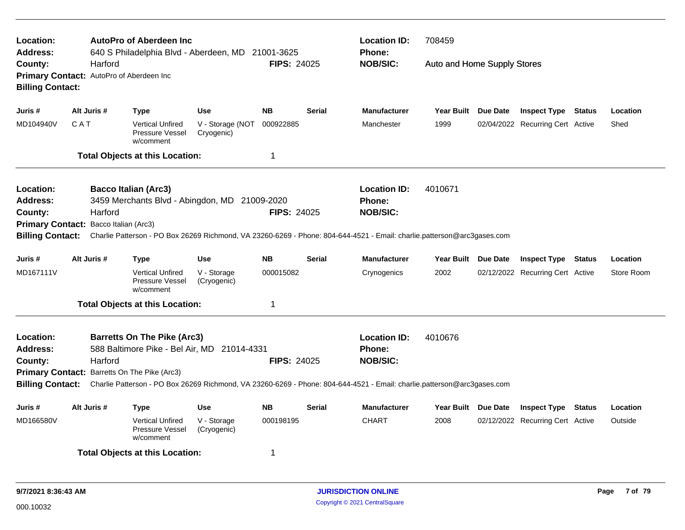| <b>Location:</b><br><b>Address:</b> |             | <b>AutoPro of Aberdeen Inc</b><br>640 S Philadelphia Blvd - Aberdeen, MD 21001-3625                                     |                                |                    |               | <b>Location ID:</b><br>Phone:    | 708459                      |                                  |            |
|-------------------------------------|-------------|-------------------------------------------------------------------------------------------------------------------------|--------------------------------|--------------------|---------------|----------------------------------|-----------------------------|----------------------------------|------------|
| County:<br><b>Billing Contact:</b>  | Harford     | Primary Contact: AutoPro of Aberdeen Inc                                                                                |                                | FIPS: 24025        |               | <b>NOB/SIC:</b>                  | Auto and Home Supply Stores |                                  |            |
| Juris #                             | Alt Juris # | Type                                                                                                                    | <b>Use</b>                     | <b>NB</b>          | <b>Serial</b> | <b>Manufacturer</b>              | Year Built Due Date         | <b>Inspect Type Status</b>       | Location   |
| MD104940V                           | CAT         | <b>Vertical Unfired</b><br>Pressure Vessel<br>w/comment                                                                 | V - Storage (NOT<br>Cryogenic) | 000922885          |               | Manchester                       | 1999                        | 02/04/2022 Recurring Cert Active | Shed       |
|                                     |             | <b>Total Objects at this Location:</b>                                                                                  |                                | 1                  |               |                                  |                             |                                  |            |
| <b>Location:</b>                    |             | <b>Bacco Italian (Arc3)</b>                                                                                             |                                |                    |               | <b>Location ID:</b>              | 4010671                     |                                  |            |
| <b>Address:</b><br>County:          | Harford     | 3459 Merchants Blvd - Abingdon, MD 21009-2020                                                                           |                                | <b>FIPS: 24025</b> |               | <b>Phone:</b><br><b>NOB/SIC:</b> |                             |                                  |            |
| <b>Primary Contact:</b>             |             | Bacco Italian (Arc3)                                                                                                    |                                |                    |               |                                  |                             |                                  |            |
| <b>Billing Contact:</b>             |             | Charlie Patterson - PO Box 26269 Richmond, VA 23260-6269 - Phone: 804-644-4521 - Email: charlie.patterson@arc3gases.com |                                |                    |               |                                  |                             |                                  |            |
| Juris #                             | Alt Juris # | Type                                                                                                                    | <b>Use</b>                     | <b>NB</b>          | <b>Serial</b> | <b>Manufacturer</b>              | Year Built Due Date         | <b>Inspect Type Status</b>       | Location   |
| MD167111V                           |             | <b>Vertical Unfired</b><br>Pressure Vessel<br>w/comment                                                                 | V - Storage<br>(Cryogenic)     | 000015082          |               | Crynogenics                      | 2002                        | 02/12/2022 Recurring Cert Active | Store Room |
|                                     |             | <b>Total Objects at this Location:</b>                                                                                  |                                | $\mathbf 1$        |               |                                  |                             |                                  |            |
| Location:                           |             | <b>Barretts On The Pike (Arc3)</b>                                                                                      |                                |                    |               | <b>Location ID:</b>              | 4010676                     |                                  |            |
| <b>Address:</b>                     |             | 588 Baltimore Pike - Bel Air, MD 21014-4331                                                                             |                                |                    |               | Phone:                           |                             |                                  |            |
| County:                             | Harford     |                                                                                                                         |                                | <b>FIPS: 24025</b> |               | <b>NOB/SIC:</b>                  |                             |                                  |            |
|                                     |             | Primary Contact: Barretts On The Pike (Arc3)                                                                            |                                |                    |               |                                  |                             |                                  |            |
| <b>Billing Contact:</b>             |             | Charlie Patterson - PO Box 26269 Richmond, VA 23260-6269 - Phone: 804-644-4521 - Email: charlie.patterson@arc3gases.com |                                |                    |               |                                  |                             |                                  |            |
| Juris #                             | Alt Juris # | Type                                                                                                                    | Use                            | <b>NB</b>          | <b>Serial</b> | <b>Manufacturer</b>              | Year Built Due Date         | <b>Inspect Type Status</b>       | Location   |
| MD166580V                           |             | <b>Vertical Unfired</b><br>Pressure Vessel<br>w/comment                                                                 | V - Storage<br>(Cryogenic)     | 000198195          |               | <b>CHART</b>                     | 2008                        | 02/12/2022 Recurring Cert Active | Outside    |
|                                     |             | <b>Total Objects at this Location:</b>                                                                                  |                                | -1                 |               |                                  |                             |                                  |            |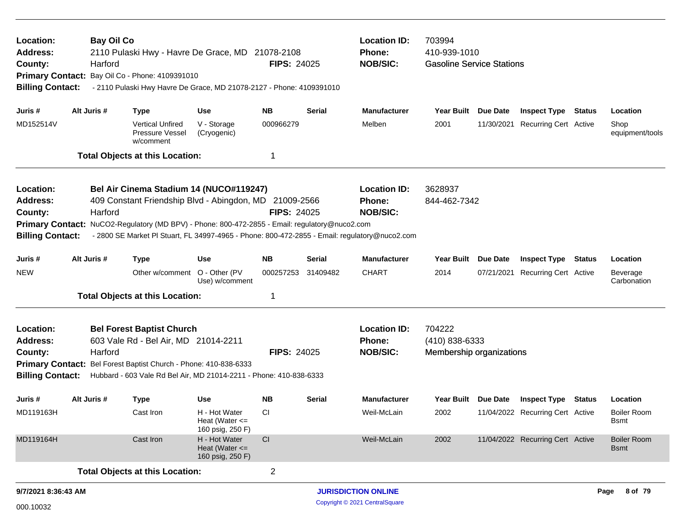| Location:<br><b>Address:</b><br>County:<br><b>Billing Contact:</b> | <b>Bay Oil Co</b><br>Harford | 2110 Pulaski Hwy - Havre De Grace, MD 21078-2108<br>Primary Contact: Bay Oil Co - Phone: 4109391010<br>- 2110 Pulaski Hwy Havre De Grace, MD 21078-2127 - Phone: 4109391010                                                                                                                          |                                                         | <b>FIPS: 24025</b> |                            | <b>Location ID:</b><br>Phone:<br><b>NOB/SIC:</b> | 703994<br>410-939-1010<br><b>Gasoline Service Stations</b> |          |                                  |                 |                                   |
|--------------------------------------------------------------------|------------------------------|------------------------------------------------------------------------------------------------------------------------------------------------------------------------------------------------------------------------------------------------------------------------------------------------------|---------------------------------------------------------|--------------------|----------------------------|--------------------------------------------------|------------------------------------------------------------|----------|----------------------------------|-----------------|-----------------------------------|
| Juris #                                                            | Alt Juris #                  | <b>Type</b>                                                                                                                                                                                                                                                                                          | <b>Use</b>                                              | NΒ                 | Serial                     | <b>Manufacturer</b>                              | Year Built                                                 | Due Date | <b>Inspect Type Status</b>       |                 | Location                          |
| MD152514V                                                          |                              | <b>Vertical Unfired</b><br>Pressure Vessel<br>w/comment                                                                                                                                                                                                                                              | V - Storage<br>(Cryogenic)                              | 000966279          |                            | Melben                                           | 2001                                                       |          | 11/30/2021 Recurring Cert Active |                 | Shop<br>equipment/tools           |
|                                                                    |                              | <b>Total Objects at this Location:</b>                                                                                                                                                                                                                                                               |                                                         | 1                  |                            |                                                  |                                                            |          |                                  |                 |                                   |
| Location:<br>Address:<br>County:<br><b>Billing Contact:</b>        | Harford                      | Bel Air Cinema Stadium 14 (NUCO#119247)<br>409 Constant Friendship Blvd - Abingdon, MD 21009-2566<br>Primary Contact: NuCO2-Regulatory (MD BPV) - Phone: 800-472-2855 - Email: regulatory@nuco2.com<br>- 2800 SE Market PI Stuart, FL 34997-4965 - Phone: 800-472-2855 - Email: regulatory@nuco2.com |                                                         | <b>FIPS: 24025</b> |                            | <b>Location ID:</b><br>Phone:<br><b>NOB/SIC:</b> | 3628937<br>844-462-7342                                    |          |                                  |                 |                                   |
| Juris #                                                            | Alt Juris #                  | <b>Type</b>                                                                                                                                                                                                                                                                                          | Use                                                     | <b>NB</b>          | <b>Serial</b>              | <b>Manufacturer</b>                              | <b>Year Built</b>                                          | Due Date | <b>Inspect Type</b>              | <b>Status</b>   | Location                          |
| <b>NEW</b>                                                         |                              | Other w/comment O - Other (PV                                                                                                                                                                                                                                                                        | Use) w/comment                                          | 000257253          | 31409482                   | <b>CHART</b>                                     | 2014                                                       |          | 07/21/2021 Recurring Cert Active |                 | Beverage<br>Carbonation           |
|                                                                    |                              | <b>Total Objects at this Location:</b>                                                                                                                                                                                                                                                               |                                                         |                    |                            |                                                  |                                                            |          |                                  |                 |                                   |
| Location:<br><b>Address:</b><br>County:<br><b>Billing Contact:</b> | Harford                      | <b>Bel Forest Baptist Church</b><br>603 Vale Rd - Bel Air, MD 21014-2211<br>Primary Contact: Bel Forest Baptist Church - Phone: 410-838-6333<br>Hubbard - 603 Vale Rd Bel Air, MD 21014-2211 - Phone: 410-838-6333                                                                                   |                                                         | <b>FIPS: 24025</b> |                            | <b>Location ID:</b><br>Phone:<br><b>NOB/SIC:</b> | 704222<br>(410) 838-6333<br>Membership organizations       |          |                                  |                 |                                   |
| Juris #                                                            | Alt Juris #                  | <b>Type</b>                                                                                                                                                                                                                                                                                          | <b>Use</b>                                              | <b>NB</b>          | <b>Serial</b>              | <b>Manufacturer</b>                              | <b>Year Built</b>                                          | Due Date | <b>Inspect Type</b>              | <b>Status</b>   | Location                          |
| MD119163H                                                          |                              | Cast Iron                                                                                                                                                                                                                                                                                            | H - Hot Water<br>Heat (Water $\leq$<br>160 psig, 250 F) | СI                 |                            | Weil-McLain                                      | 2002                                                       |          | 11/04/2022 Recurring Cert Active |                 | <b>Boiler Room</b><br><b>Bsmt</b> |
| MD119164H                                                          |                              | Cast Iron                                                                                                                                                                                                                                                                                            | H - Hot Water<br>Heat (Water $\leq$<br>160 psig, 250 F) | CI                 |                            | Weil-McLain                                      | 2002                                                       |          | 11/04/2022 Recurring Cert Active |                 | <b>Boiler Room</b><br><b>Bsmt</b> |
| <b>Total Objects at this Location:</b>                             |                              |                                                                                                                                                                                                                                                                                                      |                                                         |                    |                            |                                                  |                                                            |          |                                  |                 |                                   |
| 9/7/2021 8:36:43 AM                                                |                              |                                                                                                                                                                                                                                                                                                      |                                                         |                    | <b>JURISDICTION ONLINE</b> |                                                  |                                                            |          |                                  | 8 of 79<br>Page |                                   |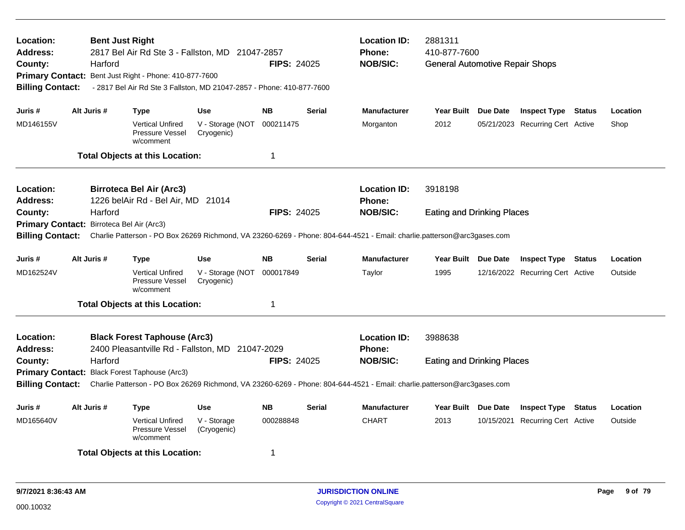| Location:<br><b>Address:</b><br>County:<br><b>Billing Contact:</b>              |             | Harford | <b>Bent Just Right</b><br>2817 Bel Air Rd Ste 3 - Fallston, MD 21047-2857<br>Primary Contact: Bent Just Right - Phone: 410-877-7600<br>- 2817 Bel Air Rd Ste 3 Fallston, MD 21047-2857 - Phone: 410-877-7600 |                                | <b>FIPS: 24025</b> |               | <b>Location ID:</b><br><b>Phone:</b><br><b>NOB/SIC:</b>                                                                                    | 2881311<br>410-877-7600<br><b>General Automotive Repair Shops</b> |                                  |          |
|---------------------------------------------------------------------------------|-------------|---------|--------------------------------------------------------------------------------------------------------------------------------------------------------------------------------------------------------------|--------------------------------|--------------------|---------------|--------------------------------------------------------------------------------------------------------------------------------------------|-------------------------------------------------------------------|----------------------------------|----------|
| Juris #                                                                         | Alt Juris # |         | Type                                                                                                                                                                                                         | <b>Use</b>                     | <b>NB</b>          | <b>Serial</b> | <b>Manufacturer</b>                                                                                                                        | Year Built Due Date                                               | <b>Inspect Type Status</b>       | Location |
| MD146155V                                                                       |             |         | <b>Vertical Unfired</b><br>Pressure Vessel<br>w/comment                                                                                                                                                      | V - Storage (NOT<br>Cryogenic) | 000211475          |               | Morganton                                                                                                                                  | 2012                                                              | 05/21/2023 Recurring Cert Active | Shop     |
|                                                                                 |             |         | <b>Total Objects at this Location:</b>                                                                                                                                                                       |                                | 1                  |               |                                                                                                                                            |                                                                   |                                  |          |
| <b>Location:</b><br><b>Address:</b>                                             |             |         | <b>Birroteca Bel Air (Arc3)</b><br>1226 belAir Rd - Bel Air, MD 21014                                                                                                                                        |                                |                    |               | <b>Location ID:</b><br><b>Phone:</b>                                                                                                       | 3918198                                                           |                                  |          |
| County:<br>Primary Contact: Birroteca Bel Air (Arc3)<br><b>Billing Contact:</b> |             | Harford |                                                                                                                                                                                                              |                                | <b>FIPS: 24025</b> |               | <b>NOB/SIC:</b><br>Charlie Patterson - PO Box 26269 Richmond, VA 23260-6269 - Phone: 804-644-4521 - Email: charlie.patterson@arc3gases.com | <b>Eating and Drinking Places</b>                                 |                                  |          |
| Juris #                                                                         | Alt Juris # |         | Type                                                                                                                                                                                                         | <b>Use</b>                     | <b>NB</b>          | <b>Serial</b> | <b>Manufacturer</b>                                                                                                                        | Year Built Due Date                                               | <b>Inspect Type Status</b>       | Location |
| MD162524V                                                                       |             |         | <b>Vertical Unfired</b><br>Pressure Vessel<br>w/comment                                                                                                                                                      | V - Storage (NOT<br>Cryogenic) | 000017849          |               | Taylor                                                                                                                                     | 1995                                                              | 12/16/2022 Recurring Cert Active | Outside  |
|                                                                                 |             |         | <b>Total Objects at this Location:</b>                                                                                                                                                                       |                                | $\mathbf 1$        |               |                                                                                                                                            |                                                                   |                                  |          |
| <b>Location:</b><br><b>Address:</b>                                             |             |         | <b>Black Forest Taphouse (Arc3)</b><br>2400 Pleasantville Rd - Fallston, MD 21047-2029                                                                                                                       |                                |                    |               | <b>Location ID:</b><br><b>Phone:</b>                                                                                                       | 3988638                                                           |                                  |          |
| County:                                                                         |             | Harford |                                                                                                                                                                                                              |                                | <b>FIPS: 24025</b> |               | <b>NOB/SIC:</b>                                                                                                                            | <b>Eating and Drinking Places</b>                                 |                                  |          |
| <b>Billing Contact:</b>                                                         |             |         | Primary Contact: Black Forest Taphouse (Arc3)                                                                                                                                                                |                                |                    |               | Charlie Patterson - PO Box 26269 Richmond, VA 23260-6269 - Phone: 804-644-4521 - Email: charlie.patterson@arc3gases.com                    |                                                                   |                                  |          |
| Juris #                                                                         | Alt Juris # |         | <b>Type</b>                                                                                                                                                                                                  | <b>Use</b>                     | <b>NB</b>          | <b>Serial</b> | <b>Manufacturer</b>                                                                                                                        | Year Built Due Date                                               | <b>Inspect Type Status</b>       | Location |
| MD165640V                                                                       |             |         | <b>Vertical Unfired</b><br>Pressure Vessel<br>w/comment                                                                                                                                                      | V - Storage<br>(Cryogenic)     | 000288848          |               | <b>CHART</b>                                                                                                                               | 2013                                                              | 10/15/2021 Recurring Cert Active | Outside  |
|                                                                                 |             |         | <b>Total Objects at this Location:</b>                                                                                                                                                                       |                                | -1                 |               |                                                                                                                                            |                                                                   |                                  |          |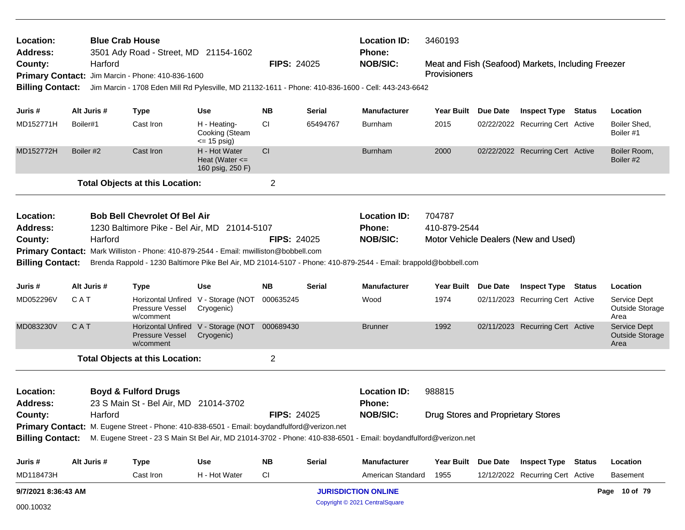| Location:<br>Address:   | <b>Blue Crab House</b> | 3501 Ady Road - Street, MD 21154-1602                                                       |                                                         |                    |               | <b>Location ID:</b><br>Phone:                                                                                                     | 3460193                            |                     |                                                    |                                                |
|-------------------------|------------------------|---------------------------------------------------------------------------------------------|---------------------------------------------------------|--------------------|---------------|-----------------------------------------------------------------------------------------------------------------------------------|------------------------------------|---------------------|----------------------------------------------------|------------------------------------------------|
| County:                 | Harford                |                                                                                             |                                                         | <b>FIPS: 24025</b> |               | <b>NOB/SIC:</b>                                                                                                                   |                                    |                     | Meat and Fish (Seafood) Markets, Including Freezer |                                                |
|                         |                        | Primary Contact: Jim Marcin - Phone: 410-836-1600                                           |                                                         |                    |               |                                                                                                                                   | Provisioners                       |                     |                                                    |                                                |
| <b>Billing Contact:</b> |                        |                                                                                             |                                                         |                    |               | Jim Marcin - 1708 Eden Mill Rd Pylesville, MD 21132-1611 - Phone: 410-836-1600 - Cell: 443-243-6642                               |                                    |                     |                                                    |                                                |
| Juris #                 | Alt Juris #            | <b>Type</b>                                                                                 | <b>Use</b>                                              | NB.                | Serial        | <b>Manufacturer</b>                                                                                                               | Year Built Due Date                |                     | <b>Inspect Type Status</b>                         | Location                                       |
| MD152771H               | Boiler#1               | Cast Iron                                                                                   | H - Heating-<br>Cooking (Steam<br>$\le$ 15 psig)        | <b>CI</b>          | 65494767      | <b>Burnham</b>                                                                                                                    | 2015                               |                     | 02/22/2022 Recurring Cert Active                   | Boiler Shed,<br>Boiler #1                      |
| MD152772H               | Boiler #2              | Cast Iron                                                                                   | H - Hot Water<br>Heat (Water $\leq$<br>160 psig, 250 F) | <b>CI</b>          |               | <b>Burnham</b>                                                                                                                    | 2000                               |                     | 02/22/2022 Recurring Cert Active                   | Boiler Room,<br>Boiler #2                      |
|                         |                        | <b>Total Objects at this Location:</b>                                                      |                                                         | $\overline{2}$     |               |                                                                                                                                   |                                    |                     |                                                    |                                                |
| Location:               |                        | <b>Bob Bell Chevrolet Of Bel Air</b>                                                        |                                                         |                    |               | <b>Location ID:</b>                                                                                                               | 704787                             |                     |                                                    |                                                |
| Address:                |                        | 1230 Baltimore Pike - Bel Air, MD 21014-5107                                                |                                                         |                    |               | Phone:                                                                                                                            | 410-879-2544                       |                     |                                                    |                                                |
| County:                 | Harford                |                                                                                             |                                                         | <b>FIPS: 24025</b> |               | <b>NOB/SIC:</b>                                                                                                                   |                                    |                     | Motor Vehicle Dealers (New and Used)               |                                                |
|                         |                        | Primary Contact: Mark Williston - Phone: 410-879-2544 - Email: mwilliston@bobbell.com       |                                                         |                    |               |                                                                                                                                   |                                    |                     |                                                    |                                                |
| <b>Billing Contact:</b> |                        |                                                                                             |                                                         |                    |               | Brenda Rappold - 1230 Baltimore Pike Bel Air, MD 21014-5107 - Phone: 410-879-2544 - Email: brappold@bobbell.com                   |                                    |                     |                                                    |                                                |
| Juris #                 | Alt Juris #            | <b>Type</b>                                                                                 | Use                                                     | NB.                | Serial        | <b>Manufacturer</b>                                                                                                               |                                    | Year Built Due Date | <b>Inspect Type Status</b>                         | Location                                       |
| MD052296V               | <b>CAT</b>             | <b>Pressure Vessel</b><br>w/comment                                                         | Horizontal Unfired V - Storage (NOT<br>Cryogenic)       | 000635245          |               | Wood                                                                                                                              | 1974                               |                     | 02/11/2023 Recurring Cert Active                   | Service Dept<br>Outside Storage<br>Area        |
| MD083230V               | CAT                    | <b>Pressure Vessel</b><br>w/comment                                                         | Horizontal Unfired V - Storage (NOT<br>Cryogenic)       | 000689430          |               | <b>Brunner</b>                                                                                                                    | 1992                               |                     | 02/11/2023 Recurring Cert Active                   | Service Dept<br><b>Outside Storage</b><br>Area |
|                         |                        | <b>Total Objects at this Location:</b>                                                      |                                                         | $\overline{2}$     |               |                                                                                                                                   |                                    |                     |                                                    |                                                |
| Location:<br>Address:   |                        | <b>Boyd &amp; Fulford Drugs</b><br>23 S Main St - Bel Air, MD 21014-3702                    |                                                         |                    |               | <b>Location ID:</b><br><b>Phone:</b>                                                                                              | 988815                             |                     |                                                    |                                                |
| County:                 | Harford                |                                                                                             |                                                         | <b>FIPS: 24025</b> |               | <b>NOB/SIC:</b>                                                                                                                   | Drug Stores and Proprietary Stores |                     |                                                    |                                                |
|                         |                        | Primary Contact: M. Eugene Street - Phone: 410-838-6501 - Email: boydandfulford@verizon.net |                                                         |                    |               |                                                                                                                                   |                                    |                     |                                                    |                                                |
|                         |                        |                                                                                             |                                                         |                    |               | Billing Contact: M. Eugene Street - 23 S Main St Bel Air, MD 21014-3702 - Phone: 410-838-6501 - Email: boydandfulford@verizon.net |                                    |                     |                                                    |                                                |
| Juris #                 | Alt Juris #            | <b>Type</b>                                                                                 | <b>Use</b>                                              | ΝB                 | <b>Serial</b> | Manufacturer                                                                                                                      | Year Built Due Date                |                     | <b>Inspect Type Status</b>                         | Location                                       |
| MD118473H               |                        | Cast Iron                                                                                   | H - Hot Water                                           | <b>CI</b>          |               | American Standard                                                                                                                 | 1955                               |                     | 12/12/2022 Recurring Cert Active                   | <b>Basement</b>                                |
| 9/7/2021 8:36:43 AM     |                        |                                                                                             |                                                         |                    |               | <b>JURISDICTION ONLINE</b>                                                                                                        |                                    |                     |                                                    | Page 10 of 79                                  |
| 000.10032               |                        |                                                                                             |                                                         |                    |               | Copyright © 2021 CentralSquare                                                                                                    |                                    |                     |                                                    |                                                |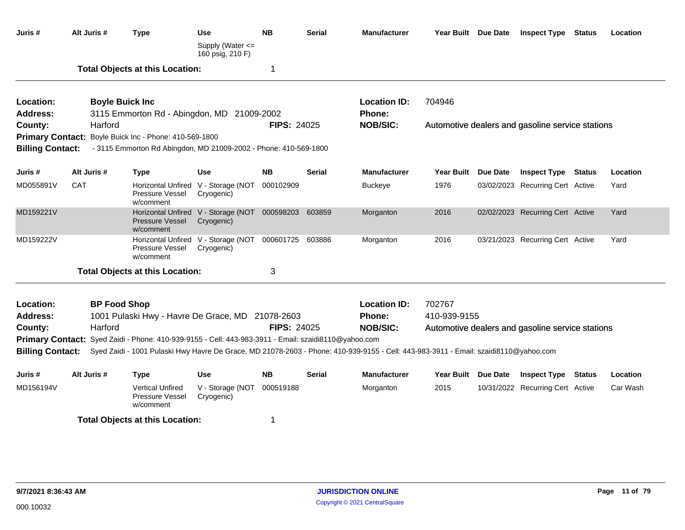| Juris #                      | Alt Juris # | <b>Type</b>                                                                                                                                                                                                                                  | Use<br>Supply (Water <=<br>160 psig, 210 F)                        | <b>NB</b>          | <b>Serial</b>      | <b>Manufacturer</b>              | Year Built Due Date | <b>Inspect Type Status</b>                                     | Location |
|------------------------------|-------------|----------------------------------------------------------------------------------------------------------------------------------------------------------------------------------------------------------------------------------------------|--------------------------------------------------------------------|--------------------|--------------------|----------------------------------|---------------------|----------------------------------------------------------------|----------|
|                              |             | <b>Total Objects at this Location:</b>                                                                                                                                                                                                       |                                                                    | 1                  |                    |                                  |                     |                                                                |          |
| Location:<br><b>Address:</b> |             | <b>Boyle Buick Inc</b><br>3115 Emmorton Rd - Abingdon, MD 21009-2002                                                                                                                                                                         |                                                                    |                    |                    | <b>Location ID:</b><br>Phone:    | 704946              |                                                                |          |
| County:                      | Harford     | Primary Contact: Boyle Buick Inc - Phone: 410-569-1800                                                                                                                                                                                       |                                                                    | <b>FIPS: 24025</b> |                    | <b>NOB/SIC:</b>                  |                     | Automotive dealers and gasoline service stations               |          |
| <b>Billing Contact:</b>      | Alt Juris # | - 3115 Emmorton Rd Abingdon, MD 21009-2002 - Phone: 410-569-1800                                                                                                                                                                             |                                                                    | <b>NB</b>          | Serial             | <b>Manufacturer</b>              | Year Built Due Date |                                                                | Location |
| Juris #<br>MD055891V         | <b>CAT</b>  | <b>Type</b><br>Pressure Vessel<br>w/comment                                                                                                                                                                                                  | Use<br>Horizontal Unfired V - Storage (NOT<br>Cryogenic)           | 000102909          |                    | <b>Buckeye</b>                   | 1976                | <b>Inspect Type Status</b><br>03/02/2023 Recurring Cert Active | Yard     |
| MD159221V                    |             | <b>Pressure Vessel</b><br>w/comment                                                                                                                                                                                                          | Horizontal Unfired V - Storage (NOT 000598203 603859<br>Cryogenic) |                    |                    | Morganton                        | 2016                | 02/02/2023 Recurring Cert Active                               | Yard     |
| MD159222V                    |             | Pressure Vessel<br>w/comment                                                                                                                                                                                                                 | Horizontal Unfired V - Storage (NOT<br>Cryogenic)                  | 000601725          | 603886             | Morganton                        | 2016                | 03/21/2023 Recurring Cert Active                               | Yard     |
|                              |             | <b>Total Objects at this Location:</b>                                                                                                                                                                                                       |                                                                    | 3                  |                    |                                  |                     |                                                                |          |
| Location:                    |             | <b>BP Food Shop</b>                                                                                                                                                                                                                          |                                                                    |                    |                    | <b>Location ID:</b>              | 702767              |                                                                |          |
| Address:<br>County:          |             | 1001 Pulaski Hwy - Havre De Grace, MD 21078-2603<br>Harford                                                                                                                                                                                  |                                                                    |                    | <b>FIPS: 24025</b> | <b>Phone:</b><br><b>NOB/SIC:</b> | 410-939-9155        | Automotive dealers and gasoline service stations               |          |
| <b>Billing Contact:</b>      |             | Primary Contact: Syed Zaidi - Phone: 410-939-9155 - Cell: 443-983-3911 - Email: szaidi8110@yahoo.com<br>Syed Zaidi - 1001 Pulaski Hwy Havre De Grace, MD 21078-2603 - Phone: 410-939-9155 - Cell: 443-983-3911 - Email: szaidi8110@yahoo.com |                                                                    |                    |                    |                                  |                     |                                                                |          |
| Juris #                      | Alt Juris # | <b>Type</b>                                                                                                                                                                                                                                  | <b>Use</b>                                                         | <b>NB</b>          | Serial             | <b>Manufacturer</b>              | Year Built Due Date | <b>Inspect Type Status</b>                                     | Location |
| MD156194V                    |             | <b>Vertical Unfired</b><br>Pressure Vessel<br>w/comment                                                                                                                                                                                      | V - Storage (NOT<br>Cryogenic)                                     | 000519188          |                    | Morganton                        | 2015                | 10/31/2022 Recurring Cert Active                               | Car Wash |
|                              |             | <b>Total Objects at this Location:</b>                                                                                                                                                                                                       |                                                                    | 1                  |                    |                                  |                     |                                                                |          |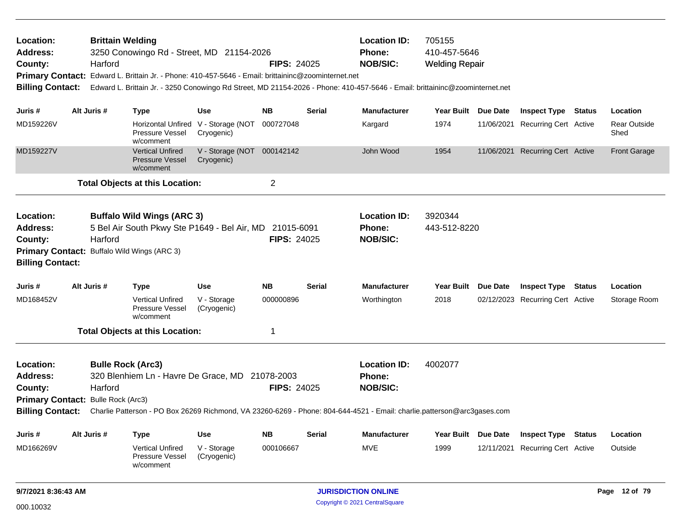| Location:<br><b>Address:</b><br>County:<br><b>Billing Contact:</b> | Harford                                              | <b>Brittain Welding</b><br>3250 Conowingo Rd - Street, MD 21154-2026<br>Primary Contact: Edward L. Brittain Jr. - Phone: 410-457-5646 - Email: brittaininc@zoominternet.net<br>Edward L. Brittain Jr. - 3250 Conowingo Rd Street, MD 21154-2026 - Phone: 410-457-5646 - Email: brittaininc@zoominternet.net |                                                   | <b>FIPS: 24025</b> |               | <b>Location ID:</b><br>Phone:<br><b>NOB/SIC:</b> | 705155<br>410-457-5646<br><b>Welding Repair</b> |                                  |               |                             |
|--------------------------------------------------------------------|------------------------------------------------------|-------------------------------------------------------------------------------------------------------------------------------------------------------------------------------------------------------------------------------------------------------------------------------------------------------------|---------------------------------------------------|--------------------|---------------|--------------------------------------------------|-------------------------------------------------|----------------------------------|---------------|-----------------------------|
| Juris #                                                            | Alt Juris #                                          | <b>Type</b>                                                                                                                                                                                                                                                                                                 | Use                                               | <b>NB</b>          | Serial        | <b>Manufacturer</b>                              | Year Built Due Date                             | <b>Inspect Type Status</b>       |               | Location                    |
| MD159226V                                                          |                                                      | Pressure Vessel<br>w/comment                                                                                                                                                                                                                                                                                | Horizontal Unfired V - Storage (NOT<br>Cryogenic) | 000727048          |               | Kargard                                          | 1974                                            | 11/06/2021 Recurring Cert Active |               | <b>Rear Outside</b><br>Shed |
| MD159227V                                                          |                                                      | <b>Vertical Unfired</b><br><b>Pressure Vessel</b><br>w/comment                                                                                                                                                                                                                                              | V - Storage (NOT 000142142<br>Cryogenic)          |                    |               | John Wood                                        | 1954                                            | 11/06/2021 Recurring Cert Active |               | <b>Front Garage</b>         |
|                                                                    |                                                      | <b>Total Objects at this Location:</b>                                                                                                                                                                                                                                                                      |                                                   | $\overline{c}$     |               |                                                  |                                                 |                                  |               |                             |
| Location:<br><b>Address:</b><br>County:<br><b>Billing Contact:</b> | Harford                                              | <b>Buffalo Wild Wings (ARC 3)</b><br>5 Bel Air South Pkwy Ste P1649 - Bel Air, MD 21015-6091<br>Primary Contact: Buffalo Wild Wings (ARC 3)                                                                                                                                                                 |                                                   | <b>FIPS: 24025</b> |               | <b>Location ID:</b><br>Phone:<br><b>NOB/SIC:</b> | 3920344<br>443-512-8220                         |                                  |               |                             |
| Juris #                                                            | Alt Juris #                                          | <b>Type</b>                                                                                                                                                                                                                                                                                                 | <b>Use</b>                                        | <b>NB</b>          | <b>Serial</b> | <b>Manufacturer</b>                              | Year Built Due Date                             | <b>Inspect Type Status</b>       |               | Location                    |
| MD168452V                                                          |                                                      | <b>Vertical Unfired</b><br>Pressure Vessel<br>w/comment                                                                                                                                                                                                                                                     | V - Storage<br>(Cryogenic)                        | 000000896          |               | Worthington                                      | 2018                                            | 02/12/2023 Recurring Cert Active |               | Storage Room                |
|                                                                    |                                                      | <b>Total Objects at this Location:</b>                                                                                                                                                                                                                                                                      |                                                   | 1                  |               |                                                  |                                                 |                                  |               |                             |
| Location:<br><b>Address:</b><br>County:<br><b>Billing Contact:</b> | Harford<br><b>Primary Contact: Bulle Rock (Arc3)</b> | <b>Bulle Rock (Arc3)</b><br>320 Blenhiem Ln - Havre De Grace, MD 21078-2003<br>Charlie Patterson - PO Box 26269 Richmond, VA 23260-6269 - Phone: 804-644-4521 - Email: charlie.patterson@arc3gases.com                                                                                                      |                                                   | <b>FIPS: 24025</b> |               | <b>Location ID:</b><br>Phone:<br><b>NOB/SIC:</b> | 4002077                                         |                                  |               |                             |
| Juris #                                                            | Alt Juris #                                          | <b>Type</b>                                                                                                                                                                                                                                                                                                 | Use                                               | <b>NB</b>          | Serial        | <b>Manufacturer</b>                              | Year Built Due Date                             | Inspect Type                     | <b>Status</b> | Location                    |
| MD166269V                                                          |                                                      | <b>Vertical Unfired</b><br>Pressure Vessel<br>w/comment                                                                                                                                                                                                                                                     | V - Storage<br>(Cryogenic)                        | 000106667          |               | <b>MVE</b>                                       | 1999                                            | 12/11/2021 Recurring Cert Active |               | Outside                     |
| 9/7/2021 8:36:43 AM                                                |                                                      |                                                                                                                                                                                                                                                                                                             |                                                   |                    |               | <b>JURISDICTION ONLINE</b>                       |                                                 |                                  |               | Page 12 of 79               |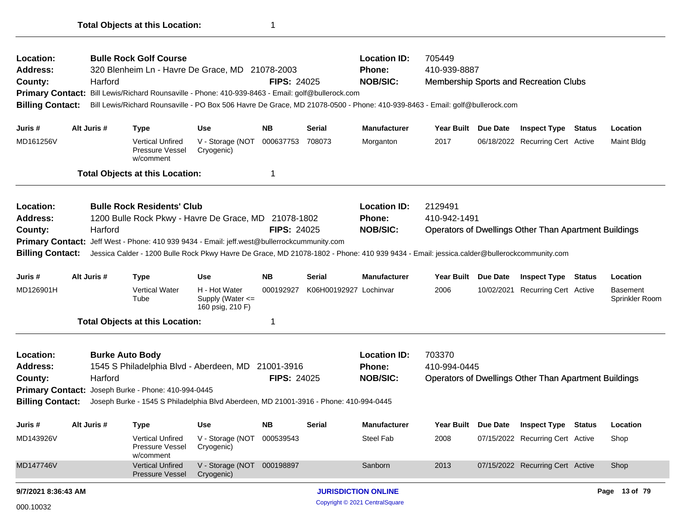| Location:<br><b>Address:</b><br>County:<br><b>Primary Contact:</b><br><b>Billing Contact:</b> |                                                                                                                                                                                                                                                                                                       | Harford     | <b>Bulle Rock Golf Course</b><br>320 Blenheim Ln - Havre De Grace, MD 21078-2003<br>Bill Lewis/Richard Rounsaville - Phone: 410-939-8463 - Email: golf@bullerock.com<br>Bill Lewis/Richard Rounsaville - PO Box 506 Havre De Grace, MD 21078-0500 - Phone: 410-939-8463 - Email: golf@bullerock.com                 |                                                       | <b>FIPS: 24025</b> |                        | <b>Location ID:</b><br>Phone:<br><b>NOB/SIC:</b> | 705449<br>410-939-8887  |                 | <b>Membership Sports and Recreation Clubs</b>                |               |                                   |
|-----------------------------------------------------------------------------------------------|-------------------------------------------------------------------------------------------------------------------------------------------------------------------------------------------------------------------------------------------------------------------------------------------------------|-------------|---------------------------------------------------------------------------------------------------------------------------------------------------------------------------------------------------------------------------------------------------------------------------------------------------------------------|-------------------------------------------------------|--------------------|------------------------|--------------------------------------------------|-------------------------|-----------------|--------------------------------------------------------------|---------------|-----------------------------------|
| Juris #                                                                                       |                                                                                                                                                                                                                                                                                                       | Alt Juris # | <b>Type</b>                                                                                                                                                                                                                                                                                                         | <b>Use</b>                                            | <b>NB</b>          | Serial                 | <b>Manufacturer</b>                              | Year Built Due Date     |                 | <b>Inspect Type Status</b>                                   |               | Location                          |
| MD161256V                                                                                     |                                                                                                                                                                                                                                                                                                       |             | <b>Vertical Unfired</b><br>Pressure Vessel<br>w/comment                                                                                                                                                                                                                                                             | V - Storage (NOT<br>Cryogenic)                        | 000637753          | 708073                 | Morganton                                        | 2017                    |                 | 06/18/2022 Recurring Cert Active                             |               | Maint Bldg                        |
|                                                                                               |                                                                                                                                                                                                                                                                                                       |             | <b>Total Objects at this Location:</b>                                                                                                                                                                                                                                                                              |                                                       | 1                  |                        |                                                  |                         |                 |                                                              |               |                                   |
| Location:<br><b>Address:</b><br>County:<br><b>Primary Contact:</b><br><b>Billing Contact:</b> |                                                                                                                                                                                                                                                                                                       | Harford     | <b>Bulle Rock Residents' Club</b><br>1200 Bulle Rock Pkwy - Havre De Grace, MD 21078-1802<br>Jeff West - Phone: 410 939 9434 - Email: jeff.west@bullerrockcummunity.com<br>Jessica Calder - 1200 Bulle Rock Pkwy Havre De Grace, MD 21078-1802 - Phone: 410 939 9434 - Email: jessica.calder@bullerockcommunity.com |                                                       | <b>FIPS: 24025</b> |                        | <b>Location ID:</b><br>Phone:<br><b>NOB/SIC:</b> | 2129491<br>410-942-1491 |                 | <b>Operators of Dwellings Other Than Apartment Buildings</b> |               |                                   |
| Juris #                                                                                       |                                                                                                                                                                                                                                                                                                       | Alt Juris # | <b>Type</b>                                                                                                                                                                                                                                                                                                         | Use                                                   | NΒ                 | Serial                 | <b>Manufacturer</b>                              | Year Built              | <b>Due Date</b> | <b>Inspect Type</b>                                          | <b>Status</b> | Location                          |
| MD126901H                                                                                     |                                                                                                                                                                                                                                                                                                       |             | <b>Vertical Water</b><br>Tube                                                                                                                                                                                                                                                                                       | H - Hot Water<br>Supply (Water <=<br>160 psig, 210 F) | 000192927          | K06H00192927 Lochinvar |                                                  | 2006                    |                 | 10/02/2021 Recurring Cert Active                             |               | <b>Basement</b><br>Sprinkler Room |
|                                                                                               |                                                                                                                                                                                                                                                                                                       |             | <b>Total Objects at this Location:</b>                                                                                                                                                                                                                                                                              |                                                       | 1                  |                        |                                                  |                         |                 |                                                              |               |                                   |
| Location:<br><b>Address:</b><br>County:                                                       | <b>Burke Auto Body</b><br>1545 S Philadelphia Blvd - Aberdeen, MD<br>21001-3916<br>Harford<br><b>FIPS: 24025</b><br>Joseph Burke - Phone: 410-994-0445<br><b>Primary Contact:</b><br><b>Billing Contact:</b><br>Joseph Burke - 1545 S Philadelphia Blvd Aberdeen, MD 21001-3916 - Phone: 410-994-0445 |             |                                                                                                                                                                                                                                                                                                                     |                                                       |                    |                        | <b>Location ID:</b><br>Phone:<br><b>NOB/SIC:</b> | 703370<br>410-994-0445  |                 | <b>Operators of Dwellings Other Than Apartment Buildings</b> |               |                                   |
| Juris #                                                                                       |                                                                                                                                                                                                                                                                                                       | Alt Juris # | Type                                                                                                                                                                                                                                                                                                                | Use                                                   | NΒ                 | Serial                 | <b>Manufacturer</b>                              | Year Built Due Date     |                 | <b>Inspect Type</b>                                          | Status        | Location                          |
| MD143926V                                                                                     |                                                                                                                                                                                                                                                                                                       |             | <b>Vertical Unfired</b><br>Pressure Vessel<br>w/comment                                                                                                                                                                                                                                                             | V - Storage (NOT 000539543<br>Cryogenic)              |                    |                        | Steel Fab                                        | 2008                    |                 | 07/15/2022 Recurring Cert Active                             |               | Shop                              |
| MD147746V                                                                                     |                                                                                                                                                                                                                                                                                                       |             | <b>Vertical Unfired</b><br><b>Pressure Vessel</b>                                                                                                                                                                                                                                                                   | V - Storage (NOT 000198897<br>Cryogenic)              |                    |                        | Sanborn                                          | 2013                    |                 | 07/15/2022 Recurring Cert Active                             |               | Shop                              |
| 9/7/2021 8:36:43 AM                                                                           |                                                                                                                                                                                                                                                                                                       |             |                                                                                                                                                                                                                                                                                                                     |                                                       |                    |                        | <b>JURISDICTION ONLINE</b>                       |                         |                 |                                                              |               | Page 13 of 79                     |
| 000.10032                                                                                     |                                                                                                                                                                                                                                                                                                       |             |                                                                                                                                                                                                                                                                                                                     |                                                       |                    |                        | Copyright © 2021 CentralSquare                   |                         |                 |                                                              |               |                                   |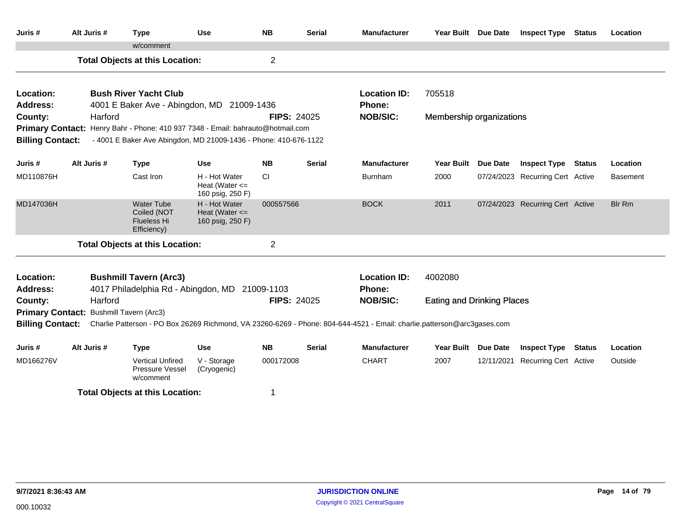| Juris#                       | Alt Juris # | <b>Type</b>                                                                     | <b>Use</b>                                              | <b>NB</b>          | <b>Serial</b> | <b>Manufacturer</b>                                                                                                     | Year Built Due Date               |                 | <b>Inspect Type Status</b>       |               | Location        |
|------------------------------|-------------|---------------------------------------------------------------------------------|---------------------------------------------------------|--------------------|---------------|-------------------------------------------------------------------------------------------------------------------------|-----------------------------------|-----------------|----------------------------------|---------------|-----------------|
|                              |             | w/comment                                                                       |                                                         |                    |               |                                                                                                                         |                                   |                 |                                  |               |                 |
|                              |             | <b>Total Objects at this Location:</b>                                          |                                                         | $\overline{2}$     |               |                                                                                                                         |                                   |                 |                                  |               |                 |
| Location:                    |             | <b>Bush River Yacht Club</b>                                                    |                                                         |                    |               | <b>Location ID:</b>                                                                                                     | 705518                            |                 |                                  |               |                 |
| <b>Address:</b>              |             | 4001 E Baker Ave - Abingdon, MD 21009-1436                                      |                                                         |                    |               | Phone:                                                                                                                  |                                   |                 |                                  |               |                 |
| County:                      | Harford     |                                                                                 |                                                         | <b>FIPS: 24025</b> |               | <b>NOB/SIC:</b>                                                                                                         | Membership organizations          |                 |                                  |               |                 |
| <b>Primary Contact:</b>      |             | Henry Bahr - Phone: 410 937 7348 - Email: bahrauto@hotmail.com                  |                                                         |                    |               |                                                                                                                         |                                   |                 |                                  |               |                 |
| <b>Billing Contact:</b>      |             | - 4001 E Baker Ave Abingdon, MD 21009-1436 - Phone: 410-676-1122                |                                                         |                    |               |                                                                                                                         |                                   |                 |                                  |               |                 |
| Juris #                      | Alt Juris # | <b>Type</b>                                                                     | <b>Use</b>                                              | <b>NB</b>          | <b>Serial</b> | <b>Manufacturer</b>                                                                                                     | <b>Year Built</b>                 | <b>Due Date</b> | <b>Inspect Type</b>              | <b>Status</b> | Location        |
| MD110876H                    |             | Cast Iron                                                                       | H - Hot Water<br>Heat (Water $\leq$<br>160 psig, 250 F) | CI.                |               | <b>Burnham</b>                                                                                                          | 2000                              |                 | 07/24/2023 Recurring Cert Active |               | <b>Basement</b> |
| MD147036H                    |             | <b>Water Tube</b><br>Coiled (NOT<br><b>Flueless Hi</b><br>Efficiency)           | H - Hot Water<br>Heat (Water $\leq$<br>160 psig, 250 F) | 000557566          |               | <b>BOCK</b>                                                                                                             | 2011                              |                 | 07/24/2023 Recurring Cert Active |               | <b>Blr Rm</b>   |
|                              |             | <b>Total Objects at this Location:</b>                                          |                                                         | $\overline{2}$     |               |                                                                                                                         |                                   |                 |                                  |               |                 |
| Location:<br><b>Address:</b> |             | <b>Bushmill Tavern (Arc3)</b><br>4017 Philadelphia Rd - Abingdon, MD 21009-1103 |                                                         |                    |               | <b>Location ID:</b><br>Phone:                                                                                           | 4002080                           |                 |                                  |               |                 |
| County:                      | Harford     |                                                                                 |                                                         | <b>FIPS: 24025</b> |               | <b>NOB/SIC:</b>                                                                                                         | <b>Eating and Drinking Places</b> |                 |                                  |               |                 |
| <b>Primary Contact:</b>      |             | <b>Bushmill Tavern (Arc3)</b>                                                   |                                                         |                    |               |                                                                                                                         |                                   |                 |                                  |               |                 |
| <b>Billing Contact:</b>      |             |                                                                                 |                                                         |                    |               | Charlie Patterson - PO Box 26269 Richmond, VA 23260-6269 - Phone: 804-644-4521 - Email: charlie.patterson@arc3gases.com |                                   |                 |                                  |               |                 |
| Juris #                      | Alt Juris # | <b>Type</b>                                                                     | <b>Use</b>                                              | <b>NB</b>          | <b>Serial</b> | <b>Manufacturer</b>                                                                                                     | Year Built Due Date               |                 | <b>Inspect Type Status</b>       |               | Location        |
| MD166276V                    |             | <b>Vertical Unfired</b><br>Pressure Vessel<br>w/comment                         | V - Storage<br>(Cryogenic)                              | 000172008          |               | <b>CHART</b>                                                                                                            | 2007                              |                 | 12/11/2021 Recurring Cert Active |               | Outside         |
|                              |             | <b>Total Objects at this Location:</b>                                          |                                                         | 1                  |               |                                                                                                                         |                                   |                 |                                  |               |                 |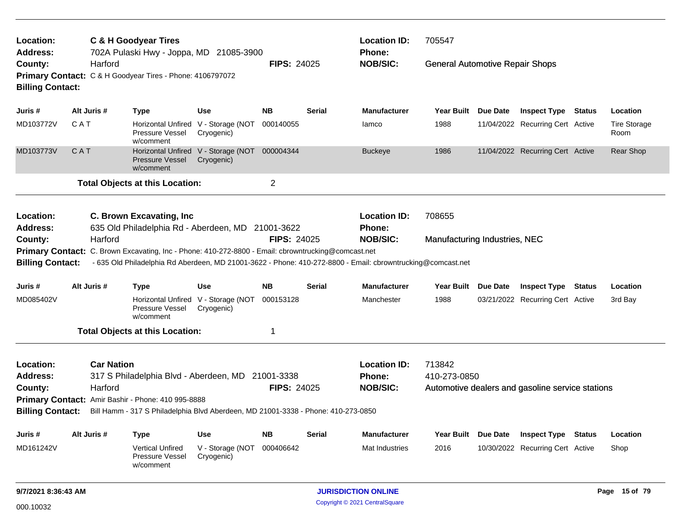| Location:<br>Address:   |                                                                                                                |                   | <b>C &amp; H Goodyear Tires</b><br>702A Pulaski Hwy - Joppa, MD 21085-3900                          |                                                             |                    |               | <b>Location ID:</b><br>Phone:                                                                               | 705547                                 |                                                  |                             |
|-------------------------|----------------------------------------------------------------------------------------------------------------|-------------------|-----------------------------------------------------------------------------------------------------|-------------------------------------------------------------|--------------------|---------------|-------------------------------------------------------------------------------------------------------------|----------------------------------------|--------------------------------------------------|-----------------------------|
| County:                 | Harford<br>Primary Contact: C & H Goodyear Tires - Phone: 4106797072<br><b>Billing Contact:</b><br>Alt Juris # |                   |                                                                                                     |                                                             | <b>FIPS: 24025</b> |               | <b>NOB/SIC:</b>                                                                                             | <b>General Automotive Repair Shops</b> |                                                  |                             |
| Juris #                 |                                                                                                                |                   | <b>Type</b>                                                                                         | <b>Use</b>                                                  | <b>NB</b>          | Serial        | <b>Manufacturer</b>                                                                                         | Year Built Due Date                    | <b>Inspect Type Status</b>                       | Location                    |
| MD103772V               | <b>CAT</b>                                                                                                     |                   | Pressure Vessel<br>w/comment                                                                        | Horizontal Unfired V - Storage (NOT<br>Cryogenic)           | 000140055          |               | lamco                                                                                                       | 1988                                   | 11/04/2022 Recurring Cert Active                 | <b>Tire Storage</b><br>Room |
| MD103773V               | CAT                                                                                                            |                   | <b>Pressure Vessel</b><br>w/comment                                                                 | Horizontal Unfired V - Storage (NOT 000004344<br>Cryogenic) |                    |               | <b>Buckeye</b>                                                                                              | 1986                                   | 11/04/2022 Recurring Cert Active                 | Rear Shop                   |
|                         |                                                                                                                |                   | <b>Total Objects at this Location:</b>                                                              |                                                             | $\overline{2}$     |               |                                                                                                             |                                        |                                                  |                             |
| Location:<br>Address:   |                                                                                                                |                   | C. Brown Excavating, Inc.<br>635 Old Philadelphia Rd - Aberdeen, MD 21001-3622                      |                                                             |                    |               | <b>Location ID:</b><br>Phone:                                                                               | 708655                                 |                                                  |                             |
| County:                 |                                                                                                                | Harford           |                                                                                                     |                                                             | <b>FIPS: 24025</b> |               | <b>NOB/SIC:</b>                                                                                             | Manufacturing Industries, NEC          |                                                  |                             |
|                         |                                                                                                                |                   | Primary Contact: C. Brown Excavating, Inc - Phone: 410-272-8800 - Email: cbrowntrucking@comcast.net |                                                             |                    |               |                                                                                                             |                                        |                                                  |                             |
| <b>Billing Contact:</b> |                                                                                                                |                   |                                                                                                     |                                                             |                    |               | - 635 Old Philadelphia Rd Aberdeen, MD 21001-3622 - Phone: 410-272-8800 - Email: cbrowntrucking@comcast.net |                                        |                                                  |                             |
| Juris #                 |                                                                                                                | Alt Juris #       | <b>Type</b>                                                                                         | <b>Use</b>                                                  | <b>NB</b>          | <b>Serial</b> | <b>Manufacturer</b>                                                                                         | Year Built Due Date                    | <b>Inspect Type Status</b>                       | Location                    |
| MD085402V               |                                                                                                                |                   | <b>Pressure Vessel</b><br>w/comment                                                                 | Horizontal Unfired V - Storage (NOT 000153128<br>Cryogenic) |                    |               | Manchester                                                                                                  | 1988                                   | 03/21/2022 Recurring Cert Active                 | 3rd Bay                     |
|                         |                                                                                                                |                   | <b>Total Objects at this Location:</b>                                                              |                                                             | 1                  |               |                                                                                                             |                                        |                                                  |                             |
| Location:               |                                                                                                                | <b>Car Nation</b> |                                                                                                     |                                                             |                    |               | <b>Location ID:</b>                                                                                         | 713842                                 |                                                  |                             |
| <b>Address:</b>         |                                                                                                                |                   | 317 S Philadelphia Blvd - Aberdeen, MD 21001-3338                                                   |                                                             |                    |               | <b>Phone:</b>                                                                                               | 410-273-0850                           |                                                  |                             |
| County:                 |                                                                                                                | Harford           |                                                                                                     |                                                             | <b>FIPS: 24025</b> |               | <b>NOB/SIC:</b>                                                                                             |                                        | Automotive dealers and gasoline service stations |                             |
|                         |                                                                                                                |                   | Primary Contact: Amir Bashir - Phone: 410 995-8888                                                  |                                                             |                    |               |                                                                                                             |                                        |                                                  |                             |
| <b>Billing Contact:</b> |                                                                                                                |                   | Bill Hamm - 317 S Philadelphia Blvd Aberdeen, MD 21001-3338 - Phone: 410-273-0850                   |                                                             |                    |               |                                                                                                             |                                        |                                                  |                             |
| Juris #                 |                                                                                                                | Alt Juris #       | <b>Type</b>                                                                                         | <b>Use</b>                                                  | <b>NB</b>          | Serial        | <b>Manufacturer</b>                                                                                         | Year Built Due Date                    | <b>Inspect Type Status</b>                       | Location                    |
| MD161242V               |                                                                                                                |                   | <b>Vertical Unfired</b><br>Pressure Vessel<br>w/comment                                             | V - Storage (NOT<br>Cryogenic)                              | 000406642          |               | Mat Industries                                                                                              | 2016                                   | 10/30/2022 Recurring Cert Active                 | Shop                        |
| 9/7/2021 8:36:43 AM     |                                                                                                                |                   |                                                                                                     |                                                             |                    |               | <b>JURISDICTION ONLINE</b>                                                                                  |                                        |                                                  | Page 15 of 79               |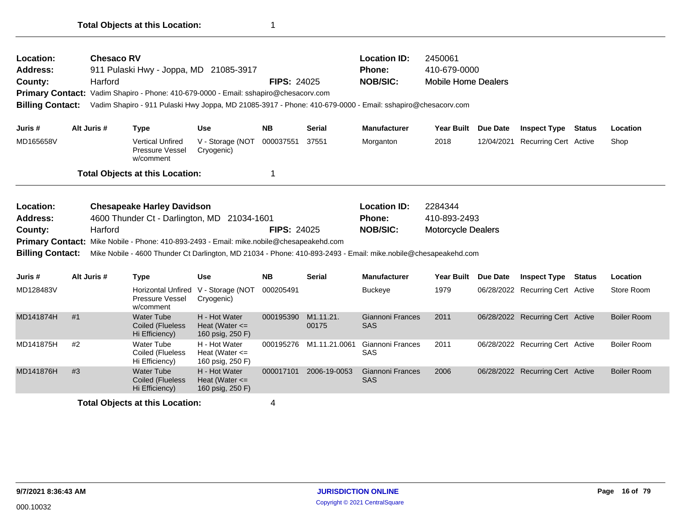| Location:<br><b>Address:</b><br>County:<br>Primary Contact: Vadim Shapiro - Phone: 410-679-0000 - Email: sshapiro@chesacorv.com<br><b>Billing Contact:</b><br>Juris # |             | <b>Chesaco RV</b><br>Harford | 911 Pulaski Hwy - Joppa, MD 21085-3917                                     |                                                         | <b>FIPS: 24025</b> |                                 | <b>Location ID:</b><br>Phone:<br><b>NOB/SIC:</b><br>Vadim Shapiro - 911 Pulaski Hwy Joppa, MD 21085-3917 - Phone: 410-679-0000 - Email: sshapiro@chesacorv.com     | 2450061<br>410-679-0000<br><b>Mobile Home Dealers</b> |                                  |               |                    |
|-----------------------------------------------------------------------------------------------------------------------------------------------------------------------|-------------|------------------------------|----------------------------------------------------------------------------|---------------------------------------------------------|--------------------|---------------------------------|--------------------------------------------------------------------------------------------------------------------------------------------------------------------|-------------------------------------------------------|----------------------------------|---------------|--------------------|
|                                                                                                                                                                       | Alt Juris # |                              | <b>Type</b>                                                                | <b>Use</b>                                              | <b>NB</b>          | <b>Serial</b>                   | <b>Manufacturer</b>                                                                                                                                                | Year Built Due Date                                   | <b>Inspect Type</b>              | <b>Status</b> | Location           |
| MD165658V                                                                                                                                                             |             |                              | <b>Vertical Unfired</b><br><b>Pressure Vessel</b><br>w/comment             | V - Storage (NOT<br>Cryogenic)                          | 000037551          | 37551                           | Morganton                                                                                                                                                          | 2018                                                  | 12/04/2021 Recurring Cert Active |               | Shop               |
|                                                                                                                                                                       |             |                              | <b>Total Objects at this Location:</b>                                     |                                                         | 1                  |                                 |                                                                                                                                                                    |                                                       |                                  |               |                    |
| Location:<br>Address:<br>County:<br>Primary Contact: Mike Nobile - Phone: 410-893-2493 - Email: mike.nobile@chesapeakehd.com<br><b>Billing Contact:</b>               |             | Harford                      | <b>Chesapeake Harley Davidson</b><br>4600 Thunder Ct - Darlington, MD      | 21034-1601                                              | <b>FIPS: 24025</b> |                                 | <b>Location ID:</b><br>Phone:<br><b>NOB/SIC:</b><br>Mike Nobile - 4600 Thunder Ct Darlington, MD 21034 - Phone: 410-893-2493 - Email: mike.nobile@chesapeakehd.com | 2284344<br>410-893-2493<br><b>Motorcycle Dealers</b>  |                                  |               |                    |
| Juris #                                                                                                                                                               | Alt Juris # |                              | <b>Type</b>                                                                | <b>Use</b>                                              | <b>NB</b>          | <b>Serial</b>                   | <b>Manufacturer</b>                                                                                                                                                | Year Built Due Date                                   | <b>Inspect Type</b>              | <b>Status</b> | Location           |
| MD128483V                                                                                                                                                             |             |                              | Horizontal Unfired V - Storage (NOT<br><b>Pressure Vessel</b><br>w/comment | Cryogenic)                                              | 000205491          |                                 | <b>Buckeye</b>                                                                                                                                                     | 1979                                                  | 06/28/2022 Recurring Cert Active |               | Store Room         |
| MD141874H                                                                                                                                                             | #1          |                              | <b>Water Tube</b><br>Coiled (Flueless<br>Hi Efficiency)                    | H - Hot Water<br>Heat (Water $\leq$<br>160 psig, 250 F) | 000195390          | M <sub>1.11.21</sub> .<br>00175 | <b>Giannoni Frances</b><br><b>SAS</b>                                                                                                                              | 2011                                                  | 06/28/2022 Recurring Cert Active |               | <b>Boiler Room</b> |
| MD141875H                                                                                                                                                             | #2          |                              | Water Tube<br>Coiled (Flueless<br>Hi Efficiency)                           | H - Hot Water<br>Heat (Water $\leq$<br>160 psig, 250 F) |                    | 000195276 M1.11.21.0061         | Giannoni Frances<br>SAS                                                                                                                                            | 2011                                                  | 06/28/2022 Recurring Cert Active |               | <b>Boiler Room</b> |
| MD141876H                                                                                                                                                             | #3          |                              | <b>Water Tube</b>                                                          | H - Hot Water                                           | 000017101          | 2006-19-0053                    | Giannoni Frances<br>SAS                                                                                                                                            | 2006                                                  | 06/28/2022 Recurring Cert Active |               | <b>Boiler Room</b> |
|                                                                                                                                                                       |             |                              | <b>Coiled (Flueless</b><br>Hi Efficiency)                                  | Heat (Water $\leq$<br>160 psig, 250 F)                  |                    |                                 |                                                                                                                                                                    |                                                       |                                  |               |                    |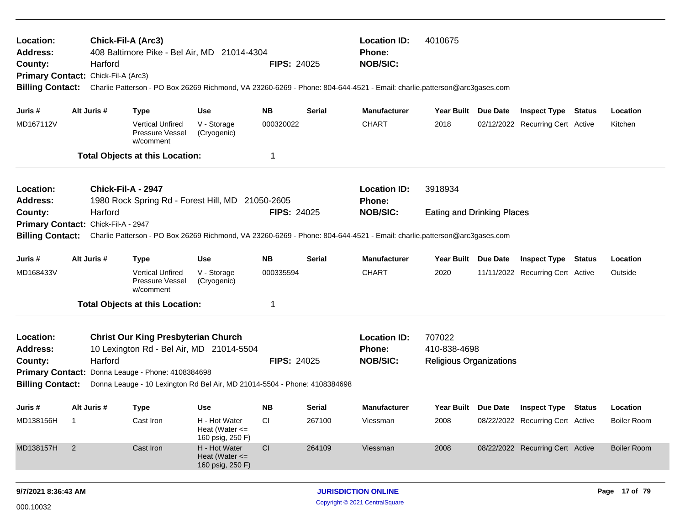| Location:<br>Address:<br>County:<br>Primary Contact: Chick-Fil-A (Arc3)<br><b>Billing Contact:</b> |                                                                                                        | Harford            | Chick-Fil-A (Arc3)<br>408 Baltimore Pike - Bel Air, MD 21014-4304                      |                                                         | <b>FIPS: 24025</b> |                                      | <b>Location ID:</b><br>Phone:<br><b>NOB/SIC:</b><br>Charlie Patterson - PO Box 26269 Richmond, VA 23260-6269 - Phone: 804-644-4521 - Email: charlie.patterson@arc3gases.com | 4010675                           |                                  |                    |
|----------------------------------------------------------------------------------------------------|--------------------------------------------------------------------------------------------------------|--------------------|----------------------------------------------------------------------------------------|---------------------------------------------------------|--------------------|--------------------------------------|-----------------------------------------------------------------------------------------------------------------------------------------------------------------------------|-----------------------------------|----------------------------------|--------------------|
| Juris #                                                                                            |                                                                                                        | Alt Juris #        | <b>Type</b>                                                                            | <b>Use</b>                                              | <b>NB</b>          | <b>Serial</b>                        | <b>Manufacturer</b>                                                                                                                                                         | Year Built Due Date               | <b>Inspect Type Status</b>       | Location           |
| MD167112V                                                                                          |                                                                                                        |                    | <b>Vertical Unfired</b><br>Pressure Vessel<br>w/comment                                | V - Storage<br>(Cryogenic)                              | 000320022          |                                      | <b>CHART</b>                                                                                                                                                                | 2018                              | 02/12/2022 Recurring Cert Active | Kitchen            |
|                                                                                                    |                                                                                                        |                    | <b>Total Objects at this Location:</b>                                                 |                                                         | 1                  |                                      |                                                                                                                                                                             |                                   |                                  |                    |
| Location:<br>Address:                                                                              |                                                                                                        |                    | Chick-Fil-A - 2947<br>1980 Rock Spring Rd - Forest Hill, MD 21050-2605                 |                                                         |                    | <b>Location ID:</b><br><b>Phone:</b> | 3918934                                                                                                                                                                     |                                   |                                  |                    |
| County:                                                                                            |                                                                                                        | Harford            |                                                                                        |                                                         | FIPS: 24025        |                                      | <b>NOB/SIC:</b>                                                                                                                                                             | <b>Eating and Drinking Places</b> |                                  |                    |
| <b>Primary Contact:</b><br><b>Billing Contact:</b>                                                 |                                                                                                        | Chick-Fil-A - 2947 |                                                                                        |                                                         |                    |                                      | Charlie Patterson - PO Box 26269 Richmond, VA 23260-6269 - Phone: 804-644-4521 - Email: charlie.patterson@arc3gases.com                                                     |                                   |                                  |                    |
| Juris #                                                                                            |                                                                                                        | Alt Juris #        | <b>Type</b>                                                                            | <b>Use</b>                                              | <b>NB</b>          | <b>Serial</b>                        | <b>Manufacturer</b>                                                                                                                                                         | Year Built Due Date               | <b>Inspect Type Status</b>       | Location           |
| MD168433V                                                                                          |                                                                                                        |                    | <b>Vertical Unfired</b><br>Pressure Vessel<br>w/comment                                | V - Storage<br>(Cryogenic)                              | 000335594          |                                      | <b>CHART</b>                                                                                                                                                                | 2020                              | 11/11/2022 Recurring Cert Active | Outside            |
|                                                                                                    |                                                                                                        |                    | <b>Total Objects at this Location:</b>                                                 |                                                         | 1                  |                                      |                                                                                                                                                                             |                                   |                                  |                    |
| Location:<br><b>Address:</b>                                                                       |                                                                                                        |                    | <b>Christ Our King Presbyterian Church</b><br>10 Lexington Rd - Bel Air, MD 21014-5504 |                                                         |                    |                                      | <b>Location ID:</b><br>Phone:                                                                                                                                               | 707022<br>410-838-4698            |                                  |                    |
| County:<br><b>Primary Contact:</b>                                                                 |                                                                                                        | Harford            | Donna Leauge - Phone: 4108384698                                                       |                                                         | <b>FIPS: 24025</b> |                                      | <b>NOB/SIC:</b>                                                                                                                                                             | <b>Religious Organizations</b>    |                                  |                    |
| <b>Billing Contact:</b>                                                                            |                                                                                                        |                    | Donna Leauge - 10 Lexington Rd Bel Air, MD 21014-5504 - Phone: 4108384698              |                                                         |                    |                                      |                                                                                                                                                                             |                                   |                                  |                    |
| Juris #                                                                                            |                                                                                                        | Alt Juris #        | <b>Type</b>                                                                            | Use                                                     | <b>NB</b>          | Serial                               | <b>Manufacturer</b>                                                                                                                                                         | Year Built Due Date               | <b>Inspect Type Status</b>       | Location           |
| MD138156H                                                                                          | $\overline{\phantom{0}}$                                                                               |                    | Cast Iron                                                                              | H - Hot Water<br>Heat (Water $\leq$<br>160 psig, 250 F) | <b>CI</b>          | 267100                               | Viessman                                                                                                                                                                    | 2008                              | 08/22/2022 Recurring Cert Active | <b>Boiler Room</b> |
| MD138157H                                                                                          | $\overline{2}$<br>Cast Iron<br>H - Hot Water<br>CI<br>264109<br>Heat (Water $\leq$<br>160 psig, 250 F) |                    |                                                                                        |                                                         |                    | Viessman                             | 2008                                                                                                                                                                        | 08/22/2022 Recurring Cert Active  | <b>Boiler Room</b>               |                    |
|                                                                                                    |                                                                                                        |                    |                                                                                        |                                                         |                    |                                      |                                                                                                                                                                             |                                   |                                  |                    |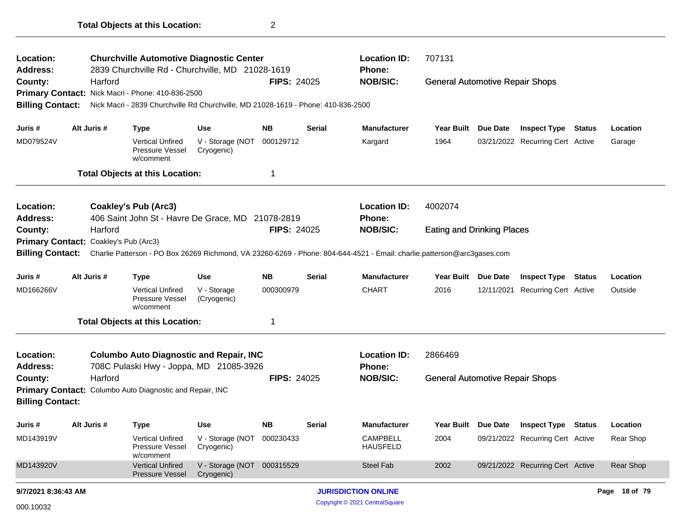| <b>Location:</b><br><b>Address:</b> |                                                                        |             | <b>Churchville Automotive Diagnostic Center</b><br>2839 Churchville Rd - Churchville, MD 21028-1619 |                                          |                    |               | <b>Location ID:</b><br>Phone:                                                                                           | 707131                                 |          |                                  |               |               |
|-------------------------------------|------------------------------------------------------------------------|-------------|-----------------------------------------------------------------------------------------------------|------------------------------------------|--------------------|---------------|-------------------------------------------------------------------------------------------------------------------------|----------------------------------------|----------|----------------------------------|---------------|---------------|
| County:                             |                                                                        | Harford     |                                                                                                     |                                          | <b>FIPS: 24025</b> |               | <b>NOB/SIC:</b>                                                                                                         | <b>General Automotive Repair Shops</b> |          |                                  |               |               |
|                                     |                                                                        |             | Primary Contact: Nick Macri - Phone: 410-836-2500                                                   |                                          |                    |               |                                                                                                                         |                                        |          |                                  |               |               |
| <b>Billing Contact:</b>             |                                                                        |             | Nick Macri - 2839 Churchville Rd Churchville, MD 21028-1619 - Phone: 410-836-2500                   |                                          |                    |               |                                                                                                                         |                                        |          |                                  |               |               |
| Juris #                             |                                                                        | Alt Juris # | <b>Type</b>                                                                                         | Use                                      | <b>NB</b>          | <b>Serial</b> | <b>Manufacturer</b>                                                                                                     | Year Built Due Date                    |          | <b>Inspect Type Status</b>       |               | Location      |
| MD079524V                           |                                                                        |             | <b>Vertical Unfired</b><br>Pressure Vessel<br>w/comment                                             | V - Storage (NOT<br>Cryogenic)           | 000129712          |               | Kargard                                                                                                                 | 1964                                   |          | 03/21/2022 Recurring Cert Active |               | Garage        |
|                                     |                                                                        |             | <b>Total Objects at this Location:</b>                                                              |                                          | 1                  |               |                                                                                                                         |                                        |          |                                  |               |               |
| <b>Location:</b>                    |                                                                        |             | <b>Coakley's Pub (Arc3)</b>                                                                         |                                          |                    |               | <b>Location ID:</b>                                                                                                     | 4002074                                |          |                                  |               |               |
| <b>Address:</b>                     |                                                                        |             | 406 Saint John St - Havre De Grace, MD 21078-2819                                                   |                                          |                    |               | Phone:                                                                                                                  |                                        |          |                                  |               |               |
| County:                             | Harford<br><b>FIPS: 24025</b><br>Primary Contact: Coakley's Pub (Arc3) |             |                                                                                                     |                                          |                    |               | <b>NOB/SIC:</b>                                                                                                         | <b>Eating and Drinking Places</b>      |          |                                  |               |               |
|                                     |                                                                        |             |                                                                                                     |                                          |                    |               |                                                                                                                         |                                        |          |                                  |               |               |
| <b>Billing Contact:</b>             |                                                                        |             |                                                                                                     |                                          |                    |               | Charlie Patterson - PO Box 26269 Richmond, VA 23260-6269 - Phone: 804-644-4521 - Email: charlie.patterson@arc3gases.com |                                        |          |                                  |               |               |
| Juris #                             |                                                                        | Alt Juris # | Type                                                                                                | Use                                      | <b>NB</b>          | <b>Serial</b> | <b>Manufacturer</b>                                                                                                     | Year Built Due Date                    |          | <b>Inspect Type</b>              | <b>Status</b> | Location      |
| MD166266V                           |                                                                        |             | <b>Vertical Unfired</b><br>Pressure Vessel<br>w/comment                                             | V - Storage<br>(Cryogenic)               | 000300979          |               | <b>CHART</b>                                                                                                            | 2016                                   |          | 12/11/2021 Recurring Cert Active |               | Outside       |
|                                     |                                                                        |             | <b>Total Objects at this Location:</b>                                                              |                                          | 1                  |               |                                                                                                                         |                                        |          |                                  |               |               |
| <b>Location:</b>                    |                                                                        |             | <b>Columbo Auto Diagnostic and Repair, INC</b>                                                      |                                          |                    |               | <b>Location ID:</b>                                                                                                     | 2866469                                |          |                                  |               |               |
| <b>Address:</b>                     |                                                                        |             | 708C Pulaski Hwy - Joppa, MD 21085-3926                                                             |                                          |                    |               | <b>Phone:</b>                                                                                                           |                                        |          |                                  |               |               |
| County:                             |                                                                        | Harford     |                                                                                                     |                                          | <b>FIPS: 24025</b> |               | <b>NOB/SIC:</b>                                                                                                         | <b>General Automotive Repair Shops</b> |          |                                  |               |               |
|                                     |                                                                        |             | Primary Contact: Columbo Auto Diagnostic and Repair, INC                                            |                                          |                    |               |                                                                                                                         |                                        |          |                                  |               |               |
| <b>Billing Contact:</b>             |                                                                        |             |                                                                                                     |                                          |                    |               |                                                                                                                         |                                        |          |                                  |               |               |
| Juris #                             |                                                                        | Alt Juris # | Type                                                                                                | <b>Use</b>                               | <b>NB</b>          | <b>Serial</b> | <b>Manufacturer</b>                                                                                                     | Year Built                             | Due Date | <b>Inspect Type Status</b>       |               | Location      |
| MD143919V                           |                                                                        |             | <b>Vertical Unfired</b><br><b>Pressure Vessel</b><br>w/comment                                      | V - Storage (NOT<br>Cryogenic)           | 000230433          |               | <b>CAMPBELL</b><br><b>HAUSFELD</b>                                                                                      | 2004                                   |          | 09/21/2022 Recurring Cert Active |               | Rear Shop     |
| MD143920V                           |                                                                        |             | <b>Vertical Unfired</b><br>Pressure Vessel                                                          | V - Storage (NOT 000315529<br>Cryogenic) |                    |               | <b>Steel Fab</b>                                                                                                        | 2002                                   |          | 09/21/2022 Recurring Cert Active |               | Rear Shop     |
| 9/7/2021 8:36:43 AM                 |                                                                        |             |                                                                                                     |                                          |                    |               | <b>JURISDICTION ONLINE</b>                                                                                              |                                        |          |                                  |               | Page 18 of 79 |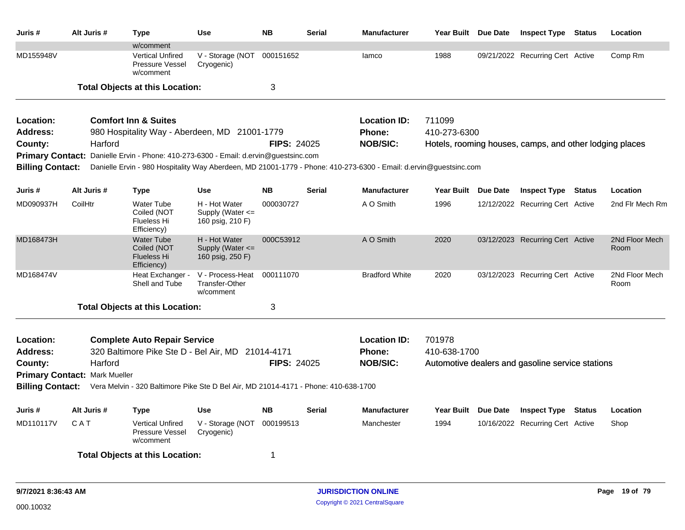| Juris #                 | Alt Juris #                          | <b>Type</b>                                                                         | <b>Use</b>                                                | <b>NB</b>          | <b>Serial</b> | <b>Manufacturer</b>                                                                                               | Year Built Due Date |          | <b>Inspect Type Status</b>                              | Location               |
|-------------------------|--------------------------------------|-------------------------------------------------------------------------------------|-----------------------------------------------------------|--------------------|---------------|-------------------------------------------------------------------------------------------------------------------|---------------------|----------|---------------------------------------------------------|------------------------|
|                         |                                      | w/comment                                                                           |                                                           |                    |               |                                                                                                                   |                     |          |                                                         |                        |
| MD155948V               |                                      | <b>Vertical Unfired</b><br>Pressure Vessel<br>w/comment                             | V - Storage (NOT<br>Cryogenic)                            | 000151652          |               | lamco                                                                                                             | 1988                |          | 09/21/2022 Recurring Cert Active                        | Comp Rm                |
|                         |                                      | <b>Total Objects at this Location:</b>                                              |                                                           | 3                  |               |                                                                                                                   |                     |          |                                                         |                        |
| Location:               |                                      | <b>Comfort Inn &amp; Suites</b>                                                     |                                                           |                    |               | <b>Location ID:</b>                                                                                               | 711099              |          |                                                         |                        |
| <b>Address:</b>         |                                      | 980 Hospitality Way - Aberdeen, MD 21001-1779                                       |                                                           |                    |               | <b>Phone:</b>                                                                                                     | 410-273-6300        |          |                                                         |                        |
| County:                 | Harford                              |                                                                                     |                                                           | <b>FIPS: 24025</b> |               | <b>NOB/SIC:</b>                                                                                                   |                     |          | Hotels, rooming houses, camps, and other lodging places |                        |
| <b>Primary Contact:</b> |                                      | Danielle Ervin - Phone: 410-273-6300 - Email: d.ervin@guestsinc.com                 |                                                           |                    |               |                                                                                                                   |                     |          |                                                         |                        |
| <b>Billing Contact:</b> |                                      |                                                                                     |                                                           |                    |               | Danielle Ervin - 980 Hospitality Way Aberdeen, MD 21001-1779 - Phone: 410-273-6300 - Email: d.ervin@guestsinc.com |                     |          |                                                         |                        |
| Juris #                 | Alt Juris #                          | <b>Type</b>                                                                         | <b>Use</b>                                                | <b>NB</b>          | <b>Serial</b> | <b>Manufacturer</b>                                                                                               | <b>Year Built</b>   | Due Date | <b>Inspect Type Status</b>                              | Location               |
| MD090937H               | CoilHtr                              | <b>Water Tube</b><br>Coiled (NOT<br>Flueless Hi<br>Efficiency)                      | H - Hot Water<br>Supply (Water <=<br>160 psig, 210 F)     | 000030727          |               | A O Smith                                                                                                         | 1996                |          | 12/12/2022 Recurring Cert Active                        | 2nd Fir Mech Rm        |
| MD168473H               |                                      | <b>Water Tube</b><br>Coiled (NOT<br><b>Flueless Hi</b><br>Efficiency)               | H - Hot Water<br>Supply (Water $\leq$<br>160 psig, 250 F) | 000C53912          |               | A O Smith                                                                                                         | 2020                |          | 03/12/2023 Recurring Cert Active                        | 2Nd Floor Mech<br>Room |
| MD168474V               |                                      | Heat Exchanger -<br>Shell and Tube                                                  | V - Process-Heat<br>Transfer-Other<br>w/comment           | 000111070          |               | <b>Bradford White</b>                                                                                             | 2020                |          | 03/12/2023 Recurring Cert Active                        | 2Nd Floor Mech<br>Room |
|                         |                                      | <b>Total Objects at this Location:</b>                                              |                                                           | 3                  |               |                                                                                                                   |                     |          |                                                         |                        |
| Location:               |                                      | <b>Complete Auto Repair Service</b>                                                 |                                                           |                    |               | <b>Location ID:</b>                                                                                               | 701978              |          |                                                         |                        |
| <b>Address:</b>         |                                      | 320 Baltimore Pike Ste D - Bel Air, MD 21014-4171                                   |                                                           |                    |               | <b>Phone:</b>                                                                                                     | 410-638-1700        |          |                                                         |                        |
| County:                 | Harford                              |                                                                                     |                                                           | <b>FIPS: 24025</b> |               | <b>NOB/SIC:</b>                                                                                                   |                     |          | Automotive dealers and gasoline service stations        |                        |
|                         | <b>Primary Contact: Mark Mueller</b> |                                                                                     |                                                           |                    |               |                                                                                                                   |                     |          |                                                         |                        |
| <b>Billing Contact:</b> |                                      | Vera Melvin - 320 Baltimore Pike Ste D Bel Air, MD 21014-4171 - Phone: 410-638-1700 |                                                           |                    |               |                                                                                                                   |                     |          |                                                         |                        |
| Juris #                 | Alt Juris #                          | Type                                                                                | Use                                                       | <b>NB</b>          | <b>Serial</b> | <b>Manufacturer</b>                                                                                               | <b>Year Built</b>   | Due Date | <b>Inspect Type Status</b>                              | Location               |
| MD110117V               | CAT                                  | <b>Vertical Unfired</b><br>Pressure Vessel<br>w/comment                             | V - Storage (NOT<br>Cryogenic)                            | 000199513          |               | Manchester                                                                                                        | 1994                |          | 10/16/2022 Recurring Cert Active                        | Shop                   |
|                         |                                      | <b>Total Objects at this Location:</b>                                              |                                                           | -1                 |               |                                                                                                                   |                     |          |                                                         |                        |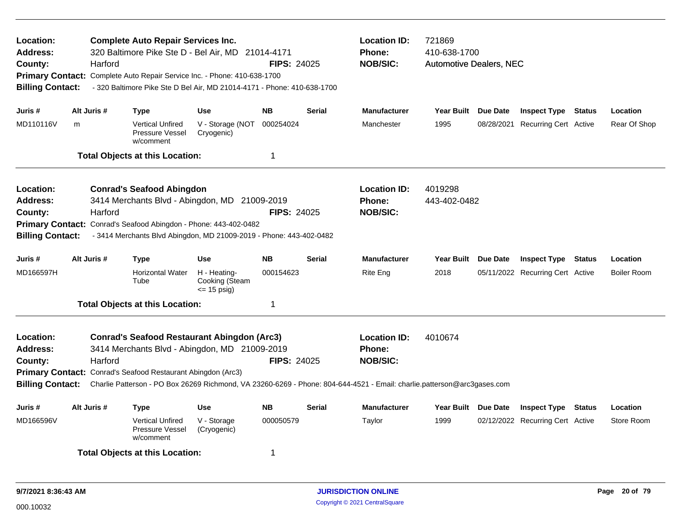| Location:<br><b>Address:</b><br>County:<br><b>Billing Contact:</b> | Harford     | <b>Complete Auto Repair Services Inc.</b>                    | 320 Baltimore Pike Ste D - Bel Air, MD 21014-4171<br>Primary Contact: Complete Auto Repair Service Inc. - Phone: 410-638-1700<br>- 320 Baltimore Pike Ste D Bel Air, MD 21014-4171 - Phone: 410-638-1700 | <b>FIPS: 24025</b> | <b>Location ID:</b><br><b>Phone:</b><br><b>NOB/SIC:</b> | 721869<br>410-638-1700<br><b>Automotive Dealers, NEC</b>                                                                                                                    |                         |                                  |               |                    |
|--------------------------------------------------------------------|-------------|--------------------------------------------------------------|----------------------------------------------------------------------------------------------------------------------------------------------------------------------------------------------------------|--------------------|---------------------------------------------------------|-----------------------------------------------------------------------------------------------------------------------------------------------------------------------------|-------------------------|----------------------------------|---------------|--------------------|
| Juris #                                                            | Alt Juris # | <b>Type</b>                                                  | <b>Use</b>                                                                                                                                                                                               | <b>NB</b>          | <b>Serial</b>                                           | <b>Manufacturer</b>                                                                                                                                                         | Year Built Due Date     | <b>Inspect Type Status</b>       |               | Location           |
| MD110116V                                                          | m           | <b>Vertical Unfired</b><br>Pressure Vessel<br>w/comment      | V - Storage (NOT<br>Cryogenic)                                                                                                                                                                           | 000254024          |                                                         | Manchester                                                                                                                                                                  | 1995                    | 08/28/2021 Recurring Cert Active |               | Rear Of Shop       |
|                                                                    |             | <b>Total Objects at this Location:</b>                       |                                                                                                                                                                                                          | 1                  |                                                         |                                                                                                                                                                             |                         |                                  |               |                    |
| Location:<br><b>Address:</b><br>County:<br><b>Billing Contact:</b> | Harford     | <b>Conrad's Seafood Abingdon</b>                             | 3414 Merchants Blvd - Abingdon, MD 21009-2019<br>Primary Contact: Conrad's Seafood Abingdon - Phone: 443-402-0482<br>- 3414 Merchants Blvd Abingdon, MD 21009-2019 - Phone: 443-402-0482                 | <b>FIPS: 24025</b> |                                                         | <b>Location ID:</b><br><b>Phone:</b><br><b>NOB/SIC:</b>                                                                                                                     | 4019298<br>443-402-0482 |                                  |               |                    |
| Juris #                                                            | Alt Juris # | <b>Type</b>                                                  | <b>Use</b>                                                                                                                                                                                               | <b>NB</b>          | <b>Serial</b>                                           | <b>Manufacturer</b>                                                                                                                                                         | Year Built Due Date     | <b>Inspect Type</b>              | <b>Status</b> | Location           |
| MD166597H                                                          |             | <b>Horizontal Water</b><br>Tube                              | H - Heating-<br>Cooking (Steam<br>$\le$ 15 psig)                                                                                                                                                         | 000154623          |                                                         | Rite Eng                                                                                                                                                                    | 2018                    | 05/11/2022 Recurring Cert Active |               | <b>Boiler Room</b> |
|                                                                    |             | <b>Total Objects at this Location:</b>                       |                                                                                                                                                                                                          | 1                  |                                                         |                                                                                                                                                                             |                         |                                  |               |                    |
| Location:<br><b>Address:</b><br>County:<br><b>Billing Contact:</b> | Harford     | Primary Contact: Conrad's Seafood Restaurant Abingdon (Arc3) | <b>Conrad's Seafood Restaurant Abingdon (Arc3)</b><br>3414 Merchants Blvd - Abingdon, MD 21009-2019                                                                                                      | <b>FIPS: 24025</b> |                                                         | <b>Location ID:</b><br>Phone:<br><b>NOB/SIC:</b><br>Charlie Patterson - PO Box 26269 Richmond, VA 23260-6269 - Phone: 804-644-4521 - Email: charlie.patterson@arc3gases.com | 4010674                 |                                  |               |                    |
| Juris #                                                            | Alt Juris # | Type                                                         | <b>Use</b>                                                                                                                                                                                               | <b>NB</b>          | <b>Serial</b>                                           | <b>Manufacturer</b>                                                                                                                                                         | Year Built Due Date     | <b>Inspect Type</b>              | <b>Status</b> | Location           |
| MD166596V                                                          |             | <b>Vertical Unfired</b><br>Pressure Vessel<br>w/comment      | V - Storage<br>(Cryogenic)                                                                                                                                                                               | 000050579          |                                                         | Taylor                                                                                                                                                                      | 1999                    | 02/12/2022 Recurring Cert Active |               | Store Room         |
|                                                                    |             | <b>Total Objects at this Location:</b>                       |                                                                                                                                                                                                          | 1                  |                                                         |                                                                                                                                                                             |                         |                                  |               |                    |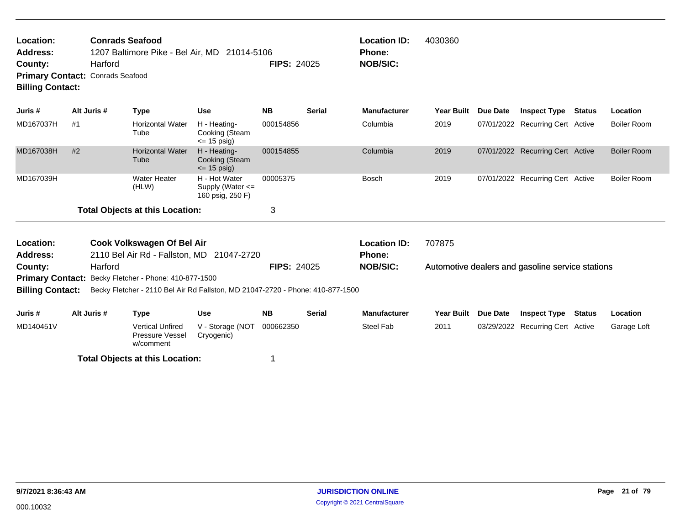| Location:<br><b>Address:</b> |                                                    | <b>Conrads Seafood</b> | 1207 Baltimore Pike - Bel Air, MD 21014-5106 |           |                    | <b>Location ID:</b><br><b>Phone:</b> | 4030360             |                     |        |          |
|------------------------------|----------------------------------------------------|------------------------|----------------------------------------------|-----------|--------------------|--------------------------------------|---------------------|---------------------|--------|----------|
| County:                      | Harford<br><b>Primary Contact: Conrads Seafood</b> |                        |                                              |           | <b>FIPS: 24025</b> | <b>NOB/SIC:</b>                      |                     |                     |        |          |
| <b>Billing Contact:</b>      |                                                    |                        |                                              |           |                    |                                      |                     |                     |        |          |
| Juris #                      | Alt Juris #                                        | Type                   | Use                                          | <b>NB</b> | <b>Serial</b>      | <b>Manufacturer</b>                  | Year Built Due Date | <b>Inspect Type</b> | Status | Location |

| MD167037H | #1 | <b>Horizontal Water</b><br>Tube        | H - Heating-<br>Cooking (Steam<br>$\leq$ 15 psig)         | 000154856 | Columbia     | 2019 | 07/01/2022 Recurring Cert Active | Boiler Room |
|-----------|----|----------------------------------------|-----------------------------------------------------------|-----------|--------------|------|----------------------------------|-------------|
| MD167038H | #2 | <b>Horizontal Water</b><br>Tube        | H - Heating-<br>Cooking (Steam<br>$\leq$ 15 psig)         | 000154855 | Columbia     | 2019 | 07/01/2022 Recurring Cert Active | Boiler Room |
| MD167039H |    | Water Heater<br>(HLW)                  | H - Hot Water<br>Supply (Water $\leq$<br>160 psig, 250 F) | 00005375  | <b>Bosch</b> | 2019 | 07/01/2022 Recurring Cert Active | Boiler Room |
|           |    | <b>Total Objects at this Location:</b> |                                                           | ◠         |              |      |                                  |             |

| Location:<br>Address:                                                                                     |                                                              | Cook Volkswagen Of Bel Air<br>2110 Bel Air Rd - Fallston, MD 21047-2720 |                                |                    |               | <b>Location ID:</b><br><b>Phone:</b> | 707875     |                 |                                                  |        |             |  |  |  |
|-----------------------------------------------------------------------------------------------------------|--------------------------------------------------------------|-------------------------------------------------------------------------|--------------------------------|--------------------|---------------|--------------------------------------|------------|-----------------|--------------------------------------------------|--------|-------------|--|--|--|
| County:                                                                                                   | Harford                                                      |                                                                         |                                | <b>FIPS: 24025</b> |               | <b>NOB/SIC:</b>                      |            |                 | Automotive dealers and gasoline service stations |        |             |  |  |  |
|                                                                                                           | <b>Primary Contact:</b> Becky Fletcher - Phone: 410-877-1500 |                                                                         |                                |                    |               |                                      |            |                 |                                                  |        |             |  |  |  |
| Becky Fletcher - 2110 Bel Air Rd Fallston, MD 21047-2720 - Phone: 410-877-1500<br><b>Billing Contact:</b> |                                                              |                                                                         |                                |                    |               |                                      |            |                 |                                                  |        |             |  |  |  |
| Juris #                                                                                                   | Alt Juris #                                                  | Type                                                                    | Use                            | <b>NB</b>          | <b>Serial</b> | <b>Manufacturer</b>                  | Year Built | <b>Due Date</b> | <b>Inspect Type</b>                              | Status | Location    |  |  |  |
| MD140451V                                                                                                 |                                                              | <b>Vertical Unfired</b><br>Pressure Vessel<br>w/comment                 | V - Storage (NOT<br>Cryogenic) | 000662350          |               | Steel Fab                            | 2011       |                 | 03/29/2022 Recurring Cert Active                 |        | Garage Loft |  |  |  |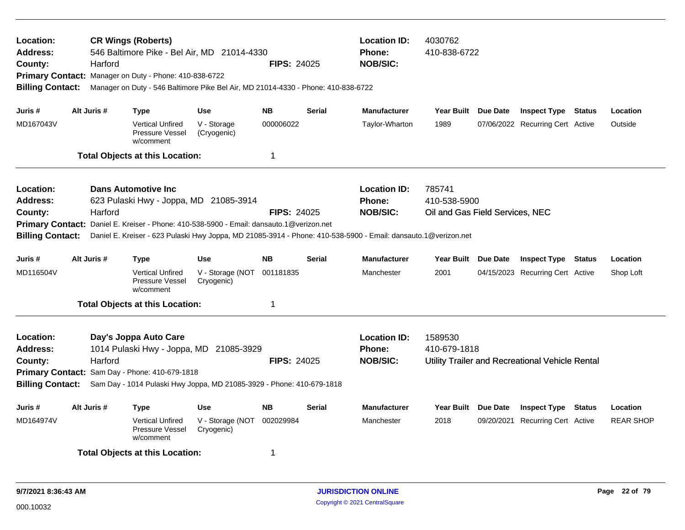| Location:<br><b>Address:</b><br>County:<br><b>Billing Contact:</b> | Harford     | <b>CR Wings (Roberts)</b><br>546 Baltimore Pike - Bel Air, MD 21014-4330<br>Primary Contact: Manager on Duty - Phone: 410-838-6722<br>Manager on Duty - 546 Baltimore Pike Bel Air, MD 21014-4330 - Phone: 410-838-6722 |                                | <b>FIPS: 24025</b> |               | <b>Location ID:</b><br><b>Phone:</b><br><b>NOB/SIC:</b>                                                                                                            | 4030762<br>410-838-6722                                   |          |                                                 |                  |
|--------------------------------------------------------------------|-------------|-------------------------------------------------------------------------------------------------------------------------------------------------------------------------------------------------------------------------|--------------------------------|--------------------|---------------|--------------------------------------------------------------------------------------------------------------------------------------------------------------------|-----------------------------------------------------------|----------|-------------------------------------------------|------------------|
| Juris #                                                            | Alt Juris # | <b>Type</b>                                                                                                                                                                                                             | <b>Use</b>                     | <b>NB</b>          | <b>Serial</b> | <b>Manufacturer</b>                                                                                                                                                | <b>Year Built</b>                                         | Due Date | <b>Inspect Type Status</b>                      | Location         |
| MD167043V                                                          |             | <b>Vertical Unfired</b><br>Pressure Vessel<br>w/comment                                                                                                                                                                 | V - Storage<br>(Cryogenic)     | 000006022          |               | Taylor-Wharton                                                                                                                                                     | 1989                                                      |          | 07/06/2022 Recurring Cert Active                | Outside          |
|                                                                    |             | <b>Total Objects at this Location:</b>                                                                                                                                                                                  |                                | 1                  |               |                                                                                                                                                                    |                                                           |          |                                                 |                  |
| Location:<br><b>Address:</b><br>County:<br><b>Billing Contact:</b> | Harford     | <b>Dans Automotive Inc</b><br>623 Pulaski Hwy - Joppa, MD 21085-3914<br>Primary Contact: Daniel E. Kreiser - Phone: 410-538-5900 - Email: dansauto.1@verizon.net                                                        |                                | <b>FIPS: 24025</b> |               | <b>Location ID:</b><br>Phone:<br><b>NOB/SIC:</b><br>Daniel E. Kreiser - 623 Pulaski Hwy Joppa, MD 21085-3914 - Phone: 410-538-5900 - Email: dansauto.1@verizon.net | 785741<br>410-538-5900<br>Oil and Gas Field Services, NEC |          |                                                 |                  |
| Juris #                                                            | Alt Juris # | <b>Type</b>                                                                                                                                                                                                             | <b>Use</b>                     | <b>NB</b>          | <b>Serial</b> | <b>Manufacturer</b>                                                                                                                                                | Year Built Due Date                                       |          | <b>Inspect Type Status</b>                      | Location         |
| MD116504V                                                          |             | <b>Vertical Unfired</b><br>Pressure Vessel<br>w/comment                                                                                                                                                                 | V - Storage (NOT<br>Cryogenic) | 001181835          |               | Manchester                                                                                                                                                         | 2001                                                      |          | 04/15/2023 Recurring Cert Active                | Shop Loft        |
|                                                                    |             | <b>Total Objects at this Location:</b>                                                                                                                                                                                  |                                | 1                  |               |                                                                                                                                                                    |                                                           |          |                                                 |                  |
| Location:<br><b>Address:</b><br>County:<br><b>Billing Contact:</b> | Harford     | Day's Joppa Auto Care<br>1014 Pulaski Hwy - Joppa, MD 21085-3929<br>Primary Contact: Sam Day - Phone: 410-679-1818<br>Sam Day - 1014 Pulaski Hwy Joppa, MD 21085-3929 - Phone: 410-679-1818                             |                                | <b>FIPS: 24025</b> |               | <b>Location ID:</b><br><b>Phone:</b><br><b>NOB/SIC:</b>                                                                                                            | 1589530<br>410-679-1818                                   |          | Utility Trailer and Recreational Vehicle Rental |                  |
| Juris #                                                            | Alt Juris # | <b>Type</b>                                                                                                                                                                                                             | <b>Use</b>                     | <b>NB</b>          | <b>Serial</b> | Manufacturer                                                                                                                                                       | Year Built Due Date                                       |          | <b>Inspect Type Status</b>                      | Location         |
| MD164974V                                                          |             | <b>Vertical Unfired</b><br>Pressure Vessel<br>w/comment                                                                                                                                                                 | V - Storage (NOT<br>Cryogenic) | 002029984          |               | Manchester                                                                                                                                                         | 2018                                                      |          | 09/20/2021 Recurring Cert Active                | <b>REAR SHOP</b> |
|                                                                    |             | <b>Total Objects at this Location:</b>                                                                                                                                                                                  |                                | 1                  |               |                                                                                                                                                                    |                                                           |          |                                                 |                  |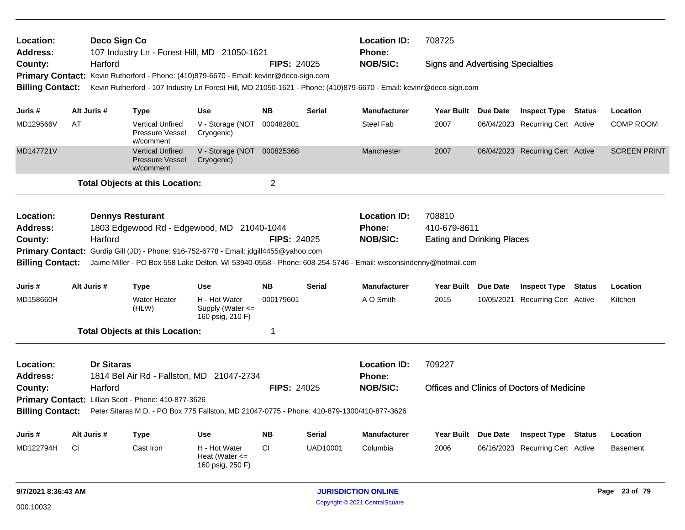| <b>Location:</b><br><b>Address:</b><br>County:<br>Primary Contact: Kevin Rutherford - Phone: (410)879-6670 - Email: kevinr@deco-sign.com |                                                                                                                                                                                                         | Deco Sign Co            |                                                                | 107 Industry Ln - Forest Hill, MD 21050-1621                                                                       |                    |               | <b>Location ID:</b><br>Phone: | 708725                                   |          |                                            |               |                     |
|------------------------------------------------------------------------------------------------------------------------------------------|---------------------------------------------------------------------------------------------------------------------------------------------------------------------------------------------------------|-------------------------|----------------------------------------------------------------|--------------------------------------------------------------------------------------------------------------------|--------------------|---------------|-------------------------------|------------------------------------------|----------|--------------------------------------------|---------------|---------------------|
|                                                                                                                                          |                                                                                                                                                                                                         | Harford                 |                                                                |                                                                                                                    | <b>FIPS: 24025</b> |               | <b>NOB/SIC:</b>               | <b>Signs and Advertising Specialties</b> |          |                                            |               |                     |
|                                                                                                                                          |                                                                                                                                                                                                         |                         |                                                                |                                                                                                                    |                    |               |                               |                                          |          |                                            |               |                     |
| <b>Billing Contact:</b>                                                                                                                  |                                                                                                                                                                                                         |                         |                                                                | Kevin Rutherford - 107 Industry Ln Forest Hill, MD 21050-1621 - Phone: (410)879-6670 - Email: kevinr@deco-sign.com |                    |               |                               |                                          |          |                                            |               |                     |
|                                                                                                                                          |                                                                                                                                                                                                         |                         |                                                                |                                                                                                                    |                    |               |                               |                                          |          |                                            |               |                     |
| Juris #                                                                                                                                  |                                                                                                                                                                                                         | Alt Juris #             | <b>Type</b>                                                    | <b>Use</b>                                                                                                         | <b>NB</b>          | <b>Serial</b> | <b>Manufacturer</b>           | Year Built Due Date                      |          | <b>Inspect Type Status</b>                 |               | Location            |
| MD129566V                                                                                                                                | AT                                                                                                                                                                                                      |                         | <b>Vertical Unfired</b><br>Pressure Vessel<br>w/comment        | V - Storage (NOT 000482801<br>Cryogenic)                                                                           |                    |               | <b>Steel Fab</b>              | 2007                                     |          | 06/04/2023 Recurring Cert Active           |               | <b>COMP ROOM</b>    |
| MD147721V                                                                                                                                |                                                                                                                                                                                                         |                         | <b>Vertical Unfired</b><br><b>Pressure Vessel</b><br>w/comment | V - Storage (NOT 000825368<br>Cryogenic)                                                                           |                    |               | Manchester                    | 2007                                     |          | 06/04/2023 Recurring Cert Active           |               | <b>SCREEN PRINT</b> |
|                                                                                                                                          |                                                                                                                                                                                                         |                         | <b>Total Objects at this Location:</b>                         |                                                                                                                    | $\overline{2}$     |               |                               |                                          |          |                                            |               |                     |
| <b>Location:</b>                                                                                                                         |                                                                                                                                                                                                         | <b>Dennys Resturant</b> |                                                                |                                                                                                                    |                    |               | <b>Location ID:</b>           | 708810                                   |          |                                            |               |                     |
| <b>Address:</b>                                                                                                                          |                                                                                                                                                                                                         |                         |                                                                | 1803 Edgewood Rd - Edgewood, MD 21040-1044                                                                         |                    |               | <b>Phone:</b>                 | 410-679-8611                             |          |                                            |               |                     |
| County:                                                                                                                                  |                                                                                                                                                                                                         | Harford                 |                                                                |                                                                                                                    | <b>FIPS: 24025</b> |               | <b>NOB/SIC:</b>               | <b>Eating and Drinking Places</b>        |          |                                            |               |                     |
|                                                                                                                                          |                                                                                                                                                                                                         |                         |                                                                |                                                                                                                    |                    |               |                               |                                          |          |                                            |               |                     |
| <b>Billing Contact:</b>                                                                                                                  | Primary Contact: Gurdip Gill (JD) - Phone: 916-752-6778 - Email: jdgill4455@yahoo.com<br>Jaime Miller - PO Box 558 Lake Delton, WI 53940-0558 - Phone: 608-254-5746 - Email: wisconsindenny@hotmail.com |                         |                                                                |                                                                                                                    |                    |               |                               |                                          |          |                                            |               |                     |
| Juris #                                                                                                                                  |                                                                                                                                                                                                         | Alt Juris #             | <b>Type</b>                                                    | Use                                                                                                                | <b>NB</b>          | <b>Serial</b> | <b>Manufacturer</b>           | Year Built Due Date                      |          | <b>Inspect Type</b>                        | <b>Status</b> | Location            |
| MD158660H                                                                                                                                |                                                                                                                                                                                                         |                         | <b>Water Heater</b><br>(HLW)                                   | H - Hot Water<br>Supply (Water $\leq$<br>160 psig, 210 F)                                                          | 000179601          |               | A O Smith                     | 2015                                     |          | 10/05/2021 Recurring Cert Active           |               | Kitchen             |
|                                                                                                                                          |                                                                                                                                                                                                         |                         | <b>Total Objects at this Location:</b>                         |                                                                                                                    | $\mathbf 1$        |               |                               |                                          |          |                                            |               |                     |
| <b>Location:</b>                                                                                                                         |                                                                                                                                                                                                         | <b>Dr Sitaras</b>       |                                                                |                                                                                                                    |                    |               | <b>Location ID:</b>           | 709227                                   |          |                                            |               |                     |
| <b>Address:</b>                                                                                                                          |                                                                                                                                                                                                         |                         |                                                                | 1814 Bel Air Rd - Fallston, MD 21047-2734                                                                          |                    |               | <b>Phone:</b>                 |                                          |          |                                            |               |                     |
| County:                                                                                                                                  |                                                                                                                                                                                                         | Harford                 |                                                                |                                                                                                                    | <b>FIPS: 24025</b> |               | <b>NOB/SIC:</b>               |                                          |          | Offices and Clinics of Doctors of Medicine |               |                     |
|                                                                                                                                          | Primary Contact: Lillian Scott - Phone: 410-877-3626                                                                                                                                                    |                         |                                                                |                                                                                                                    |                    |               |                               |                                          |          |                                            |               |                     |
| <b>Billing Contact:</b>                                                                                                                  | Peter Sitaras M.D. - PO Box 775 Fallston, MD 21047-0775 - Phone: 410-879-1300/410-877-3626                                                                                                              |                         |                                                                |                                                                                                                    |                    |               |                               |                                          |          |                                            |               |                     |
| Juris #                                                                                                                                  |                                                                                                                                                                                                         | Alt Juris #             | <b>Type</b>                                                    | Use                                                                                                                | <b>NB</b>          | Serial        | <b>Manufacturer</b>           | <b>Year Built</b>                        | Due Date | <b>Inspect Type</b>                        | <b>Status</b> | Location            |
| MD122794H                                                                                                                                | CI                                                                                                                                                                                                      |                         | Cast Iron                                                      | H - Hot Water<br>Heat (Water $\leq$<br>160 psig, 250 F)                                                            | <b>CI</b>          | UAD10001      | Columbia                      | 2006                                     |          | 06/16/2023 Recurring Cert Active           |               | <b>Basement</b>     |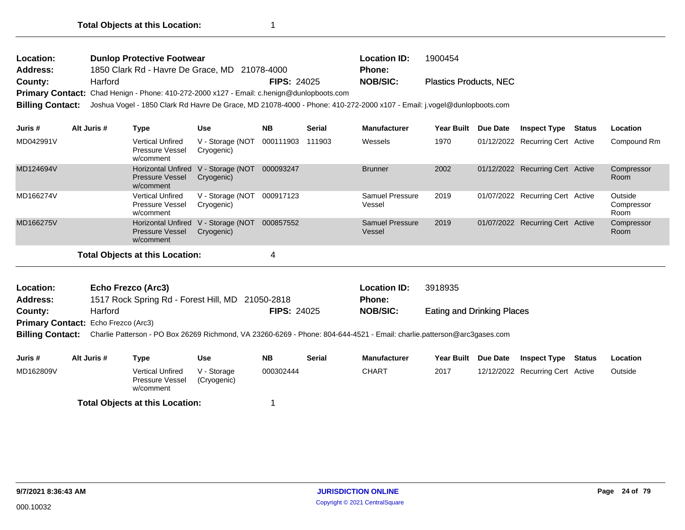| Location:<br>Address:<br>County:<br>Primary Contact: Chad Henign - Phone: 410-272-2000 x127 - Email: c.henign@dunlopboots.com<br><b>Billing Contact:</b> | Harford     | <b>Dunlop Protective Footwear</b><br>1850 Clark Rd - Havre De Grace, MD 21078-4000 |                                | <b>FIPS: 24025</b> |               | <b>Location ID:</b><br><b>Phone:</b><br><b>NOB/SIC:</b><br>Joshua Vogel - 1850 Clark Rd Havre De Grace, MD 21078-4000 - Phone: 410-272-2000 x107 - Email: j.vogel@dunlopboots.com | 1900454<br><b>Plastics Products, NEC</b> |          |                                  |        |                               |
|----------------------------------------------------------------------------------------------------------------------------------------------------------|-------------|------------------------------------------------------------------------------------|--------------------------------|--------------------|---------------|-----------------------------------------------------------------------------------------------------------------------------------------------------------------------------------|------------------------------------------|----------|----------------------------------|--------|-------------------------------|
| Juris #                                                                                                                                                  | Alt Juris # | <b>Type</b>                                                                        | <b>Use</b>                     | <b>NB</b>          | <b>Serial</b> | <b>Manufacturer</b>                                                                                                                                                               | Year Built                               | Due Date | <b>Inspect Type</b>              | Status | Location                      |
| MD042991V                                                                                                                                                |             | <b>Vertical Unfired</b><br>Pressure Vessel<br>w/comment                            | V - Storage (NOT<br>Cryogenic) | 000111903          | 111903        | Wessels                                                                                                                                                                           | 1970                                     |          | 01/12/2022 Recurring Cert Active |        | Compound Rm                   |
| MD124694V                                                                                                                                                |             | <b>Horizontal Unfired</b><br><b>Pressure Vessel</b><br>w/comment                   | V - Storage (NOT<br>Cryogenic) | 000093247          |               | <b>Brunner</b>                                                                                                                                                                    | 2002                                     |          | 01/12/2022 Recurring Cert Active |        | Compressor<br>Room            |
| MD166274V                                                                                                                                                |             | <b>Vertical Unfired</b><br>Pressure Vessel<br>w/comment                            | V - Storage (NOT<br>Cryogenic) | 000917123          |               | Samuel Pressure<br>Vessel                                                                                                                                                         | 2019                                     |          | 01/07/2022 Recurring Cert Active |        | Outside<br>Compressor<br>Room |
| MD166275V                                                                                                                                                |             | <b>Horizontal Unfired</b><br><b>Pressure Vessel</b><br>w/comment                   | V - Storage (NOT<br>Cryogenic) | 000857552          |               | <b>Samuel Pressure</b><br>Vessel                                                                                                                                                  | 2019                                     |          | 01/07/2022 Recurring Cert Active |        | Compressor<br>Room            |
|                                                                                                                                                          |             | <b>Total Objects at this Location:</b>                                             |                                | 4                  |               |                                                                                                                                                                                   |                                          |          |                                  |        |                               |

| Location:                                  | <b>Echo Frezco (Arc3)</b>                        |                    | <b>Location ID:</b> | 3918935                    |
|--------------------------------------------|--------------------------------------------------|--------------------|---------------------|----------------------------|
| <b>Address:</b>                            | 1517 Rock Spring Rd - Forest Hill, MD 21050-2818 |                    | <b>Phone:</b>       |                            |
| County:                                    | Harford                                          | <b>FIPS: 24025</b> | <b>NOB/SIC:</b>     | Eating and Drinking Places |
| <b>Primary Contact:</b> Echo Frezco (Arc3) |                                                  |                    |                     |                            |
|                                            |                                                  |                    |                     |                            |

**Billing Contact:** Charlie Patterson - PO Box 26269 Richmond, VA 23260-6269 - Phone: 804-644-4521 - Email: charlie.patterson@arc3gases.com

| Juris #   | Alt Juris # | Type                                                    | Use                        | <b>NB</b> | <b>Serial</b> | <b>Manufacturer</b> | <b>Year Built</b> | Due Date | <b>Inspect Type</b>              | Status | Location |
|-----------|-------------|---------------------------------------------------------|----------------------------|-----------|---------------|---------------------|-------------------|----------|----------------------------------|--------|----------|
| MD162809V |             | <b>Vertical Unfired</b><br>Pressure Vessel<br>w/comment | V - Storage<br>(Cryogenic) | 000302444 |               | CHART               | 2017              |          | 12/12/2022 Recurring Cert Active |        | Outside  |
|           |             | <b>Total Objects at this Location:</b>                  |                            |           |               |                     |                   |          |                                  |        |          |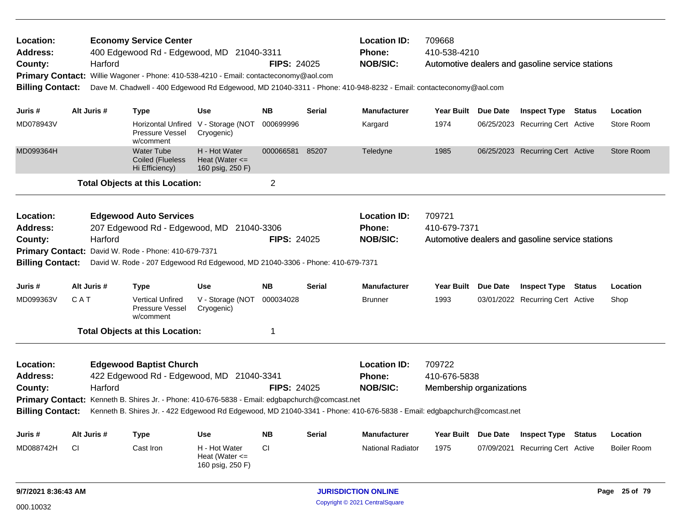| Location:<br><b>Address:</b><br>County:<br><b>Billing Contact:</b> |                                                                                                                                                                                                                                                                                 | Harford | <b>Economy Service Center</b><br>400 Edgewood Rd - Edgewood, MD 21040-3311<br>Primary Contact: Willie Wagoner - Phone: 410-538-4210 - Email: contacteconomy@aol.com                  |                                                         | <b>FIPS: 24025</b> |                                                         | <b>Location ID:</b><br><b>Phone:</b><br><b>NOB/SIC:</b><br>Dave M. Chadwell - 400 Edgewood Rd Edgewood, MD 21040-3311 - Phone: 410-948-8232 - Email: contacteconomy@aol.com        | 709668<br>410-538-4210                             |                                                  | Automotive dealers and gasoline service stations |               |                    |
|--------------------------------------------------------------------|---------------------------------------------------------------------------------------------------------------------------------------------------------------------------------------------------------------------------------------------------------------------------------|---------|--------------------------------------------------------------------------------------------------------------------------------------------------------------------------------------|---------------------------------------------------------|--------------------|---------------------------------------------------------|------------------------------------------------------------------------------------------------------------------------------------------------------------------------------------|----------------------------------------------------|--------------------------------------------------|--------------------------------------------------|---------------|--------------------|
| Juris #                                                            | Alt Juris #                                                                                                                                                                                                                                                                     |         | <b>Type</b>                                                                                                                                                                          | <b>Use</b>                                              | <b>NB</b>          | <b>Serial</b>                                           | <b>Manufacturer</b>                                                                                                                                                                | Year Built Due Date                                |                                                  | <b>Inspect Type Status</b>                       |               | Location           |
| MD078943V                                                          |                                                                                                                                                                                                                                                                                 |         | Horizontal Unfired V - Storage (NOT<br>Pressure Vessel<br>w/comment                                                                                                                  | Cryogenic)                                              | 000699996          |                                                         | Kargard                                                                                                                                                                            | 1974                                               |                                                  | 06/25/2023 Recurring Cert Active                 |               | Store Room         |
| MD099364H                                                          |                                                                                                                                                                                                                                                                                 |         | <b>Water Tube</b><br>Coiled (Flueless<br>Hi Efficiency)                                                                                                                              | H - Hot Water<br>Heat (Water $\leq$<br>160 psig, 250 F) | 000066581          | 85207                                                   | Teledyne                                                                                                                                                                           | 1985                                               |                                                  | 06/25/2023 Recurring Cert Active                 |               | Store Room         |
|                                                                    |                                                                                                                                                                                                                                                                                 |         | <b>Total Objects at this Location:</b>                                                                                                                                               |                                                         | $\overline{2}$     |                                                         |                                                                                                                                                                                    |                                                    |                                                  |                                                  |               |                    |
| Location:<br><b>Address:</b><br>County:                            | <b>Edgewood Auto Services</b><br>207 Edgewood Rd - Edgewood, MD 21040-3306<br>Harford<br><b>FIPS: 24025</b><br>Primary Contact: David W. Rode - Phone: 410-679-7371<br><b>Billing Contact:</b><br>David W. Rode - 207 Edgewood Rd Edgewood, MD 21040-3306 - Phone: 410-679-7371 |         |                                                                                                                                                                                      |                                                         |                    | <b>Location ID:</b><br><b>Phone:</b><br><b>NOB/SIC:</b> | 709721<br>410-679-7371                                                                                                                                                             |                                                    | Automotive dealers and gasoline service stations |                                                  |               |                    |
| Juris #                                                            | Alt Juris #                                                                                                                                                                                                                                                                     |         | <b>Type</b>                                                                                                                                                                          | <b>Use</b>                                              | <b>NB</b>          | <b>Serial</b>                                           | <b>Manufacturer</b>                                                                                                                                                                | <b>Year Built</b>                                  | <b>Due Date</b>                                  | <b>Inspect Type</b>                              | <b>Status</b> | Location           |
| MD099363V                                                          | C A T                                                                                                                                                                                                                                                                           |         | <b>Vertical Unfired</b><br>Pressure Vessel<br>w/comment                                                                                                                              | V - Storage (NOT<br>Cryogenic)                          | 000034028          |                                                         | <b>Brunner</b>                                                                                                                                                                     | 1993                                               |                                                  | 03/01/2022 Recurring Cert Active                 |               | Shop               |
|                                                                    |                                                                                                                                                                                                                                                                                 |         | <b>Total Objects at this Location:</b>                                                                                                                                               |                                                         | $\mathbf{1}$       |                                                         |                                                                                                                                                                                    |                                                    |                                                  |                                                  |               |                    |
| Location:<br><b>Address:</b><br>County:<br><b>Billing Contact:</b> |                                                                                                                                                                                                                                                                                 | Harford | <b>Edgewood Baptist Church</b><br>422 Edgewood Rd - Edgewood, MD 21040-3341<br><b>Primary Contact:</b> Kenneth B. Shires Jr. - Phone: 410-676-5838 - Email: edgbapchurch@comcast.net |                                                         | <b>FIPS: 24025</b> |                                                         | <b>Location ID:</b><br><b>Phone:</b><br><b>NOB/SIC:</b><br>Kenneth B. Shires Jr. - 422 Edgewood Rd Edgewood, MD 21040-3341 - Phone: 410-676-5838 - Email: edgbapchurch@comcast.net | 709722<br>410-676-5838<br>Membership organizations |                                                  |                                                  |               |                    |
| Juris #                                                            | Alt Juris #                                                                                                                                                                                                                                                                     |         | <b>Type</b>                                                                                                                                                                          | <b>Use</b>                                              | <b>NB</b>          | <b>Serial</b>                                           | <b>Manufacturer</b>                                                                                                                                                                | <b>Year Built</b>                                  | <b>Due Date</b>                                  | <b>Inspect Type</b>                              | <b>Status</b> | Location           |
| MD088742H                                                          | СI                                                                                                                                                                                                                                                                              |         | Cast Iron                                                                                                                                                                            | H - Hot Water<br>Heat (Water $\leq$<br>160 psig, 250 F) | CI                 |                                                         | <b>National Radiator</b>                                                                                                                                                           | 1975                                               |                                                  | 07/09/2021 Recurring Cert Active                 |               | <b>Boiler Room</b> |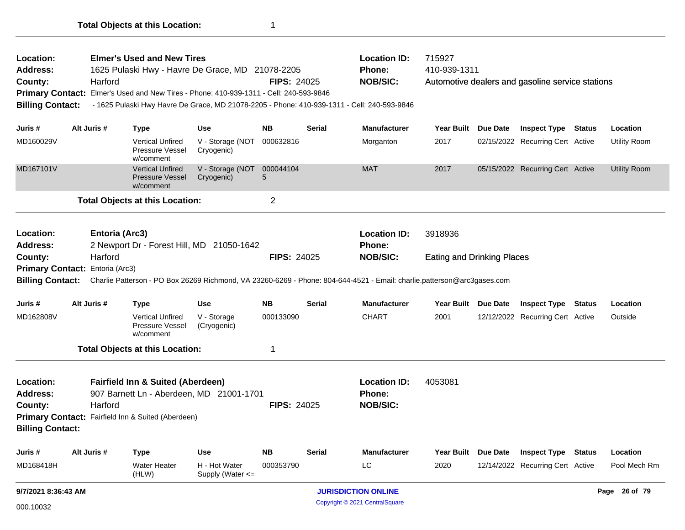| Location:               |                                                                                                                                                                             |                | <b>Elmer's Used and New Tires</b>                              |                                                                                        |                    |               | <b>Location ID:</b>                                                                         | 715927                            |                                                  |               |                     |
|-------------------------|-----------------------------------------------------------------------------------------------------------------------------------------------------------------------------|----------------|----------------------------------------------------------------|----------------------------------------------------------------------------------------|--------------------|---------------|---------------------------------------------------------------------------------------------|-----------------------------------|--------------------------------------------------|---------------|---------------------|
| Address:<br>County:     |                                                                                                                                                                             | Harford        |                                                                | 1625 Pulaski Hwy - Havre De Grace, MD 21078-2205                                       | <b>FIPS: 24025</b> |               | Phone:<br><b>NOB/SIC:</b>                                                                   | 410-939-1311                      | Automotive dealers and gasoline service stations |               |                     |
|                         |                                                                                                                                                                             |                |                                                                | Primary Contact: Elmer's Used and New Tires - Phone: 410-939-1311 - Cell: 240-593-9846 |                    |               |                                                                                             |                                   |                                                  |               |                     |
| <b>Billing Contact:</b> |                                                                                                                                                                             |                |                                                                |                                                                                        |                    |               | - 1625 Pulaski Hwy Havre De Grace, MD 21078-2205 - Phone: 410-939-1311 - Cell: 240-593-9846 |                                   |                                                  |               |                     |
|                         |                                                                                                                                                                             |                |                                                                |                                                                                        |                    |               |                                                                                             |                                   |                                                  |               |                     |
| Juris #                 |                                                                                                                                                                             | Alt Juris #    | <b>Type</b>                                                    | <b>Use</b>                                                                             | <b>NB</b>          | <b>Serial</b> | <b>Manufacturer</b>                                                                         | Year Built Due Date               | <b>Inspect Type Status</b>                       |               | Location            |
| MD160029V               |                                                                                                                                                                             |                | <b>Vertical Unfired</b><br>Pressure Vessel<br>w/comment        | V - Storage (NOT<br>Cryogenic)                                                         | 000632816          |               | Morganton                                                                                   | 2017                              | 02/15/2022 Recurring Cert Active                 |               | <b>Utility Room</b> |
| MD167101V               |                                                                                                                                                                             |                | <b>Vertical Unfired</b><br><b>Pressure Vessel</b><br>w/comment | V - Storage (NOT<br>Cryogenic)                                                         | 000044104<br>5     |               | <b>MAT</b>                                                                                  | 2017                              | 05/15/2022 Recurring Cert Active                 |               | <b>Utility Room</b> |
|                         |                                                                                                                                                                             |                | <b>Total Objects at this Location:</b>                         |                                                                                        | 2                  |               |                                                                                             |                                   |                                                  |               |                     |
| Location:               |                                                                                                                                                                             | Entoria (Arc3) |                                                                |                                                                                        |                    |               | <b>Location ID:</b>                                                                         | 3918936                           |                                                  |               |                     |
| <b>Address:</b>         |                                                                                                                                                                             |                |                                                                | 2 Newport Dr - Forest Hill, MD 21050-1642                                              |                    |               | Phone:                                                                                      |                                   |                                                  |               |                     |
| County:                 | Harford<br><b>FIPS: 24025</b>                                                                                                                                               |                |                                                                |                                                                                        |                    |               | <b>NOB/SIC:</b>                                                                             | <b>Eating and Drinking Places</b> |                                                  |               |                     |
|                         |                                                                                                                                                                             |                |                                                                |                                                                                        |                    |               |                                                                                             |                                   |                                                  |               |                     |
|                         | Primary Contact: Entoria (Arc3)<br>Billing Contact: Charlie Patterson - PO Box 26269 Richmond, VA 23260-6269 - Phone: 804-644-4521 - Email: charlie.patterson@arc3gases.com |                |                                                                |                                                                                        |                    |               |                                                                                             |                                   |                                                  |               |                     |
| Juris #                 |                                                                                                                                                                             | Alt Juris #    | <b>Type</b>                                                    | <b>Use</b>                                                                             | <b>NB</b>          | <b>Serial</b> | <b>Manufacturer</b>                                                                         | Year Built Due Date               | <b>Inspect Type</b>                              | <b>Status</b> | Location            |
| MD162808V               |                                                                                                                                                                             |                | <b>Vertical Unfired</b><br>Pressure Vessel<br>w/comment        | V - Storage<br>(Cryogenic)                                                             | 000133090          |               | <b>CHART</b>                                                                                | 2001                              | 12/12/2022 Recurring Cert Active                 |               | Outside             |
|                         |                                                                                                                                                                             |                | <b>Total Objects at this Location:</b>                         |                                                                                        | 1                  |               |                                                                                             |                                   |                                                  |               |                     |
| Location:               |                                                                                                                                                                             |                | <b>Fairfield Inn &amp; Suited (Aberdeen)</b>                   |                                                                                        |                    |               | <b>Location ID:</b>                                                                         | 4053081                           |                                                  |               |                     |
| <b>Address:</b>         |                                                                                                                                                                             |                |                                                                | 907 Barnett Ln - Aberdeen, MD 21001-1701                                               |                    |               | Phone:                                                                                      |                                   |                                                  |               |                     |
| County:                 |                                                                                                                                                                             | Harford        |                                                                |                                                                                        | <b>FIPS: 24025</b> |               | <b>NOB/SIC:</b>                                                                             |                                   |                                                  |               |                     |
|                         | Primary Contact: Fairfield Inn & Suited (Aberdeen)                                                                                                                          |                |                                                                |                                                                                        |                    |               |                                                                                             |                                   |                                                  |               |                     |
| <b>Billing Contact:</b> |                                                                                                                                                                             |                |                                                                |                                                                                        |                    |               |                                                                                             |                                   |                                                  |               |                     |
| Juris #                 |                                                                                                                                                                             | Alt Juris #    | <b>Type</b>                                                    | <b>Use</b>                                                                             | <b>NB</b>          | <b>Serial</b> | <b>Manufacturer</b>                                                                         | Year Built Due Date               | <b>Inspect Type Status</b>                       |               | Location            |
| MD168418H               |                                                                                                                                                                             |                | <b>Water Heater</b><br>(HLW)                                   | H - Hot Water<br>Supply (Water $\leq$                                                  | 000353790          |               | LC                                                                                          | 2020                              | 12/14/2022 Recurring Cert Active                 |               | Pool Mech Rm        |
|                         | 9/7/2021 8:36:43 AM                                                                                                                                                         |                |                                                                |                                                                                        |                    |               | <b>JURISDICTION ONLINE</b>                                                                  |                                   |                                                  |               | Page 26 of 79       |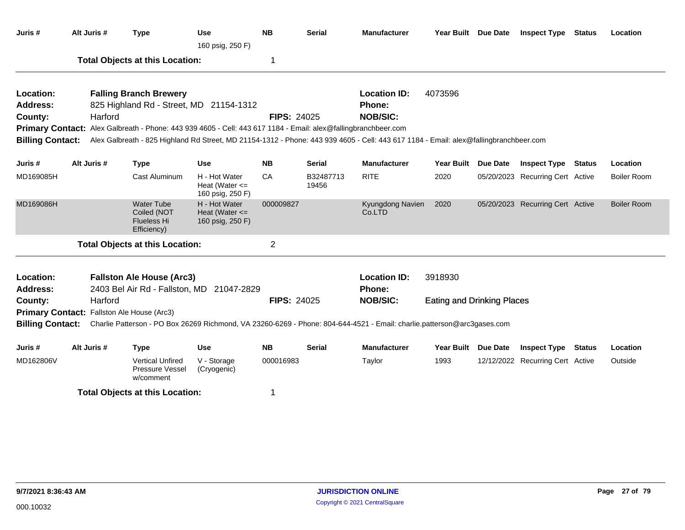| Juris #                 | Alt Juris # | <b>Type</b>                                                                                                    | Use<br>160 psig, 250 F)                                 | <b>NB</b>          | <b>Serial</b>      | <b>Manufacturer</b>                                                                                                                   | Year Built Due Date               |                 | <b>Inspect Type</b>              | <b>Status</b> | Location           |
|-------------------------|-------------|----------------------------------------------------------------------------------------------------------------|---------------------------------------------------------|--------------------|--------------------|---------------------------------------------------------------------------------------------------------------------------------------|-----------------------------------|-----------------|----------------------------------|---------------|--------------------|
|                         |             | <b>Total Objects at this Location:</b>                                                                         |                                                         | -1                 |                    |                                                                                                                                       |                                   |                 |                                  |               |                    |
| Location:               |             | <b>Falling Branch Brewery</b>                                                                                  |                                                         |                    |                    | <b>Location ID:</b>                                                                                                                   | 4073596                           |                 |                                  |               |                    |
| Address:                |             | 825 Highland Rd - Street, MD 21154-1312                                                                        |                                                         |                    |                    | <b>Phone:</b>                                                                                                                         |                                   |                 |                                  |               |                    |
| County:                 | Harford     |                                                                                                                |                                                         | <b>FIPS: 24025</b> |                    | <b>NOB/SIC:</b>                                                                                                                       |                                   |                 |                                  |               |                    |
|                         |             | Primary Contact: Alex Galbreath - Phone: 443 939 4605 - Cell: 443 617 1184 - Email: alex@fallingbranchbeer.com |                                                         |                    |                    |                                                                                                                                       |                                   |                 |                                  |               |                    |
| <b>Billing Contact:</b> |             |                                                                                                                |                                                         |                    |                    | Alex Galbreath - 825 Highland Rd Street, MD 21154-1312 - Phone: 443 939 4605 - Cell: 443 617 1184 - Email: alex@fallingbranchbeer.com |                                   |                 |                                  |               |                    |
| Juris #                 | Alt Juris # | <b>Type</b>                                                                                                    | <b>Use</b>                                              | <b>NB</b>          | Serial             | <b>Manufacturer</b>                                                                                                                   | <b>Year Built</b>                 | Due Date        | <b>Inspect Type</b>              | Status        | Location           |
| MD169085H               |             | Cast Aluminum                                                                                                  | H - Hot Water<br>Heat (Water $\leq$<br>160 psig, 250 F) | CA                 | B32487713<br>19456 | <b>RITE</b>                                                                                                                           | 2020                              |                 | 05/20/2023 Recurring Cert Active |               | <b>Boiler Room</b> |
| MD169086H               |             | <b>Water Tube</b><br>Coiled (NOT<br>Flueless Hi<br>Efficiency)                                                 | H - Hot Water<br>Heat (Water $\leq$<br>160 psig, 250 F) | 000009827          |                    | Kyungdong Navien<br>Co.LTD                                                                                                            | 2020                              |                 | 05/20/2023 Recurring Cert Active |               | <b>Boiler Room</b> |
|                         |             | <b>Total Objects at this Location:</b>                                                                         |                                                         | $\overline{2}$     |                    |                                                                                                                                       |                                   |                 |                                  |               |                    |
| Location:<br>Address:   |             | <b>Fallston Ale House (Arc3)</b><br>2403 Bel Air Rd - Fallston, MD 21047-2829                                  |                                                         |                    |                    | <b>Location ID:</b><br><b>Phone:</b>                                                                                                  | 3918930                           |                 |                                  |               |                    |
| County:                 | Harford     |                                                                                                                |                                                         | <b>FIPS: 24025</b> |                    | <b>NOB/SIC:</b>                                                                                                                       | <b>Eating and Drinking Places</b> |                 |                                  |               |                    |
| <b>Primary Contact:</b> |             | Fallston Ale House (Arc3)                                                                                      |                                                         |                    |                    |                                                                                                                                       |                                   |                 |                                  |               |                    |
| <b>Billing Contact:</b> |             |                                                                                                                |                                                         |                    |                    | Charlie Patterson - PO Box 26269 Richmond, VA 23260-6269 - Phone: 804-644-4521 - Email: charlie.patterson@arc3gases.com               |                                   |                 |                                  |               |                    |
| Juris #                 | Alt Juris # | <b>Type</b>                                                                                                    | Use                                                     | <b>NB</b>          | Serial             | <b>Manufacturer</b>                                                                                                                   | <b>Year Built</b>                 | <b>Due Date</b> | <b>Inspect Type</b>              | Status        | Location           |
| MD162806V               |             | <b>Vertical Unfired</b><br><b>Pressure Vessel</b><br>w/comment                                                 | V - Storage<br>(Cryogenic)                              | 000016983          |                    | Taylor                                                                                                                                | 1993                              |                 | 12/12/2022 Recurring Cert Active |               | Outside            |
|                         |             | <b>Total Objects at this Location:</b>                                                                         |                                                         | -1                 |                    |                                                                                                                                       |                                   |                 |                                  |               |                    |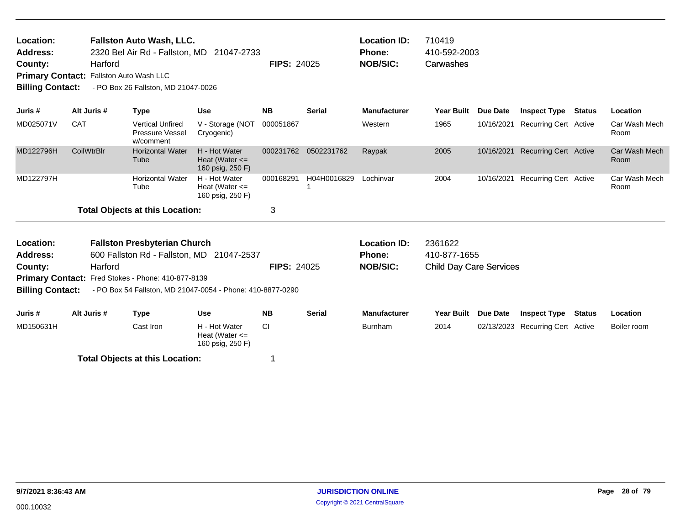| Location: | <b>Fallston Auto Wash, LLC.</b>                |                    | <b>Location ID:</b> | 710419       |
|-----------|------------------------------------------------|--------------------|---------------------|--------------|
| Address:  | 2320 Bel Air Rd - Fallston, MD 21047-2733      |                    | Phone:              | 410-592-2003 |
| County:   | Harford                                        | <b>FIPS: 24025</b> | NOB/SIC:            | Carwashes    |
|           | <b>Primary Contact:</b> Fallston Auto Wash LLC |                    |                     |              |

**Billing Contact:** - PO Box 26 Fallston, MD 21047-0026

| Juris #   | Alt Juris #       | Type                                                    | <b>Use</b>                                              | <b>NB</b> | <b>Serial</b> | <b>Manufacturer</b> | <b>Year Built</b> | <b>Due Date</b> | <b>Inspect Type Status</b>       | <b>Location</b>       |
|-----------|-------------------|---------------------------------------------------------|---------------------------------------------------------|-----------|---------------|---------------------|-------------------|-----------------|----------------------------------|-----------------------|
| MD025071V | <b>CAT</b>        | <b>Vertical Unfired</b><br>Pressure Vessel<br>w/comment | V - Storage (NOT<br>Cryogenic)                          | 000051867 |               | Western             | 1965              |                 | 10/16/2021 Recurring Cert Active | Car Wash Mech<br>Room |
| MD122796H | <b>CoilWtrBIr</b> | <b>Horizontal Water</b><br>Tube                         | H - Hot Water<br>Heat (Water $\leq$<br>160 psig, 250 F) | 000231762 | 0502231762    | Raypak              | 2005              |                 | 10/16/2021 Recurring Cert Active | Car Wash Mech<br>Room |
| MD122797H |                   | <b>Horizontal Water</b><br>Tube                         | H - Hot Water<br>Heat (Water $\leq$<br>160 psig, 250 F) | 000168291 | H04H0016829   | Lochinvar           | 2004              |                 | 10/16/2021 Recurring Cert Active | Car Wash Mech<br>Room |
|           |                   | <b>Total Objects at this Location:</b>                  |                                                         |           |               |                     |                   |                 |                                  |                       |

| Location:               |             | <b>Fallston Presbyterian Church</b>                |                                                            |                    |        | Location ID:        | 2361622                        |                 |                                  |        |             |
|-------------------------|-------------|----------------------------------------------------|------------------------------------------------------------|--------------------|--------|---------------------|--------------------------------|-----------------|----------------------------------|--------|-------------|
| <b>Address:</b>         |             |                                                    | 600 Fallston Rd - Fallston, MD 21047-2537                  |                    |        | <b>Phone:</b>       | 410-877-1655                   |                 |                                  |        |             |
| County:                 | Harford     |                                                    |                                                            | <b>FIPS: 24025</b> |        | <b>NOB/SIC:</b>     | <b>Child Day Care Services</b> |                 |                                  |        |             |
|                         |             | Primary Contact: Fred Stokes - Phone: 410-877-8139 |                                                            |                    |        |                     |                                |                 |                                  |        |             |
| <b>Billing Contact:</b> |             |                                                    | - PO Box 54 Fallston, MD 21047-0054 - Phone: 410-8877-0290 |                    |        |                     |                                |                 |                                  |        |             |
|                         |             |                                                    |                                                            |                    |        |                     |                                |                 |                                  |        |             |
| Juris #                 | Alt Juris # | Type                                               | Use                                                        | <b>NB</b>          | Serial | <b>Manufacturer</b> | Year Built                     | <b>Due Date</b> | <b>Inspect Type</b>              | Status | Location    |
| MD150631H<br>Cast Iron  |             |                                                    | H - Hot Water<br>Heat (Water $\leq$<br>160 psig, 250 F)    | CI.                |        | <b>Burnham</b>      | 2014                           |                 | 02/13/2023 Recurring Cert Active |        | Boiler room |
|                         |             | Total Objects at this Location:                    |                                                            |                    |        |                     |                                |                 |                                  |        |             |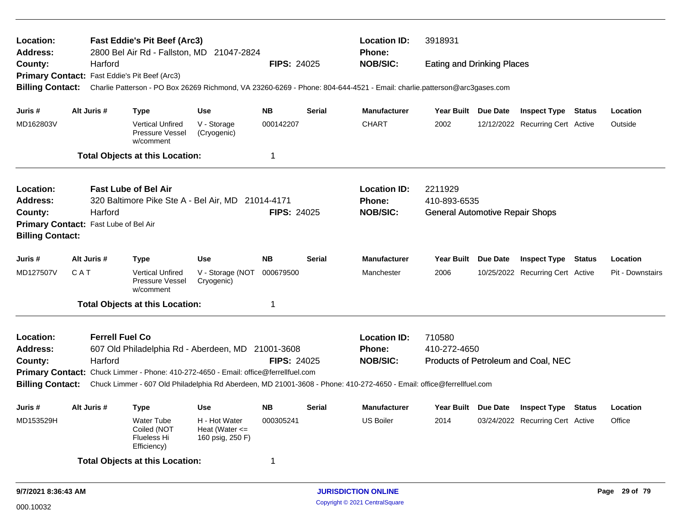| Location:<br>Address:<br>County:<br>Primary Contact: Fast Eddie's Pit Beef (Arc3)          | <b>Fast Eddie's Pit Beef (Arc3)</b><br><b>Location ID:</b><br>3918931<br>2800 Bel Air Rd - Fallston, MD 21047-2824<br>Phone:<br><b>NOB/SIC:</b><br>Harford<br><b>FIPS: 24025</b><br><b>Eating and Drinking Places</b> |                        |                                                                |                                                                                     |                    |                                                                                                                         |                                                                                                                                       |                                        |          |                                     |        |                  |
|--------------------------------------------------------------------------------------------|-----------------------------------------------------------------------------------------------------------------------------------------------------------------------------------------------------------------------|------------------------|----------------------------------------------------------------|-------------------------------------------------------------------------------------|--------------------|-------------------------------------------------------------------------------------------------------------------------|---------------------------------------------------------------------------------------------------------------------------------------|----------------------------------------|----------|-------------------------------------|--------|------------------|
|                                                                                            |                                                                                                                                                                                                                       |                        |                                                                |                                                                                     |                    |                                                                                                                         |                                                                                                                                       |                                        |          |                                     |        |                  |
|                                                                                            |                                                                                                                                                                                                                       |                        |                                                                |                                                                                     |                    |                                                                                                                         |                                                                                                                                       |                                        |          |                                     |        |                  |
| <b>Billing Contact:</b><br>Alt Juris #<br>Juris #<br>MD162803V                             |                                                                                                                                                                                                                       |                        |                                                                |                                                                                     |                    | Charlie Patterson - PO Box 26269 Richmond, VA 23260-6269 - Phone: 804-644-4521 - Email: charlie.patterson@arc3gases.com |                                                                                                                                       |                                        |          |                                     |        |                  |
|                                                                                            |                                                                                                                                                                                                                       |                        | <b>Type</b>                                                    | <b>Use</b>                                                                          | <b>NB</b>          | <b>Serial</b>                                                                                                           | <b>Manufacturer</b>                                                                                                                   | Year Built Due Date                    |          | <b>Inspect Type Status</b>          |        | Location         |
|                                                                                            |                                                                                                                                                                                                                       |                        | <b>Vertical Unfired</b><br>Pressure Vessel<br>w/comment        | V - Storage<br>(Cryogenic)                                                          | 000142207          |                                                                                                                         | <b>CHART</b>                                                                                                                          | 2002                                   |          | 12/12/2022 Recurring Cert Active    |        | Outside          |
|                                                                                            |                                                                                                                                                                                                                       |                        | <b>Total Objects at this Location:</b>                         |                                                                                     | 1                  |                                                                                                                         |                                                                                                                                       |                                        |          |                                     |        |                  |
| Location:<br><b>Address:</b>                                                               |                                                                                                                                                                                                                       |                        | <b>Fast Lube of Bel Air</b>                                    | 320 Baltimore Pike Ste A - Bel Air, MD 21014-4171                                   |                    |                                                                                                                         | <b>Location ID:</b><br>Phone:                                                                                                         | 2211929<br>410-893-6535                |          |                                     |        |                  |
| County:                                                                                    |                                                                                                                                                                                                                       | Harford                |                                                                |                                                                                     | <b>FIPS: 24025</b> |                                                                                                                         | <b>NOB/SIC:</b>                                                                                                                       | <b>General Automotive Repair Shops</b> |          |                                     |        |                  |
| Primary Contact: Fast Lube of Bel Air<br><b>Billing Contact:</b><br>Alt Juris #<br>Juris # |                                                                                                                                                                                                                       |                        |                                                                |                                                                                     |                    |                                                                                                                         |                                                                                                                                       |                                        |          |                                     |        |                  |
|                                                                                            |                                                                                                                                                                                                                       |                        | Type                                                           | <b>Use</b>                                                                          | <b>NB</b>          | <b>Serial</b>                                                                                                           | <b>Manufacturer</b>                                                                                                                   | <b>Year Built</b>                      | Due Date | <b>Inspect Type</b>                 | Status | Location         |
| MD127507V                                                                                  | CAT                                                                                                                                                                                                                   |                        | <b>Vertical Unfired</b><br>Pressure Vessel<br>w/comment        | V - Storage (NOT<br>Cryogenic)                                                      | 000679500          |                                                                                                                         | Manchester                                                                                                                            | 2006                                   |          | 10/25/2022 Recurring Cert Active    |        | Pit - Downstairs |
|                                                                                            |                                                                                                                                                                                                                       |                        | <b>Total Objects at this Location:</b>                         |                                                                                     | 1                  |                                                                                                                         |                                                                                                                                       |                                        |          |                                     |        |                  |
| Location:<br><b>Address:</b>                                                               |                                                                                                                                                                                                                       | <b>Ferrell Fuel Co</b> |                                                                | 607 Old Philadelphia Rd - Aberdeen, MD 21001-3608                                   |                    |                                                                                                                         | <b>Location ID:</b><br>Phone:                                                                                                         | 710580<br>410-272-4650                 |          |                                     |        |                  |
| County:                                                                                    |                                                                                                                                                                                                                       | Harford                |                                                                |                                                                                     | <b>FIPS: 24025</b> |                                                                                                                         | <b>NOB/SIC:</b>                                                                                                                       |                                        |          | Products of Petroleum and Coal, NEC |        |                  |
|                                                                                            |                                                                                                                                                                                                                       |                        |                                                                | Primary Contact: Chuck Limmer - Phone: 410-272-4650 - Email: office@ferrellfuel.com |                    |                                                                                                                         |                                                                                                                                       |                                        |          |                                     |        |                  |
|                                                                                            |                                                                                                                                                                                                                       |                        |                                                                |                                                                                     |                    |                                                                                                                         | Billing Contact: Chuck Limmer - 607 Old Philadelphia Rd Aberdeen, MD 21001-3608 - Phone: 410-272-4650 - Email: office@ferrellfuel.com |                                        |          |                                     |        |                  |
| Juris #                                                                                    |                                                                                                                                                                                                                       | Alt Juris #            | <b>Type</b>                                                    | <b>Use</b>                                                                          | <b>NB</b>          | Serial                                                                                                                  | <b>Manufacturer</b>                                                                                                                   | <b>Year Built</b>                      | Due Date | <b>Inspect Type</b>                 | Status | Location         |
| MD153529H                                                                                  |                                                                                                                                                                                                                       |                        | <b>Water Tube</b><br>Coiled (NOT<br>Flueless Hi<br>Efficiency) | H - Hot Water<br>Heat (Water $\leq$<br>160 psig, 250 F)                             | 000305241          |                                                                                                                         | <b>US Boiler</b>                                                                                                                      | 2014                                   |          | 03/24/2022 Recurring Cert Active    |        | Office           |
|                                                                                            |                                                                                                                                                                                                                       |                        | <b>Total Objects at this Location:</b>                         |                                                                                     | 1                  |                                                                                                                         |                                                                                                                                       |                                        |          |                                     |        |                  |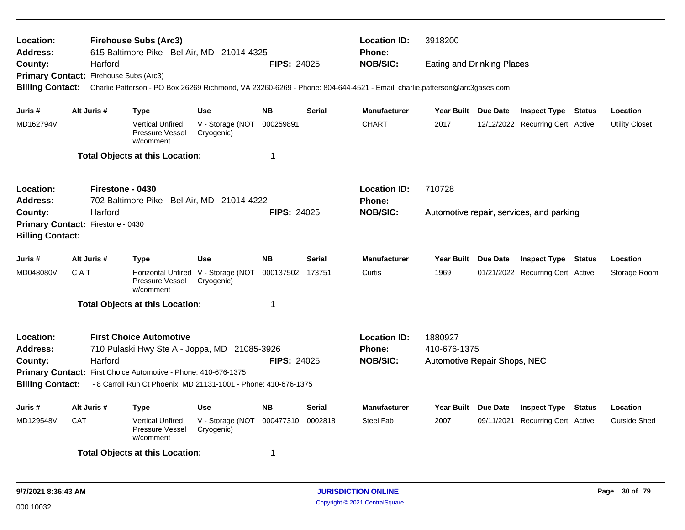| Location:<br><b>Address:</b><br>County:<br>Primary Contact: Firehouse Subs (Arc3)                                                                            |            | <b>Firehouse Subs (Arc3)</b><br>615 Baltimore Pike - Bel Air, MD 21014-4325 |                                                         |                                                                                                                                                                                                                                                                                                                                                                                                                                                                                                 |                    | <b>Location ID:</b><br><b>Phone:</b> | 3918200             |              |                                                                                                                                                                                                                                                                                                                                                                                                                                                                                                                                                |  |  |                       |  |  |
|--------------------------------------------------------------------------------------------------------------------------------------------------------------|------------|-----------------------------------------------------------------------------|---------------------------------------------------------|-------------------------------------------------------------------------------------------------------------------------------------------------------------------------------------------------------------------------------------------------------------------------------------------------------------------------------------------------------------------------------------------------------------------------------------------------------------------------------------------------|--------------------|--------------------------------------|---------------------|--------------|------------------------------------------------------------------------------------------------------------------------------------------------------------------------------------------------------------------------------------------------------------------------------------------------------------------------------------------------------------------------------------------------------------------------------------------------------------------------------------------------------------------------------------------------|--|--|-----------------------|--|--|
|                                                                                                                                                              |            | Harford                                                                     |                                                         |                                                                                                                                                                                                                                                                                                                                                                                                                                                                                                 | <b>FIPS: 24025</b> |                                      | <b>NOB/SIC:</b>     |              |                                                                                                                                                                                                                                                                                                                                                                                                                                                                                                                                                |  |  |                       |  |  |
|                                                                                                                                                              |            |                                                                             |                                                         |                                                                                                                                                                                                                                                                                                                                                                                                                                                                                                 |                    |                                      |                     |              |                                                                                                                                                                                                                                                                                                                                                                                                                                                                                                                                                |  |  |                       |  |  |
| <b>Billing Contact:</b>                                                                                                                                      |            |                                                                             |                                                         |                                                                                                                                                                                                                                                                                                                                                                                                                                                                                                 |                    |                                      |                     |              |                                                                                                                                                                                                                                                                                                                                                                                                                                                                                                                                                |  |  |                       |  |  |
| Juris #                                                                                                                                                      |            | Alt Juris #                                                                 | Type                                                    | <b>Use</b><br><b>NB</b><br><b>Serial</b><br><b>Manufacturer</b><br>Year Built Due Date<br>V - Storage (NOT<br>000259891<br><b>CHART</b><br>2017<br>Cryogenic)<br>1<br><b>Location ID:</b><br>710728<br>702 Baltimore Pike - Bel Air, MD 21014-4222<br><b>Phone:</b><br><b>NOB/SIC:</b><br><b>FIPS: 24025</b><br><b>NB</b><br><b>Manufacturer</b><br>Use<br><b>Serial</b><br>Year Built Due Date<br>Horizontal Unfired V - Storage (NOT<br>000137502 173751<br>1969<br>Curtis<br>Cryogenic)<br>1 |                    |                                      | Location            |              |                                                                                                                                                                                                                                                                                                                                                                                                                                                                                                                                                |  |  |                       |  |  |
| MD162794V                                                                                                                                                    |            |                                                                             | <b>Vertical Unfired</b><br>Pressure Vessel<br>w/comment |                                                                                                                                                                                                                                                                                                                                                                                                                                                                                                 |                    |                                      |                     |              |                                                                                                                                                                                                                                                                                                                                                                                                                                                                                                                                                |  |  | <b>Utility Closet</b> |  |  |
|                                                                                                                                                              |            |                                                                             | <b>Total Objects at this Location:</b>                  |                                                                                                                                                                                                                                                                                                                                                                                                                                                                                                 |                    |                                      |                     |              |                                                                                                                                                                                                                                                                                                                                                                                                                                                                                                                                                |  |  |                       |  |  |
| Location:                                                                                                                                                    |            | Firestone - 0430                                                            |                                                         |                                                                                                                                                                                                                                                                                                                                                                                                                                                                                                 |                    |                                      |                     |              |                                                                                                                                                                                                                                                                                                                                                                                                                                                                                                                                                |  |  |                       |  |  |
| <b>Address:</b>                                                                                                                                              |            |                                                                             |                                                         |                                                                                                                                                                                                                                                                                                                                                                                                                                                                                                 |                    |                                      |                     |              |                                                                                                                                                                                                                                                                                                                                                                                                                                                                                                                                                |  |  |                       |  |  |
| County:                                                                                                                                                      |            | Harford                                                                     |                                                         |                                                                                                                                                                                                                                                                                                                                                                                                                                                                                                 |                    |                                      |                     |              | <b>Eating and Drinking Places</b><br>Charlie Patterson - PO Box 26269 Richmond, VA 23260-6269 - Phone: 804-644-4521 - Email: charlie.patterson@arc3gases.com<br><b>Inspect Type Status</b><br>12/12/2022 Recurring Cert Active<br>Automotive repair, services, and parking<br><b>Inspect Type Status</b><br>Location<br>01/21/2022 Recurring Cert Active<br>Storage Room<br>Automotive Repair Shops, NEC<br>Year Built Due Date<br><b>Inspect Type Status</b><br>Location<br><b>Recurring Cert Active</b><br><b>Outside Shed</b><br>09/11/2021 |  |  |                       |  |  |
| Primary Contact: Firestone - 0430                                                                                                                            |            |                                                                             |                                                         |                                                                                                                                                                                                                                                                                                                                                                                                                                                                                                 |                    |                                      |                     |              |                                                                                                                                                                                                                                                                                                                                                                                                                                                                                                                                                |  |  |                       |  |  |
| <b>Billing Contact:</b>                                                                                                                                      |            |                                                                             |                                                         |                                                                                                                                                                                                                                                                                                                                                                                                                                                                                                 |                    |                                      |                     |              |                                                                                                                                                                                                                                                                                                                                                                                                                                                                                                                                                |  |  |                       |  |  |
| Juris #                                                                                                                                                      |            | Alt Juris #                                                                 | <b>Type</b>                                             |                                                                                                                                                                                                                                                                                                                                                                                                                                                                                                 |                    |                                      |                     |              |                                                                                                                                                                                                                                                                                                                                                                                                                                                                                                                                                |  |  |                       |  |  |
| MD048080V                                                                                                                                                    | CAT        |                                                                             | <b>Pressure Vessel</b><br>w/comment                     |                                                                                                                                                                                                                                                                                                                                                                                                                                                                                                 |                    |                                      |                     |              |                                                                                                                                                                                                                                                                                                                                                                                                                                                                                                                                                |  |  |                       |  |  |
|                                                                                                                                                              |            |                                                                             | <b>Total Objects at this Location:</b>                  |                                                                                                                                                                                                                                                                                                                                                                                                                                                                                                 |                    |                                      |                     |              |                                                                                                                                                                                                                                                                                                                                                                                                                                                                                                                                                |  |  |                       |  |  |
| Location:                                                                                                                                                    |            |                                                                             | <b>First Choice Automotive</b>                          |                                                                                                                                                                                                                                                                                                                                                                                                                                                                                                 |                    |                                      | <b>Location ID:</b> | 1880927      |                                                                                                                                                                                                                                                                                                                                                                                                                                                                                                                                                |  |  |                       |  |  |
| <b>Address:</b>                                                                                                                                              |            |                                                                             | 710 Pulaski Hwy Ste A - Joppa, MD 21085-3926            |                                                                                                                                                                                                                                                                                                                                                                                                                                                                                                 |                    |                                      | <b>Phone:</b>       | 410-676-1375 |                                                                                                                                                                                                                                                                                                                                                                                                                                                                                                                                                |  |  |                       |  |  |
| County:                                                                                                                                                      |            | Harford                                                                     |                                                         |                                                                                                                                                                                                                                                                                                                                                                                                                                                                                                 | FIPS: 24025        |                                      | <b>NOB/SIC:</b>     |              |                                                                                                                                                                                                                                                                                                                                                                                                                                                                                                                                                |  |  |                       |  |  |
|                                                                                                                                                              |            |                                                                             |                                                         |                                                                                                                                                                                                                                                                                                                                                                                                                                                                                                 |                    |                                      |                     |              |                                                                                                                                                                                                                                                                                                                                                                                                                                                                                                                                                |  |  |                       |  |  |
| Primary Contact: First Choice Automotive - Phone: 410-676-1375<br><b>Billing Contact:</b><br>- 8 Carroll Run Ct Phoenix, MD 21131-1001 - Phone: 410-676-1375 |            |                                                                             |                                                         |                                                                                                                                                                                                                                                                                                                                                                                                                                                                                                 |                    |                                      |                     |              |                                                                                                                                                                                                                                                                                                                                                                                                                                                                                                                                                |  |  |                       |  |  |
| Juris #                                                                                                                                                      |            | Alt Juris #                                                                 | <b>Type</b>                                             | <b>Use</b>                                                                                                                                                                                                                                                                                                                                                                                                                                                                                      | <b>NB</b>          | <b>Serial</b>                        | <b>Manufacturer</b> |              |                                                                                                                                                                                                                                                                                                                                                                                                                                                                                                                                                |  |  |                       |  |  |
| MD129548V                                                                                                                                                    | <b>CAT</b> |                                                                             | <b>Vertical Unfired</b><br>Pressure Vessel<br>w/comment | V - Storage (NOT<br>Cryogenic)                                                                                                                                                                                                                                                                                                                                                                                                                                                                  | 000477310          | 0002818                              | Steel Fab           | 2007         |                                                                                                                                                                                                                                                                                                                                                                                                                                                                                                                                                |  |  |                       |  |  |
|                                                                                                                                                              |            |                                                                             | <b>Total Objects at this Location:</b>                  |                                                                                                                                                                                                                                                                                                                                                                                                                                                                                                 | -1                 |                                      |                     |              |                                                                                                                                                                                                                                                                                                                                                                                                                                                                                                                                                |  |  |                       |  |  |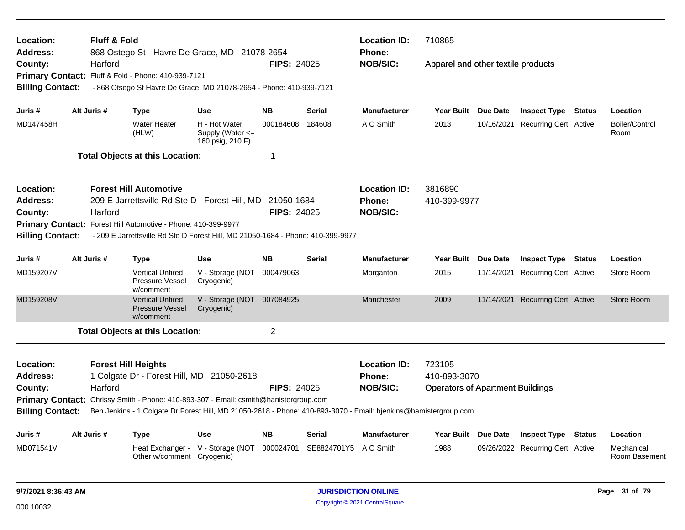| Location:<br>Address:                                         | <b>Fluff &amp; Fold</b>                                                 | 868 Ostego St - Havre De Grace, MD 21078-2654                                                                                                                                           |                                                       |                    |                                    | <b>Location ID:</b><br><b>Phone:</b> | 710865                                  |  |                                  |        |                             |  |  |
|---------------------------------------------------------------|-------------------------------------------------------------------------|-----------------------------------------------------------------------------------------------------------------------------------------------------------------------------------------|-------------------------------------------------------|--------------------|------------------------------------|--------------------------------------|-----------------------------------------|--|----------------------------------|--------|-----------------------------|--|--|
| County:                                                       | Harford                                                                 | Fluff & Fold - Phone: 410-939-7121                                                                                                                                                      |                                                       | <b>NOB/SIC:</b>    | Apparel and other textile products |                                      |                                         |  |                                  |        |                             |  |  |
| <b>Primary Contact:</b><br><b>Billing Contact:</b>            |                                                                         | - 868 Otsego St Havre De Grace, MD 21078-2654 - Phone: 410-939-7121                                                                                                                     |                                                       |                    |                                    |                                      |                                         |  |                                  |        |                             |  |  |
| Juris #                                                       | Alt Juris #                                                             | <b>Type</b>                                                                                                                                                                             | <b>Use</b>                                            | <b>NB</b>          | <b>Serial</b>                      | <b>Manufacturer</b>                  | Year Built Due Date                     |  | <b>Inspect Type Status</b>       |        | Location                    |  |  |
| MD147458H                                                     |                                                                         | <b>Water Heater</b><br>(HLW)                                                                                                                                                            | H - Hot Water<br>Supply (Water <=<br>160 psig, 210 F) | 000184608          | 184608                             | A O Smith                            | 2013                                    |  | 10/16/2021 Recurring Cert Active |        | Boiler/Control<br>Room      |  |  |
|                                                               |                                                                         | <b>Total Objects at this Location:</b>                                                                                                                                                  |                                                       | 1                  |                                    |                                      |                                         |  |                                  |        |                             |  |  |
| Location:                                                     |                                                                         | <b>Forest Hill Automotive</b>                                                                                                                                                           |                                                       |                    |                                    | <b>Location ID:</b>                  | 3816890                                 |  |                                  |        |                             |  |  |
| Address:<br>County:                                           | Harford                                                                 | 209 E Jarrettsville Rd Ste D - Forest Hill, MD 21050-1684                                                                                                                               |                                                       | <b>FIPS: 24025</b> |                                    | <b>Phone:</b><br><b>NOB/SIC:</b>     | 410-399-9977                            |  |                                  |        |                             |  |  |
| <b>Billing Contact:</b>                                       |                                                                         | Primary Contact: Forest Hill Automotive - Phone: 410-399-9977<br>- 209 E Jarrettsville Rd Ste D Forest Hill, MD 21050-1684 - Phone: 410-399-9977                                        |                                                       |                    |                                    |                                      |                                         |  |                                  |        |                             |  |  |
| Juris #                                                       | Alt Juris #                                                             | Type                                                                                                                                                                                    | Use                                                   | <b>NB</b>          | <b>Serial</b>                      | <b>Manufacturer</b>                  | Year Built Due Date                     |  | <b>Inspect Type</b>              | Status | Location                    |  |  |
| MD159207V                                                     |                                                                         | <b>Vertical Unfired</b><br><b>Pressure Vessel</b><br>w/comment                                                                                                                          | V - Storage (NOT<br>Cryogenic)                        | 000479063          |                                    | Morganton                            | 2015                                    |  | 11/14/2021 Recurring Cert Active |        | Store Room                  |  |  |
| MD159208V                                                     |                                                                         | <b>Vertical Unfired</b><br><b>Pressure Vessel</b><br>w/comment                                                                                                                          | V - Storage (NOT 007084925<br>Cryogenic)              |                    |                                    | Manchester                           | 2009                                    |  | 11/14/2021 Recurring Cert Active |        | Store Room                  |  |  |
|                                                               |                                                                         | <b>Total Objects at this Location:</b>                                                                                                                                                  |                                                       | $\overline{2}$     |                                    |                                      |                                         |  |                                  |        |                             |  |  |
| Location:<br><b>Address:</b>                                  | <b>Forest Hill Heights</b><br>1 Colgate Dr - Forest Hill, MD 21050-2618 | <b>Location ID:</b><br><b>Phone:</b>                                                                                                                                                    | 723105<br>410-893-3070                                |                    |                                    |                                      |                                         |  |                                  |        |                             |  |  |
| County:<br><b>Primary Contact:</b><br><b>Billing Contact:</b> | Harford                                                                 | Chrissy Smith - Phone: 410-893-307 - Email: csmith@hanistergroup.com<br>Ben Jenkins - 1 Colgate Dr Forest Hill, MD 21050-2618 - Phone: 410-893-3070 - Email: bjenkins@hamistergroup.com |                                                       | <b>FIPS: 24025</b> |                                    | <b>NOB/SIC:</b>                      | <b>Operators of Apartment Buildings</b> |  |                                  |        |                             |  |  |
| Juris #                                                       | Alt Juris #                                                             | Type                                                                                                                                                                                    | <b>Use</b>                                            | <b>NB</b>          | <b>Serial</b>                      | <b>Manufacturer</b>                  | Year Built Due Date                     |  | <b>Inspect Type</b>              | Status | Location                    |  |  |
| MD071541V                                                     |                                                                         | Other w/comment Cryogenic)                                                                                                                                                              | Heat Exchanger - V - Storage (NOT                     | 000024701          | SE8824701Y5                        | A O Smith                            | 1988                                    |  | 09/26/2022 Recurring Cert Active |        | Mechanical<br>Room Basement |  |  |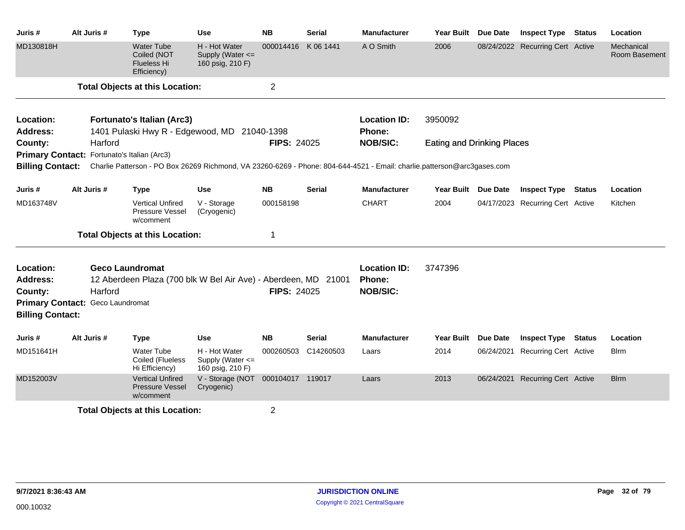| Juris #                                | Alt Juris #                                 | Type                                                                                                                                     | Use                                                       | <b>NB</b>           | <b>Serial</b> | <b>Manufacturer</b>           | <b>Year Built</b>                 | Due Date        | <b>Inspect Type</b>              | <b>Status</b> | Location                    |
|----------------------------------------|---------------------------------------------|------------------------------------------------------------------------------------------------------------------------------------------|-----------------------------------------------------------|---------------------|---------------|-------------------------------|-----------------------------------|-----------------|----------------------------------|---------------|-----------------------------|
| MD130818H                              |                                             | <b>Water Tube</b><br>Coiled (NOT<br><b>Flueless Hi</b><br>Efficiency)                                                                    | H - Hot Water<br>Supply (Water $\leq$<br>160 psig, 210 F) | 000014416 K 06 1441 |               | A O Smith                     | 2006                              |                 | 08/24/2022 Recurring Cert Active |               | Mechanical<br>Room Basement |
|                                        |                                             | <b>Total Objects at this Location:</b>                                                                                                   |                                                           | $\overline{2}$      |               |                               |                                   |                 |                                  |               |                             |
| Location:                              |                                             | <b>Fortunato's Italian (Arc3)</b>                                                                                                        |                                                           |                     |               | <b>Location ID:</b>           | 3950092                           |                 |                                  |               |                             |
| Address:                               |                                             | 1401 Pulaski Hwy R - Edgewood, MD 21040-1398                                                                                             |                                                           |                     |               | Phone:                        |                                   |                 |                                  |               |                             |
| County:                                | Harford                                     |                                                                                                                                          |                                                           | <b>FIPS: 24025</b>  |               | <b>NOB/SIC:</b>               | <b>Eating and Drinking Places</b> |                 |                                  |               |                             |
|                                        | Primary Contact: Fortunato's Italian (Arc3) |                                                                                                                                          |                                                           |                     |               |                               |                                   |                 |                                  |               |                             |
|                                        |                                             | Billing Contact: Charlie Patterson - PO Box 26269 Richmond, VA 23260-6269 - Phone: 804-644-4521 - Email: charlie.patterson@arc3gases.com |                                                           |                     |               |                               |                                   |                 |                                  |               |                             |
| Juris #                                | Alt Juris #                                 | <b>Type</b>                                                                                                                              | <b>Use</b>                                                | <b>NB</b>           | <b>Serial</b> | <b>Manufacturer</b>           | Year Built Due Date               |                 | <b>Inspect Type</b>              | Status        | Location                    |
| MD163748V                              |                                             | <b>Vertical Unfired</b><br><b>Pressure Vessel</b><br>w/comment                                                                           | V - Storage<br>(Cryogenic)                                | 000158198           |               | <b>CHART</b>                  | 2004                              |                 | 04/17/2023 Recurring Cert Active |               | Kitchen                     |
|                                        |                                             | <b>Total Objects at this Location:</b>                                                                                                   |                                                           | 1                   |               |                               |                                   |                 |                                  |               |                             |
| Location:<br><b>Address:</b>           |                                             | <b>Geco Laundromat</b><br>12 Aberdeen Plaza (700 blk W Bel Air Ave) - Aberdeen, MD 21001                                                 |                                                           |                     |               | <b>Location ID:</b><br>Phone: | 3747396                           |                 |                                  |               |                             |
| County:                                | Harford                                     |                                                                                                                                          |                                                           | <b>FIPS: 24025</b>  |               | <b>NOB/SIC:</b>               |                                   |                 |                                  |               |                             |
|                                        | Primary Contact: Geco Laundromat            |                                                                                                                                          |                                                           |                     |               |                               |                                   |                 |                                  |               |                             |
| <b>Billing Contact:</b>                |                                             |                                                                                                                                          |                                                           |                     |               |                               |                                   |                 |                                  |               |                             |
| Juris #                                | Alt Juris #                                 | <b>Type</b>                                                                                                                              | Use                                                       | <b>NB</b>           | Serial        | <b>Manufacturer</b>           | <b>Year Built</b>                 | <b>Due Date</b> | <b>Inspect Type Status</b>       |               | Location                    |
| MD151641H                              |                                             | <b>Water Tube</b><br>Coiled (Flueless<br>Hi Efficiency)                                                                                  | H - Hot Water<br>Supply (Water <=<br>160 psig, 210 F)     | 000260503           | C14260503     | Laars                         | 2014                              | 06/24/2021      | <b>Recurring Cert Active</b>     |               | <b>Blrm</b>                 |
| MD152003V                              |                                             | <b>Vertical Unfired</b><br><b>Pressure Vessel</b><br>w/comment                                                                           | V - Storage (NOT 000104017 119017<br>Cryogenic)           |                     |               | Laars                         | 2013                              |                 | 06/24/2021 Recurring Cert Active |               | <b>Blrm</b>                 |
| <b>Total Objects at this Location:</b> |                                             |                                                                                                                                          |                                                           | $\overline{2}$      |               |                               |                                   |                 |                                  |               |                             |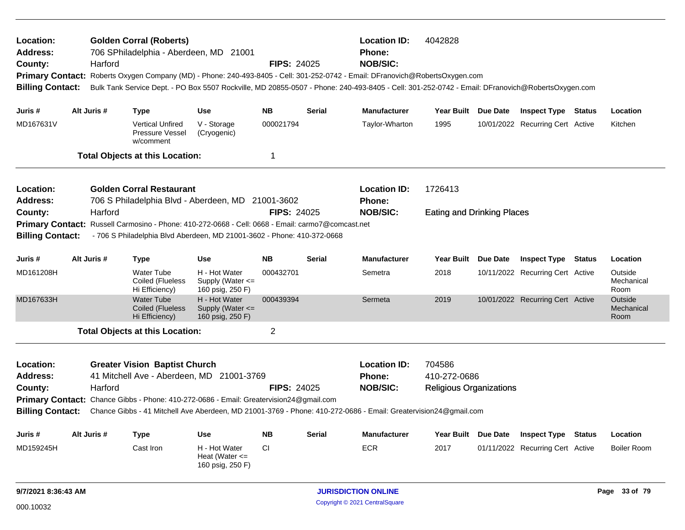| Location:<br><b>Address:</b><br>County:<br><b>Billing Contact:</b> |                                                                                      | Harford     | <b>Golden Corral (Roberts)</b><br>706 SPhiladelphia - Aberdeen, MD 21001                          |                                                           | <b>FIPS: 24025</b> |               | <b>Location ID:</b><br><b>Phone:</b><br><b>NOB/SIC:</b>                                                         | 4042828<br>Primary Contact: Roberts Oxygen Company (MD) - Phone: 240-493-8405 - Cell: 301-252-0742 - Email: DFranovich@RobertsOxygen.com<br>Bulk Tank Service Dept. - PO Box 5507 Rockville, MD 20855-0507 - Phone: 240-493-8405 - Cell: 301-252-0742 - Email: DFranovich@RobertsOxygen.com |  |                                  |               |                               |  |  |
|--------------------------------------------------------------------|--------------------------------------------------------------------------------------|-------------|---------------------------------------------------------------------------------------------------|-----------------------------------------------------------|--------------------|---------------|-----------------------------------------------------------------------------------------------------------------|---------------------------------------------------------------------------------------------------------------------------------------------------------------------------------------------------------------------------------------------------------------------------------------------|--|----------------------------------|---------------|-------------------------------|--|--|
| Juris #                                                            |                                                                                      | Alt Juris # | Type                                                                                              | <b>Use</b>                                                | <b>NB</b>          | <b>Serial</b> | <b>Manufacturer</b>                                                                                             | Year Built Due Date                                                                                                                                                                                                                                                                         |  | <b>Inspect Type</b>              | Status        | Location                      |  |  |
| MD167631V                                                          |                                                                                      |             | <b>Vertical Unfired</b><br>Pressure Vessel<br>w/comment                                           | V - Storage<br>(Cryogenic)                                | 000021794          |               | Taylor-Wharton                                                                                                  | 1995                                                                                                                                                                                                                                                                                        |  | 10/01/2022 Recurring Cert Active |               | Kitchen                       |  |  |
|                                                                    |                                                                                      |             | <b>Total Objects at this Location:</b>                                                            |                                                           | 1                  |               |                                                                                                                 |                                                                                                                                                                                                                                                                                             |  |                                  |               |                               |  |  |
| Location:<br><b>Address:</b>                                       | <b>Golden Corral Restaurant</b><br>706 S Philadelphia Blvd - Aberdeen, MD 21001-3602 |             |                                                                                                   |                                                           |                    |               | <b>Location ID:</b><br>1726413<br><b>Phone:</b>                                                                 |                                                                                                                                                                                                                                                                                             |  |                                  |               |                               |  |  |
| County:                                                            |                                                                                      | Harford     |                                                                                                   |                                                           | <b>FIPS: 24025</b> |               | <b>NOB/SIC:</b>                                                                                                 | <b>Eating and Drinking Places</b>                                                                                                                                                                                                                                                           |  |                                  |               |                               |  |  |
|                                                                    |                                                                                      |             | Primary Contact: Russell Carmosino - Phone: 410-272-0668 - Cell: 0668 - Email: carmo7@comcast.net |                                                           |                    |               |                                                                                                                 |                                                                                                                                                                                                                                                                                             |  |                                  |               |                               |  |  |
| <b>Billing Contact:</b>                                            |                                                                                      |             | - 706 S Philadelphia Blvd Aberdeen, MD 21001-3602 - Phone: 410-372-0668                           |                                                           |                    |               |                                                                                                                 |                                                                                                                                                                                                                                                                                             |  |                                  |               |                               |  |  |
| Juris #                                                            |                                                                                      | Alt Juris # | <b>Type</b>                                                                                       | <b>Use</b>                                                | <b>NB</b>          | <b>Serial</b> | <b>Manufacturer</b>                                                                                             | Year Built Due Date                                                                                                                                                                                                                                                                         |  | <b>Inspect Type</b>              | <b>Status</b> | Location                      |  |  |
| MD161208H                                                          |                                                                                      |             | <b>Water Tube</b><br>Coiled (Flueless<br>Hi Efficiency)                                           | H - Hot Water<br>Supply (Water $\leq$<br>160 psig, 250 F) | 000432701          |               | Semetra                                                                                                         | 2018                                                                                                                                                                                                                                                                                        |  | 10/11/2022 Recurring Cert Active |               | Outside<br>Mechanical<br>Room |  |  |
| MD167633H                                                          |                                                                                      |             | <b>Water Tube</b><br><b>Coiled (Flueless</b><br>Hi Efficiency)                                    | H - Hot Water<br>Supply (Water $\leq$<br>160 psig, 250 F) | 000439394          |               | Sermeta                                                                                                         | 2019                                                                                                                                                                                                                                                                                        |  | 10/01/2022 Recurring Cert Active |               | Outside<br>Mechanical<br>Room |  |  |
|                                                                    |                                                                                      |             | <b>Total Objects at this Location:</b>                                                            |                                                           | $\overline{2}$     |               |                                                                                                                 |                                                                                                                                                                                                                                                                                             |  |                                  |               |                               |  |  |
| Location:                                                          |                                                                                      |             | <b>Greater Vision Baptist Church</b>                                                              |                                                           |                    |               | <b>Location ID:</b>                                                                                             | 704586                                                                                                                                                                                                                                                                                      |  |                                  |               |                               |  |  |
| <b>Address:</b>                                                    |                                                                                      |             | 41 Mitchell Ave - Aberdeen, MD 21001-3769                                                         |                                                           |                    |               | <b>Phone:</b>                                                                                                   | 410-272-0686                                                                                                                                                                                                                                                                                |  |                                  |               |                               |  |  |
| County:                                                            |                                                                                      | Harford     |                                                                                                   |                                                           | <b>FIPS: 24025</b> |               | <b>NOB/SIC:</b>                                                                                                 | <b>Religious Organizations</b>                                                                                                                                                                                                                                                              |  |                                  |               |                               |  |  |
|                                                                    |                                                                                      |             | <b>Primary Contact:</b> Chance Gibbs - Phone: 410-272-0686 - Email: Greatervision24@gmail.com     |                                                           |                    |               |                                                                                                                 |                                                                                                                                                                                                                                                                                             |  |                                  |               |                               |  |  |
| <b>Billing Contact:</b>                                            |                                                                                      |             |                                                                                                   |                                                           |                    |               | Chance Gibbs - 41 Mitchell Ave Aberdeen, MD 21001-3769 - Phone: 410-272-0686 - Email: Greatervision24@gmail.com |                                                                                                                                                                                                                                                                                             |  |                                  |               |                               |  |  |
| Juris #                                                            |                                                                                      | Alt Juris # | Type                                                                                              | <b>Use</b>                                                | <b>NB</b>          | <b>Serial</b> | <b>Manufacturer</b>                                                                                             | Year Built Due Date                                                                                                                                                                                                                                                                         |  | <b>Inspect Type</b>              | <b>Status</b> | Location                      |  |  |
| MD159245H                                                          |                                                                                      |             | Cast Iron                                                                                         | H - Hot Water<br>Heat (Water $\leq$<br>160 psig, 250 F)   | CI                 |               | <b>ECR</b>                                                                                                      | 2017                                                                                                                                                                                                                                                                                        |  | 01/11/2022 Recurring Cert Active |               | <b>Boiler Room</b>            |  |  |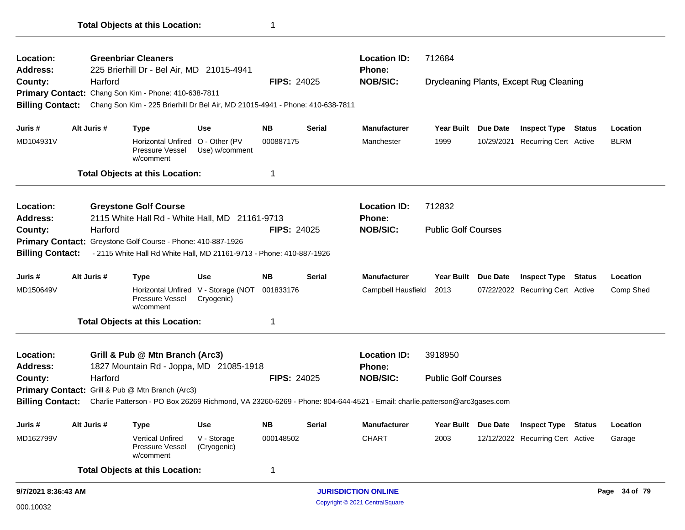| Location:<br><b>Address:</b> |             | <b>Greenbriar Cleaners</b><br>225 Brierhill Dr - Bel Air, MD 21015-4941                                                 |                                 |                    |               | <b>Location ID:</b><br>Phone: | 712684                     |                 |                                         |               |             |
|------------------------------|-------------|-------------------------------------------------------------------------------------------------------------------------|---------------------------------|--------------------|---------------|-------------------------------|----------------------------|-----------------|-----------------------------------------|---------------|-------------|
| County:                      | Harford     |                                                                                                                         |                                 | <b>FIPS: 24025</b> |               | <b>NOB/SIC:</b>               |                            |                 | Drycleaning Plants, Except Rug Cleaning |               |             |
|                              |             | Primary Contact: Chang Son Kim - Phone: 410-638-7811                                                                    |                                 |                    |               |                               |                            |                 |                                         |               |             |
| <b>Billing Contact:</b>      |             | Chang Son Kim - 225 Brierhill Dr Bel Air, MD 21015-4941 - Phone: 410-638-7811                                           |                                 |                    |               |                               |                            |                 |                                         |               |             |
|                              |             |                                                                                                                         |                                 |                    |               |                               |                            |                 |                                         |               |             |
| Juris #                      | Alt Juris # | <b>Type</b>                                                                                                             | <b>Use</b>                      | <b>NB</b>          | <b>Serial</b> | <b>Manufacturer</b>           | <b>Year Built</b>          | Due Date        | <b>Inspect Type</b>                     | <b>Status</b> | Location    |
| MD104931V                    |             | <b>Horizontal Unfired</b><br>Pressure Vessel<br>w/comment                                                               | O - Other (PV<br>Use) w/comment | 000887175          |               | Manchester                    | 1999                       |                 | 10/29/2021 Recurring Cert Active        |               | <b>BLRM</b> |
|                              |             | <b>Total Objects at this Location:</b>                                                                                  |                                 | 1                  |               |                               |                            |                 |                                         |               |             |
| Location:                    |             | <b>Greystone Golf Course</b>                                                                                            |                                 |                    |               | <b>Location ID:</b>           | 712832                     |                 |                                         |               |             |
| <b>Address:</b>              |             | 2115 White Hall Rd - White Hall, MD 21161-9713                                                                          |                                 |                    |               | Phone:                        |                            |                 |                                         |               |             |
| County:                      | Harford     |                                                                                                                         |                                 | <b>FIPS: 24025</b> |               | <b>NOB/SIC:</b>               | <b>Public Golf Courses</b> |                 |                                         |               |             |
|                              |             | Primary Contact: Greystone Golf Course - Phone: 410-887-1926                                                            |                                 |                    |               |                               |                            |                 |                                         |               |             |
| <b>Billing Contact:</b>      |             | - 2115 White Hall Rd White Hall, MD 21161-9713 - Phone: 410-887-1926                                                    |                                 |                    |               |                               |                            |                 |                                         |               |             |
| Juris #                      | Alt Juris # | <b>Type</b>                                                                                                             | <b>Use</b>                      | <b>NB</b>          | <b>Serial</b> | <b>Manufacturer</b>           | <b>Year Built</b>          | Due Date        | <b>Inspect Type</b>                     | Status        | Location    |
| MD150649V                    |             | <b>Horizontal Unfired</b><br>Pressure Vessel<br>w/comment                                                               | V - Storage (NOT<br>Cryogenic)  | 001833176          |               | Campbell Hausfield            | 2013                       |                 | 07/22/2022 Recurring Cert Active        |               | Comp Shed   |
|                              |             | <b>Total Objects at this Location:</b>                                                                                  |                                 | 1                  |               |                               |                            |                 |                                         |               |             |
| Location:                    |             | Grill & Pub @ Mtn Branch (Arc3)                                                                                         |                                 |                    |               | <b>Location ID:</b>           | 3918950                    |                 |                                         |               |             |
| <b>Address:</b>              |             | 1827 Mountain Rd - Joppa, MD 21085-1918                                                                                 |                                 |                    |               | <b>Phone:</b>                 |                            |                 |                                         |               |             |
| County:                      | Harford     |                                                                                                                         |                                 | <b>FIPS: 24025</b> |               | <b>NOB/SIC:</b>               | <b>Public Golf Courses</b> |                 |                                         |               |             |
|                              |             | Primary Contact: Grill & Pub @ Mtn Branch (Arc3)                                                                        |                                 |                    |               |                               |                            |                 |                                         |               |             |
| <b>Billing Contact:</b>      |             | Charlie Patterson - PO Box 26269 Richmond, VA 23260-6269 - Phone: 804-644-4521 - Email: charlie.patterson@arc3gases.com |                                 |                    |               |                               |                            |                 |                                         |               |             |
| Juris #                      | Alt Juris # | Type                                                                                                                    | Use                             | NΒ                 | <b>Serial</b> | <b>Manufacturer</b>           | Year Built                 | <b>Due Date</b> | <b>Inspect Type Status</b>              |               | Location    |
|                              |             | <b>Vertical Unfired</b>                                                                                                 | V - Storage                     | 000148502          |               | <b>CHART</b>                  | 2003                       |                 | 12/12/2022 Recurring Cert Active        |               | Garage      |
| MD162799V                    |             | Pressure Vessel<br>w/comment                                                                                            | (Cryogenic)                     |                    |               |                               |                            |                 |                                         |               |             |
|                              |             | <b>Total Objects at this Location:</b>                                                                                  |                                 | 1                  |               |                               |                            |                 |                                         |               |             |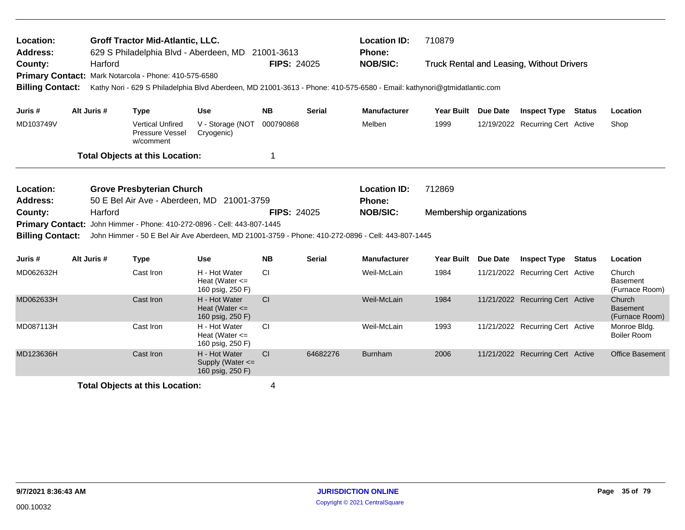| Location:<br>Address:                                                                                                                              |                                                                                | <b>Groff Tractor Mid-Atlantic, LLC.</b><br>629 S Philadelphia Blvd - Aberdeen, MD 21001-3613      |                                                         |                    |               | <b>Location ID:</b><br>Phone: | 710879                   |                 |                                                  |  |                                             |  |  |
|----------------------------------------------------------------------------------------------------------------------------------------------------|--------------------------------------------------------------------------------|---------------------------------------------------------------------------------------------------|---------------------------------------------------------|--------------------|---------------|-------------------------------|--------------------------|-----------------|--------------------------------------------------|--|---------------------------------------------|--|--|
| County:                                                                                                                                            | Harford                                                                        | Primary Contact: Mark Notarcola - Phone: 410-575-6580                                             |                                                         | <b>FIPS: 24025</b> |               | <b>NOB/SIC:</b>               |                          |                 | <b>Truck Rental and Leasing, Without Drivers</b> |  |                                             |  |  |
| <b>Billing Contact:</b><br>Kathy Nori - 629 S Philadelphia Blvd Aberdeen, MD 21001-3613 - Phone: 410-575-6580 - Email: kathynori@gtmidatlantic.com |                                                                                |                                                                                                   |                                                         |                    |               |                               |                          |                 |                                                  |  |                                             |  |  |
| Juris #                                                                                                                                            | Alt Juris #                                                                    | <b>Type</b>                                                                                       | <b>Use</b>                                              | <b>NB</b>          | Serial        | <b>Manufacturer</b>           | <b>Year Built</b>        | <b>Due Date</b> | <b>Inspect Type Status</b>                       |  | Location                                    |  |  |
| MD103749V                                                                                                                                          |                                                                                | <b>Vertical Unfired</b><br>Pressure Vessel<br>w/comment                                           | V - Storage (NOT<br>Cryogenic)                          | 000790868          |               | Melben                        | 1999                     |                 | 12/19/2022 Recurring Cert Active                 |  | Shop                                        |  |  |
|                                                                                                                                                    |                                                                                | <b>Total Objects at this Location:</b>                                                            |                                                         | 1                  |               |                               |                          |                 |                                                  |  |                                             |  |  |
| Location:<br>Address:                                                                                                                              | <b>Grove Presbyterian Church</b><br>50 E Bel Air Ave - Aberdeen, MD 21001-3759 |                                                                                                   |                                                         |                    |               |                               | 712869                   |                 |                                                  |  |                                             |  |  |
| County:                                                                                                                                            | Harford                                                                        |                                                                                                   |                                                         | <b>FIPS: 24025</b> |               | Phone:<br><b>NOB/SIC:</b>     | Membership organizations |                 |                                                  |  |                                             |  |  |
| <b>Primary Contact:</b>                                                                                                                            |                                                                                | John Himmer - Phone: 410-272-0896 - Cell: 443-807-1445                                            |                                                         |                    |               |                               |                          |                 |                                                  |  |                                             |  |  |
| <b>Billing Contact:</b>                                                                                                                            |                                                                                | John Himmer - 50 E Bel Air Ave Aberdeen, MD 21001-3759 - Phone: 410-272-0896 - Cell: 443-807-1445 |                                                         |                    |               |                               |                          |                 |                                                  |  |                                             |  |  |
| Juris #                                                                                                                                            | Alt Juris #                                                                    | <b>Type</b>                                                                                       | <b>Use</b>                                              | <b>NB</b>          | <b>Serial</b> | <b>Manufacturer</b>           | <b>Year Built</b>        | <b>Due Date</b> | <b>Inspect Type Status</b>                       |  | Location                                    |  |  |
| MD062632H                                                                                                                                          |                                                                                | Cast Iron                                                                                         | H - Hot Water<br>Heat (Water $\leq$<br>160 psig, 250 F) | <b>CI</b>          |               | Weil-McLain                   | 1984                     |                 | 11/21/2022 Recurring Cert Active                 |  | Church<br><b>Basement</b><br>(Furnace Room) |  |  |
| MD062633H                                                                                                                                          |                                                                                | Cast Iron                                                                                         | H - Hot Water<br>Heat (Water $\leq$<br>160 psig, 250 F) | CI                 |               | Weil-McLain                   | 1984                     |                 | 11/21/2022 Recurring Cert Active                 |  | Church<br><b>Basement</b><br>(Furnace Room) |  |  |
| MD087113H                                                                                                                                          |                                                                                | Cast Iron                                                                                         | H - Hot Water<br>Heat (Water $\leq$<br>160 psig, 250 F) | <b>CI</b>          |               | Weil-McLain                   | 1993                     |                 | 11/21/2022 Recurring Cert Active                 |  | Monroe Bldg.<br><b>Boiler Room</b>          |  |  |
| MD123636H                                                                                                                                          |                                                                                | Cast Iron                                                                                         | H - Hot Water<br>Supply (Water <=<br>160 psig, 250 F)   | C <sub>I</sub>     | 64682276      | <b>Burnham</b>                | 2006                     |                 | 11/21/2022 Recurring Cert Active                 |  | <b>Office Basement</b>                      |  |  |
|                                                                                                                                                    |                                                                                | <b>Total Objects at this Location:</b>                                                            |                                                         | 4                  |               |                               |                          |                 |                                                  |  |                                             |  |  |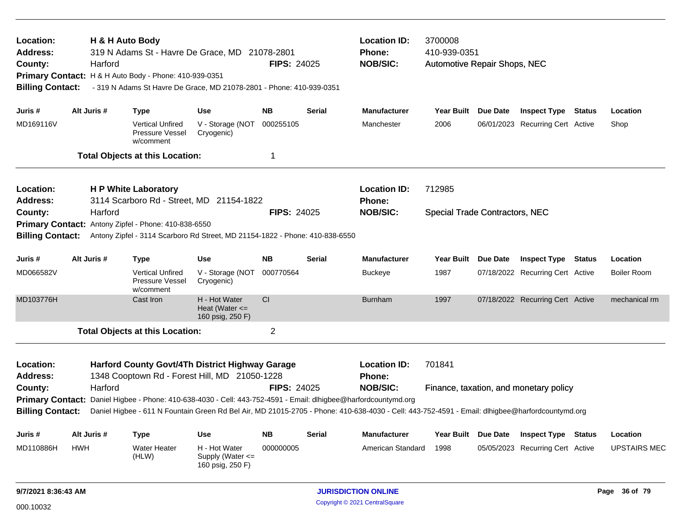| Location:<br>Address:<br>County:<br><b>Billing Contact:</b> | Harford     | H & H Auto Body<br>319 N Adams St - Havre De Grace, MD 21078-2801<br>Primary Contact: H & H Auto Body - Phone: 410-939-0351<br>- 319 N Adams St Havre De Grace, MD 21078-2801 - Phone: 410-939-0351                                               |                                                         | <b>FIPS: 24025</b> |               | <b>Location ID:</b><br>Phone:<br><b>NOB/SIC:</b> | 3700008<br>410-939-0351<br>Automotive Repair Shops, NEC |  |                                        |        |                     |  |  |
|-------------------------------------------------------------|-------------|---------------------------------------------------------------------------------------------------------------------------------------------------------------------------------------------------------------------------------------------------|---------------------------------------------------------|--------------------|---------------|--------------------------------------------------|---------------------------------------------------------|--|----------------------------------------|--------|---------------------|--|--|
| Juris #                                                     | Alt Juris # | <b>Type</b>                                                                                                                                                                                                                                       | <b>Use</b>                                              | <b>NB</b>          | <b>Serial</b> | <b>Manufacturer</b>                              | Year Built Due Date                                     |  | <b>Inspect Type Status</b>             |        | Location            |  |  |
| MD169116V                                                   |             | <b>Vertical Unfired</b><br>Pressure Vessel<br>w/comment                                                                                                                                                                                           | V - Storage (NOT<br>Cryogenic)                          | 000255105          |               | Manchester                                       | 2006                                                    |  | 06/01/2023 Recurring Cert Active       |        | Shop                |  |  |
|                                                             |             | <b>Total Objects at this Location:</b>                                                                                                                                                                                                            |                                                         | 1                  |               |                                                  |                                                         |  |                                        |        |                     |  |  |
| Location:<br><b>Address:</b>                                |             | <b>H P White Laboratory</b><br>3114 Scarboro Rd - Street, MD 21154-1822                                                                                                                                                                           |                                                         |                    |               | <b>Location ID:</b><br>Phone:                    | 712985                                                  |  |                                        |        |                     |  |  |
| County:                                                     | Harford     |                                                                                                                                                                                                                                                   |                                                         | <b>FIPS: 24025</b> |               | <b>NOB/SIC:</b>                                  | <b>Special Trade Contractors, NEC</b>                   |  |                                        |        |                     |  |  |
|                                                             |             | Primary Contact: Antony Zipfel - Phone: 410-838-6550                                                                                                                                                                                              |                                                         |                    |               |                                                  |                                                         |  |                                        |        |                     |  |  |
| <b>Billing Contact:</b>                                     |             | Antony Zipfel - 3114 Scarboro Rd Street, MD 21154-1822 - Phone: 410-838-6550                                                                                                                                                                      |                                                         |                    |               |                                                  |                                                         |  |                                        |        |                     |  |  |
| Juris #                                                     | Alt Juris # | Type                                                                                                                                                                                                                                              | <b>Use</b>                                              | <b>NB</b>          | <b>Serial</b> | <b>Manufacturer</b>                              | Year Built Due Date                                     |  | <b>Inspect Type</b>                    | Status | Location            |  |  |
| MD066582V                                                   |             | <b>Vertical Unfired</b><br>Pressure Vessel<br>w/comment                                                                                                                                                                                           | V - Storage (NOT<br>Cryogenic)                          | 000770564          |               | <b>Buckeye</b>                                   | 1987                                                    |  | 07/18/2022 Recurring Cert Active       |        | <b>Boiler Room</b>  |  |  |
| MD103776H                                                   |             | Cast Iron                                                                                                                                                                                                                                         | H - Hot Water<br>Heat (Water $\leq$<br>160 psig, 250 F) | CI                 |               | <b>Burnham</b>                                   | 1997                                                    |  | 07/18/2022 Recurring Cert Active       |        | mechanical rm       |  |  |
|                                                             |             | <b>Total Objects at this Location:</b>                                                                                                                                                                                                            |                                                         | $\overline{2}$     |               |                                                  |                                                         |  |                                        |        |                     |  |  |
| Location:                                                   |             | Harford County Govt/4Th District Highway Garage                                                                                                                                                                                                   |                                                         |                    |               | <b>Location ID:</b>                              | 701841                                                  |  |                                        |        |                     |  |  |
| <b>Address:</b>                                             |             | 1348 Cooptown Rd - Forest Hill, MD 21050-1228                                                                                                                                                                                                     |                                                         |                    |               | <b>Phone:</b>                                    |                                                         |  |                                        |        |                     |  |  |
| County:                                                     | Harford     |                                                                                                                                                                                                                                                   |                                                         | FIPS: 24025        |               | <b>NOB/SIC:</b>                                  |                                                         |  | Finance, taxation, and monetary policy |        |                     |  |  |
| <b>Primary Contact:</b><br><b>Billing Contact:</b>          |             | Daniel Higbee - Phone: 410-638-4030 - Cell: 443-752-4591 - Email: dlhigbee@harfordcountymd.org<br>Daniel Higbee - 611 N Fountain Green Rd Bel Air, MD 21015-2705 - Phone: 410-638-4030 - Cell: 443-752-4591 - Email: dlhigbee@harfordcountymd.org |                                                         |                    |               |                                                  |                                                         |  |                                        |        |                     |  |  |
| Juris #                                                     | Alt Juris # | Type                                                                                                                                                                                                                                              | Use                                                     | <b>NB</b>          | Serial        | <b>Manufacturer</b>                              | Year Built Due Date                                     |  | <b>Inspect Type</b>                    | Status | Location            |  |  |
| MD110886H                                                   | <b>HWH</b>  | <b>Water Heater</b><br>(HLW)                                                                                                                                                                                                                      | H - Hot Water<br>Supply (Water <=<br>160 psig, 250 F)   | 000000005          |               | American Standard                                | 1998                                                    |  | 05/05/2023 Recurring Cert Active       |        | <b>UPSTAIRS MEC</b> |  |  |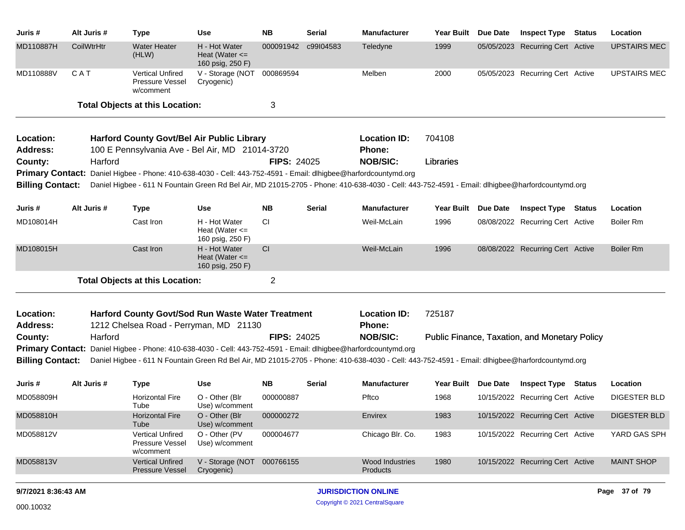| Juris #                 | Alt Juris # | <b>Type</b>                                                                                                     | Use                                                     | <b>NB</b>          | Serial        | <b>Manufacturer</b>                                                                                                                             | Year Built Due Date | <b>Inspect Type Status</b>                    |        | Location            |
|-------------------------|-------------|-----------------------------------------------------------------------------------------------------------------|---------------------------------------------------------|--------------------|---------------|-------------------------------------------------------------------------------------------------------------------------------------------------|---------------------|-----------------------------------------------|--------|---------------------|
| MD110887H               | CoilWtrHtr  | <b>Water Heater</b><br>(HLW)                                                                                    | H - Hot Water<br>Heat (Water $\leq$<br>160 psig, 250 F) | 000091942          | c99I04583     | Teledyne                                                                                                                                        | 1999                | 05/05/2023 Recurring Cert Active              |        | <b>UPSTAIRS MEC</b> |
| MD110888V               | CAT         | Vertical Unfired<br>Pressure Vessel<br>w/comment                                                                | V - Storage (NOT<br>Cryogenic)                          | 000869594          |               | Melben                                                                                                                                          | 2000                | 05/05/2023 Recurring Cert Active              |        | <b>UPSTAIRS MEC</b> |
|                         |             | <b>Total Objects at this Location:</b>                                                                          |                                                         | 3                  |               |                                                                                                                                                 |                     |                                               |        |                     |
| Location:               |             | <b>Harford County Govt/Bel Air Public Library</b>                                                               |                                                         |                    |               | <b>Location ID:</b>                                                                                                                             | 704108              |                                               |        |                     |
| <b>Address:</b>         |             | 100 E Pennsylvania Ave - Bel Air, MD 21014-3720                                                                 |                                                         |                    |               | <b>Phone:</b>                                                                                                                                   |                     |                                               |        |                     |
| County:                 | Harford     |                                                                                                                 |                                                         | <b>FIPS: 24025</b> |               | <b>NOB/SIC:</b>                                                                                                                                 | Libraries           |                                               |        |                     |
|                         |             | Primary Contact: Daniel Higbee - Phone: 410-638-4030 - Cell: 443-752-4591 - Email: dlhigbee@harfordcountymd.org |                                                         |                    |               |                                                                                                                                                 |                     |                                               |        |                     |
| <b>Billing Contact:</b> |             |                                                                                                                 |                                                         |                    |               | Daniel Higbee - 611 N Fountain Green Rd Bel Air, MD 21015-2705 - Phone: 410-638-4030 - Cell: 443-752-4591 - Email: dlhigbee@harfordcountymd.org |                     |                                               |        |                     |
| Juris #                 | Alt Juris # | <b>Type</b>                                                                                                     | <b>Use</b>                                              | <b>NB</b>          | Serial        | <b>Manufacturer</b>                                                                                                                             | Year Built Due Date | <b>Inspect Type</b>                           | Status | Location            |
| MD108014H               |             | Cast Iron                                                                                                       | H - Hot Water<br>Heat (Water $\leq$<br>160 psig, 250 F) | <b>CI</b>          |               | Weil-McLain                                                                                                                                     | 1996                | 08/08/2022 Recurring Cert Active              |        | Boiler Rm           |
| MD108015H               |             | Cast Iron                                                                                                       | H - Hot Water<br>Heat (Water $\leq$<br>160 psig, 250 F) | CI                 |               | Weil-McLain                                                                                                                                     | 1996                | 08/08/2022 Recurring Cert Active              |        | <b>Boiler Rm</b>    |
|                         |             | <b>Total Objects at this Location:</b>                                                                          |                                                         | $\overline{2}$     |               |                                                                                                                                                 |                     |                                               |        |                     |
| Location:               |             | Harford County Govt/Sod Run Waste Water Treatment                                                               |                                                         |                    |               | <b>Location ID:</b>                                                                                                                             | 725187              |                                               |        |                     |
| <b>Address:</b>         |             | 1212 Chelsea Road - Perryman, MD 21130                                                                          |                                                         |                    |               | <b>Phone:</b>                                                                                                                                   |                     |                                               |        |                     |
| County:                 | Harford     |                                                                                                                 |                                                         | <b>FIPS: 24025</b> |               | <b>NOB/SIC:</b>                                                                                                                                 |                     | Public Finance, Taxation, and Monetary Policy |        |                     |
| <b>Primary Contact:</b> |             | Daniel Higbee - Phone: 410-638-4030 - Cell: 443-752-4591 - Email: dlhigbee@harfordcountymd.org                  |                                                         |                    |               |                                                                                                                                                 |                     |                                               |        |                     |
| <b>Billing Contact:</b> |             |                                                                                                                 |                                                         |                    |               | Daniel Higbee - 611 N Fountain Green Rd Bel Air, MD 21015-2705 - Phone: 410-638-4030 - Cell: 443-752-4591 - Email: dlhigbee@harfordcountymd.org |                     |                                               |        |                     |
| Juris #                 | Alt Juris # | <b>Type</b>                                                                                                     | <b>Use</b>                                              | <b>NB</b>          | <b>Serial</b> | <b>Manufacturer</b>                                                                                                                             | Year Built Due Date | <b>Inspect Type Status</b>                    |        | Location            |
| MD058809H               |             | <b>Horizontal Fire</b><br>Tube                                                                                  | O - Other (Blr<br>Use) w/comment                        | 000000887          |               | Pftco                                                                                                                                           | 1968                | 10/15/2022 Recurring Cert Active              |        | <b>DIGESTER BLD</b> |
| MD058810H               |             | <b>Horizontal Fire</b><br>Tube                                                                                  | O - Other (Blr<br>Use) w/comment                        | 000000272          |               | Envirex                                                                                                                                         | 1983                | 10/15/2022 Recurring Cert Active              |        | <b>DIGESTER BLD</b> |
| MD058812V               |             | <b>Vertical Unfired</b><br>Pressure Vessel<br>w/comment                                                         | O - Other (PV<br>Use) w/comment                         | 000004677          |               | Chicago Blr. Co.                                                                                                                                | 1983                | 10/15/2022 Recurring Cert Active              |        | YARD GAS SPH        |
| MD058813V               |             | <b>Vertical Unfired</b><br>Pressure Vessel                                                                      | V - Storage (NOT 000766155<br>Cryogenic)                |                    |               | <b>Wood Industries</b><br><b>Products</b>                                                                                                       | 1980                | 10/15/2022 Recurring Cert Active              |        | <b>MAINT SHOP</b>   |
| 9/7/2021 8:36:43 AM     |             |                                                                                                                 |                                                         |                    |               | <b>JURISDICTION ONLINE</b>                                                                                                                      |                     |                                               |        | Page 37 of 79       |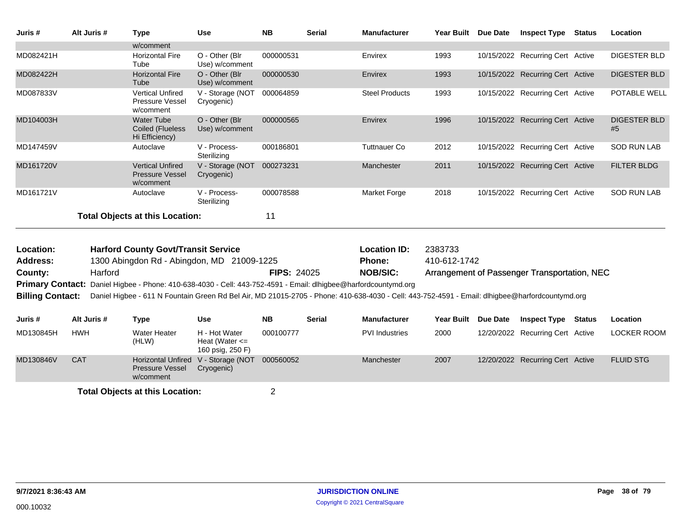| Juris #   | Alt Juris # | Type                                                           | <b>Use</b>                        | <b>NB</b> | <b>Serial</b> | <b>Manufacturer</b>   | <b>Year Built</b> | <b>Due Date</b> | <b>Inspect Type</b>              | Status | Location                  |
|-----------|-------------|----------------------------------------------------------------|-----------------------------------|-----------|---------------|-----------------------|-------------------|-----------------|----------------------------------|--------|---------------------------|
|           |             | w/comment                                                      |                                   |           |               |                       |                   |                 |                                  |        |                           |
| MD082421H |             | <b>Horizontal Fire</b><br>Tube                                 | O - Other (Blr)<br>Use) w/comment | 000000531 |               | Envirex               | 1993              |                 | 10/15/2022 Recurring Cert Active |        | <b>DIGESTER BLD</b>       |
| MD082422H |             | <b>Horizontal Fire</b><br>Tube                                 | O - Other (Blr<br>Use) w/comment  | 000000530 |               | Envirex               | 1993              |                 | 10/15/2022 Recurring Cert Active |        | <b>DIGESTER BLD</b>       |
| MD087833V |             | <b>Vertical Unfired</b><br>Pressure Vessel<br>w/comment        | V - Storage (NOT<br>Cryogenic)    | 000064859 |               | <b>Steel Products</b> | 1993              |                 | 10/15/2022 Recurring Cert Active |        | POTABLE WELL              |
| MD104003H |             | <b>Water Tube</b><br>Coiled (Flueless<br>Hi Efficiency)        | O - Other (Blr)<br>Use) w/comment | 000000565 |               | Envirex               | 1996              |                 | 10/15/2022 Recurring Cert Active |        | <b>DIGESTER BLD</b><br>#5 |
| MD147459V |             | Autoclave                                                      | V - Process-<br>Sterilizing       | 000186801 |               | <b>Tuttnauer Co</b>   | 2012              |                 | 10/15/2022 Recurring Cert Active |        | <b>SOD RUN LAB</b>        |
| MD161720V |             | <b>Vertical Unfired</b><br><b>Pressure Vessel</b><br>w/comment | V - Storage (NOT<br>Cryogenic)    | 000273231 |               | Manchester            | 2011              |                 | 10/15/2022 Recurring Cert Active |        | <b>FILTER BLDG</b>        |
| MD161721V |             | Autoclave                                                      | V - Process-<br>Sterilizing       | 000078588 |               | Market Forge          | 2018              |                 | 10/15/2022 Recurring Cert Active |        | <b>SOD RUN LAB</b>        |
|           |             | <b>Total Objects at this Location:</b>                         |                                   | 11        |               |                       |                   |                 |                                  |        |                           |

| Location:               | <b>Harford County Govt/Transit Service</b>                                                                                                      |                    | <b>Location ID:</b> | 2383733                                      |
|-------------------------|-------------------------------------------------------------------------------------------------------------------------------------------------|--------------------|---------------------|----------------------------------------------|
| <b>Address:</b>         | 1300 Abingdon Rd - Abingdon, MD 21009-1225                                                                                                      |                    | <b>Phone:</b>       | 410-612-1742                                 |
| County:                 | Harford                                                                                                                                         | <b>FIPS: 24025</b> | <b>NOB/SIC:</b>     | Arrangement of Passenger Transportation, NEC |
|                         | Primary Contact: Daniel Higbee - Phone: 410-638-4030 - Cell: 443-752-4591 - Email: dlhigbee@harfordcountymd.org                                 |                    |                     |                                              |
| <b>Billing Contact:</b> | Daniel Higbee - 611 N Fountain Green Rd Bel Air, MD 21015-2705 - Phone: 410-638-4030 - Cell: 443-752-4591 - Email: dlhigbee@harfordcountymd.org |                    |                     |                                              |
|                         |                                                                                                                                                 |                    |                     |                                              |

| Juris #   | Alt Juris # | Type                                                                       | Use                                                     | <b>NB</b> | Serial | <b>Manufacturer</b>   | <b>Year Built</b> | <b>Due Date</b> | <b>Inspect Type</b>              | <b>Status</b> | Location         |
|-----------|-------------|----------------------------------------------------------------------------|---------------------------------------------------------|-----------|--------|-----------------------|-------------------|-----------------|----------------------------------|---------------|------------------|
| MD130845H | <b>HWH</b>  | <b>Water Heater</b><br>(HLW)                                               | H - Hot Water<br>Heat (Water $\leq$<br>160 psig, 250 F) | 000100777 |        | <b>PVI</b> Industries | 2000              |                 | 12/20/2022 Recurring Cert Active |               | LOCKER ROOM      |
| MD130846V | <b>CAT</b>  | Horizontal Unfired V - Storage (NOT<br><b>Pressure Vessel</b><br>w/comment | Cryogenic)                                              | 000560052 |        | Manchester            | 2007              |                 | 12/20/2022 Recurring Cert Active |               | <b>FLUID STG</b> |
|           |             | デジタント 合わせ シンタン・シャメル せいしょう こうそうしょう                                          |                                                         |           |        |                       |                   |                 |                                  |               |                  |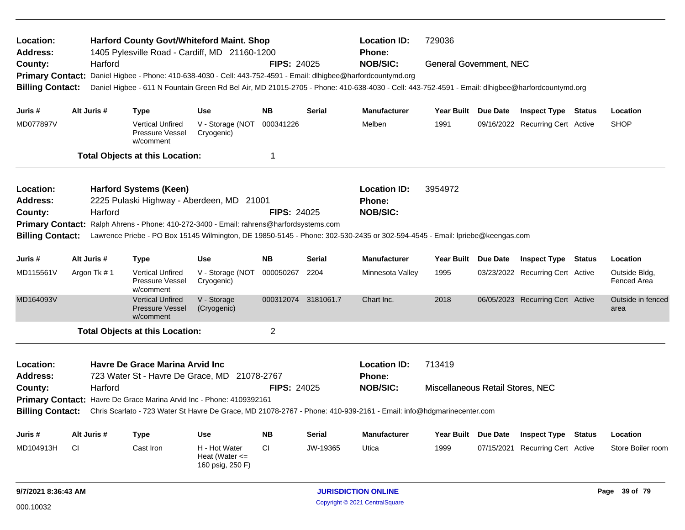| Location:<br><b>Address:</b> |                                                                                                                             |             | <b>Harford County Govt/Whiteford Maint. Shop</b><br>1405 Pylesville Road - Cardiff, MD 21160-1200 |                                                         |                     |               | <b>Location ID:</b><br><b>Phone:</b>                                                                                                            | 729036                           |                 |                                  |               |                              |
|------------------------------|-----------------------------------------------------------------------------------------------------------------------------|-------------|---------------------------------------------------------------------------------------------------|---------------------------------------------------------|---------------------|---------------|-------------------------------------------------------------------------------------------------------------------------------------------------|----------------------------------|-----------------|----------------------------------|---------------|------------------------------|
| County:                      |                                                                                                                             | Harford     |                                                                                                   |                                                         | <b>FIPS: 24025</b>  |               | <b>NOB/SIC:</b>                                                                                                                                 | <b>General Government, NEC</b>   |                 |                                  |               |                              |
| <b>Primary Contact:</b>      |                                                                                                                             |             | Daniel Higbee - Phone: 410-638-4030 - Cell: 443-752-4591 - Email: dlhigbee@harfordcountymd.org    |                                                         |                     |               |                                                                                                                                                 |                                  |                 |                                  |               |                              |
| <b>Billing Contact:</b>      |                                                                                                                             |             |                                                                                                   |                                                         |                     |               | Daniel Higbee - 611 N Fountain Green Rd Bel Air, MD 21015-2705 - Phone: 410-638-4030 - Cell: 443-752-4591 - Email: dlhigbee@harfordcountymd.org |                                  |                 |                                  |               |                              |
| Juris #                      |                                                                                                                             | Alt Juris # | <b>Type</b>                                                                                       | <b>Use</b>                                              | <b>NB</b>           | <b>Serial</b> | <b>Manufacturer</b>                                                                                                                             | Year Built Due Date              |                 | <b>Inspect Type Status</b>       |               | Location                     |
| MD077897V                    |                                                                                                                             |             | <b>Vertical Unfired</b><br>Pressure Vessel<br>w/comment                                           | V - Storage (NOT<br>Cryogenic)                          | 000341226           |               | Melben                                                                                                                                          | 1991                             |                 | 09/16/2022 Recurring Cert Active |               | <b>SHOP</b>                  |
|                              |                                                                                                                             |             | <b>Total Objects at this Location:</b>                                                            |                                                         | $\mathbf 1$         |               |                                                                                                                                                 |                                  |                 |                                  |               |                              |
| Location:                    |                                                                                                                             |             | <b>Harford Systems (Keen)</b>                                                                     |                                                         |                     |               | <b>Location ID:</b>                                                                                                                             | 3954972                          |                 |                                  |               |                              |
| Address:                     |                                                                                                                             |             | 2225 Pulaski Highway - Aberdeen, MD 21001                                                         |                                                         |                     |               | <b>Phone:</b>                                                                                                                                   |                                  |                 |                                  |               |                              |
| County:                      |                                                                                                                             | Harford     |                                                                                                   |                                                         | <b>FIPS: 24025</b>  |               | <b>NOB/SIC:</b>                                                                                                                                 |                                  |                 |                                  |               |                              |
| <b>Primary Contact:</b>      |                                                                                                                             |             | Ralph Ahrens - Phone: 410-272-3400 - Email: rahrens@harfordsystems.com                            |                                                         |                     |               |                                                                                                                                                 |                                  |                 |                                  |               |                              |
| <b>Billing Contact:</b>      | Lawrence Priebe - PO Box 15145 Wilmington, DE 19850-5145 - Phone: 302-530-2435 or 302-594-4545 - Email: Ipriebe@keengas.com |             |                                                                                                   |                                                         |                     |               |                                                                                                                                                 |                                  |                 |                                  |               |                              |
| Juris #                      |                                                                                                                             | Alt Juris # | <b>Type</b>                                                                                       | <b>Use</b>                                              | <b>NB</b>           | <b>Serial</b> | <b>Manufacturer</b>                                                                                                                             | <b>Year Built</b>                | <b>Due Date</b> | <b>Inspect Type</b>              | Status        | Location                     |
| MD115561V                    |                                                                                                                             | Argon Tk #1 | <b>Vertical Unfired</b><br>Pressure Vessel<br>w/comment                                           | V - Storage (NOT<br>Cryogenic)                          | 000050267           | 2204          | Minnesota Valley                                                                                                                                | 1995                             |                 | 03/23/2022 Recurring Cert Active |               | Outside Bldg.<br>Fenced Area |
| MD164093V                    |                                                                                                                             |             | <b>Vertical Unfired</b><br><b>Pressure Vessel</b><br>w/comment                                    | V - Storage<br>(Cryogenic)                              | 000312074 3181061.7 |               | Chart Inc.                                                                                                                                      | 2018                             |                 | 06/05/2023 Recurring Cert Active |               | Outside in fenced<br>area    |
|                              |                                                                                                                             |             | <b>Total Objects at this Location:</b>                                                            |                                                         | $\overline{2}$      |               |                                                                                                                                                 |                                  |                 |                                  |               |                              |
| Location:<br>Address:        |                                                                                                                             |             | Havre De Grace Marina Arvid Inc<br>723 Water St - Havre De Grace, MD 21078-2767                   |                                                         |                     |               | <b>Location ID:</b><br><b>Phone:</b>                                                                                                            | 713419                           |                 |                                  |               |                              |
| County:                      |                                                                                                                             | Harford     |                                                                                                   |                                                         | <b>FIPS: 24025</b>  |               | <b>NOB/SIC:</b>                                                                                                                                 | Miscellaneous Retail Stores, NEC |                 |                                  |               |                              |
|                              |                                                                                                                             |             | Primary Contact: Havre De Grace Marina Arvid Inc - Phone: 4109392161                              |                                                         |                     |               |                                                                                                                                                 |                                  |                 |                                  |               |                              |
| <b>Billing Contact:</b>      |                                                                                                                             |             |                                                                                                   |                                                         |                     |               | Chris Scarlato - 723 Water St Havre De Grace, MD 21078-2767 - Phone: 410-939-2161 - Email: info@hdgmarinecenter.com                             |                                  |                 |                                  |               |                              |
| Juris #                      |                                                                                                                             | Alt Juris # | <b>Type</b>                                                                                       | <b>Use</b>                                              | <b>NB</b>           | <b>Serial</b> | <b>Manufacturer</b>                                                                                                                             | Year Built Due Date              |                 | <b>Inspect Type</b>              | <b>Status</b> | Location                     |
| MD104913H                    | <b>CI</b>                                                                                                                   |             | Cast Iron                                                                                         | H - Hot Water<br>Heat (Water $\leq$<br>160 psig, 250 F) | <b>CI</b>           | JW-19365      | Utica                                                                                                                                           | 1999                             | 07/15/2021      | Recurring Cert Active            |               | Store Boiler room            |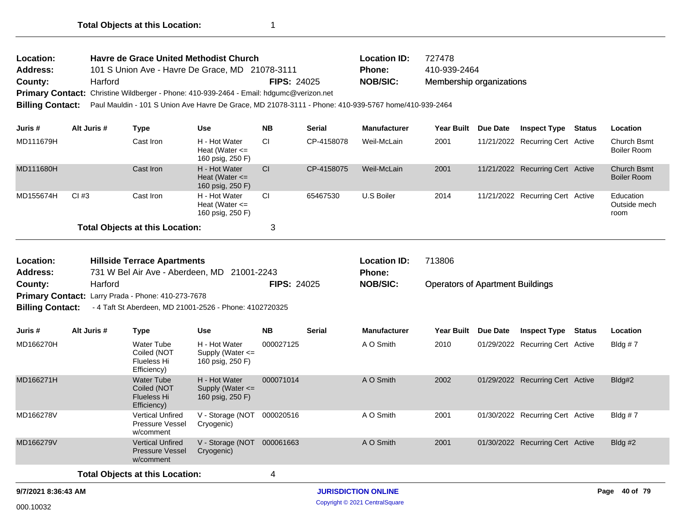| Location:       | Havre de Grace United Methodist Church                                                                                |                    | <b>Location ID:</b> | 727478                   |
|-----------------|-----------------------------------------------------------------------------------------------------------------------|--------------------|---------------------|--------------------------|
| <b>Address:</b> | 101 S Union Ave - Havre De Grace, MD 21078-3111                                                                       |                    | <b>Phone:</b>       | 410-939-2464             |
| County:         | Harford                                                                                                               | <b>FIPS: 24025</b> | NOB/SIC:            | Membership organizations |
|                 | Primary Contact: Christine Wildberger - Phone: 410-939-2464 - Email: hdgumc@verizon.net                               |                    |                     |                          |
|                 | Billing Contact: Paul Mauldin - 101 S Union Ave Havre De Grace, MD 21078-3111 - Phone: 410-939-5767 home/410-939-2464 |                    |                     |                          |

| Juris #   | Alt Juris # | Type                                   | <b>Use</b>                                              | <b>NB</b> | <b>Serial</b> | <b>Manufacturer</b> | <b>Year Built</b> | Due Date | <b>Inspect Type</b>              | <b>Status</b> | Location                          |
|-----------|-------------|----------------------------------------|---------------------------------------------------------|-----------|---------------|---------------------|-------------------|----------|----------------------------------|---------------|-----------------------------------|
| MD111679H |             | Cast Iron                              | H - Hot Water<br>Heat (Water $\leq$<br>160 psig, 250 F) | <b>CI</b> | CP-4158078    | Weil-McLain         | 2001              |          | 11/21/2022 Recurring Cert Active |               | Church Bsmt<br>Boiler Room        |
| MD111680H |             | Cast Iron                              | H - Hot Water<br>Heat (Water $\leq$<br>160 psig, 250 F) | <b>CI</b> | CP-4158075    | Weil-McLain         | 2001              |          | 11/21/2022 Recurring Cert Active |               | <b>Church Bsmt</b><br>Boiler Room |
| MD155674H | CI#3        | Cast Iron                              | H - Hot Water<br>Heat (Water <=<br>160 psig, 250 F)     | CI.       | 65467530      | U.S Boiler          | 2014              |          | 11/21/2022 Recurring Cert Active |               | Education<br>Outside mech<br>room |
|           |             | <b>Total Objects at this Location:</b> |                                                         | 3         |               |                     |                   |          |                                  |               |                                   |

| Location:<br><b>Address:</b> | <b>Hillside Terrace Apartments</b><br>731 W Bel Air Ave - Aberdeen, MD 21001-2243 |                        |                                                                                |                    |               | <b>Location ID:</b><br><b>Phone:</b>                | 713806                                  |  |                     |        |          |  |  |
|------------------------------|-----------------------------------------------------------------------------------|------------------------|--------------------------------------------------------------------------------|--------------------|---------------|-----------------------------------------------------|-----------------------------------------|--|---------------------|--------|----------|--|--|
| County:                      | Harford<br><b>Primary Contact:</b> Larry Prada - Phone: 410-273-7678              |                        |                                                                                | <b>FIPS: 24025</b> |               | <b>NOB/SIC:</b>                                     | <b>Operators of Apartment Buildings</b> |  |                     |        |          |  |  |
|                              |                                                                                   |                        | <b>Billing Contact:</b> -4 Taft St Aberdeen, MD 21001-2526 - Phone: 4102720325 |                    |               |                                                     |                                         |  |                     |        |          |  |  |
| Juris #                      | Alt Juris #                                                                       | Type                   | Use                                                                            | <b>NB</b>          | <b>Serial</b> | <b>Manufacturer</b>                                 | Year Built Due Date                     |  | <b>Inspect Type</b> | Status | Location |  |  |
| <b>MD40007011</b>            |                                                                                   | $111.1 \times 10^{-4}$ |                                                                                | $\sum_{n=1}^{n}$   |               | $\mathbf{A}$ $\mathbf{A}$ $\mathbf{A}$ $\mathbf{A}$ | 0.010                                   |  |                     |        |          |  |  |

| MD166270H | Water Tube<br>Coiled (NOT<br>Flueless Hi<br>Efficiency)        | H - Hot Water<br>Supply (Water $\leq$<br>160 psig, 250 F) | 000027125 | A O Smith | 2010 | 01/29/2022 Recurring Cert Active | Bldg #7    |
|-----------|----------------------------------------------------------------|-----------------------------------------------------------|-----------|-----------|------|----------------------------------|------------|
| MD166271H | Water Tube<br>Coiled (NOT<br><b>Flueless Hi</b><br>Efficiency) | H - Hot Water<br>Supply (Water $\leq$<br>160 psig, 250 F) | 000071014 | A O Smith | 2002 | 01/29/2022 Recurring Cert Active | Bldg#2     |
| MD166278V | <b>Vertical Unfired</b><br><b>Pressure Vessel</b><br>w/comment | V - Storage (NOT<br>Cryogenic)                            | 000020516 | A O Smith | 2001 | 01/30/2022 Recurring Cert Active | Bldg # $7$ |
| MD166279V | <b>Vertical Unfired</b><br><b>Pressure Vessel</b><br>w/comment | V - Storage (NOT<br>Cryogenic)                            | 000061663 | A O Smith | 2001 | 01/30/2022 Recurring Cert Active | Bldg #2    |
|           | <b>Total Objects at this Location:</b>                         |                                                           | 4         |           |      |                                  |            |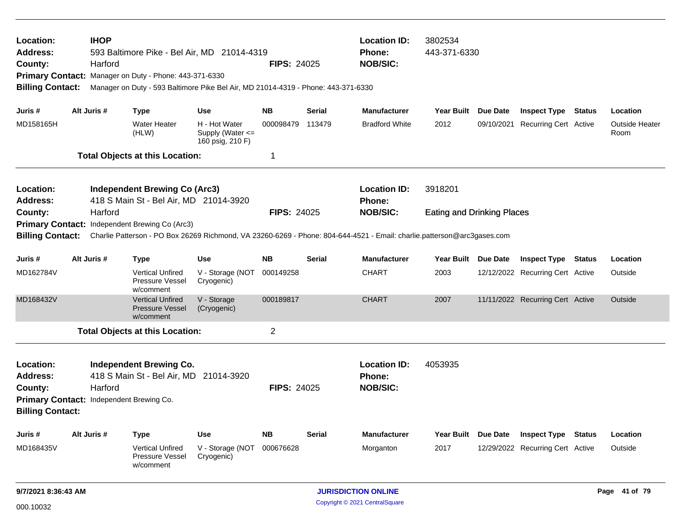| Location:<br><b>Address:</b><br>County:<br><b>Billing Contact:</b>                                             |                                                                                                                         | <b>IHOP</b><br>Harford | 593 Baltimore Pike - Bel Air, MD 21014-4319<br><b>FIPS: 24025</b><br>Primary Contact: Manager on Duty - Phone: 443-371-6330<br>Manager on Duty - 593 Baltimore Pike Bel Air, MD 21014-4319 - Phone: 443-371-6330 |                                                       |                    |               |                                                         | <b>Location ID:</b><br>3802534<br>443-371-6330<br>Phone:<br><b>NOB/SIC:</b> |          |                                  |               |                               |
|----------------------------------------------------------------------------------------------------------------|-------------------------------------------------------------------------------------------------------------------------|------------------------|------------------------------------------------------------------------------------------------------------------------------------------------------------------------------------------------------------------|-------------------------------------------------------|--------------------|---------------|---------------------------------------------------------|-----------------------------------------------------------------------------|----------|----------------------------------|---------------|-------------------------------|
| Juris #                                                                                                        |                                                                                                                         | Alt Juris #            | <b>Type</b>                                                                                                                                                                                                      | <b>Use</b>                                            | <b>NB</b>          | <b>Serial</b> | <b>Manufacturer</b>                                     | Year Built Due Date                                                         |          | <b>Inspect Type</b>              | Status        | Location                      |
| MD158165H                                                                                                      |                                                                                                                         |                        | <b>Water Heater</b><br>(HLW)                                                                                                                                                                                     | H - Hot Water<br>Supply (Water <=<br>160 psig, 210 F) | 000098479          | 113479        | <b>Bradford White</b>                                   | 2012                                                                        |          | 09/10/2021 Recurring Cert Active |               | <b>Outside Heater</b><br>Room |
|                                                                                                                |                                                                                                                         |                        | <b>Total Objects at this Location:</b>                                                                                                                                                                           |                                                       | 1                  |               |                                                         |                                                                             |          |                                  |               |                               |
| Location:<br><b>Address:</b>                                                                                   |                                                                                                                         |                        | <b>Independent Brewing Co (Arc3)</b><br>418 S Main St - Bel Air, MD 21014-3920                                                                                                                                   |                                                       |                    |               | <b>Location ID:</b><br><b>Phone:</b>                    | 3918201                                                                     |          |                                  |               |                               |
| County:                                                                                                        |                                                                                                                         | Harford                |                                                                                                                                                                                                                  |                                                       | <b>FIPS: 24025</b> |               | <b>NOB/SIC:</b>                                         | <b>Eating and Drinking Places</b>                                           |          |                                  |               |                               |
|                                                                                                                |                                                                                                                         |                        | Primary Contact: Independent Brewing Co (Arc3)                                                                                                                                                                   |                                                       |                    |               |                                                         |                                                                             |          |                                  |               |                               |
| <b>Billing Contact:</b>                                                                                        | Charlie Patterson - PO Box 26269 Richmond, VA 23260-6269 - Phone: 804-644-4521 - Email: charlie.patterson@arc3gases.com |                        |                                                                                                                                                                                                                  |                                                       |                    |               |                                                         |                                                                             |          |                                  |               |                               |
| Juris #                                                                                                        |                                                                                                                         | Alt Juris #            | <b>Type</b>                                                                                                                                                                                                      | <b>Use</b>                                            | <b>NB</b>          | <b>Serial</b> | <b>Manufacturer</b>                                     | Year Built Due Date                                                         |          | <b>Inspect Type</b>              | <b>Status</b> | Location                      |
| MD162784V                                                                                                      |                                                                                                                         |                        | <b>Vertical Unfired</b><br>Pressure Vessel<br>w/comment                                                                                                                                                          | V - Storage (NOT<br>Cryogenic)                        | 000149258          |               | <b>CHART</b>                                            | 2003                                                                        |          | 12/12/2022 Recurring Cert Active |               | Outside                       |
| MD168432V                                                                                                      |                                                                                                                         |                        | <b>Vertical Unfired</b><br><b>Pressure Vessel</b><br>w/comment                                                                                                                                                   | V - Storage<br>(Cryogenic)                            | 000189817          |               | <b>CHART</b>                                            | 2007                                                                        |          | 11/11/2022 Recurring Cert Active |               | Outside                       |
|                                                                                                                |                                                                                                                         |                        | <b>Total Objects at this Location:</b>                                                                                                                                                                           |                                                       | $\overline{2}$     |               |                                                         |                                                                             |          |                                  |               |                               |
| Location:<br><b>Address:</b><br>County:<br>Primary Contact: Independent Brewing Co.<br><b>Billing Contact:</b> |                                                                                                                         | Harford                | <b>Independent Brewing Co.</b><br>418 S Main St - Bel Air, MD 21014-3920                                                                                                                                         |                                                       | <b>FIPS: 24025</b> |               | <b>Location ID:</b><br><b>Phone:</b><br><b>NOB/SIC:</b> | 4053935                                                                     |          |                                  |               |                               |
| Juris #                                                                                                        |                                                                                                                         | Alt Juris #            | <b>Type</b>                                                                                                                                                                                                      | <b>Use</b>                                            | <b>NB</b>          | <b>Serial</b> | <b>Manufacturer</b>                                     | <b>Year Built</b>                                                           | Due Date | <b>Inspect Type</b>              | <b>Status</b> | Location                      |
| MD168435V                                                                                                      |                                                                                                                         |                        | <b>Vertical Unfired</b><br><b>Pressure Vessel</b><br>w/comment                                                                                                                                                   | V - Storage (NOT 000676628<br>Cryogenic)              |                    |               | Morganton                                               | 2017                                                                        |          | 12/29/2022 Recurring Cert Active |               | Outside                       |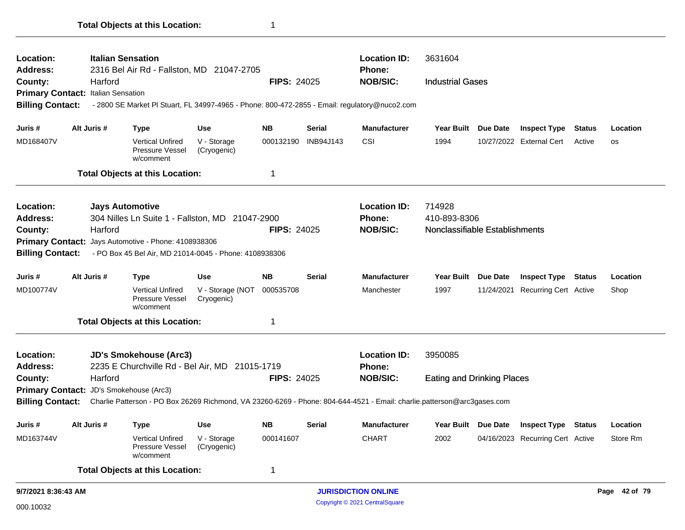| <b>Location:</b><br><b>Address:</b> |                                                                                                                                                    | <b>Italian Sensation</b><br>2316 Bel Air Rd - Fallston, MD 21047-2705                         |                                |                    |               | <b>Location ID:</b><br><b>Phone:</b> | 3631604                           |                 |                                  |               |               |
|-------------------------------------|----------------------------------------------------------------------------------------------------------------------------------------------------|-----------------------------------------------------------------------------------------------|--------------------------------|--------------------|---------------|--------------------------------------|-----------------------------------|-----------------|----------------------------------|---------------|---------------|
| County:                             | Harford                                                                                                                                            |                                                                                               |                                | <b>FIPS: 24025</b> |               | <b>NOB/SIC:</b>                      | <b>Industrial Gases</b>           |                 |                                  |               |               |
|                                     | Primary Contact: Italian Sensation                                                                                                                 |                                                                                               |                                |                    |               |                                      |                                   |                 |                                  |               |               |
| <b>Billing Contact:</b>             |                                                                                                                                                    | - 2800 SE Market PI Stuart, FL 34997-4965 - Phone: 800-472-2855 - Email: regulatory@nuco2.com |                                |                    |               |                                      |                                   |                 |                                  |               |               |
| Juris #                             | Alt Juris #                                                                                                                                        | <b>Type</b>                                                                                   | <b>Use</b>                     | <b>NB</b>          | <b>Serial</b> | <b>Manufacturer</b>                  | Year Built Due Date               |                 | <b>Inspect Type</b>              | <b>Status</b> | Location      |
| MD168407V                           |                                                                                                                                                    | <b>Vertical Unfired</b><br>Pressure Vessel<br>w/comment                                       | V - Storage<br>(Cryogenic)     | 000132190          | INB94J143     | CSI                                  | 1994                              |                 | 10/27/2022 External Cert         | Active        | <b>OS</b>     |
|                                     |                                                                                                                                                    | <b>Total Objects at this Location:</b>                                                        |                                | 1                  |               |                                      |                                   |                 |                                  |               |               |
| <b>Location:</b>                    |                                                                                                                                                    | <b>Jays Automotive</b>                                                                        |                                |                    |               | <b>Location ID:</b>                  | 714928                            |                 |                                  |               |               |
| <b>Address:</b>                     |                                                                                                                                                    | 304 Nilles Ln Suite 1 - Fallston, MD 21047-2900                                               |                                |                    |               | <b>Phone:</b>                        | 410-893-8306                      |                 |                                  |               |               |
| County:                             | Harford                                                                                                                                            |                                                                                               |                                | <b>FIPS: 24025</b> |               | <b>NOB/SIC:</b>                      | Nonclassifiable Establishments    |                 |                                  |               |               |
| <b>Primary Contact:</b>             |                                                                                                                                                    | Jays Automotive - Phone: 4108938306                                                           |                                |                    |               |                                      |                                   |                 |                                  |               |               |
| <b>Billing Contact:</b>             |                                                                                                                                                    | - PO Box 45 Bel Air, MD 21014-0045 - Phone: 4108938306                                        |                                |                    |               |                                      |                                   |                 |                                  |               |               |
| Juris #                             | Alt Juris #                                                                                                                                        | Type                                                                                          | <b>Use</b>                     | <b>NB</b>          | <b>Serial</b> | <b>Manufacturer</b>                  | <b>Year Built</b>                 | <b>Due Date</b> | <b>Inspect Type Status</b>       |               | Location      |
| MD100774V                           |                                                                                                                                                    | <b>Vertical Unfired</b><br>Pressure Vessel<br>w/comment                                       | V - Storage (NOT<br>Cryogenic) | 000535708          |               | Manchester                           | 1997                              |                 | 11/24/2021 Recurring Cert Active |               | Shop          |
|                                     |                                                                                                                                                    | <b>Total Objects at this Location:</b>                                                        |                                | 1                  |               |                                      |                                   |                 |                                  |               |               |
| <b>Location:</b>                    |                                                                                                                                                    | <b>JD's Smokehouse (Arc3)</b>                                                                 |                                |                    |               | <b>Location ID:</b>                  | 3950085                           |                 |                                  |               |               |
| <b>Address:</b>                     |                                                                                                                                                    | 2235 E Churchville Rd - Bel Air, MD 21015-1719                                                |                                |                    |               | <b>Phone:</b>                        |                                   |                 |                                  |               |               |
| County:                             | Harford                                                                                                                                            |                                                                                               |                                | FIPS: 24025        |               | <b>NOB/SIC:</b>                      | <b>Eating and Drinking Places</b> |                 |                                  |               |               |
|                                     | Primary Contact: JD's Smokehouse (Arc3)                                                                                                            |                                                                                               |                                |                    |               |                                      |                                   |                 |                                  |               |               |
|                                     | <b>Billing Contact:</b><br>Charlie Patterson - PO Box 26269 Richmond, VA 23260-6269 - Phone: 804-644-4521 - Email: charlie.patterson@arc3gases.com |                                                                                               |                                |                    |               |                                      |                                   |                 |                                  |               |               |
| Juris #                             | Alt Juris #                                                                                                                                        | Type                                                                                          | <b>Use</b>                     | <b>NB</b>          | <b>Serial</b> | <b>Manufacturer</b>                  | Year Built Due Date               |                 | <b>Inspect Type Status</b>       |               | Location      |
| MD163744V                           |                                                                                                                                                    | <b>Vertical Unfired</b><br>Pressure Vessel<br>w/comment                                       | V - Storage<br>(Cryogenic)     | 000141607          |               | <b>CHART</b>                         | 2002                              |                 | 04/16/2023 Recurring Cert Active |               | Store Rm      |
|                                     |                                                                                                                                                    | <b>Total Objects at this Location:</b>                                                        |                                | 1                  |               |                                      |                                   |                 |                                  |               |               |
| 9/7/2021 8:36:43 AM                 |                                                                                                                                                    |                                                                                               |                                |                    |               | <b>JURISDICTION ONLINE</b>           |                                   |                 |                                  |               | Page 42 of 79 |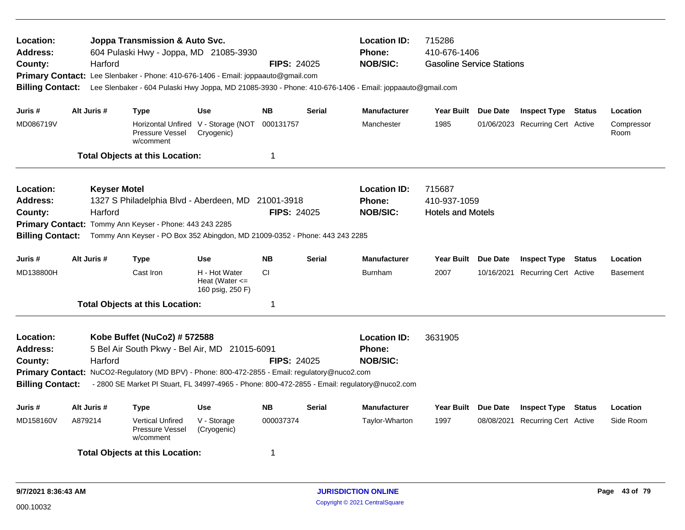| Location:<br><b>Address:</b><br>County:<br><b>Billing Contact:</b> | Harford                        | Joppa Transmission & Auto Svc.<br>604 Pulaski Hwy - Joppa, MD 21085-3930                                                                                                                     |                                                         | <b>Location ID:</b><br><b>Phone:</b><br><b>FIPS: 24025</b><br><b>NOB/SIC:</b><br>Primary Contact: Lee Slenbaker - Phone: 410-676-1406 - Email: joppaauto@gmail.com<br>Lee Slenbaker - 604 Pulaski Hwy Joppa, MD 21085-3930 - Phone: 410-676-1406 - Email: joppaauto@gmail.com |               |                                                                                                                                                          | 715286<br>410-676-1406<br><b>Gasoline Service Stations</b> |                 |                                  |  |                    |
|--------------------------------------------------------------------|--------------------------------|----------------------------------------------------------------------------------------------------------------------------------------------------------------------------------------------|---------------------------------------------------------|-------------------------------------------------------------------------------------------------------------------------------------------------------------------------------------------------------------------------------------------------------------------------------|---------------|----------------------------------------------------------------------------------------------------------------------------------------------------------|------------------------------------------------------------|-----------------|----------------------------------|--|--------------------|
| Juris #                                                            | Alt Juris #                    | <b>Type</b>                                                                                                                                                                                  | <b>Use</b>                                              | <b>NB</b>                                                                                                                                                                                                                                                                     | <b>Serial</b> | <b>Manufacturer</b>                                                                                                                                      | Year Built Due Date                                        |                 | <b>Inspect Type Status</b>       |  | Location           |
| MD086719V                                                          |                                | Pressure Vessel<br>w/comment                                                                                                                                                                 | Horizontal Unfired V - Storage (NOT<br>Cryogenic)       | 000131757                                                                                                                                                                                                                                                                     |               | Manchester                                                                                                                                               | 1985                                                       |                 | 01/06/2023 Recurring Cert Active |  | Compressor<br>Room |
|                                                                    |                                | <b>Total Objects at this Location:</b>                                                                                                                                                       |                                                         | $\mathbf 1$                                                                                                                                                                                                                                                                   |               |                                                                                                                                                          |                                                            |                 |                                  |  |                    |
| Location:<br><b>Address:</b><br>County:<br><b>Billing Contact:</b> | <b>Keyser Motel</b><br>Harford | 1327 S Philadelphia Blvd - Aberdeen, MD 21001-3918<br>Primary Contact: Tommy Ann Keyser - Phone: 443 243 2285<br>Tommy Ann Keyser - PO Box 352 Abingdon, MD 21009-0352 - Phone: 443 243 2285 |                                                         | <b>FIPS: 24025</b>                                                                                                                                                                                                                                                            |               | <b>Location ID:</b><br><b>Phone:</b><br><b>NOB/SIC:</b>                                                                                                  | 715687<br>410-937-1059<br><b>Hotels and Motels</b>         |                 |                                  |  |                    |
| Juris #                                                            | Alt Juris #                    | <b>Type</b>                                                                                                                                                                                  | <b>Use</b>                                              | <b>NB</b>                                                                                                                                                                                                                                                                     | <b>Serial</b> | <b>Manufacturer</b>                                                                                                                                      | <b>Year Built</b>                                          | Due Date        | <b>Inspect Type Status</b>       |  | Location           |
| MD138800H                                                          |                                | Cast Iron                                                                                                                                                                                    | H - Hot Water<br>Heat (Water $\leq$<br>160 psig, 250 F) | <b>CI</b>                                                                                                                                                                                                                                                                     |               | <b>Burnham</b>                                                                                                                                           | 2007                                                       |                 | 10/16/2021 Recurring Cert Active |  | <b>Basement</b>    |
|                                                                    |                                | <b>Total Objects at this Location:</b>                                                                                                                                                       |                                                         | 1                                                                                                                                                                                                                                                                             |               |                                                                                                                                                          |                                                            |                 |                                  |  |                    |
| Location:<br><b>Address:</b><br>County:<br><b>Billing Contact:</b> | Harford                        | Kobe Buffet (NuCo2) # 572588<br>5 Bel Air South Pkwy - Bel Air, MD 21015-6091<br>Primary Contact: NuCO2-Regulatory (MD BPV) - Phone: 800-472-2855 - Email: regulatory@nuco2.com              |                                                         | <b>FIPS: 24025</b>                                                                                                                                                                                                                                                            |               | <b>Location ID:</b><br><b>Phone:</b><br><b>NOB/SIC:</b><br>- 2800 SE Market PI Stuart, FL 34997-4965 - Phone: 800-472-2855 - Email: regulatory@nuco2.com | 3631905                                                    |                 |                                  |  |                    |
| Juris #                                                            | Alt Juris #                    | <b>Type</b>                                                                                                                                                                                  | <b>Use</b>                                              | <b>NB</b>                                                                                                                                                                                                                                                                     | <b>Serial</b> | <b>Manufacturer</b>                                                                                                                                      | <b>Year Built</b>                                          | <b>Due Date</b> | <b>Inspect Type Status</b>       |  | Location           |
| MD158160V                                                          | A879214                        | <b>Vertical Unfired</b><br>Pressure Vessel<br>w/comment                                                                                                                                      | V - Storage<br>(Cryogenic)                              | 000037374                                                                                                                                                                                                                                                                     |               | Taylor-Wharton                                                                                                                                           | 1997                                                       |                 | 08/08/2021 Recurring Cert Active |  | Side Room          |
|                                                                    |                                | <b>Total Objects at this Location:</b>                                                                                                                                                       |                                                         | 1                                                                                                                                                                                                                                                                             |               |                                                                                                                                                          |                                                            |                 |                                  |  |                    |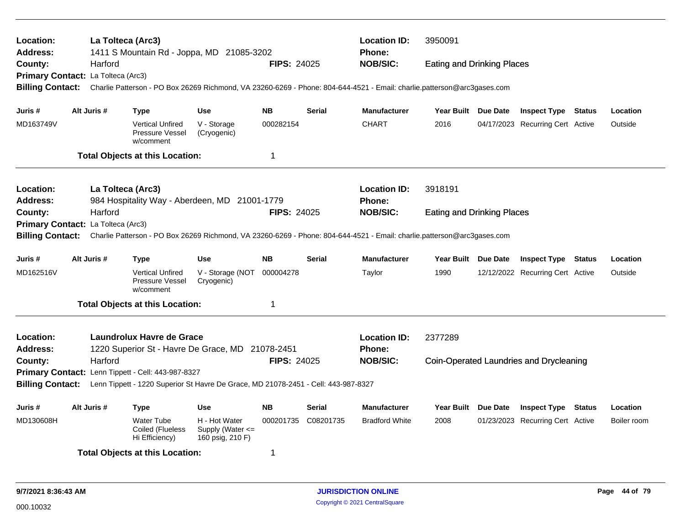| La Tolteca (Arc3)<br><b>Location ID:</b><br>3950091<br>Location:<br>1411 S Mountain Rd - Joppa, MD 21085-3202<br><b>Phone:</b><br><b>Address:</b><br><b>NOB/SIC:</b><br>Harford<br><b>FIPS: 24025</b><br>County:<br><b>Eating and Drinking Places</b><br>Primary Contact: La Tolteca (Arc3)<br><b>Billing Contact:</b><br>Charlie Patterson - PO Box 26269 Richmond, VA 23260-6269 - Phone: 804-644-4521 - Email: charlie.patterson@arc3gases.com |                                    |                                                                                                                         |                                                                                                                                                       |                    |                 |                                      |                     |                 |                                         |        |          |
|---------------------------------------------------------------------------------------------------------------------------------------------------------------------------------------------------------------------------------------------------------------------------------------------------------------------------------------------------------------------------------------------------------------------------------------------------|------------------------------------|-------------------------------------------------------------------------------------------------------------------------|-------------------------------------------------------------------------------------------------------------------------------------------------------|--------------------|-----------------|--------------------------------------|---------------------|-----------------|-----------------------------------------|--------|----------|
|                                                                                                                                                                                                                                                                                                                                                                                                                                                   |                                    |                                                                                                                         |                                                                                                                                                       |                    |                 |                                      |                     |                 |                                         |        |          |
| Juris #                                                                                                                                                                                                                                                                                                                                                                                                                                           | Alt Juris #                        | Type                                                                                                                    | <b>Use</b>                                                                                                                                            | <b>NB</b>          | <b>Serial</b>   | <b>Manufacturer</b>                  | <b>Year Built</b>   | Due Date        | <b>Inspect Type</b>                     | Status | Location |
| MD163749V                                                                                                                                                                                                                                                                                                                                                                                                                                         |                                    | <b>Vertical Unfired</b><br>Pressure Vessel<br>w/comment                                                                 | V - Storage<br>(Cryogenic)                                                                                                                            | 000282154          |                 | <b>CHART</b>                         | 2016                |                 | 04/17/2023 Recurring Cert Active        |        | Outside  |
|                                                                                                                                                                                                                                                                                                                                                                                                                                                   |                                    | <b>Total Objects at this Location:</b>                                                                                  |                                                                                                                                                       | $\mathbf 1$        |                 |                                      |                     |                 |                                         |        |          |
| Location:<br><b>Address:</b>                                                                                                                                                                                                                                                                                                                                                                                                                      |                                    | La Tolteca (Arc3)<br>984 Hospitality Way - Aberdeen, MD 21001-1779                                                      |                                                                                                                                                       |                    |                 | <b>Location ID:</b><br>Phone:        | 3918191             |                 |                                         |        |          |
| County:                                                                                                                                                                                                                                                                                                                                                                                                                                           | Harford                            |                                                                                                                         | <b>FIPS: 24025</b>                                                                                                                                    |                    | <b>NOB/SIC:</b> | <b>Eating and Drinking Places</b>    |                     |                 |                                         |        |          |
| <b>Billing Contact:</b>                                                                                                                                                                                                                                                                                                                                                                                                                           | Primary Contact: La Tolteca (Arc3) | Charlie Patterson - PO Box 26269 Richmond, VA 23260-6269 - Phone: 804-644-4521 - Email: charlie.patterson@arc3gases.com |                                                                                                                                                       |                    |                 |                                      |                     |                 |                                         |        |          |
| Juris #                                                                                                                                                                                                                                                                                                                                                                                                                                           | Alt Juris #                        | Type                                                                                                                    | <b>Use</b>                                                                                                                                            | <b>NB</b>          | <b>Serial</b>   | <b>Manufacturer</b>                  | Year Built Due Date |                 | <b>Inspect Type Status</b>              |        | Location |
| MD162516V                                                                                                                                                                                                                                                                                                                                                                                                                                         |                                    | <b>Vertical Unfired</b><br>Pressure Vessel<br>w/comment                                                                 | V - Storage (NOT<br>Cryogenic)                                                                                                                        | 000004278          |                 | Taylor                               | 1990                |                 | 12/12/2022 Recurring Cert Active        |        | Outside  |
|                                                                                                                                                                                                                                                                                                                                                                                                                                                   |                                    | <b>Total Objects at this Location:</b>                                                                                  |                                                                                                                                                       | $\mathbf 1$        |                 |                                      |                     |                 |                                         |        |          |
| Location:<br>Address:                                                                                                                                                                                                                                                                                                                                                                                                                             |                                    | Laundrolux Havre de Grace<br>1220 Superior St - Havre De Grace, MD 21078-2451                                           |                                                                                                                                                       |                    |                 | <b>Location ID:</b><br><b>Phone:</b> | 2377289             |                 |                                         |        |          |
| County:                                                                                                                                                                                                                                                                                                                                                                                                                                           | Harford                            |                                                                                                                         |                                                                                                                                                       | <b>FIPS: 24025</b> |                 | <b>NOB/SIC:</b>                      |                     |                 | Coin-Operated Laundries and Drycleaning |        |          |
| <b>Primary Contact:</b>                                                                                                                                                                                                                                                                                                                                                                                                                           |                                    | Lenn Tippett - Cell: 443-987-8327                                                                                       |                                                                                                                                                       |                    |                 |                                      |                     |                 |                                         |        |          |
| <b>Billing Contact:</b>                                                                                                                                                                                                                                                                                                                                                                                                                           |                                    | Lenn Tippett - 1220 Superior St Havre De Grace, MD 21078-2451 - Cell: 443-987-8327                                      |                                                                                                                                                       |                    |                 |                                      |                     |                 |                                         |        |          |
| Juris #                                                                                                                                                                                                                                                                                                                                                                                                                                           | Alt Juris #                        | Type                                                                                                                    | <b>Use</b>                                                                                                                                            | <b>NB</b>          | Serial          | <b>Manufacturer</b>                  | Year Built          | <b>Due Date</b> | <b>Inspect Type</b>                     | Status | Location |
| MD130608H                                                                                                                                                                                                                                                                                                                                                                                                                                         |                                    | <b>Water Tube</b><br>Coiled (Flueless<br>Hi Efficiency)                                                                 | H - Hot Water<br>000201735 C08201735<br><b>Bradford White</b><br>2008<br>01/23/2023 Recurring Cert Active<br>Supply (Water $\leq$<br>160 psig, 210 F) |                    |                 |                                      |                     | Boiler room     |                                         |        |          |
|                                                                                                                                                                                                                                                                                                                                                                                                                                                   |                                    | <b>Total Objects at this Location:</b>                                                                                  |                                                                                                                                                       | 1                  |                 |                                      |                     |                 |                                         |        |          |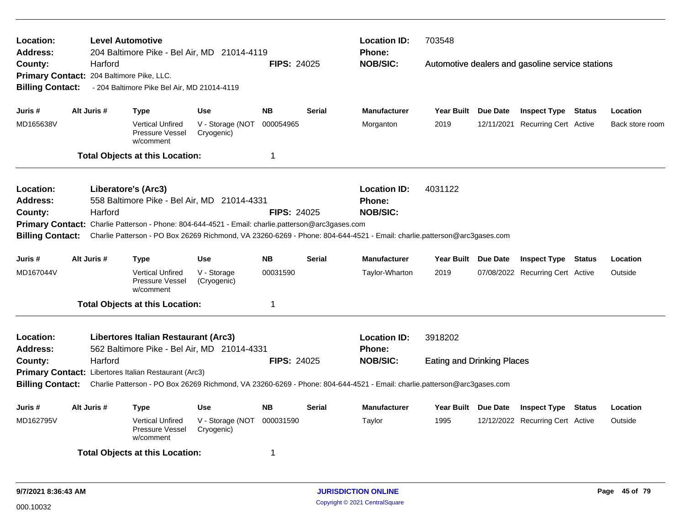| <b>Location:</b><br><b>Address:</b><br>County: | Harford     | <b>Level Automotive</b><br>204 Baltimore Pike - Bel Air, MD 21014-4119<br>Primary Contact: 204 Baltimore Pike, LLC.                                                                                                          |                                | <b>FIPS: 24025</b>               |               | <b>Location ID:</b><br>Phone:<br><b>NOB/SIC:</b> | 703548<br>Automotive dealers and gasoline service stations |                     |                                  |        |                 |
|------------------------------------------------|-------------|------------------------------------------------------------------------------------------------------------------------------------------------------------------------------------------------------------------------------|--------------------------------|----------------------------------|---------------|--------------------------------------------------|------------------------------------------------------------|---------------------|----------------------------------|--------|-----------------|
| <b>Billing Contact:</b>                        |             | - 204 Baltimore Pike Bel Air, MD 21014-4119                                                                                                                                                                                  |                                |                                  |               |                                                  |                                                            |                     |                                  |        |                 |
| Juris #                                        | Alt Juris # | <b>Type</b>                                                                                                                                                                                                                  | <b>Use</b>                     | <b>NB</b>                        | Serial        | <b>Manufacturer</b>                              |                                                            | Year Built Due Date | <b>Inspect Type Status</b>       |        | Location        |
| MD165638V                                      |             | <b>Vertical Unfired</b><br><b>Pressure Vessel</b><br>w/comment                                                                                                                                                               | V - Storage (NOT<br>Cryogenic) | 000054965                        |               | Morganton                                        | 2019                                                       |                     | 12/11/2021 Recurring Cert Active |        | Back store room |
|                                                |             | <b>Total Objects at this Location:</b>                                                                                                                                                                                       |                                | $\mathbf 1$                      |               |                                                  |                                                            |                     |                                  |        |                 |
| <b>Location:</b>                               |             | Liberatore's (Arc3)                                                                                                                                                                                                          |                                |                                  |               | <b>Location ID:</b>                              | 4031122                                                    |                     |                                  |        |                 |
| <b>Address:</b><br>County:                     | Harford     | 558 Baltimore Pike - Bel Air, MD 21014-4331                                                                                                                                                                                  | <b>FIPS: 24025</b>             | <b>Phone:</b><br><b>NOB/SIC:</b> |               |                                                  |                                                            |                     |                                  |        |                 |
| <b>Billing Contact:</b>                        |             | Primary Contact: Charlie Patterson - Phone: 804-644-4521 - Email: charlie.patterson@arc3gases.com<br>Charlie Patterson - PO Box 26269 Richmond, VA 23260-6269 - Phone: 804-644-4521 - Email: charlie.patterson@arc3gases.com |                                |                                  |               |                                                  |                                                            |                     |                                  |        |                 |
| Juris #                                        | Alt Juris # | Type                                                                                                                                                                                                                         | <b>Use</b>                     | <b>NB</b>                        | <b>Serial</b> | <b>Manufacturer</b>                              |                                                            | Year Built Due Date | <b>Inspect Type Status</b>       |        | Location        |
| MD167044V                                      |             | <b>Vertical Unfired</b><br>Pressure Vessel<br>w/comment                                                                                                                                                                      | V - Storage<br>(Cryogenic)     | 00031590                         |               | Taylor-Wharton                                   | 2019                                                       |                     | 07/08/2022 Recurring Cert Active |        | Outside         |
|                                                |             | <b>Total Objects at this Location:</b>                                                                                                                                                                                       |                                | -1                               |               |                                                  |                                                            |                     |                                  |        |                 |
| Location:<br><b>Address:</b>                   |             | Libertores Italian Restaurant (Arc3)<br>562 Baltimore Pike - Bel Air, MD 21014-4331                                                                                                                                          |                                |                                  |               | <b>Location ID:</b><br><b>Phone:</b>             | 3918202                                                    |                     |                                  |        |                 |
| County:                                        | Harford     |                                                                                                                                                                                                                              |                                | <b>FIPS: 24025</b>               |               | <b>NOB/SIC:</b>                                  | <b>Eating and Drinking Places</b>                          |                     |                                  |        |                 |
|                                                |             | Primary Contact: Libertores Italian Restaurant (Arc3)<br>Charlie Patterson - PO Box 26269 Richmond, VA 23260-6269 - Phone: 804-644-4521 - Email: charlie.patterson@arc3gases.com                                             |                                |                                  |               |                                                  |                                                            |                     |                                  |        |                 |
| <b>Billing Contact:</b>                        |             |                                                                                                                                                                                                                              |                                |                                  |               |                                                  |                                                            |                     |                                  |        |                 |
| Juris #                                        | Alt Juris # | <b>Type</b>                                                                                                                                                                                                                  | <b>Use</b>                     | <b>NB</b>                        | <b>Serial</b> | <b>Manufacturer</b>                              |                                                            | Year Built Due Date | <b>Inspect Type</b>              | Status | Location        |
| MD162795V                                      |             | <b>Vertical Unfired</b><br>Pressure Vessel<br>w/comment                                                                                                                                                                      | V - Storage (NOT<br>Cryogenic) | 000031590                        |               | Taylor                                           | 1995                                                       |                     | 12/12/2022 Recurring Cert Active |        | Outside         |
|                                                |             | <b>Total Objects at this Location:</b>                                                                                                                                                                                       |                                | -1                               |               |                                                  |                                                            |                     |                                  |        |                 |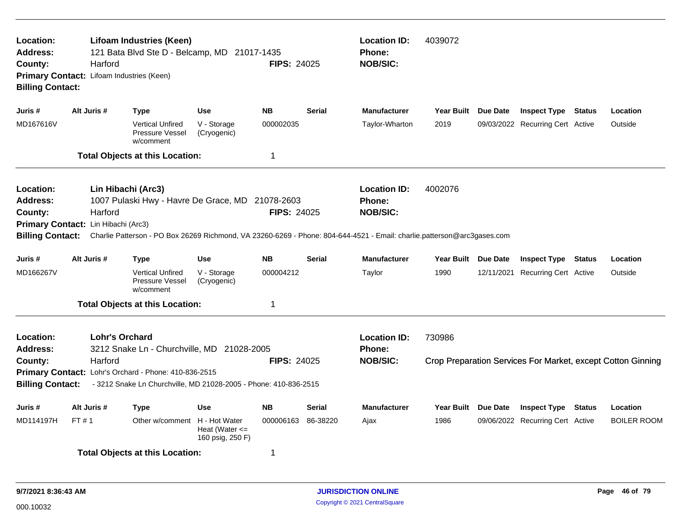| Location:<br><b>Address:</b><br>County:<br><b>Billing Contact:</b> | Harford<br>Primary Contact: Lifoam Industries (Keen) | <b>Lifoam Industries (Keen)</b><br>121 Bata Blvd Ste D - Belcamp, MD 21017-1435                                                                                         |                                        | <b>FIPS: 24025</b> |               | <b>Location ID:</b><br>Phone:<br><b>NOB/SIC:</b>                                                                                                                            | 4039072             |          |                                  |        |                                                             |
|--------------------------------------------------------------------|------------------------------------------------------|-------------------------------------------------------------------------------------------------------------------------------------------------------------------------|----------------------------------------|--------------------|---------------|-----------------------------------------------------------------------------------------------------------------------------------------------------------------------------|---------------------|----------|----------------------------------|--------|-------------------------------------------------------------|
| Juris #                                                            | Alt Juris #                                          | <b>Type</b>                                                                                                                                                             | <b>Use</b>                             | <b>NB</b>          | <b>Serial</b> | <b>Manufacturer</b>                                                                                                                                                         | Year Built Due Date |          | <b>Inspect Type Status</b>       |        | Location                                                    |
| MD167616V                                                          |                                                      | <b>Vertical Unfired</b><br>Pressure Vessel<br>w/comment                                                                                                                 | V - Storage<br>(Cryogenic)             | 000002035          |               | Taylor-Wharton                                                                                                                                                              | 2019                |          | 09/03/2022 Recurring Cert Active |        | Outside                                                     |
|                                                                    |                                                      | <b>Total Objects at this Location:</b>                                                                                                                                  |                                        | $\mathbf 1$        |               |                                                                                                                                                                             |                     |          |                                  |        |                                                             |
| Location:<br><b>Address:</b><br>County:<br><b>Billing Contact:</b> | Harford<br>Primary Contact: Lin Hibachi (Arc3)       | Lin Hibachi (Arc3)<br>1007 Pulaski Hwy - Havre De Grace, MD 21078-2603                                                                                                  |                                        | FIPS: 24025        |               | <b>Location ID:</b><br>Phone:<br><b>NOB/SIC:</b><br>Charlie Patterson - PO Box 26269 Richmond, VA 23260-6269 - Phone: 804-644-4521 - Email: charlie.patterson@arc3gases.com | 4002076             |          |                                  |        |                                                             |
| Juris #                                                            | Alt Juris #                                          | <b>Type</b>                                                                                                                                                             | <b>Use</b>                             | <b>NB</b>          | <b>Serial</b> | <b>Manufacturer</b>                                                                                                                                                         | Year Built Due Date |          | <b>Inspect Type Status</b>       |        | Location                                                    |
| MD166267V                                                          |                                                      | <b>Vertical Unfired</b><br>Pressure Vessel<br>w/comment                                                                                                                 | V - Storage<br>(Cryogenic)             | 000004212          |               | Taylor                                                                                                                                                                      | 1990                |          | 12/11/2021 Recurring Cert Active |        | Outside                                                     |
|                                                                    |                                                      | <b>Total Objects at this Location:</b>                                                                                                                                  |                                        | -1                 |               |                                                                                                                                                                             |                     |          |                                  |        |                                                             |
| Location:<br><b>Address:</b><br>County:<br><b>Billing Contact:</b> | <b>Lohr's Orchard</b><br>Harford                     | 3212 Snake Ln - Churchville, MD 21028-2005<br>Primary Contact: Lohr's Orchard - Phone: 410-836-2515<br>- 3212 Snake Ln Churchville, MD 21028-2005 - Phone: 410-836-2515 |                                        | <b>FIPS: 24025</b> |               | <b>Location ID:</b><br><b>Phone:</b><br><b>NOB/SIC:</b>                                                                                                                     | 730986              |          |                                  |        | Crop Preparation Services For Market, except Cotton Ginning |
| Juris #                                                            | Alt Juris #                                          | <b>Type</b>                                                                                                                                                             | <b>Use</b>                             | <b>NB</b>          | <b>Serial</b> | <b>Manufacturer</b>                                                                                                                                                         | <b>Year Built</b>   | Due Date | <b>Inspect Type</b>              | Status | Location                                                    |
| MD114197H                                                          | FT #1                                                | Other w/comment H - Hot Water                                                                                                                                           | Heat (Water $\leq$<br>160 psig, 250 F) | 000006163 86-38220 |               | Ajax                                                                                                                                                                        | 1986                |          | 09/06/2022 Recurring Cert Active |        | <b>BOILER ROOM</b>                                          |
|                                                                    |                                                      | <b>Total Objects at this Location:</b>                                                                                                                                  |                                        | -1                 |               |                                                                                                                                                                             |                     |          |                                  |        |                                                             |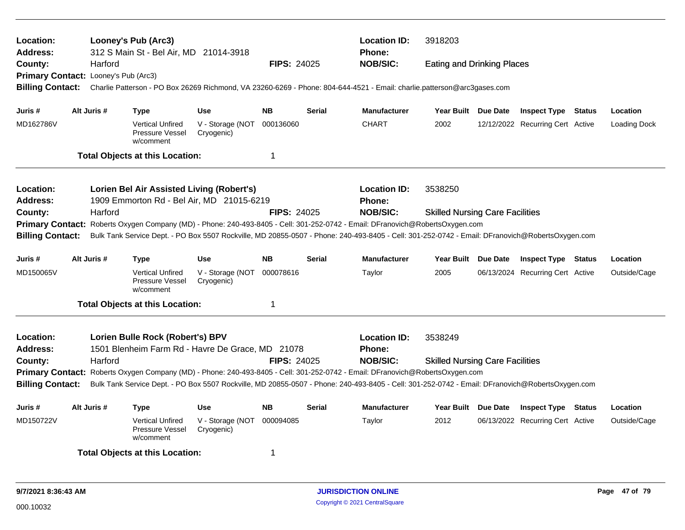| <b>Location:</b><br>Address:                                                                                                                                                                                                                                                                                |                                      | Looney's Pub (Arc3)<br>312 S Main St - Bel Air, MD 21014-3918                          |                                |                    |               | <b>Location ID:</b><br><b>Phone:</b>                                                                                                            | 3918203                                |                                  |                     |
|-------------------------------------------------------------------------------------------------------------------------------------------------------------------------------------------------------------------------------------------------------------------------------------------------------------|--------------------------------------|----------------------------------------------------------------------------------------|--------------------------------|--------------------|---------------|-------------------------------------------------------------------------------------------------------------------------------------------------|----------------------------------------|----------------------------------|---------------------|
| County:                                                                                                                                                                                                                                                                                                     | Harford                              |                                                                                        |                                | <b>FIPS: 24025</b> |               | <b>NOB/SIC:</b>                                                                                                                                 | <b>Eating and Drinking Places</b>      |                                  |                     |
|                                                                                                                                                                                                                                                                                                             | Primary Contact: Looney's Pub (Arc3) |                                                                                        |                                |                    |               |                                                                                                                                                 |                                        |                                  |                     |
| <b>Billing Contact:</b>                                                                                                                                                                                                                                                                                     |                                      |                                                                                        |                                |                    |               | Charlie Patterson - PO Box 26269 Richmond, VA 23260-6269 - Phone: 804-644-4521 - Email: charlie.patterson@arc3gases.com                         |                                        |                                  |                     |
| Juris #                                                                                                                                                                                                                                                                                                     | Alt Juris #                          | <b>Type</b>                                                                            | <b>Use</b>                     | <b>NB</b>          | <b>Serial</b> | <b>Manufacturer</b>                                                                                                                             | Year Built Due Date                    | <b>Inspect Type Status</b>       | Location            |
| MD162786V                                                                                                                                                                                                                                                                                                   |                                      | <b>Vertical Unfired</b><br>Pressure Vessel<br>w/comment                                | V - Storage (NOT<br>Cryogenic) | 000136060          |               | <b>CHART</b>                                                                                                                                    | 2002                                   | 12/12/2022 Recurring Cert Active | <b>Loading Dock</b> |
|                                                                                                                                                                                                                                                                                                             |                                      | <b>Total Objects at this Location:</b>                                                 |                                | $\mathbf 1$        |               |                                                                                                                                                 |                                        |                                  |                     |
| Location:<br><b>Address:</b>                                                                                                                                                                                                                                                                                |                                      | Lorien Bel Air Assisted Living (Robert's)<br>1909 Emmorton Rd - Bel Air, MD 21015-6219 |                                |                    |               | <b>Location ID:</b><br><b>Phone:</b>                                                                                                            | 3538250                                |                                  |                     |
|                                                                                                                                                                                                                                                                                                             |                                      |                                                                                        |                                |                    |               | <b>NOB/SIC:</b>                                                                                                                                 | <b>Skilled Nursing Care Facilities</b> |                                  |                     |
| County:<br>Harford<br><b>FIPS: 24025</b><br>Primary Contact: Roberts Oxygen Company (MD) - Phone: 240-493-8405 - Cell: 301-252-0742 - Email: DFranovich@RobertsOxygen.com                                                                                                                                   |                                      |                                                                                        |                                |                    |               |                                                                                                                                                 |                                        |                                  |                     |
| <b>Billing Contact:</b>                                                                                                                                                                                                                                                                                     |                                      |                                                                                        |                                |                    |               | Bulk Tank Service Dept. - PO Box 5507 Rockville, MD 20855-0507 - Phone: 240-493-8405 - Cell: 301-252-0742 - Email: DFranovich@RobertsOxygen.com |                                        |                                  |                     |
|                                                                                                                                                                                                                                                                                                             |                                      |                                                                                        |                                |                    |               |                                                                                                                                                 |                                        |                                  |                     |
| Juris #                                                                                                                                                                                                                                                                                                     | Alt Juris #                          | <b>Type</b>                                                                            | <b>Use</b>                     | <b>NB</b>          | <b>Serial</b> | <b>Manufacturer</b>                                                                                                                             | Year Built Due Date                    | <b>Inspect Type Status</b>       | Location            |
| MD150065V                                                                                                                                                                                                                                                                                                   |                                      | <b>Vertical Unfired</b><br>Pressure Vessel<br>w/comment                                | V - Storage (NOT<br>Cryogenic) | 000078616          |               | Taylor                                                                                                                                          | 2005                                   | 06/13/2024 Recurring Cert Active | Outside/Cage        |
|                                                                                                                                                                                                                                                                                                             |                                      | <b>Total Objects at this Location:</b>                                                 |                                | -1                 |               |                                                                                                                                                 |                                        |                                  |                     |
| <b>Location:</b>                                                                                                                                                                                                                                                                                            |                                      | Lorien Bulle Rock (Robert's) BPV                                                       |                                |                    |               | <b>Location ID:</b>                                                                                                                             | 3538249                                |                                  |                     |
| <b>Address:</b>                                                                                                                                                                                                                                                                                             |                                      | 1501 Blenheim Farm Rd - Havre De Grace, MD 21078                                       |                                |                    |               | <b>Phone:</b>                                                                                                                                   |                                        |                                  |                     |
| County:                                                                                                                                                                                                                                                                                                     | Harford                              |                                                                                        |                                | <b>FIPS: 24025</b> |               | <b>NOB/SIC:</b>                                                                                                                                 | <b>Skilled Nursing Care Facilities</b> |                                  |                     |
|                                                                                                                                                                                                                                                                                                             |                                      |                                                                                        |                                |                    |               |                                                                                                                                                 |                                        |                                  |                     |
| Primary Contact: Roberts Oxygen Company (MD) - Phone: 240-493-8405 - Cell: 301-252-0742 - Email: DFranovich@RobertsOxygen.com<br><b>Billing Contact:</b><br>Bulk Tank Service Dept. - PO Box 5507 Rockville, MD 20855-0507 - Phone: 240-493-8405 - Cell: 301-252-0742 - Email: DFranovich@RobertsOxygen.com |                                      |                                                                                        |                                |                    |               |                                                                                                                                                 |                                        |                                  |                     |
| Juris #                                                                                                                                                                                                                                                                                                     | Alt Juris #                          | <b>Type</b>                                                                            | <b>Use</b>                     | <b>NB</b>          | <b>Serial</b> | <b>Manufacturer</b>                                                                                                                             | Year Built Due Date                    | <b>Inspect Type Status</b>       | Location            |
| MD150722V                                                                                                                                                                                                                                                                                                   |                                      | <b>Vertical Unfired</b><br>Pressure Vessel<br>w/comment                                | V - Storage (NOT<br>Cryogenic) | 000094085          |               | Taylor                                                                                                                                          | 2012                                   | 06/13/2022 Recurring Cert Active | Outside/Cage        |
| <b>Total Objects at this Location:</b><br>$\overline{1}$                                                                                                                                                                                                                                                    |                                      |                                                                                        |                                |                    |               |                                                                                                                                                 |                                        |                                  |                     |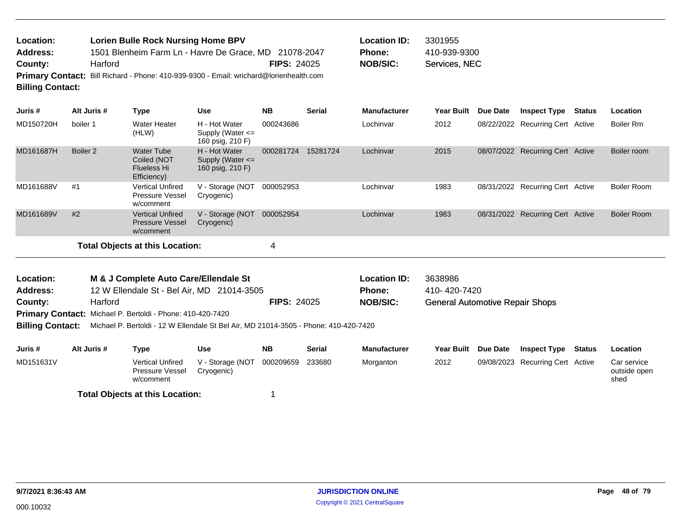| <b>Location:</b>        | <b>Lorien Bulle Rock Nursing Home BPV</b>                                              |                    | <b>Location ID:</b> | 3301955  |
|-------------------------|----------------------------------------------------------------------------------------|--------------------|---------------------|----------|
| <b>Address:</b>         | 1501 Blenheim Farm Ln - Havre De Grace, MD 21078-2047                                  |                    | <b>Phone:</b>       | 410-939- |
| County:                 | Harford                                                                                | <b>FIPS: 24025</b> | <b>NOB/SIC:</b>     | Services |
|                         | Primary Contact: Bill Richard - Phone: 410-939-9300 - Email: wrichard@lorienhealth.com |                    |                     |          |
| <b>Billing Contact:</b> |                                                                                        |                    |                     |          |

| Location ID: | 3301955       |
|--------------|---------------|
| Phone:       | 410-939-9300  |
| NOB/SIC:     | Services, NEC |

| Juris #   | Alt Juris #         | Type                                                                  | <b>Use</b>                                                | <b>NB</b> | <b>Serial</b> | <b>Manufacturer</b> | <b>Year Built</b> | Due Date | <b>Inspect Type</b>              | <b>Status</b> | Location           |
|-----------|---------------------|-----------------------------------------------------------------------|-----------------------------------------------------------|-----------|---------------|---------------------|-------------------|----------|----------------------------------|---------------|--------------------|
| MD150720H | boiler 1            | Water Heater<br>(HLW)                                                 | H - Hot Water<br>Supply (Water $\leq$<br>160 psig, 210 F) | 000243686 |               | Lochinvar           | 2012              |          | 08/22/2022 Recurring Cert Active |               | Boiler Rm          |
| MD161687H | Boiler <sub>2</sub> | <b>Water Tube</b><br>Coiled (NOT<br><b>Flueless Hi</b><br>Efficiency) | H - Hot Water<br>Supply (Water $\leq$<br>160 psig, 210 F) | 000281724 | 15281724      | Lochinvar           | 2015              |          | 08/07/2022 Recurring Cert Active |               | Boiler room        |
| MD161688V | #1                  | <b>Vertical Unfired</b><br><b>Pressure Vessel</b><br>w/comment        | V - Storage (NOT<br>Cryogenic)                            | 000052953 |               | Lochinvar           | 1983              |          | 08/31/2022 Recurring Cert Active |               | Boiler Room        |
| MD161689V | #2                  | <b>Vertical Unfired</b><br><b>Pressure Vessel</b><br>w/comment        | V - Storage (NOT<br>Cryogenic)                            | 000052954 |               | Lochinvar           | 1983              |          | 08/31/2022 Recurring Cert Active |               | <b>Boiler Room</b> |
|           |                     | <b>Total Objects at this Location:</b>                                |                                                           | 4         |               |                     |                   |          |                                  |               |                    |

| Location:       | M & J Complete Auto Care/Ellendale St                             |                    | <b>Location ID:</b> | 3638986                                |
|-----------------|-------------------------------------------------------------------|--------------------|---------------------|----------------------------------------|
| <b>Address:</b> | 12 W Ellendale St - Bel Air, MD 21014-3505                        |                    | <b>Phone:</b>       | 410- 420-7420                          |
| County:         | Harford                                                           | <b>FIPS: 24025</b> | NOB/SIC:            | <b>General Automotive Repair Shops</b> |
|                 | <b>Primary Contact:</b> Michael P. Bertoldi - Phone: 410-420-7420 |                    |                     |                                        |

**Billing Contact:** Michael P. Bertoldi - 12 W Ellendale St Bel Air, MD 21014-3505 - Phone: 410-420-7420

| Juris #   | Alt Juris # | Type                                                           | Use                            | <b>NB</b> | <b>Serial</b> | <b>Manufacturer</b> | Year Built | <b>Due Date</b> | Inspect Type                     | Status | Location                            |
|-----------|-------------|----------------------------------------------------------------|--------------------------------|-----------|---------------|---------------------|------------|-----------------|----------------------------------|--------|-------------------------------------|
| MD151631V |             | <b>Vertical Unfired</b><br><b>Pressure Vessel</b><br>w/comment | V - Storage (NOT<br>Crvogenic) | 000209659 | 233680        | Morganton           | 2012       |                 | 09/08/2023 Recurring Cert Active |        | Car service<br>outside open<br>shed |
|           |             | <b>Total Objects at this Location:</b>                         |                                |           |               |                     |            |                 |                                  |        |                                     |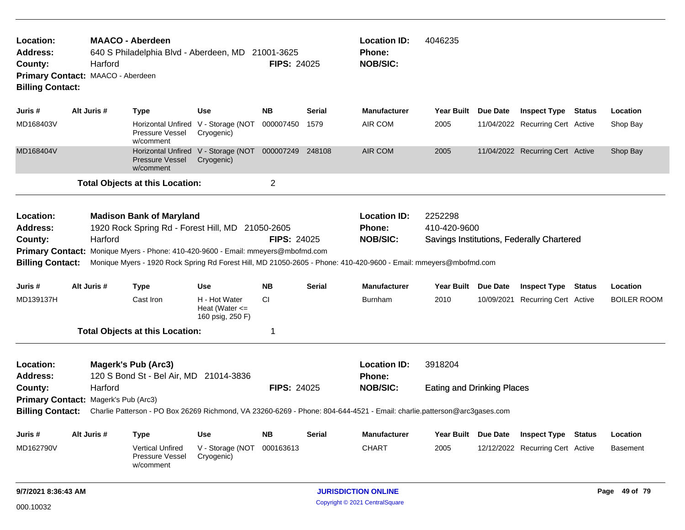| Location:<br><b>Address:</b><br>County:<br><b>Billing Contact:</b>                                                                                                                                                                                                                                                                                                                                                     | Harford<br>Primary Contact: MAACO - Aberdeen    | <b>MAACO - Aberdeen</b><br>640 S Philadelphia Blvd - Aberdeen, MD 21001-3625 |                                                                    | <b>FIPS: 24025</b> |        | <b>Location ID:</b><br>Phone:<br><b>NOB/SIC:</b>                                                                                                                            | 4046235                 |                                   |                                           |        |                    |  |
|------------------------------------------------------------------------------------------------------------------------------------------------------------------------------------------------------------------------------------------------------------------------------------------------------------------------------------------------------------------------------------------------------------------------|-------------------------------------------------|------------------------------------------------------------------------------|--------------------------------------------------------------------|--------------------|--------|-----------------------------------------------------------------------------------------------------------------------------------------------------------------------------|-------------------------|-----------------------------------|-------------------------------------------|--------|--------------------|--|
| Juris #                                                                                                                                                                                                                                                                                                                                                                                                                | Alt Juris #                                     | <b>Type</b>                                                                  | <b>Use</b>                                                         | <b>NB</b>          | Serial | <b>Manufacturer</b>                                                                                                                                                         | Year Built Due Date     |                                   | <b>Inspect Type Status</b>                |        | Location           |  |
| MD168403V                                                                                                                                                                                                                                                                                                                                                                                                              |                                                 | Pressure Vessel<br>w/comment                                                 | Horizontal Unfired V - Storage (NOT<br>Cryogenic)                  | 000007450          | 1579   | AIR COM                                                                                                                                                                     | 2005                    |                                   | 11/04/2022 Recurring Cert Active          |        | Shop Bay           |  |
| MD168404V                                                                                                                                                                                                                                                                                                                                                                                                              |                                                 | <b>Pressure Vessel</b><br>w/comment                                          | Horizontal Unfired V - Storage (NOT 000007249 248108<br>Cryogenic) |                    |        | AIR COM                                                                                                                                                                     | 2005                    |                                   | 11/04/2022 Recurring Cert Active          |        | Shop Bay           |  |
|                                                                                                                                                                                                                                                                                                                                                                                                                        |                                                 |                                                                              |                                                                    | $\overline{c}$     |        |                                                                                                                                                                             |                         |                                   |                                           |        |                    |  |
| <b>Total Objects at this Location:</b><br>Location:<br><b>Madison Bank of Maryland</b><br>1920 Rock Spring Rd - Forest Hill, MD 21050-2605<br><b>Address:</b><br>Harford<br>County:<br>Primary Contact: Monique Myers - Phone: 410-420-9600 - Email: mmeyers@mbofmd.com<br><b>Billing Contact:</b><br>Monique Myers - 1920 Rock Spring Rd Forest Hill, MD 21050-2605 - Phone: 410-420-9600 - Email: mmeyers@mbofmd.com |                                                 |                                                                              |                                                                    | <b>FIPS: 24025</b> |        | <b>Location ID:</b><br>Phone:<br><b>NOB/SIC:</b>                                                                                                                            | 2252298<br>410-420-9600 |                                   | Savings Institutions, Federally Chartered |        |                    |  |
| Juris #                                                                                                                                                                                                                                                                                                                                                                                                                | Alt Juris #                                     | <b>Type</b>                                                                  | Use                                                                | <b>NB</b>          | Serial | <b>Manufacturer</b>                                                                                                                                                         | <b>Year Built</b>       | <b>Due Date</b>                   | <b>Inspect Type Status</b>                |        | Location           |  |
| MD139137H                                                                                                                                                                                                                                                                                                                                                                                                              |                                                 | Cast Iron                                                                    | H - Hot Water<br>Heat (Water $\leq$<br>160 psig, 250 F)            | <b>CI</b>          |        | <b>Burnham</b>                                                                                                                                                              | 2010                    |                                   | 10/09/2021 Recurring Cert Active          |        | <b>BOILER ROOM</b> |  |
|                                                                                                                                                                                                                                                                                                                                                                                                                        |                                                 | <b>Total Objects at this Location:</b>                                       |                                                                    | 1                  |        |                                                                                                                                                                             |                         |                                   |                                           |        |                    |  |
| Location:<br>Address:<br>County:<br><b>Billing Contact:</b>                                                                                                                                                                                                                                                                                                                                                            | Harford<br>Primary Contact: Magerk's Pub (Arc3) | <b>Magerk's Pub (Arc3)</b><br>120 S Bond St - Bel Air, MD 21014-3836         |                                                                    | <b>FIPS: 24025</b> |        | <b>Location ID:</b><br>Phone:<br><b>NOB/SIC:</b><br>Charlie Patterson - PO Box 26269 Richmond, VA 23260-6269 - Phone: 804-644-4521 - Email: charlie.patterson@arc3gases.com | 3918204                 | <b>Eating and Drinking Places</b> |                                           |        |                    |  |
| Juris #                                                                                                                                                                                                                                                                                                                                                                                                                | Alt Juris #                                     | <b>Type</b>                                                                  | Use                                                                | <b>NB</b>          | Serial | <b>Manufacturer</b>                                                                                                                                                         | Year Built Due Date     |                                   | <b>Inspect Type</b>                       | Status | Location           |  |
| MD162790V                                                                                                                                                                                                                                                                                                                                                                                                              |                                                 | <b>Vertical Unfired</b><br><b>Pressure Vessel</b><br>w/comment               | V - Storage (NOT<br>Cryogenic)                                     | 000163613          |        | <b>CHART</b>                                                                                                                                                                | 2005                    |                                   | 12/12/2022 Recurring Cert Active          |        | <b>Basement</b>    |  |
| 9/7/2021 8:36:43 AM                                                                                                                                                                                                                                                                                                                                                                                                    |                                                 |                                                                              |                                                                    |                    |        | <b>JURISDICTION ONLINE</b>                                                                                                                                                  |                         | Page 49 of 79                     |                                           |        |                    |  |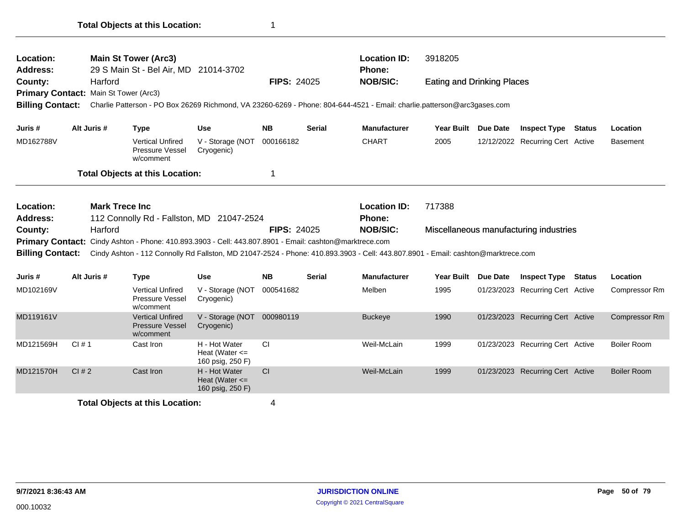| Location:                  |             | <b>Main St Tower (Arc3)</b>                                                                                                      |                                                         |                    |               | <b>Location ID:</b>                  | 3918205                           |                 |                                        |                      |
|----------------------------|-------------|----------------------------------------------------------------------------------------------------------------------------------|---------------------------------------------------------|--------------------|---------------|--------------------------------------|-----------------------------------|-----------------|----------------------------------------|----------------------|
| <b>Address:</b>            |             | 29 S Main St - Bel Air, MD 21014-3702                                                                                            |                                                         |                    |               | Phone:                               |                                   |                 |                                        |                      |
| County:                    | Harford     |                                                                                                                                  |                                                         | <b>FIPS: 24025</b> |               | <b>NOB/SIC:</b>                      | <b>Eating and Drinking Places</b> |                 |                                        |                      |
|                            |             | Primary Contact: Main St Tower (Arc3)                                                                                            |                                                         |                    |               |                                      |                                   |                 |                                        |                      |
| <b>Billing Contact:</b>    |             | Charlie Patterson - PO Box 26269 Richmond, VA 23260-6269 - Phone: 804-644-4521 - Email: charlie.patterson@arc3gases.com          |                                                         |                    |               |                                      |                                   |                 |                                        |                      |
| Juris #                    | Alt Juris # | <b>Type</b>                                                                                                                      | <b>Use</b>                                              | <b>NB</b>          | <b>Serial</b> | <b>Manufacturer</b>                  | Year Built Due Date               |                 | <b>Inspect Type Status</b>             | Location             |
| MD162788V                  |             | <b>Vertical Unfired</b><br>Pressure Vessel<br>w/comment                                                                          | V - Storage (NOT<br>Cryogenic)                          | 000166182          |               | <b>CHART</b>                         | 2005                              |                 | 12/12/2022 Recurring Cert Active       | <b>Basement</b>      |
|                            |             | <b>Total Objects at this Location:</b>                                                                                           |                                                         | 1                  |               |                                      |                                   |                 |                                        |                      |
| Location:                  |             |                                                                                                                                  |                                                         |                    |               |                                      |                                   |                 |                                        |                      |
|                            |             |                                                                                                                                  |                                                         |                    |               |                                      |                                   |                 |                                        |                      |
|                            |             | <b>Mark Trece Inc</b>                                                                                                            |                                                         |                    |               | <b>Location ID:</b><br><b>Phone:</b> | 717388                            |                 |                                        |                      |
| <b>Address:</b><br>County: | Harford     | 112 Connolly Rd - Fallston, MD 21047-2524                                                                                        |                                                         | <b>FIPS: 24025</b> |               | <b>NOB/SIC:</b>                      |                                   |                 | Miscellaneous manufacturing industries |                      |
| <b>Primary Contact:</b>    |             | Cindy Ashton - Phone: 410.893.3903 - Cell: 443.807.8901 - Email: cashton@marktrece.com                                           |                                                         |                    |               |                                      |                                   |                 |                                        |                      |
| <b>Billing Contact:</b>    |             | Cindy Ashton - 112 Connolly Rd Fallston, MD 21047-2524 - Phone: 410.893.3903 - Cell: 443.807.8901 - Email: cashton@marktrece.com |                                                         |                    |               |                                      |                                   |                 |                                        |                      |
| Juris #                    | Alt Juris # | <b>Type</b>                                                                                                                      | Use                                                     | <b>NB</b>          | <b>Serial</b> | <b>Manufacturer</b>                  | <b>Year Built</b>                 | <b>Due Date</b> | <b>Inspect Type Status</b>             | Location             |
| MD102169V                  |             | <b>Vertical Unfired</b><br>Pressure Vessel<br>w/comment                                                                          | V - Storage (NOT<br>Cryogenic)                          | 000541682          |               | Melben                               | 1995                              |                 | 01/23/2023 Recurring Cert Active       | <b>Compressor Rm</b> |
| MD119161V                  |             | <b>Vertical Unfired</b><br><b>Pressure Vessel</b><br>w/comment                                                                   | V - Storage (NOT 000980119<br>Cryogenic)                |                    |               | <b>Buckeye</b>                       | 1990                              |                 | 01/23/2023 Recurring Cert Active       | <b>Compressor Rm</b> |
| MD121569H                  | CI#1        | Cast Iron                                                                                                                        | H - Hot Water<br>Heat (Water $\leq$<br>160 psig, 250 F) | <b>CI</b>          |               | Weil-McLain                          | 1999                              |                 | 01/23/2023 Recurring Cert Active       | <b>Boiler Room</b>   |
| MD121570H                  | Cl#2        | Cast Iron                                                                                                                        | H - Hot Water<br>Heat (Water $\leq$<br>160 psig, 250 F) | CI                 |               | Weil-McLain                          | 1999                              |                 | 01/23/2023 Recurring Cert Active       | <b>Boiler Room</b>   |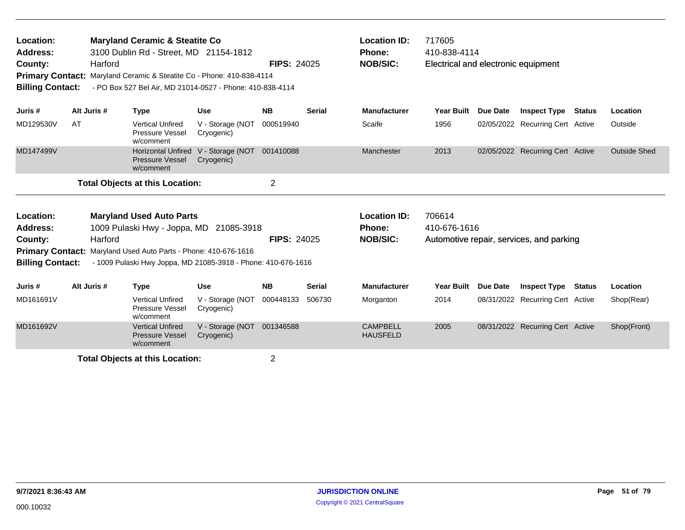| Location:<br>Address:<br>County:<br><b>Billing Contact:</b>                                   | Harford     | <b>Maryland Ceramic &amp; Steatite Co</b><br>3100 Dublin Rd - Street, MD 21154-1812<br>Primary Contact: Maryland Ceramic & Steatite Co - Phone: 410-838-4114<br>- PO Box 527 Bel Air, MD 21014-0527 - Phone: 410-838-4114 |                                | <b>FIPS: 24025</b> |               | <b>Location ID:</b><br>Phone:<br><b>NOB/SIC:</b>        | 717605<br>410-838-4114<br>Electrical and electronic equipment |                 |                                          |               |                     |
|-----------------------------------------------------------------------------------------------|-------------|---------------------------------------------------------------------------------------------------------------------------------------------------------------------------------------------------------------------------|--------------------------------|--------------------|---------------|---------------------------------------------------------|---------------------------------------------------------------|-----------------|------------------------------------------|---------------|---------------------|
| Juris #                                                                                       | Alt Juris # | <b>Type</b>                                                                                                                                                                                                               | <b>Use</b>                     | <b>NB</b>          | <b>Serial</b> | <b>Manufacturer</b>                                     | <b>Year Built</b>                                             | <b>Due Date</b> | <b>Inspect Type Status</b>               |               | Location            |
| MD129530V                                                                                     | AT          | <b>Vertical Unfired</b><br>Pressure Vessel<br>w/comment                                                                                                                                                                   | V - Storage (NOT<br>Cryogenic) | 000519940          |               | Scaife                                                  | 1956                                                          |                 | 02/05/2022 Recurring Cert Active         |               | Outside             |
| MD147499V                                                                                     |             | <b>Horizontal Unfired</b><br><b>Pressure Vessel</b><br>w/comment                                                                                                                                                          | V - Storage (NOT<br>Cryogenic) | 001410088          |               | Manchester                                              | 2013                                                          |                 | 02/05/2022 Recurring Cert Active         |               | <b>Outside Shed</b> |
|                                                                                               |             | <b>Total Objects at this Location:</b>                                                                                                                                                                                    |                                | $\overline{2}$     |               |                                                         |                                                               |                 |                                          |               |                     |
| Location:<br><b>Address:</b><br>County:<br><b>Primary Contact:</b><br><b>Billing Contact:</b> | Harford     | <b>Maryland Used Auto Parts</b><br>1009 Pulaski Hwy - Joppa, MD 21085-3918<br>Maryland Used Auto Parts - Phone: 410-676-1616<br>- 1009 Pulaski Hwy Joppa, MD 21085-3918 - Phone: 410-676-1616                             |                                | <b>FIPS: 24025</b> |               | <b>Location ID:</b><br><b>Phone:</b><br><b>NOB/SIC:</b> | 706614<br>410-676-1616                                        |                 | Automotive repair, services, and parking |               |                     |
| Juris #                                                                                       | Alt Juris # | <b>Type</b>                                                                                                                                                                                                               | <b>Use</b>                     | <b>NB</b>          | Serial        | <b>Manufacturer</b>                                     | <b>Year Built</b>                                             | <b>Due Date</b> | <b>Inspect Type</b>                      | <b>Status</b> | Location            |
| MD161691V                                                                                     |             | <b>Vertical Unfired</b><br>Pressure Vessel<br>w/comment                                                                                                                                                                   | V - Storage (NOT<br>Cryogenic) | 000448133          | 506730        | Morganton                                               | 2014                                                          |                 | 08/31/2022 Recurring Cert Active         |               | Shop(Rear)          |
| MD161692V                                                                                     |             | <b>Vertical Unfired</b><br><b>Pressure Vessel</b><br>w/comment                                                                                                                                                            | V - Storage (NOT<br>Cryogenic) | 001346588          |               | <b>CAMPBELL</b><br><b>HAUSFELD</b>                      | 2005                                                          |                 | 08/31/2022 Recurring Cert Active         |               | Shop(Front)         |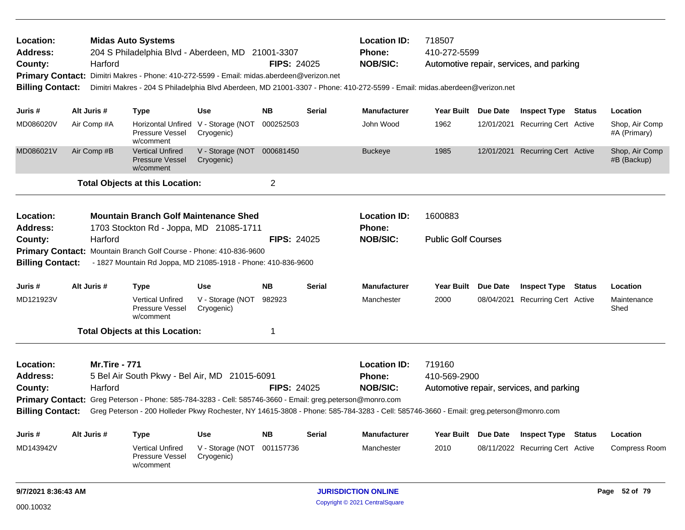| Location:<br><b>Address:</b><br>County:<br><b>Primary Contact:</b><br><b>Billing Contact:</b> | Harford              | <b>Midas Auto Systems</b><br>204 S Philadelphia Blvd - Aberdeen, MD 21001-3307<br>Dimitri Makres - Phone: 410-272-5599 - Email: midas.aberdeen@verizon.net<br>Dimitri Makres - 204 S Philadelphia Blvd Aberdeen, MD 21001-3307 - Phone: 410-272-5599 - Email: midas.aberdeen@verizon.net |                                                   | <b>FIPS: 24025</b> |               | <b>Location ID:</b><br><b>Phone:</b><br><b>NOB/SIC:</b> | 718507<br>410-272-5599     | Automotive repair, services, and parking |               |                                |
|-----------------------------------------------------------------------------------------------|----------------------|------------------------------------------------------------------------------------------------------------------------------------------------------------------------------------------------------------------------------------------------------------------------------------------|---------------------------------------------------|--------------------|---------------|---------------------------------------------------------|----------------------------|------------------------------------------|---------------|--------------------------------|
| Juris #                                                                                       | Alt Juris #          | <b>Type</b>                                                                                                                                                                                                                                                                              | Use                                               | <b>NB</b>          | <b>Serial</b> | <b>Manufacturer</b>                                     | Year Built Due Date        | <b>Inspect Type Status</b>               |               | Location                       |
| MD086020V                                                                                     | Air Comp #A          | Pressure Vessel<br>w/comment                                                                                                                                                                                                                                                             | Horizontal Unfired V - Storage (NOT<br>Cryogenic) | 000252503          |               | John Wood                                               | 1962                       | 12/01/2021 Recurring Cert Active         |               | Shop, Air Comp<br>#A (Primary) |
| MD086021V                                                                                     | Air Comp #B          | <b>Vertical Unfired</b><br><b>Pressure Vessel</b><br>w/comment                                                                                                                                                                                                                           | V - Storage (NOT 000681450<br>Cryogenic)          |                    |               | <b>Buckeye</b>                                          | 1985                       | 12/01/2021 Recurring Cert Active         |               | Shop, Air Comp<br>#B (Backup)  |
|                                                                                               |                      | <b>Total Objects at this Location:</b>                                                                                                                                                                                                                                                   |                                                   | $\overline{2}$     |               |                                                         |                            |                                          |               |                                |
| Location:<br><b>Address:</b>                                                                  |                      | <b>Mountain Branch Golf Maintenance Shed</b><br>1703 Stockton Rd - Joppa, MD 21085-1711                                                                                                                                                                                                  |                                                   |                    |               | <b>Location ID:</b><br>Phone:                           | 1600883                    |                                          |               |                                |
| County:<br><b>Billing Contact:</b>                                                            | Harford              | Primary Contact: Mountain Branch Golf Course - Phone: 410-836-9600<br>- 1827 Mountain Rd Joppa, MD 21085-1918 - Phone: 410-836-9600                                                                                                                                                      |                                                   | <b>FIPS: 24025</b> |               | <b>NOB/SIC:</b>                                         | <b>Public Golf Courses</b> |                                          |               |                                |
| Juris #                                                                                       | Alt Juris #          | <b>Type</b>                                                                                                                                                                                                                                                                              | <b>Use</b>                                        | <b>NB</b>          | Serial        | <b>Manufacturer</b>                                     | Year Built Due Date        | <b>Inspect Type Status</b>               |               | Location                       |
| MD121923V                                                                                     |                      | <b>Vertical Unfired</b><br>Pressure Vessel<br>w/comment                                                                                                                                                                                                                                  | V - Storage (NOT<br>Cryogenic)                    | 982923             |               | Manchester                                              | 2000                       | 08/04/2021 Recurring Cert Active         |               | Maintenance<br>Shed            |
|                                                                                               |                      | <b>Total Objects at this Location:</b>                                                                                                                                                                                                                                                   |                                                   | 1                  |               |                                                         |                            |                                          |               |                                |
| Location:                                                                                     | <b>Mr.Tire - 771</b> |                                                                                                                                                                                                                                                                                          |                                                   |                    |               | <b>Location ID:</b>                                     | 719160                     |                                          |               |                                |
| <b>Address:</b>                                                                               |                      | 5 Bel Air South Pkwy - Bel Air, MD 21015-6091                                                                                                                                                                                                                                            |                                                   |                    |               | <b>Phone:</b>                                           | 410-569-2900               |                                          |               |                                |
| County:                                                                                       | Harford              |                                                                                                                                                                                                                                                                                          |                                                   | <b>FIPS: 24025</b> |               | <b>NOB/SIC:</b>                                         |                            | Automotive repair, services, and parking |               |                                |
| <b>Billing Contact:</b>                                                                       |                      | Primary Contact: Greg Peterson - Phone: 585-784-3283 - Cell: 585746-3660 - Email: greg.peterson@monro.com<br>Greg Peterson - 200 Holleder Pkwy Rochester, NY 14615-3808 - Phone: 585-784-3283 - Cell: 585746-3660 - Email: greg.peterson@monro.com                                       |                                                   |                    |               |                                                         |                            |                                          |               |                                |
| Juris #                                                                                       | Alt Juris #          | <b>Type</b>                                                                                                                                                                                                                                                                              | Use                                               | <b>NB</b>          | Serial        | <b>Manufacturer</b>                                     | Year Built Due Date        | <b>Inspect Type</b>                      | <b>Status</b> | Location                       |
| MD143942V                                                                                     |                      | <b>Vertical Unfired</b><br>Pressure Vessel<br>w/comment                                                                                                                                                                                                                                  | V - Storage (NOT 001157736<br>Cryogenic)          |                    |               | Manchester                                              | 2010                       | 08/11/2022 Recurring Cert Active         |               | <b>Compress Room</b>           |
| 9/7/2021 8:36:43 AM                                                                           |                      |                                                                                                                                                                                                                                                                                          |                                                   |                    |               | <b>JURISDICTION ONLINE</b>                              |                            |                                          |               | Page 52 of 79                  |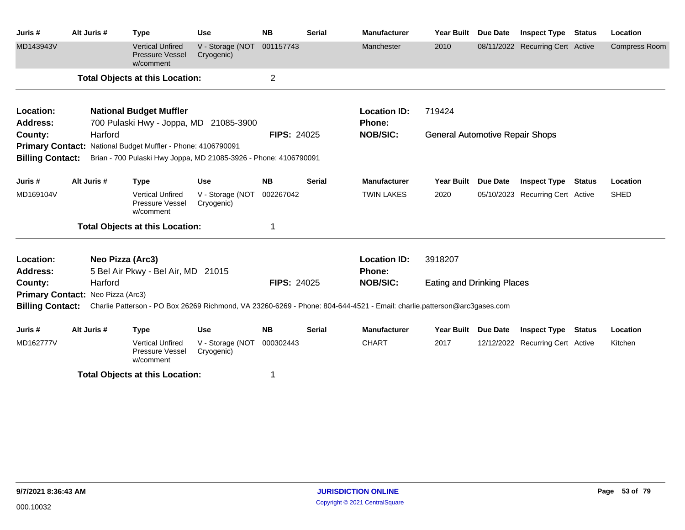| Juris #                           | Alt Juris # |                  | <b>Type</b>                                                    | <b>Use</b>                                                       | <b>NB</b>          | <b>Serial</b> | <b>Manufacturer</b>                                                                                                     | <b>Year Built</b>                      | Due Date        | <b>Inspect Type</b>              | <b>Status</b> | Location             |
|-----------------------------------|-------------|------------------|----------------------------------------------------------------|------------------------------------------------------------------|--------------------|---------------|-------------------------------------------------------------------------------------------------------------------------|----------------------------------------|-----------------|----------------------------------|---------------|----------------------|
| MD143943V                         |             |                  | <b>Vertical Unfired</b><br><b>Pressure Vessel</b><br>w/comment | V - Storage (NOT<br>Cryogenic)                                   | 001157743          |               | Manchester                                                                                                              | 2010                                   |                 | 08/11/2022 Recurring Cert Active |               | <b>Compress Room</b> |
|                                   |             |                  | <b>Total Objects at this Location:</b>                         |                                                                  | $\overline{c}$     |               |                                                                                                                         |                                        |                 |                                  |               |                      |
| Location:                         |             |                  | <b>National Budget Muffler</b>                                 |                                                                  |                    |               | <b>Location ID:</b>                                                                                                     | 719424                                 |                 |                                  |               |                      |
| <b>Address:</b>                   |             |                  |                                                                | 700 Pulaski Hwy - Joppa, MD 21085-3900                           |                    |               | <b>Phone:</b>                                                                                                           |                                        |                 |                                  |               |                      |
| County:                           |             | Harford          |                                                                |                                                                  | <b>FIPS: 24025</b> |               | <b>NOB/SIC:</b>                                                                                                         | <b>General Automotive Repair Shops</b> |                 |                                  |               |                      |
|                                   |             |                  | Primary Contact: National Budget Muffler - Phone: 4106790091   |                                                                  |                    |               |                                                                                                                         |                                        |                 |                                  |               |                      |
| <b>Billing Contact:</b>           |             |                  |                                                                | Brian - 700 Pulaski Hwy Joppa, MD 21085-3926 - Phone: 4106790091 |                    |               |                                                                                                                         |                                        |                 |                                  |               |                      |
| Juris #                           | Alt Juris # |                  | <b>Type</b>                                                    | <b>Use</b>                                                       | <b>NB</b>          | <b>Serial</b> | <b>Manufacturer</b>                                                                                                     | <b>Year Built</b>                      | <b>Due Date</b> | <b>Inspect Type</b>              | Status        | Location             |
| MD169104V                         |             |                  | <b>Vertical Unfired</b><br>Pressure Vessel<br>w/comment        | V - Storage (NOT<br>Cryogenic)                                   | 002267042          |               | <b>TWIN LAKES</b>                                                                                                       | 2020                                   |                 | 05/10/2023 Recurring Cert Active |               | <b>SHED</b>          |
|                                   |             |                  | <b>Total Objects at this Location:</b>                         |                                                                  | 1                  |               |                                                                                                                         |                                        |                 |                                  |               |                      |
| Location:                         |             | Neo Pizza (Arc3) |                                                                |                                                                  |                    |               | <b>Location ID:</b>                                                                                                     | 3918207                                |                 |                                  |               |                      |
| <b>Address:</b>                   |             |                  | 5 Bel Air Pkwy - Bel Air, MD 21015                             |                                                                  |                    |               | <b>Phone:</b>                                                                                                           |                                        |                 |                                  |               |                      |
| County:                           |             | Harford          |                                                                |                                                                  | <b>FIPS: 24025</b> |               | <b>NOB/SIC:</b>                                                                                                         | <b>Eating and Drinking Places</b>      |                 |                                  |               |                      |
| Primary Contact: Neo Pizza (Arc3) |             |                  |                                                                |                                                                  |                    |               |                                                                                                                         |                                        |                 |                                  |               |                      |
| <b>Billing Contact:</b>           |             |                  |                                                                |                                                                  |                    |               | Charlie Patterson - PO Box 26269 Richmond, VA 23260-6269 - Phone: 804-644-4521 - Email: charlie.patterson@arc3gases.com |                                        |                 |                                  |               |                      |
| Juris #                           | Alt Juris # |                  | <b>Type</b>                                                    | <b>Use</b>                                                       | <b>NB</b>          | <b>Serial</b> | <b>Manufacturer</b>                                                                                                     | <b>Year Built</b>                      | <b>Due Date</b> | <b>Inspect Type</b>              | <b>Status</b> | Location             |
| MD162777V                         |             |                  | <b>Vertical Unfired</b><br>Pressure Vessel<br>w/comment        | V - Storage (NOT<br>Cryogenic)                                   | 000302443          |               | <b>CHART</b>                                                                                                            | 2017                                   |                 | 12/12/2022 Recurring Cert Active |               | Kitchen              |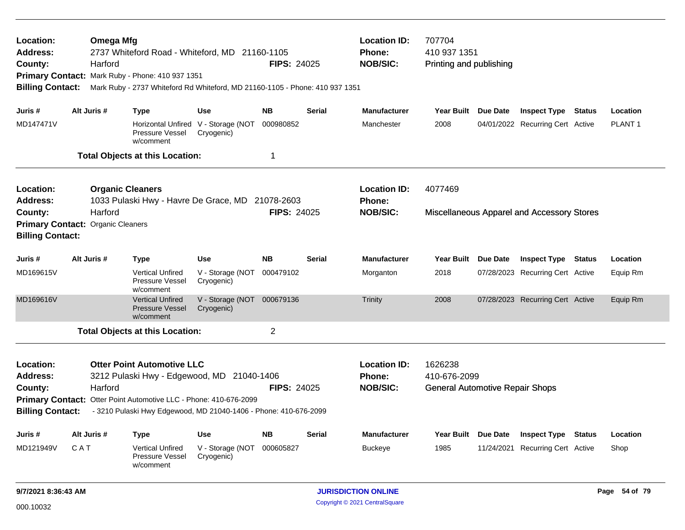| Location:<br>Address:<br>County:<br><b>Billing Contact:</b>                                             | <b>Omega Mfg</b><br>Harford | 2737 Whiteford Road - Whiteford, MD 21160-1105<br>Primary Contact: Mark Ruby - Phone: 410 937 1351<br>Mark Ruby - 2737 Whiteford Rd Whiteford, MD 21160-1105 - Phone: 410 937 1351                                                                                 |                                                                                   | <b>FIPS: 24025</b>                    |                                                         | <b>Location ID:</b><br><b>Phone:</b><br><b>NOB/SIC:</b>           | 707704<br>410 937 1351<br>Printing and publishing |          |                                                                                                    |               |                                  |
|---------------------------------------------------------------------------------------------------------|-----------------------------|--------------------------------------------------------------------------------------------------------------------------------------------------------------------------------------------------------------------------------------------------------------------|-----------------------------------------------------------------------------------|---------------------------------------|---------------------------------------------------------|-------------------------------------------------------------------|---------------------------------------------------|----------|----------------------------------------------------------------------------------------------------|---------------|----------------------------------|
| Juris #<br>MD147471V                                                                                    | Alt Juris #                 | <b>Type</b><br>Pressure Vessel<br>w/comment                                                                                                                                                                                                                        | <b>Use</b><br>Horizontal Unfired V - Storage (NOT<br>Cryogenic)                   | <b>NB</b><br>000980852                | <b>Serial</b>                                           | <b>Manufacturer</b><br>Manchester                                 | <b>Year Built</b><br>2008                         | Due Date | <b>Inspect Type Status</b><br>04/01/2022 Recurring Cert Active                                     |               | Location<br>PLANT <sub>1</sub>   |
| Location:<br><b>Address:</b><br>County:<br>Primary Contact: Organic Cleaners<br><b>Billing Contact:</b> | Harford                     | <b>Total Objects at this Location:</b><br><b>Organic Cleaners</b><br>1033 Pulaski Hwy - Havre De Grace, MD                                                                                                                                                         |                                                                                   | 1<br>21078-2603<br><b>FIPS: 24025</b> |                                                         | <b>Location ID:</b><br><b>Phone:</b><br><b>NOB/SIC:</b>           | 4077469                                           |          | Miscellaneous Apparel and Accessory Stores                                                         |               |                                  |
| Juris #<br>MD169615V<br>MD169616V                                                                       | Alt Juris #                 | <b>Type</b><br><b>Vertical Unfired</b><br><b>Pressure Vessel</b><br>w/comment<br><b>Vertical Unfired</b><br><b>Pressure Vessel</b><br>w/comment                                                                                                                    | Use<br>V - Storage (NOT<br>Cryogenic)<br>V - Storage (NOT 000679136<br>Cryogenic) | <b>NB</b><br>000479102                | <b>Serial</b>                                           | <b>Manufacturer</b><br>Morganton<br><b>Trinity</b>                | Year Built Due Date<br>2018<br>2008               |          | <b>Inspect Type Status</b><br>07/28/2023 Recurring Cert Active<br>07/28/2023 Recurring Cert Active |               | Location<br>Equip Rm<br>Equip Rm |
| Location:<br><b>Address:</b><br>County:<br><b>Billing Contact:</b>                                      | Harford                     | <b>Total Objects at this Location:</b><br><b>Otter Point Automotive LLC</b><br>3212 Pulaski Hwy - Edgewood, MD 21040-1406<br>Primary Contact: Otter Point Automotive LLC - Phone: 410-676-2099<br>- 3210 Pulaski Hwy Edgewood, MD 21040-1406 - Phone: 410-676-2099 |                                                                                   | <b>FIPS: 24025</b>                    | <b>Location ID:</b><br><b>Phone:</b><br><b>NOB/SIC:</b> | 1626238<br>410-676-2099<br><b>General Automotive Repair Shops</b> |                                                   |          |                                                                                                    |               |                                  |
| Juris #<br>MD121949V                                                                                    | Alt Juris #<br><b>CAT</b>   | Type<br><b>Vertical Unfired</b><br>Pressure Vessel<br>w/comment                                                                                                                                                                                                    | Use<br>V - Storage (NOT<br>Cryogenic)                                             | <b>NB</b><br>000605827                | <b>Serial</b>                                           | <b>Manufacturer</b><br><b>Buckeye</b>                             | Year Built Due Date<br>1985                       |          | <b>Inspect Type</b><br>11/24/2021 Recurring Cert Active                                            | <b>Status</b> | Location<br>Shop                 |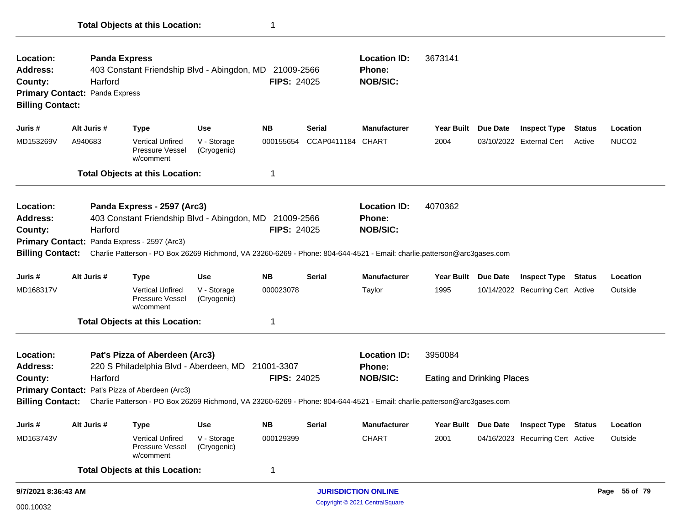| Location:<br><b>Address:</b><br>County:<br><b>Primary Contact: Panda Express</b><br><b>Billing Contact:</b> |                                                                                                                                                                                                                                                                                                                                              | <b>Panda Express</b><br>Harford | 403 Constant Friendship Blvd - Abingdon, MD                                                                                                                                                                                                           |                            | 21009-2566<br><b>FIPS: 24025</b> |               | <b>Location ID:</b><br><b>Phone:</b><br><b>NOB/SIC:</b> | 3673141                                      |          |                                  |               |                   |
|-------------------------------------------------------------------------------------------------------------|----------------------------------------------------------------------------------------------------------------------------------------------------------------------------------------------------------------------------------------------------------------------------------------------------------------------------------------------|---------------------------------|-------------------------------------------------------------------------------------------------------------------------------------------------------------------------------------------------------------------------------------------------------|----------------------------|----------------------------------|---------------|---------------------------------------------------------|----------------------------------------------|----------|----------------------------------|---------------|-------------------|
| Juris #                                                                                                     | Alt Juris #                                                                                                                                                                                                                                                                                                                                  |                                 | <b>Type</b>                                                                                                                                                                                                                                           | <b>Use</b>                 | <b>NB</b>                        | <b>Serial</b> | <b>Manufacturer</b>                                     | Year Built                                   | Due Date | <b>Inspect Type</b>              | <b>Status</b> | Location          |
| MD153269V                                                                                                   | A940683                                                                                                                                                                                                                                                                                                                                      |                                 | <b>Vertical Unfired</b><br><b>Pressure Vessel</b><br>w/comment                                                                                                                                                                                        | V - Storage<br>(Cryogenic) | 000155654                        | CCAP0411184   | <b>CHART</b>                                            | 2004                                         |          | 03/10/2022 External Cert         | Active        | NUCO <sub>2</sub> |
|                                                                                                             |                                                                                                                                                                                                                                                                                                                                              |                                 | <b>Total Objects at this Location:</b>                                                                                                                                                                                                                |                            | -1                               |               |                                                         |                                              |          |                                  |               |                   |
| Location:<br><b>Address:</b><br>County:<br><b>Billing Contact:</b>                                          |                                                                                                                                                                                                                                                                                                                                              | Harford                         | Panda Express - 2597 (Arc3)<br>403 Constant Friendship Blvd - Abingdon, MD<br>Primary Contact: Panda Express - 2597 (Arc3)<br>Charlie Patterson - PO Box 26269 Richmond, VA 23260-6269 - Phone: 804-644-4521 - Email: charlie.patterson@arc3gases.com |                            | 21009-2566<br><b>FIPS: 24025</b> |               | <b>Location ID:</b><br><b>Phone:</b><br><b>NOB/SIC:</b> | 4070362                                      |          |                                  |               |                   |
| Juris #                                                                                                     | Alt Juris #                                                                                                                                                                                                                                                                                                                                  |                                 | <b>Type</b>                                                                                                                                                                                                                                           | <b>Use</b>                 | <b>NB</b>                        | <b>Serial</b> | <b>Manufacturer</b>                                     | Year Built Due Date                          |          | <b>Inspect Type</b>              | <b>Status</b> | Location          |
| MD168317V                                                                                                   |                                                                                                                                                                                                                                                                                                                                              |                                 | <b>Vertical Unfired</b><br>Pressure Vessel<br>w/comment                                                                                                                                                                                               | V - Storage<br>(Cryogenic) | 000023078                        |               | Taylor                                                  | 1995                                         |          | 10/14/2022 Recurring Cert Active |               | Outside           |
|                                                                                                             |                                                                                                                                                                                                                                                                                                                                              |                                 |                                                                                                                                                                                                                                                       |                            | 1                                |               |                                                         |                                              |          |                                  |               |                   |
| Location:<br><b>Address:</b><br>County:<br><b>Billing Contact:</b>                                          | <b>Total Objects at this Location:</b><br>Pat's Pizza of Aberdeen (Arc3)<br>220 S Philadelphia Blvd - Aberdeen, MD 21001-3307<br><b>FIPS: 24025</b><br>Harford<br>Primary Contact: Pat's Pizza of Aberdeen (Arc3)<br>Charlie Patterson - PO Box 26269 Richmond, VA 23260-6269 - Phone: 804-644-4521 - Email: charlie.patterson@arc3gases.com |                                 |                                                                                                                                                                                                                                                       |                            |                                  |               | <b>Location ID:</b><br>Phone:<br><b>NOB/SIC:</b>        | 3950084<br><b>Eating and Drinking Places</b> |          |                                  |               |                   |
|                                                                                                             |                                                                                                                                                                                                                                                                                                                                              |                                 |                                                                                                                                                                                                                                                       |                            |                                  |               |                                                         |                                              |          |                                  |               |                   |
| Juris #                                                                                                     | Alt Juris #                                                                                                                                                                                                                                                                                                                                  |                                 | <b>Type</b>                                                                                                                                                                                                                                           | <b>Use</b>                 | <b>NB</b>                        | <b>Serial</b> | <b>Manufacturer</b>                                     | Year Built Due Date                          |          | <b>Inspect Type</b>              | <b>Status</b> | Location          |
| MD163743V                                                                                                   |                                                                                                                                                                                                                                                                                                                                              |                                 | <b>Vertical Unfired</b><br><b>Pressure Vessel</b><br>w/comment                                                                                                                                                                                        | V - Storage<br>(Cryogenic) | 000129399                        |               | <b>CHART</b>                                            | 2001                                         |          | 04/16/2023 Recurring Cert Active |               | Outside           |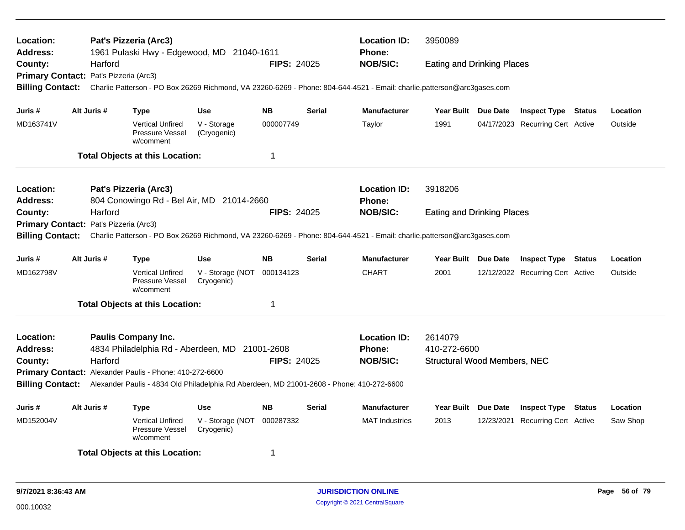| Location:<br>Address:                                                                                                                              |                                                                 |                       | Pat's Pizzeria (Arc3)<br>1961 Pulaski Hwy - Edgewood, MD 21040-1611                       |                                |                     |               | <b>Location ID:</b><br><b>Phone:</b>                                                                                    | 3950089                             |            |                                  |  |          |
|----------------------------------------------------------------------------------------------------------------------------------------------------|-----------------------------------------------------------------|-----------------------|-------------------------------------------------------------------------------------------|--------------------------------|---------------------|---------------|-------------------------------------------------------------------------------------------------------------------------|-------------------------------------|------------|----------------------------------|--|----------|
| County:                                                                                                                                            |                                                                 | Harford               |                                                                                           |                                | <b>FIPS: 24025</b>  |               | <b>NOB/SIC:</b>                                                                                                         | <b>Eating and Drinking Places</b>   |            |                                  |  |          |
| Primary Contact: Pat's Pizzeria (Arc3)                                                                                                             |                                                                 |                       |                                                                                           |                                |                     |               |                                                                                                                         |                                     |            |                                  |  |          |
| <b>Billing Contact:</b>                                                                                                                            |                                                                 |                       |                                                                                           |                                |                     |               | Charlie Patterson - PO Box 26269 Richmond, VA 23260-6269 - Phone: 804-644-4521 - Email: charlie.patterson@arc3gases.com |                                     |            |                                  |  |          |
| Juris #                                                                                                                                            |                                                                 | Alt Juris #           | Type                                                                                      | <b>Use</b>                     | <b>NB</b>           | <b>Serial</b> | <b>Manufacturer</b>                                                                                                     | Year Built Due Date                 |            | <b>Inspect Type Status</b>       |  | Location |
| MD163741V                                                                                                                                          |                                                                 |                       | <b>Vertical Unfired</b><br>Pressure Vessel<br>w/comment                                   | V - Storage<br>(Cryogenic)     | 000007749           |               | Taylor                                                                                                                  | 1991                                |            | 04/17/2023 Recurring Cert Active |  | Outside  |
|                                                                                                                                                    |                                                                 |                       | <b>Total Objects at this Location:</b>                                                    |                                | $\mathbf 1$         |               |                                                                                                                         |                                     |            |                                  |  |          |
| Location:                                                                                                                                          |                                                                 |                       | Pat's Pizzeria (Arc3)                                                                     |                                |                     |               | <b>Location ID:</b>                                                                                                     | 3918206                             |            |                                  |  |          |
| <b>Address:</b>                                                                                                                                    |                                                                 |                       | 804 Conowingo Rd - Bel Air, MD 21014-2660                                                 |                                |                     |               | Phone:                                                                                                                  |                                     |            |                                  |  |          |
| County:                                                                                                                                            |                                                                 | Harford               |                                                                                           |                                | <b>FIPS: 24025</b>  |               | <b>NOB/SIC:</b>                                                                                                         | <b>Eating and Drinking Places</b>   |            |                                  |  |          |
| <b>Primary Contact:</b>                                                                                                                            |                                                                 | Pat's Pizzeria (Arc3) |                                                                                           |                                |                     |               |                                                                                                                         |                                     |            |                                  |  |          |
| <b>Billing Contact:</b><br>Charlie Patterson - PO Box 26269 Richmond, VA 23260-6269 - Phone: 804-644-4521 - Email: charlie.patterson@arc3gases.com |                                                                 |                       |                                                                                           |                                |                     |               |                                                                                                                         |                                     |            |                                  |  |          |
| Juris #                                                                                                                                            |                                                                 | Alt Juris #           | Type                                                                                      | Use                            | NΒ                  | <b>Serial</b> | <b>Manufacturer</b>                                                                                                     | Year Built Due Date                 |            | <b>Inspect Type Status</b>       |  | Location |
| MD162798V                                                                                                                                          |                                                                 |                       | <b>Vertical Unfired</b><br>Pressure Vessel<br>w/comment                                   | V - Storage (NOT<br>Cryogenic) | 000134123           |               | <b>CHART</b>                                                                                                            | 2001                                |            | 12/12/2022 Recurring Cert Active |  | Outside  |
|                                                                                                                                                    |                                                                 |                       | <b>Total Objects at this Location:</b>                                                    |                                | $\overline{1}$      |               |                                                                                                                         |                                     |            |                                  |  |          |
| Location:                                                                                                                                          |                                                                 |                       | <b>Paulis Company Inc.</b>                                                                |                                |                     |               | <b>Location ID:</b>                                                                                                     | 2614079                             |            |                                  |  |          |
| Address:                                                                                                                                           |                                                                 |                       | 4834 Philadelphia Rd - Aberdeen, MD 21001-2608                                            |                                |                     |               | <b>Phone:</b>                                                                                                           | 410-272-6600                        |            |                                  |  |          |
| County:                                                                                                                                            |                                                                 | Harford               |                                                                                           |                                |                     |               | <b>NOB/SIC:</b>                                                                                                         | <b>Structural Wood Members, NEC</b> |            |                                  |  |          |
| <b>FIPS: 24025</b><br>Primary Contact: Alexander Paulis - Phone: 410-272-6600                                                                      |                                                                 |                       |                                                                                           |                                |                     |               |                                                                                                                         |                                     |            |                                  |  |          |
| <b>Billing Contact:</b>                                                                                                                            |                                                                 |                       | Alexander Paulis - 4834 Old Philadelphia Rd Aberdeen, MD 21001-2608 - Phone: 410-272-6600 |                                |                     |               |                                                                                                                         |                                     |            |                                  |  |          |
| Juris #                                                                                                                                            | Alt Juris #<br><b>Use</b><br><b>NB</b><br><b>Serial</b><br>Type |                       |                                                                                           | <b>Manufacturer</b>            | Year Built Due Date |               | <b>Inspect Type</b>                                                                                                     | Status                              | Location   |                                  |  |          |
| MD152004V                                                                                                                                          |                                                                 |                       | <b>Vertical Unfired</b><br>Pressure Vessel<br>w/comment                                   | V - Storage (NOT<br>Cryogenic) | 000287332           |               | <b>MAT</b> Industries                                                                                                   | 2013                                | 12/23/2021 | <b>Recurring Cert Active</b>     |  | Saw Shop |
|                                                                                                                                                    |                                                                 |                       | <b>Total Objects at this Location:</b>                                                    |                                | 1                   |               |                                                                                                                         |                                     |            |                                  |  |          |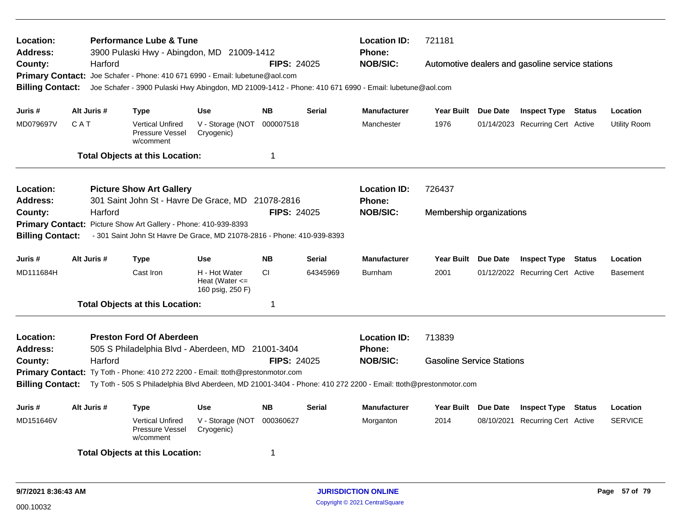| Location:<br><b>Address:</b><br>County:<br><b>Billing Contact:</b>                                                         | Harford     | <b>Performance Lube &amp; Tune</b><br>3900 Pulaski Hwy - Abingdon, MD 21009-1412<br>Primary Contact: Joe Schafer - Phone: 410 671 6990 - Email: lubetune@aol.com |                                                         | <b>FIPS: 24025</b> |               | <b>Location ID:</b><br>Phone:<br><b>NOB/SIC:</b><br>Joe Schafer - 3900 Pulaski Hwy Abingdon, MD 21009-1412 - Phone: 410 671 6990 - Email: lubetune@aol.com | 721181                                            |                                  | Automotive dealers and gasoline service stations |                |                 |
|----------------------------------------------------------------------------------------------------------------------------|-------------|------------------------------------------------------------------------------------------------------------------------------------------------------------------|---------------------------------------------------------|--------------------|---------------|------------------------------------------------------------------------------------------------------------------------------------------------------------|---------------------------------------------------|----------------------------------|--------------------------------------------------|----------------|-----------------|
|                                                                                                                            |             |                                                                                                                                                                  |                                                         |                    |               |                                                                                                                                                            |                                                   |                                  |                                                  |                |                 |
| Juris #                                                                                                                    | Alt Juris # | Type                                                                                                                                                             | Use                                                     | <b>NB</b>          | <b>Serial</b> | <b>Manufacturer</b>                                                                                                                                        | Year Built Due Date                               |                                  | <b>Inspect Type Status</b>                       |                | Location        |
| MD079697V                                                                                                                  | CAT         | <b>Vertical Unfired</b><br>Pressure Vessel<br>w/comment                                                                                                          | V - Storage (NOT<br>Cryogenic)                          | 000007518          |               | Manchester                                                                                                                                                 | 1976                                              |                                  | 01/14/2023 Recurring Cert Active                 |                | Utility Room    |
|                                                                                                                            |             | <b>Total Objects at this Location:</b>                                                                                                                           |                                                         | 1                  |               |                                                                                                                                                            |                                                   |                                  |                                                  |                |                 |
| Location:<br><b>Address:</b>                                                                                               |             | <b>Picture Show Art Gallery</b><br>301 Saint John St - Havre De Grace, MD 21078-2816                                                                             |                                                         |                    |               | <b>Location ID:</b><br><b>Phone:</b>                                                                                                                       | 726437                                            |                                  |                                                  |                |                 |
| County:                                                                                                                    | Harford     |                                                                                                                                                                  |                                                         | <b>FIPS: 24025</b> |               | <b>NOB/SIC:</b>                                                                                                                                            | Membership organizations                          |                                  |                                                  |                |                 |
|                                                                                                                            |             | Primary Contact: Picture Show Art Gallery - Phone: 410-939-8393                                                                                                  |                                                         |                    |               |                                                                                                                                                            |                                                   |                                  |                                                  |                |                 |
| <b>Billing Contact:</b>                                                                                                    |             | - 301 Saint John St Havre De Grace, MD 21078-2816 - Phone: 410-939-8393                                                                                          |                                                         |                    |               |                                                                                                                                                            |                                                   |                                  |                                                  |                |                 |
| Juris #                                                                                                                    | Alt Juris # | Type                                                                                                                                                             | <b>Use</b>                                              | <b>NB</b>          | <b>Serial</b> | <b>Manufacturer</b>                                                                                                                                        | Year Built Due Date<br><b>Inspect Type Status</b> |                                  |                                                  |                | Location        |
| MD111684H                                                                                                                  |             | Cast Iron                                                                                                                                                        | H - Hot Water<br>Heat (Water $\leq$<br>160 psig, 250 F) | CI                 | 64345969      | <b>Burnham</b>                                                                                                                                             | 2001                                              |                                  | 01/12/2022 Recurring Cert Active                 |                | <b>Basement</b> |
|                                                                                                                            |             | <b>Total Objects at this Location:</b>                                                                                                                           |                                                         | 1                  |               |                                                                                                                                                            |                                                   |                                  |                                                  |                |                 |
| Location:<br><b>Address:</b>                                                                                               |             | <b>Preston Ford Of Aberdeen</b><br>505 S Philadelphia Blvd - Aberdeen, MD 21001-3404                                                                             |                                                         |                    |               | <b>Location ID:</b><br><b>Phone:</b>                                                                                                                       | 713839                                            |                                  |                                                  |                |                 |
| County:                                                                                                                    | Harford     |                                                                                                                                                                  |                                                         | <b>FIPS: 24025</b> |               | <b>NOB/SIC:</b>                                                                                                                                            | <b>Gasoline Service Stations</b>                  |                                  |                                                  |                |                 |
|                                                                                                                            |             | Primary Contact: Ty Toth - Phone: 410 272 2200 - Email: ttoth@prestonmotor.com                                                                                   |                                                         |                    |               |                                                                                                                                                            |                                                   |                                  |                                                  |                |                 |
|                                                                                                                            |             |                                                                                                                                                                  |                                                         |                    |               | Billing Contact: Ty Toth - 505 S Philadelphia Blvd Aberdeen, MD 21001-3404 - Phone: 410 272 2200 - Email: ttoth@prestonmotor.com                           |                                                   |                                  |                                                  |                |                 |
| Juris #                                                                                                                    | Alt Juris # | Type                                                                                                                                                             | <b>Use</b>                                              | <b>NB</b>          | <b>Serial</b> | <b>Manufacturer</b>                                                                                                                                        | Year Built Due Date                               |                                  | <b>Inspect Type</b>                              | Status         | Location        |
| 000360627<br>MD151646V<br><b>Vertical Unfired</b><br>V - Storage (NOT<br><b>Pressure Vessel</b><br>Cryogenic)<br>w/comment |             |                                                                                                                                                                  |                                                         |                    | Morganton     | 2014                                                                                                                                                       |                                                   | 08/10/2021 Recurring Cert Active |                                                  | <b>SERVICE</b> |                 |
|                                                                                                                            |             | <b>Total Objects at this Location:</b>                                                                                                                           |                                                         | 1                  |               |                                                                                                                                                            |                                                   |                                  |                                                  |                |                 |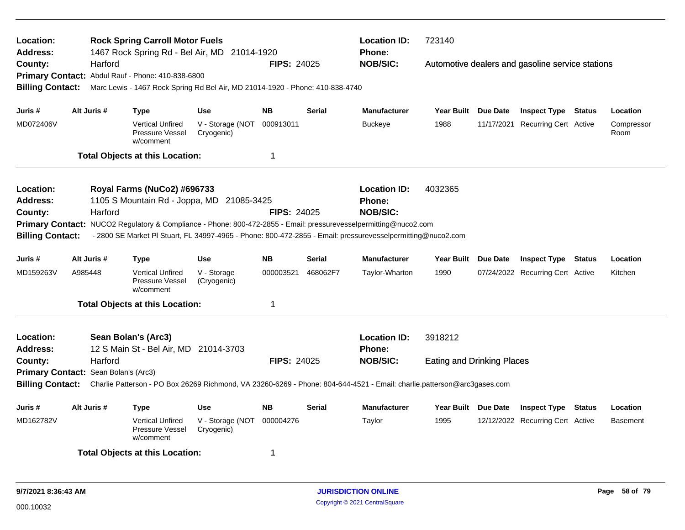| Location:<br><b>Address:</b>         |         |             | <b>Rock Spring Carroll Motor Fuels</b><br>1467 Rock Spring Rd - Bel Air, MD 21014-1920 |                                |                    |               | <b>Location ID:</b><br><b>Phone:</b>                                                                                    | 723140                            |                                                  |               |                    |
|--------------------------------------|---------|-------------|----------------------------------------------------------------------------------------|--------------------------------|--------------------|---------------|-------------------------------------------------------------------------------------------------------------------------|-----------------------------------|--------------------------------------------------|---------------|--------------------|
| County:                              |         | Harford     |                                                                                        |                                | <b>FIPS: 24025</b> |               | <b>NOB/SIC:</b>                                                                                                         |                                   | Automotive dealers and gasoline service stations |               |                    |
|                                      |         |             | Primary Contact: Abdul Rauf - Phone: 410-838-6800                                      |                                |                    |               |                                                                                                                         |                                   |                                                  |               |                    |
| <b>Billing Contact:</b>              |         |             | Marc Lewis - 1467 Rock Spring Rd Bel Air, MD 21014-1920 - Phone: 410-838-4740          |                                |                    |               |                                                                                                                         |                                   |                                                  |               |                    |
| Juris #                              |         | Alt Juris # | Type                                                                                   | <b>Use</b>                     | <b>NB</b>          | <b>Serial</b> | <b>Manufacturer</b>                                                                                                     | Year Built Due Date               | <b>Inspect Type Status</b>                       |               | Location           |
| MD072406V                            |         |             | <b>Vertical Unfired</b><br><b>Pressure Vessel</b><br>w/comment                         | V - Storage (NOT<br>Cryogenic) | 000913011          |               | <b>Buckeye</b>                                                                                                          | 1988                              | 11/17/2021 Recurring Cert Active                 |               | Compressor<br>Room |
|                                      |         |             | <b>Total Objects at this Location:</b>                                                 |                                | $\mathbf 1$        |               |                                                                                                                         |                                   |                                                  |               |                    |
| <b>Location:</b>                     |         |             | Royal Farms (NuCo2) #696733                                                            |                                |                    |               | <b>Location ID:</b>                                                                                                     | 4032365                           |                                                  |               |                    |
| <b>Address:</b>                      |         |             | 1105 S Mountain Rd - Joppa, MD 21085-3425                                              |                                |                    |               | <b>Phone:</b>                                                                                                           |                                   |                                                  |               |                    |
| County:                              |         | Harford     |                                                                                        |                                | <b>FIPS: 24025</b> |               | <b>NOB/SIC:</b>                                                                                                         |                                   |                                                  |               |                    |
|                                      |         |             |                                                                                        |                                |                    |               | Primary Contact: NUCO2 Regulatory & Compliance - Phone: 800-472-2855 - Email: pressurevesselpermitting@nuco2.com        |                                   |                                                  |               |                    |
| <b>Billing Contact:</b>              |         |             |                                                                                        |                                |                    |               | - 2800 SE Market PI Stuart, FL 34997-4965 - Phone: 800-472-2855 - Email: pressurevesselpermitting@nuco2.com             |                                   |                                                  |               |                    |
| Juris #                              |         | Alt Juris # | <b>Type</b>                                                                            | Use                            | <b>NB</b>          | <b>Serial</b> | <b>Manufacturer</b>                                                                                                     | Year Built Due Date               | <b>Inspect Type Status</b>                       |               | Location           |
| MD159263V                            | A985448 |             | <b>Vertical Unfired</b><br><b>Pressure Vessel</b><br>w/comment                         | V - Storage<br>(Cryogenic)     | 000003521          | 468062F7      | Taylor-Wharton                                                                                                          | 1990                              | 07/24/2022 Recurring Cert Active                 |               | Kitchen            |
|                                      |         |             | <b>Total Objects at this Location:</b>                                                 |                                | $\mathbf 1$        |               |                                                                                                                         |                                   |                                                  |               |                    |
| Location:<br><b>Address:</b>         |         |             | Sean Bolan's (Arc3)<br>12 S Main St - Bel Air, MD 21014-3703                           |                                |                    |               | <b>Location ID:</b><br><b>Phone:</b>                                                                                    | 3918212                           |                                                  |               |                    |
| County:                              |         | Harford     |                                                                                        |                                | <b>FIPS: 24025</b> |               | <b>NOB/SIC:</b>                                                                                                         | <b>Eating and Drinking Places</b> |                                                  |               |                    |
| Primary Contact: Sean Bolan's (Arc3) |         |             |                                                                                        |                                |                    |               |                                                                                                                         |                                   |                                                  |               |                    |
| <b>Billing Contact:</b>              |         |             |                                                                                        |                                |                    |               | Charlie Patterson - PO Box 26269 Richmond, VA 23260-6269 - Phone: 804-644-4521 - Email: charlie.patterson@arc3gases.com |                                   |                                                  |               |                    |
| Juris #                              |         | Alt Juris # | <b>Type</b>                                                                            | <b>Use</b>                     | <b>NB</b>          | <b>Serial</b> | <b>Manufacturer</b>                                                                                                     | Year Built Due Date               | <b>Inspect Type</b>                              | <b>Status</b> | Location           |
| MD162782V                            |         |             | <b>Vertical Unfired</b><br><b>Pressure Vessel</b><br>w/comment                         | V - Storage (NOT<br>Cryogenic) | 000004276          |               | Taylor                                                                                                                  | 1995                              | 12/12/2022 Recurring Cert Active                 |               | <b>Basement</b>    |
|                                      |         |             | <b>Total Objects at this Location:</b>                                                 |                                | 1                  |               |                                                                                                                         |                                   |                                                  |               |                    |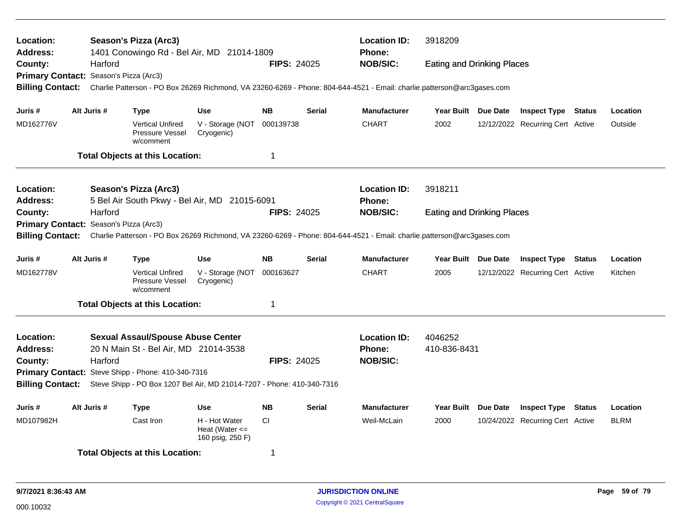| Location:<br>Address:   |             |         | Season's Pizza (Arc3)                                   | 1401 Conowingo Rd - Bel Air, MD 21014-1809                             |                    |               | <b>Location ID:</b><br><b>Phone:</b>                                                                                    | 3918209                           |                                  |             |
|-------------------------|-------------|---------|---------------------------------------------------------|------------------------------------------------------------------------|--------------------|---------------|-------------------------------------------------------------------------------------------------------------------------|-----------------------------------|----------------------------------|-------------|
| County:                 |             | Harford |                                                         |                                                                        | <b>FIPS: 24025</b> |               | <b>NOB/SIC:</b>                                                                                                         | <b>Eating and Drinking Places</b> |                                  |             |
| <b>Primary Contact:</b> |             |         | Season's Pizza (Arc3)                                   |                                                                        |                    |               |                                                                                                                         |                                   |                                  |             |
| <b>Billing Contact:</b> |             |         |                                                         |                                                                        |                    |               | Charlie Patterson - PO Box 26269 Richmond, VA 23260-6269 - Phone: 804-644-4521 - Email: charlie.patterson@arc3gases.com |                                   |                                  |             |
| Juris #                 | Alt Juris # |         | <b>Type</b>                                             | <b>Use</b>                                                             | <b>NB</b>          | <b>Serial</b> | <b>Manufacturer</b>                                                                                                     | Year Built Due Date               | <b>Inspect Type Status</b>       | Location    |
| MD162776V               |             |         | <b>Vertical Unfired</b><br>Pressure Vessel<br>w/comment | V - Storage (NOT<br>Cryogenic)                                         | 000139738          |               | <b>CHART</b>                                                                                                            | 2002                              | 12/12/2022 Recurring Cert Active | Outside     |
|                         |             |         | <b>Total Objects at this Location:</b>                  |                                                                        | 1                  |               |                                                                                                                         |                                   |                                  |             |
| Location:               |             |         | Season's Pizza (Arc3)                                   |                                                                        |                    |               | <b>Location ID:</b>                                                                                                     | 3918211                           |                                  |             |
| Address:                |             |         |                                                         | 5 Bel Air South Pkwy - Bel Air, MD 21015-6091                          |                    |               | <b>Phone:</b>                                                                                                           |                                   |                                  |             |
| County:                 |             | Harford |                                                         |                                                                        | <b>FIPS: 24025</b> |               | <b>NOB/SIC:</b>                                                                                                         | <b>Eating and Drinking Places</b> |                                  |             |
| <b>Primary Contact:</b> |             |         | Season's Pizza (Arc3)                                   |                                                                        |                    |               |                                                                                                                         |                                   |                                  |             |
| <b>Billing Contact:</b> |             |         |                                                         |                                                                        |                    |               | Charlie Patterson - PO Box 26269 Richmond, VA 23260-6269 - Phone: 804-644-4521 - Email: charlie.patterson@arc3gases.com |                                   |                                  |             |
|                         |             |         |                                                         |                                                                        |                    |               |                                                                                                                         |                                   |                                  |             |
| Juris #                 | Alt Juris # |         | <b>Type</b>                                             | <b>Use</b>                                                             | <b>NB</b>          | <b>Serial</b> | <b>Manufacturer</b>                                                                                                     | Year Built Due Date               | <b>Inspect Type Status</b>       | Location    |
| MD162778V               |             |         | <b>Vertical Unfired</b><br>Pressure Vessel<br>w/comment | V - Storage (NOT<br>Cryogenic)                                         | 000163627          |               | <b>CHART</b>                                                                                                            | 2005                              | 12/12/2022 Recurring Cert Active | Kitchen     |
|                         |             |         | <b>Total Objects at this Location:</b>                  |                                                                        | 1                  |               |                                                                                                                         |                                   |                                  |             |
| Location:               |             |         | <b>Sexual Assaul/Spouse Abuse Center</b>                |                                                                        |                    |               | <b>Location ID:</b>                                                                                                     | 4046252                           |                                  |             |
| <b>Address:</b>         |             |         | 20 N Main St - Bel Air, MD 21014-3538                   |                                                                        |                    |               | <b>Phone:</b>                                                                                                           | 410-836-8431                      |                                  |             |
| County:                 |             | Harford |                                                         |                                                                        | <b>FIPS: 24025</b> |               | <b>NOB/SIC:</b>                                                                                                         |                                   |                                  |             |
|                         |             |         | Primary Contact: Steve Shipp - Phone: 410-340-7316      |                                                                        |                    |               |                                                                                                                         |                                   |                                  |             |
| <b>Billing Contact:</b> |             |         |                                                         | Steve Shipp - PO Box 1207 Bel Air, MD 21014-7207 - Phone: 410-340-7316 |                    |               |                                                                                                                         |                                   |                                  |             |
| Juris #                 | Alt Juris # |         | <b>Type</b>                                             | <b>Use</b>                                                             | <b>NB</b>          | <b>Serial</b> | <b>Manufacturer</b>                                                                                                     | Year Built Due Date               | <b>Inspect Type Status</b>       | Location    |
| MD107982H               |             |         | Cast Iron                                               | H - Hot Water<br>Heat (Water $\leq$<br>160 psig, 250 F)                | <b>CI</b>          |               | Weil-McLain                                                                                                             | 2000                              | 10/24/2022 Recurring Cert Active | <b>BLRM</b> |
|                         |             |         | <b>Total Objects at this Location:</b>                  |                                                                        | 1                  |               |                                                                                                                         |                                   |                                  |             |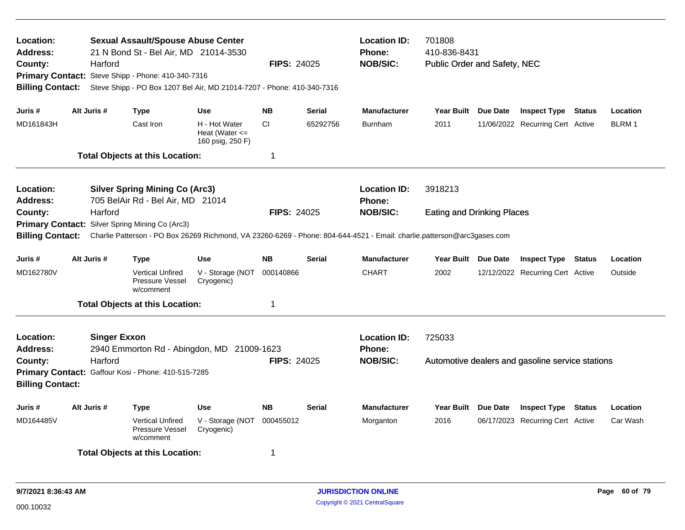| Location:<br>Address:<br>County:<br>Primary Contact: Steve Shipp - Phone: 410-340-7316<br><b>Billing Contact:</b><br>Juris #<br>MD161843H |                                                                                                             | Harford | <b>Sexual Assault/Spouse Abuse Center</b><br>21 N Bond St - Bel Air, MD 21014-3530<br>Steve Shipp - PO Box 1207 Bel Air, MD 21014-7207 - Phone: 410-340-7316 |                                                         | <b>FIPS: 24025</b> |               | <b>Location ID:</b><br><b>Phone:</b><br><b>NOB/SIC:</b>                                                                                    | 701808<br>410-836-8431<br>Public Order and Safety, NEC |                                                  |               |          |
|-------------------------------------------------------------------------------------------------------------------------------------------|-------------------------------------------------------------------------------------------------------------|---------|--------------------------------------------------------------------------------------------------------------------------------------------------------------|---------------------------------------------------------|--------------------|---------------|--------------------------------------------------------------------------------------------------------------------------------------------|--------------------------------------------------------|--------------------------------------------------|---------------|----------|
|                                                                                                                                           | Alt Juris #                                                                                                 |         | <b>Type</b>                                                                                                                                                  | <b>Use</b>                                              | <b>NB</b>          | Serial        | <b>Manufacturer</b>                                                                                                                        | Year Built Due Date                                    | <b>Inspect Type Status</b>                       |               | Location |
|                                                                                                                                           |                                                                                                             |         | Cast Iron                                                                                                                                                    | H - Hot Water<br>Heat (Water $\leq$<br>160 psig, 250 F) | <b>CI</b>          | 65292756      | <b>Burnham</b>                                                                                                                             | 2011                                                   | 11/06/2022 Recurring Cert Active                 |               | BLRM 1   |
|                                                                                                                                           |                                                                                                             |         | <b>Total Objects at this Location:</b>                                                                                                                       |                                                         | 1                  |               |                                                                                                                                            |                                                        |                                                  |               |          |
| Location:<br>Address:                                                                                                                     |                                                                                                             |         | <b>Silver Spring Mining Co (Arc3)</b><br>705 BelAir Rd - Bel Air, MD 21014                                                                                   |                                                         |                    |               | <b>Location ID:</b><br><b>Phone:</b>                                                                                                       | 3918213                                                |                                                  |               |          |
| County:<br><b>Primary Contact:</b><br><b>Billing Contact:</b>                                                                             |                                                                                                             | Harford | Silver Spring Mining Co (Arc3)                                                                                                                               |                                                         | <b>FIPS: 24025</b> |               | <b>NOB/SIC:</b><br>Charlie Patterson - PO Box 26269 Richmond, VA 23260-6269 - Phone: 804-644-4521 - Email: charlie.patterson@arc3gases.com | <b>Eating and Drinking Places</b>                      |                                                  |               |          |
| Juris #                                                                                                                                   | Alt Juris #                                                                                                 |         | <b>Type</b>                                                                                                                                                  | <b>Use</b>                                              | <b>NB</b>          | <b>Serial</b> | <b>Manufacturer</b>                                                                                                                        | Year Built Due Date                                    | <b>Inspect Type Status</b>                       |               | Location |
| MD162780V                                                                                                                                 |                                                                                                             |         | <b>Vertical Unfired</b><br>Pressure Vessel<br>w/comment                                                                                                      | V - Storage (NOT<br>Cryogenic)                          | 000140866          |               | <b>CHART</b>                                                                                                                               | 2002                                                   | 12/12/2022 Recurring Cert Active                 |               | Outside  |
|                                                                                                                                           |                                                                                                             |         |                                                                                                                                                              |                                                         | 1                  |               |                                                                                                                                            |                                                        |                                                  |               |          |
| Location:<br><b>Address:</b>                                                                                                              | <b>Total Objects at this Location:</b><br><b>Singer Exxon</b><br>2940 Emmorton Rd - Abingdon, MD 21009-1623 |         |                                                                                                                                                              |                                                         | FIPS: 24025        |               | <b>Location ID:</b><br>Phone:<br><b>NOB/SIC:</b>                                                                                           | 725033                                                 |                                                  |               |          |
| Harford<br>County:<br>Primary Contact: Gaffour Kosi - Phone: 410-515-7285<br><b>Billing Contact:</b>                                      |                                                                                                             |         |                                                                                                                                                              |                                                         |                    |               |                                                                                                                                            |                                                        | Automotive dealers and gasoline service stations |               |          |
| Juris #                                                                                                                                   | Alt Juris #                                                                                                 |         | <b>Type</b>                                                                                                                                                  | <b>Use</b>                                              | <b>NB</b>          | <b>Serial</b> | <b>Manufacturer</b>                                                                                                                        | Year Built Due Date                                    | <b>Inspect Type</b>                              | <b>Status</b> | Location |
| MD164485V                                                                                                                                 |                                                                                                             |         | <b>Vertical Unfired</b><br>Pressure Vessel<br>w/comment                                                                                                      | V - Storage (NOT<br>Cryogenic)                          | 000455012          |               | Morganton                                                                                                                                  | 2016                                                   | 06/17/2023 Recurring Cert Active                 |               | Car Wash |
|                                                                                                                                           |                                                                                                             |         | <b>Total Objects at this Location:</b>                                                                                                                       |                                                         | 1                  |               |                                                                                                                                            |                                                        |                                                  |               |          |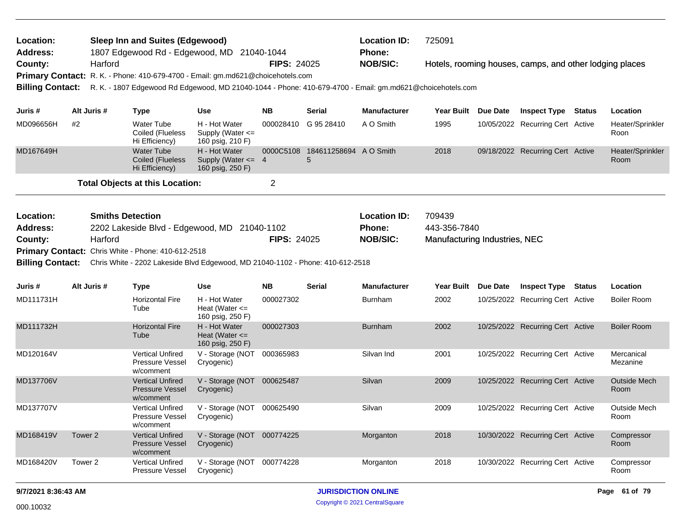| Location:<br><b>Address:</b> |                                              | <b>Sleep Inn and Suites (Edgewood)</b><br>1807 Edgewood Rd - Edgewood, MD 21040-1044                      |                                                             |                    |                                       | <b>Location ID:</b><br><b>Phone:</b> | 725091                        |          |                                                         |               |                          |
|------------------------------|----------------------------------------------|-----------------------------------------------------------------------------------------------------------|-------------------------------------------------------------|--------------------|---------------------------------------|--------------------------------------|-------------------------------|----------|---------------------------------------------------------|---------------|--------------------------|
| County:                      | Harford                                      |                                                                                                           |                                                             | <b>FIPS: 24025</b> |                                       | <b>NOB/SIC:</b>                      |                               |          | Hotels, rooming houses, camps, and other lodging places |               |                          |
|                              |                                              | Primary Contact: R. K. - Phone: 410-679-4700 - Email: gm.md621@choicehotels.com                           |                                                             |                    |                                       |                                      |                               |          |                                                         |               |                          |
| <b>Billing Contact:</b>      |                                              | R. K. - 1807 Edgewood Rd Edgewood, MD 21040-1044 - Phone: 410-679-4700 - Email: gm.md621@choicehotels.com |                                                             |                    |                                       |                                      |                               |          |                                                         |               |                          |
|                              |                                              |                                                                                                           |                                                             |                    |                                       |                                      |                               |          |                                                         |               |                          |
| Juris #                      | Alt Juris #                                  | <b>Type</b>                                                                                               | <b>Use</b>                                                  | <b>NB</b>          | <b>Serial</b>                         | <b>Manufacturer</b>                  | Year Built Due Date           |          | <b>Inspect Type Status</b>                              |               | Location                 |
| MD096656H                    | #2                                           | <b>Water Tube</b><br>Coiled (Flueless<br>Hi Efficiency)                                                   | H - Hot Water<br>Supply (Water <=<br>160 psig, 210 F)       |                    | 000028410 G 95 28410                  | A O Smith                            | 1995                          |          | 10/05/2022 Recurring Cert Active                        |               | Heater/Sprinkler<br>Roon |
| MD167649H                    |                                              | <b>Water Tube</b><br>Coiled (Flueless<br>Hi Efficiency)                                                   | H - Hot Water<br>Supply (Water $\leq$ 4<br>160 psig, 250 F) |                    | 0000C5108 184611258694 A O Smith<br>5 |                                      | 2018                          |          | 09/18/2022 Recurring Cert Active                        |               | Heater/Sprinkler<br>Room |
|                              |                                              | <b>Total Objects at this Location:</b>                                                                    |                                                             | $\overline{2}$     |                                       |                                      |                               |          |                                                         |               |                          |
| Location:                    |                                              | <b>Smiths Detection</b>                                                                                   |                                                             |                    |                                       | <b>Location ID:</b>                  | 709439                        |          |                                                         |               |                          |
| Address:                     | 2202 Lakeside Blvd - Edgewood, MD 21040-1102 |                                                                                                           |                                                             |                    |                                       | Phone:                               | 443-356-7840                  |          |                                                         |               |                          |
| County:                      | Harford                                      |                                                                                                           |                                                             | <b>FIPS: 24025</b> |                                       | <b>NOB/SIC:</b>                      | Manufacturing Industries, NEC |          |                                                         |               |                          |
|                              |                                              | Primary Contact: Chris White - Phone: 410-612-2518                                                        |                                                             |                    |                                       |                                      |                               |          |                                                         |               |                          |
|                              |                                              | Billing Contact: Chris White - 2202 Lakeside Blvd Edgewood, MD 21040-1102 - Phone: 410-612-2518           |                                                             |                    |                                       |                                      |                               |          |                                                         |               |                          |
| Juris #                      | Alt Juris #                                  | <b>Type</b>                                                                                               | <b>Use</b>                                                  | <b>NB</b>          | <b>Serial</b>                         | <b>Manufacturer</b>                  | <b>Year Built</b>             | Due Date | <b>Inspect Type</b>                                     | <b>Status</b> | Location                 |
| MD111731H                    |                                              | <b>Horizontal Fire</b>                                                                                    | H - Hot Water                                               | 000027302          |                                       | <b>Burnham</b>                       | 2002                          |          | 10/25/2022 Recurring Cert Active                        |               | <b>Boiler Room</b>       |
|                              |                                              | Tube                                                                                                      | Heat (Water $\leq$<br>160 psig, 250 F)                      |                    |                                       |                                      |                               |          |                                                         |               |                          |
| MD111732H                    |                                              | <b>Horizontal Fire</b><br>Tube                                                                            | H - Hot Water<br>Heat (Water $\leq$<br>160 psig, 250 F)     | 000027303          |                                       | <b>Burnham</b>                       | 2002                          |          | 10/25/2022 Recurring Cert Active                        |               | <b>Boiler Room</b>       |
| MD120164V                    |                                              | <b>Vertical Unfired</b><br><b>Pressure Vessel</b><br>w/comment                                            | V - Storage (NOT 000365983<br>Cryogenic)                    |                    |                                       | Silvan Ind                           | 2001                          |          | 10/25/2022 Recurring Cert Active                        |               | Mercanical<br>Mezanine   |
| MD137706V                    |                                              | <b>Vertical Unfired</b><br><b>Pressure Vessel</b><br>w/comment                                            | V - Storage (NOT 000625487<br>Cryogenic)                    |                    |                                       | Silvan                               | 2009                          |          | 10/25/2022 Recurring Cert Active                        |               | Outside Mech<br>Room     |
| MD137707V                    |                                              | <b>Vertical Unfired</b><br>Pressure Vessel<br>w/comment                                                   | V - Storage (NOT 000625490<br>Cryogenic)                    |                    |                                       | Silvan                               | 2009                          |          | 10/25/2022 Recurring Cert Active                        |               | Outside Mech<br>Room     |
| MD168419V                    | Tower 2                                      | <b>Vertical Unfired</b><br><b>Pressure Vessel</b><br>w/comment                                            | V - Storage (NOT 000774225<br>Cryogenic)                    |                    |                                       | Morganton                            | 2018                          |          | 10/30/2022 Recurring Cert Active                        |               | Compressor<br>Room       |
| MD168420V                    | Tower 2                                      | Vertical Unfired<br>Pressure Vessel                                                                       | V - Storage (NOT 000774228<br>Cryogenic)                    |                    |                                       | Morganton                            | 2018                          |          | 10/30/2022 Recurring Cert Active                        |               | Compressor<br>Room       |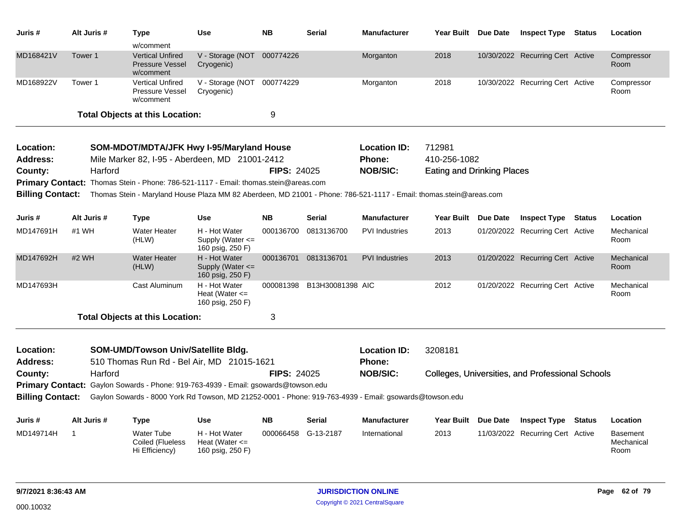| Juris #                      | Alt Juris # | Type                                                                                                               | <b>Use</b>                                                | <b>NB</b>          | <b>Serial</b>                    | <b>Manufacturer</b>   | Year Built Due Date                              | <b>Inspect Type</b>              | Status | Location                       |
|------------------------------|-------------|--------------------------------------------------------------------------------------------------------------------|-----------------------------------------------------------|--------------------|----------------------------------|-----------------------|--------------------------------------------------|----------------------------------|--------|--------------------------------|
|                              |             | w/comment                                                                                                          |                                                           |                    |                                  |                       |                                                  |                                  |        |                                |
| MD168421V                    | Tower 1     | <b>Vertical Unfired</b><br>Pressure Vessel<br>w/comment                                                            | V - Storage (NOT 000774226<br>Cryogenic)                  |                    |                                  | Morganton             | 2018                                             | 10/30/2022 Recurring Cert Active |        | Compressor<br>Room             |
| MD168922V                    | Tower 1     | <b>Vertical Unfired</b><br>Pressure Vessel<br>w/comment                                                            | V - Storage (NOT 000774229<br>Cryogenic)                  |                    |                                  | Morganton             | 2018                                             | 10/30/2022 Recurring Cert Active |        | Compressor<br>Room             |
|                              |             | <b>Total Objects at this Location:</b>                                                                             |                                                           | 9                  |                                  |                       |                                                  |                                  |        |                                |
| Location:                    |             | SOM-MDOT/MDTA/JFK Hwy I-95/Maryland House                                                                          |                                                           |                    |                                  | <b>Location ID:</b>   | 712981                                           |                                  |        |                                |
| Address:                     |             | Mile Marker 82, I-95 - Aberdeen, MD 21001-2412                                                                     |                                                           |                    |                                  | <b>Phone:</b>         | 410-256-1082                                     |                                  |        |                                |
| County:                      | Harford     |                                                                                                                    |                                                           | <b>FIPS: 24025</b> |                                  | <b>NOB/SIC:</b>       | <b>Eating and Drinking Places</b>                |                                  |        |                                |
|                              |             | Primary Contact: Thomas Stein - Phone: 786-521-1117 - Email: thomas.stein@areas.com                                |                                                           |                    |                                  |                       |                                                  |                                  |        |                                |
| <b>Billing Contact:</b>      |             | Thomas Stein - Maryland House Plaza MM 82 Aberdeen, MD 21001 - Phone: 786-521-1117 - Email: thomas.stein@areas.com |                                                           |                    |                                  |                       |                                                  |                                  |        |                                |
|                              |             |                                                                                                                    |                                                           |                    |                                  |                       |                                                  |                                  |        |                                |
| Juris #                      | Alt Juris # | <b>Type</b>                                                                                                        | <b>Use</b>                                                | <b>NB</b>          | <b>Serial</b>                    | <b>Manufacturer</b>   | Year Built Due Date                              | <b>Inspect Type Status</b>       |        | Location                       |
| MD147691H                    | #1 WH       | <b>Water Heater</b><br>(HLW)                                                                                       | H - Hot Water<br>Supply (Water $\leq$<br>160 psig, 250 F) |                    | 000136700 0813136700             | <b>PVI</b> Industries | 2013                                             | 01/20/2022 Recurring Cert Active |        | Mechanical<br>Room             |
| MD147692H                    | #2 WH       | <b>Water Heater</b><br>(HLW)                                                                                       | H - Hot Water<br>Supply (Water <=<br>160 psig, 250 F)     |                    | 000136701 0813136701             | <b>PVI Industries</b> | 2013                                             | 01/20/2022 Recurring Cert Active |        | Mechanical<br>Room             |
| MD147693H                    |             | Cast Aluminum                                                                                                      | H - Hot Water<br>Heat (Water $\leq$<br>160 psig, 250 F)   |                    | 000081398 B13H30081398 AIC       |                       | 2012                                             | 01/20/2022 Recurring Cert Active |        | Mechanical<br>Room             |
|                              |             | <b>Total Objects at this Location:</b>                                                                             |                                                           | 3                  |                                  |                       |                                                  |                                  |        |                                |
|                              |             |                                                                                                                    |                                                           |                    |                                  |                       |                                                  |                                  |        |                                |
| Location:<br><b>Address:</b> |             | SOM-UMD/Towson Univ/Satellite Bldg.<br>510 Thomas Run Rd - Bel Air, MD 21015-1621                                  |                                                           |                    |                                  | <b>Location ID:</b>   | 3208181                                          |                                  |        |                                |
| County:                      | Harford     |                                                                                                                    | <b>FIPS: 24025</b>                                        |                    | <b>Phone:</b><br><b>NOB/SIC:</b> |                       |                                                  |                                  |        |                                |
|                              |             | Primary Contact: Gaylon Sowards - Phone: 919-763-4939 - Email: gsowards@towson.edu                                 |                                                           |                    |                                  |                       | Colleges, Universities, and Professional Schools |                                  |        |                                |
| <b>Billing Contact:</b>      |             | Gaylon Sowards - 8000 York Rd Towson, MD 21252-0001 - Phone: 919-763-4939 - Email: gsowards@towson.edu             |                                                           |                    |                                  |                       |                                                  |                                  |        |                                |
| Juris #                      | Alt Juris # | <b>Type</b>                                                                                                        | Use                                                       | <b>NB</b>          | Serial                           | <b>Manufacturer</b>   | Year Built Due Date                              | <b>Inspect Type Status</b>       |        | Location                       |
| MD149714H                    | -1          | <b>Water Tube</b><br>Coiled (Flueless<br>Hi Efficiency)                                                            | H - Hot Water<br>Heat (Water $\leq$<br>160 psig, 250 F)   |                    | 000066458 G-13-2187              | International         | 2013                                             | 11/03/2022 Recurring Cert Active |        | Basement<br>Mechanical<br>Room |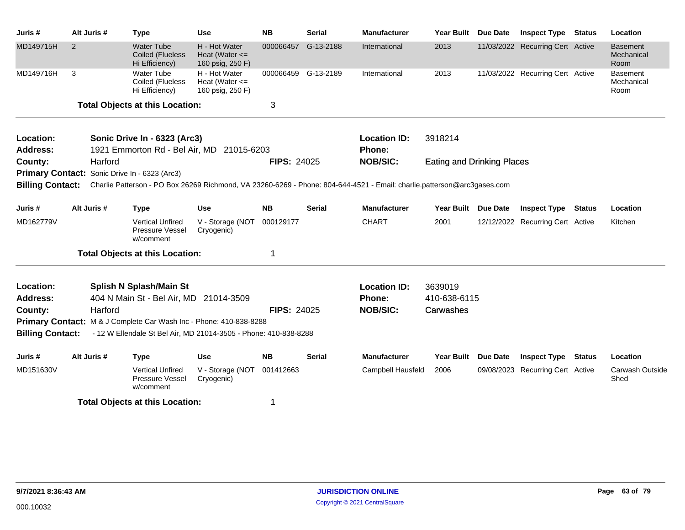| Juris#                  | Alt Juris # | <b>Type</b>                                                        | <b>Use</b>                                              | <b>NB</b>          | <b>Serial</b>       | <b>Manufacturer</b>                                                                                                                      | Year Built                        | <b>Due Date</b> | <b>Inspect Type</b>              | <b>Status</b> | Location                              |
|-------------------------|-------------|--------------------------------------------------------------------|---------------------------------------------------------|--------------------|---------------------|------------------------------------------------------------------------------------------------------------------------------------------|-----------------------------------|-----------------|----------------------------------|---------------|---------------------------------------|
| MD149715H               | 2           | <b>Water Tube</b><br><b>Coiled (Flueless</b><br>Hi Efficiency)     | H - Hot Water<br>Heat (Water $\leq$<br>160 psig, 250 F) | 000066457          | G-13-2188           | International                                                                                                                            | 2013                              |                 | 11/03/2022 Recurring Cert Active |               | <b>Basement</b><br>Mechanical<br>Room |
| MD149716H               | 3           | Water Tube<br>Coiled (Flueless<br>Hi Efficiency)                   | H - Hot Water<br>Heat (Water $\leq$<br>160 psig, 250 F) |                    | 000066459 G-13-2189 | International                                                                                                                            | 2013                              |                 | 11/03/2022 Recurring Cert Active |               | <b>Basement</b><br>Mechanical<br>Room |
|                         |             | <b>Total Objects at this Location:</b>                             |                                                         | 3                  |                     |                                                                                                                                          |                                   |                 |                                  |               |                                       |
| Location:               |             | Sonic Drive In - 6323 (Arc3)                                       |                                                         |                    |                     | <b>Location ID:</b>                                                                                                                      | 3918214                           |                 |                                  |               |                                       |
| <b>Address:</b>         |             | 1921 Emmorton Rd - Bel Air, MD 21015-6203                          |                                                         |                    |                     | Phone:                                                                                                                                   |                                   |                 |                                  |               |                                       |
| County:                 | Harford     | Primary Contact: Sonic Drive In - 6323 (Arc3)                      |                                                         | <b>FIPS: 24025</b> |                     | <b>NOB/SIC:</b>                                                                                                                          | <b>Eating and Drinking Places</b> |                 |                                  |               |                                       |
|                         |             |                                                                    |                                                         |                    |                     | Billing Contact: Charlie Patterson - PO Box 26269 Richmond, VA 23260-6269 - Phone: 804-644-4521 - Email: charlie.patterson@arc3gases.com |                                   |                 |                                  |               |                                       |
| Juris #                 | Alt Juris # | <b>Type</b>                                                        | <b>Use</b>                                              | <b>NB</b>          | <b>Serial</b>       | <b>Manufacturer</b>                                                                                                                      | Year Built Due Date               |                 | <b>Inspect Type Status</b>       |               | Location                              |
| MD162779V               |             | <b>Vertical Unfired</b><br>Pressure Vessel<br>w/comment            | V - Storage (NOT<br>Cryogenic)                          | 000129177          |                     | <b>CHART</b>                                                                                                                             | 2001                              |                 | 12/12/2022 Recurring Cert Active |               | Kitchen                               |
|                         |             | <b>Total Objects at this Location:</b>                             |                                                         | 1                  |                     |                                                                                                                                          |                                   |                 |                                  |               |                                       |
| Location:               |             | Splish N Splash/Main St                                            |                                                         |                    |                     | <b>Location ID:</b>                                                                                                                      | 3639019                           |                 |                                  |               |                                       |
| <b>Address:</b>         |             | 404 N Main St - Bel Air, MD 21014-3509                             |                                                         |                    |                     | <b>Phone:</b>                                                                                                                            | 410-638-6115                      |                 |                                  |               |                                       |
| County:                 | Harford     |                                                                    |                                                         | <b>FIPS: 24025</b> |                     | <b>NOB/SIC:</b>                                                                                                                          | Carwashes                         |                 |                                  |               |                                       |
|                         |             | Primary Contact: M & J Complete Car Wash Inc - Phone: 410-838-8288 |                                                         |                    |                     |                                                                                                                                          |                                   |                 |                                  |               |                                       |
| <b>Billing Contact:</b> |             | - 12 W Ellendale St Bel Air, MD 21014-3505 - Phone: 410-838-8288   |                                                         |                    |                     |                                                                                                                                          |                                   |                 |                                  |               |                                       |
| Juris #                 | Alt Juris # | <b>Type</b>                                                        | <b>Use</b>                                              | <b>NB</b>          | <b>Serial</b>       | <b>Manufacturer</b>                                                                                                                      | <b>Year Built</b>                 | <b>Due Date</b> | <b>Inspect Type Status</b>       |               | Location                              |
| MD151630V               |             | <b>Vertical Unfired</b><br>Pressure Vessel<br>w/comment            | V - Storage (NOT 001412663<br>Cryogenic)                |                    |                     | Campbell Hausfeld                                                                                                                        | 2006                              |                 | 09/08/2023 Recurring Cert Active |               | Carwash Outside<br>Shed               |
|                         |             | <b>Total Objects at this Location:</b>                             |                                                         | 1                  |                     |                                                                                                                                          |                                   |                 |                                  |               |                                       |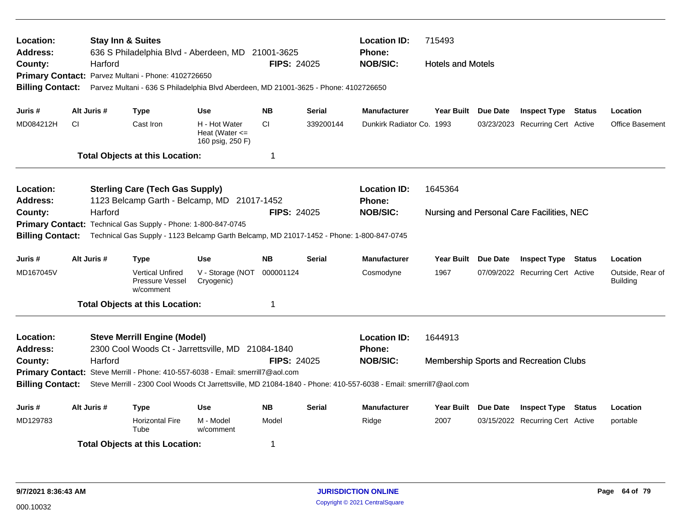| Location:<br><b>Address:</b> |     | <b>Stay Inn &amp; Suites</b> |                                                               | 636 S Philadelphia Blvd - Aberdeen, MD 21001-3625                                        |                    |               | <b>Location ID:</b><br><b>Phone:</b>                                                                             | 715493                   |                 |                                           |               |                                     |  |  |
|------------------------------|-----|------------------------------|---------------------------------------------------------------|------------------------------------------------------------------------------------------|--------------------|---------------|------------------------------------------------------------------------------------------------------------------|--------------------------|-----------------|-------------------------------------------|---------------|-------------------------------------|--|--|
| County:                      |     | Harford                      |                                                               |                                                                                          | <b>FIPS: 24025</b> |               | <b>NOB/SIC:</b>                                                                                                  | <b>Hotels and Motels</b> |                 |                                           |               |                                     |  |  |
|                              |     |                              | Primary Contact: Parvez Multani - Phone: 4102726650           |                                                                                          |                    |               |                                                                                                                  |                          |                 |                                           |               |                                     |  |  |
| <b>Billing Contact:</b>      |     |                              |                                                               | Parvez Multani - 636 S Philadelphia Blvd Aberdeen, MD 21001-3625 - Phone: 4102726650     |                    |               |                                                                                                                  |                          |                 |                                           |               |                                     |  |  |
| Juris #                      |     | Alt Juris #                  | <b>Type</b>                                                   | <b>Use</b>                                                                               | <b>NB</b>          | <b>Serial</b> | <b>Manufacturer</b>                                                                                              | Year Built Due Date      |                 | <b>Inspect Type</b>                       | <b>Status</b> | Location                            |  |  |
| MD084212H                    | CI. |                              | Cast Iron                                                     | H - Hot Water<br>Heat (Water $\leq$<br>160 psig, 250 F)                                  | CI                 | 339200144     | Dunkirk Radiator Co. 1993                                                                                        |                          |                 | 03/23/2023 Recurring Cert Active          |               | <b>Office Basement</b>              |  |  |
|                              |     |                              | <b>Total Objects at this Location:</b>                        |                                                                                          | 1                  |               |                                                                                                                  |                          |                 |                                           |               |                                     |  |  |
| Location:                    |     |                              | <b>Sterling Care (Tech Gas Supply)</b>                        |                                                                                          |                    |               | <b>Location ID:</b>                                                                                              | 1645364                  |                 |                                           |               |                                     |  |  |
| <b>Address:</b>              |     |                              |                                                               | 1123 Belcamp Garth - Belcamp, MD 21017-1452                                              |                    |               | Phone:                                                                                                           |                          |                 |                                           |               |                                     |  |  |
| County:                      |     | Harford                      |                                                               |                                                                                          | <b>FIPS: 24025</b> |               | <b>NOB/SIC:</b>                                                                                                  |                          |                 | Nursing and Personal Care Facilities, NEC |               |                                     |  |  |
|                              |     |                              | Primary Contact: Technical Gas Supply - Phone: 1-800-847-0745 |                                                                                          |                    |               |                                                                                                                  |                          |                 |                                           |               |                                     |  |  |
| <b>Billing Contact:</b>      |     |                              |                                                               | Technical Gas Supply - 1123 Belcamp Garth Belcamp, MD 21017-1452 - Phone: 1-800-847-0745 |                    |               |                                                                                                                  |                          |                 |                                           |               |                                     |  |  |
| Juris #                      |     | Alt Juris #                  | <b>Type</b>                                                   | <b>Use</b>                                                                               | <b>NB</b>          | <b>Serial</b> | <b>Manufacturer</b>                                                                                              | Year Built Due Date      |                 | <b>Inspect Type</b>                       | <b>Status</b> | Location                            |  |  |
| MD167045V                    |     |                              | <b>Vertical Unfired</b><br>Pressure Vessel<br>w/comment       | V - Storage (NOT<br>Cryogenic)                                                           | 000001124          |               | Cosmodyne                                                                                                        | 1967                     |                 | 07/09/2022 Recurring Cert Active          |               | Outside, Rear of<br><b>Building</b> |  |  |
|                              |     |                              | <b>Total Objects at this Location:</b>                        |                                                                                          | 1                  |               |                                                                                                                  |                          |                 |                                           |               |                                     |  |  |
| Location:                    |     |                              | <b>Steve Merrill Engine (Model)</b>                           |                                                                                          |                    |               | <b>Location ID:</b>                                                                                              | 1644913                  |                 |                                           |               |                                     |  |  |
| <b>Address:</b>              |     |                              |                                                               | 2300 Cool Woods Ct - Jarrettsville, MD 21084-1840                                        |                    |               | <b>Phone:</b>                                                                                                    |                          |                 |                                           |               |                                     |  |  |
| County:                      |     | Harford                      |                                                               |                                                                                          | <b>FIPS: 24025</b> |               | <b>NOB/SIC:</b>                                                                                                  |                          |                 | Membership Sports and Recreation Clubs    |               |                                     |  |  |
|                              |     |                              |                                                               | Primary Contact: Steve Merrill - Phone: 410-557-6038 - Email: smerrill7@aol.com          |                    |               |                                                                                                                  |                          |                 |                                           |               |                                     |  |  |
| <b>Billing Contact:</b>      |     |                              |                                                               |                                                                                          |                    |               | Steve Merrill - 2300 Cool Woods Ct Jarrettsville, MD 21084-1840 - Phone: 410-557-6038 - Email: smerrill7@aol.com |                          |                 |                                           |               |                                     |  |  |
| Juris #                      |     | Alt Juris #                  | <b>Type</b>                                                   | <b>Use</b>                                                                               | <b>NB</b>          | <b>Serial</b> | <b>Manufacturer</b>                                                                                              | <b>Year Built</b>        | <b>Due Date</b> | <b>Inspect Type</b>                       | <b>Status</b> | Location                            |  |  |
| MD129783                     |     |                              | <b>Horizontal Fire</b><br>Tube                                | M - Model<br>w/comment                                                                   | Model              |               | Ridge                                                                                                            | 2007                     |                 | 03/15/2022 Recurring Cert Active          |               | portable                            |  |  |
|                              |     |                              | <b>Total Objects at this Location:</b>                        |                                                                                          | 1                  |               |                                                                                                                  |                          |                 |                                           |               |                                     |  |  |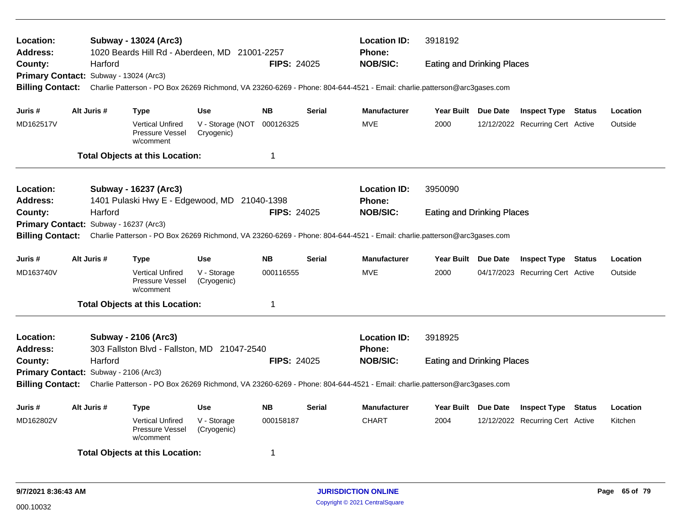| Location:<br>Address:<br>County:    | Harford                                | Subway - 13024 (Arc3)<br>1020 Beards Hill Rd - Aberdeen, MD 21001-2257                                                  |                                | <b>FIPS: 24025</b> |               | <b>Location ID:</b><br>Phone:<br><b>NOB/SIC:</b> | 3918192<br><b>Eating and Drinking Places</b> |  |                                  |        |          |  |  |
|-------------------------------------|----------------------------------------|-------------------------------------------------------------------------------------------------------------------------|--------------------------------|--------------------|---------------|--------------------------------------------------|----------------------------------------------|--|----------------------------------|--------|----------|--|--|
|                                     | Primary Contact: Subway - 13024 (Arc3) |                                                                                                                         |                                |                    |               |                                                  |                                              |  |                                  |        |          |  |  |
| <b>Billing Contact:</b>             |                                        | Charlie Patterson - PO Box 26269 Richmond, VA 23260-6269 - Phone: 804-644-4521 - Email: charlie.patterson@arc3gases.com |                                |                    |               |                                                  |                                              |  |                                  |        |          |  |  |
| Juris #                             | Alt Juris #                            | <b>Type</b>                                                                                                             | <b>Use</b>                     | <b>NB</b>          | <b>Serial</b> | <b>Manufacturer</b>                              | Year Built Due Date                          |  | <b>Inspect Type Status</b>       |        | Location |  |  |
| MD162517V                           |                                        | <b>Vertical Unfired</b><br>Pressure Vessel<br>w/comment                                                                 | V - Storage (NOT<br>Cryogenic) | 000126325          |               | <b>MVE</b>                                       | 2000                                         |  | 12/12/2022 Recurring Cert Active |        | Outside  |  |  |
|                                     |                                        | <b>Total Objects at this Location:</b>                                                                                  |                                | $\mathbf 1$        |               |                                                  |                                              |  |                                  |        |          |  |  |
| <b>Location:</b><br><b>Address:</b> |                                        | Subway - 16237 (Arc3)<br>1401 Pulaski Hwy E - Edgewood, MD 21040-1398                                                   |                                |                    |               | <b>Location ID:</b><br><b>Phone:</b>             | 3950090                                      |  |                                  |        |          |  |  |
| County:                             | Harford                                |                                                                                                                         |                                | <b>FIPS: 24025</b> |               | <b>NOB/SIC:</b>                                  | <b>Eating and Drinking Places</b>            |  |                                  |        |          |  |  |
|                                     | Primary Contact: Subway - 16237 (Arc3) |                                                                                                                         |                                |                    |               |                                                  |                                              |  |                                  |        |          |  |  |
| <b>Billing Contact:</b>             |                                        | Charlie Patterson - PO Box 26269 Richmond, VA 23260-6269 - Phone: 804-644-4521 - Email: charlie.patterson@arc3gases.com |                                |                    |               |                                                  |                                              |  |                                  |        |          |  |  |
| Juris #                             | Alt Juris #                            | <b>Type</b>                                                                                                             | <b>Use</b>                     | <b>NB</b>          | <b>Serial</b> | <b>Manufacturer</b>                              | Year Built Due Date                          |  | <b>Inspect Type Status</b>       |        | Location |  |  |
| MD163740V                           |                                        | <b>Vertical Unfired</b><br>Pressure Vessel<br>w/comment                                                                 | V - Storage<br>(Cryogenic)     | 000116555          |               | <b>MVE</b>                                       | 2000                                         |  | 04/17/2023 Recurring Cert Active |        | Outside  |  |  |
|                                     |                                        | <b>Total Objects at this Location:</b>                                                                                  |                                | $\mathbf 1$        |               |                                                  |                                              |  |                                  |        |          |  |  |
| Location:<br><b>Address:</b>        |                                        | <b>Subway - 2106 (Arc3)</b><br>303 Fallston Blvd - Fallston, MD 21047-2540                                              |                                |                    |               | <b>Location ID:</b><br><b>Phone:</b>             | 3918925                                      |  |                                  |        |          |  |  |
| County:                             | Harford                                |                                                                                                                         |                                | <b>FIPS: 24025</b> |               | <b>NOB/SIC:</b>                                  | <b>Eating and Drinking Places</b>            |  |                                  |        |          |  |  |
|                                     | Primary Contact: Subway - 2106 (Arc3)  |                                                                                                                         |                                |                    |               |                                                  |                                              |  |                                  |        |          |  |  |
| <b>Billing Contact:</b>             |                                        | Charlie Patterson - PO Box 26269 Richmond, VA 23260-6269 - Phone: 804-644-4521 - Email: charlie.patterson@arc3gases.com |                                |                    |               |                                                  |                                              |  |                                  |        |          |  |  |
| Juris #                             | Alt Juris #                            | <b>Type</b>                                                                                                             | <b>Use</b>                     | <b>NB</b>          | <b>Serial</b> | <b>Manufacturer</b>                              | Year Built Due Date                          |  | <b>Inspect Type</b>              | Status | Location |  |  |
| MD162802V                           |                                        | <b>Vertical Unfired</b><br>Pressure Vessel<br>w/comment                                                                 | V - Storage<br>(Cryogenic)     | 000158187          |               | <b>CHART</b>                                     | 2004                                         |  | 12/12/2022 Recurring Cert Active |        | Kitchen  |  |  |
|                                     |                                        | <b>Total Objects at this Location:</b>                                                                                  |                                | -1                 |               |                                                  |                                              |  |                                  |        |          |  |  |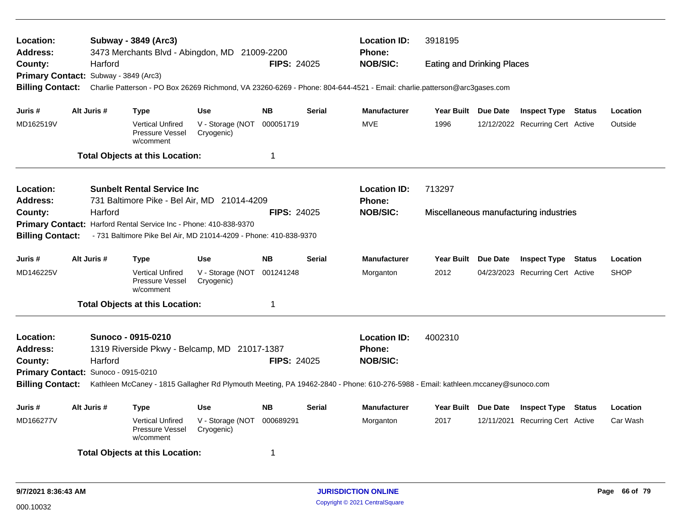| Location:<br><b>Address:</b>             |             |         | Subway - 3849 (Arc3)                                              | 3473 Merchants Blvd - Abingdon, MD 21009-2200                     |                    |               | <b>Location ID:</b><br><b>Phone:</b>                                                                                            | 3918195<br><b>Eating and Drinking Places</b> |  |                                        |  |             |  |
|------------------------------------------|-------------|---------|-------------------------------------------------------------------|-------------------------------------------------------------------|--------------------|---------------|---------------------------------------------------------------------------------------------------------------------------------|----------------------------------------------|--|----------------------------------------|--|-------------|--|
| County:                                  |             | Harford |                                                                   |                                                                   | <b>FIPS: 24025</b> |               | <b>NOB/SIC:</b>                                                                                                                 |                                              |  |                                        |  |             |  |
| Primary Contact: Subway - 3849 (Arc3)    |             |         |                                                                   |                                                                   |                    |               |                                                                                                                                 |                                              |  |                                        |  |             |  |
| <b>Billing Contact:</b>                  |             |         |                                                                   |                                                                   |                    |               | Charlie Patterson - PO Box 26269 Richmond, VA 23260-6269 - Phone: 804-644-4521 - Email: charlie.patterson@arc3gases.com         |                                              |  |                                        |  |             |  |
| Juris #                                  | Alt Juris # |         | <b>Type</b>                                                       | <b>Use</b>                                                        | <b>NB</b>          | <b>Serial</b> | <b>Manufacturer</b>                                                                                                             | Year Built Due Date                          |  | <b>Inspect Type Status</b>             |  | Location    |  |
| MD162519V                                |             |         | <b>Vertical Unfired</b><br>Pressure Vessel<br>w/comment           | V - Storage (NOT<br>Cryogenic)                                    | 000051719          |               | MVE                                                                                                                             | 1996                                         |  | 12/12/2022 Recurring Cert Active       |  | Outside     |  |
|                                          |             |         | <b>Total Objects at this Location:</b>                            |                                                                   | $\mathbf 1$        |               |                                                                                                                                 |                                              |  |                                        |  |             |  |
| Location:                                |             |         | <b>Sunbelt Rental Service Inc</b>                                 |                                                                   |                    |               | <b>Location ID:</b>                                                                                                             | 713297                                       |  |                                        |  |             |  |
| <b>Address:</b>                          |             |         |                                                                   | 731 Baltimore Pike - Bel Air, MD 21014-4209                       |                    |               | <b>Phone:</b>                                                                                                                   |                                              |  |                                        |  |             |  |
| Harford<br><b>FIPS: 24025</b><br>County: |             |         |                                                                   |                                                                   |                    |               | <b>NOB/SIC:</b>                                                                                                                 |                                              |  | Miscellaneous manufacturing industries |  |             |  |
|                                          |             |         | Primary Contact: Harford Rental Service Inc - Phone: 410-838-9370 |                                                                   |                    |               |                                                                                                                                 |                                              |  |                                        |  |             |  |
| <b>Billing Contact:</b>                  |             |         |                                                                   | - 731 Baltimore Pike Bel Air, MD 21014-4209 - Phone: 410-838-9370 |                    |               |                                                                                                                                 |                                              |  |                                        |  |             |  |
| Juris #                                  | Alt Juris # |         | <b>Type</b>                                                       | <b>Use</b>                                                        | <b>NB</b>          | <b>Serial</b> | <b>Manufacturer</b>                                                                                                             | Year Built Due Date                          |  | <b>Inspect Type Status</b>             |  | Location    |  |
| MD146225V                                |             |         | <b>Vertical Unfired</b><br>Pressure Vessel<br>w/comment           | V - Storage (NOT<br>Cryogenic)                                    | 001241248          |               | Morganton                                                                                                                       | 2012                                         |  | 04/23/2023 Recurring Cert Active       |  | <b>SHOP</b> |  |
|                                          |             |         | <b>Total Objects at this Location:</b>                            |                                                                   | $\mathbf 1$        |               |                                                                                                                                 |                                              |  |                                        |  |             |  |
| Location:                                |             |         | Sunoco - 0915-0210                                                |                                                                   |                    |               | <b>Location ID:</b>                                                                                                             | 4002310                                      |  |                                        |  |             |  |
| <b>Address:</b>                          |             |         |                                                                   | 1319 Riverside Pkwy - Belcamp, MD 21017-1387                      |                    |               | <b>Phone:</b>                                                                                                                   |                                              |  |                                        |  |             |  |
| County:                                  |             | Harford |                                                                   |                                                                   | <b>FIPS: 24025</b> |               | <b>NOB/SIC:</b>                                                                                                                 |                                              |  |                                        |  |             |  |
| Primary Contact: Sunoco - 0915-0210      |             |         |                                                                   |                                                                   |                    |               |                                                                                                                                 |                                              |  |                                        |  |             |  |
| <b>Billing Contact:</b>                  |             |         |                                                                   |                                                                   |                    |               | Kathleen McCaney - 1815 Gallagher Rd Plymouth Meeting, PA 19462-2840 - Phone: 610-276-5988 - Email: kathleen.mccaney@sunoco.com |                                              |  |                                        |  |             |  |
| Juris #                                  | Alt Juris # |         | <b>Type</b>                                                       | <b>Use</b>                                                        | <b>NB</b>          | <b>Serial</b> | <b>Manufacturer</b>                                                                                                             | Year Built Due Date                          |  | <b>Inspect Type Status</b>             |  | Location    |  |
| MD166277V                                |             |         | <b>Vertical Unfired</b><br>Pressure Vessel<br>w/comment           | V - Storage (NOT<br>Cryogenic)                                    | 000689291          |               | Morganton                                                                                                                       | 2017                                         |  | 12/11/2021 Recurring Cert Active       |  | Car Wash    |  |
|                                          |             |         | <b>Total Objects at this Location:</b>                            |                                                                   | -1                 |               |                                                                                                                                 |                                              |  |                                        |  |             |  |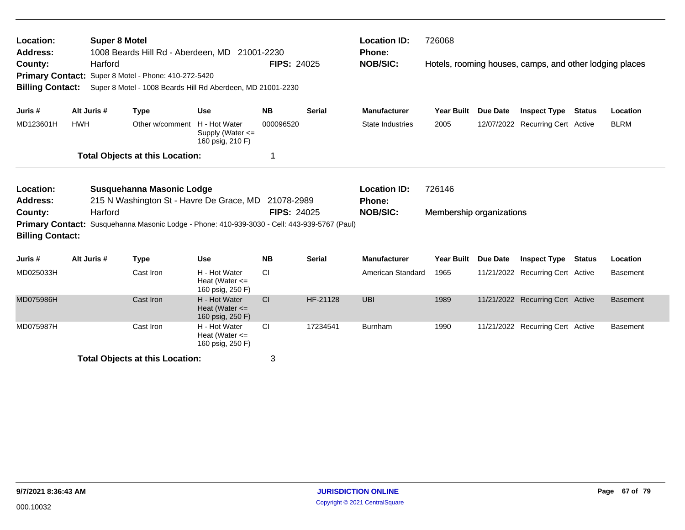| Location:<br>Address:<br>County:<br><b>Primary Contact:</b><br><b>Billing Contact:</b>                                                                                                                                                                                                            | Harford     | <b>Super 8 Motel</b><br>1008 Beards Hill Rd - Aberdeen, MD 21001-2230<br>Super 8 Motel - Phone: 410-272-5420<br>Super 8 Motel - 1008 Beards Hill Rd Aberdeen, MD 21001-2230 |                                                         | <b>FIPS: 24025</b> |               | <b>Location ID:</b><br><b>Phone:</b><br><b>NOB/SIC:</b> | 726068                             | Hotels, rooming houses, camps, and other lodging places |                                  |               |                 |  |
|---------------------------------------------------------------------------------------------------------------------------------------------------------------------------------------------------------------------------------------------------------------------------------------------------|-------------|-----------------------------------------------------------------------------------------------------------------------------------------------------------------------------|---------------------------------------------------------|--------------------|---------------|---------------------------------------------------------|------------------------------------|---------------------------------------------------------|----------------------------------|---------------|-----------------|--|
| Juris #                                                                                                                                                                                                                                                                                           | Alt Juris # | <b>Type</b>                                                                                                                                                                 | <b>Use</b>                                              | <b>NB</b>          | <b>Serial</b> | <b>Manufacturer</b>                                     | <b>Year Built</b>                  | <b>Due Date</b>                                         | <b>Inspect Type</b>              | <b>Status</b> | Location        |  |
| MD123601H                                                                                                                                                                                                                                                                                         | <b>HWH</b>  | Other w/comment                                                                                                                                                             | H - Hot Water<br>Supply (Water <=<br>160 psig, 210 F)   | 000096520          |               | <b>State Industries</b>                                 | 2005                               |                                                         | 12/07/2022 Recurring Cert Active |               | <b>BLRM</b>     |  |
|                                                                                                                                                                                                                                                                                                   |             | <b>Total Objects at this Location:</b>                                                                                                                                      |                                                         | -1                 |               |                                                         |                                    |                                                         |                                  |               |                 |  |
| Location:<br>Susquehanna Masonic Lodge<br>215 N Washington St - Havre De Grace, MD 21078-2989<br><b>Address:</b><br><b>FIPS: 24025</b><br>Harford<br>County:<br>Susquehanna Masonic Lodge - Phone: 410-939-3030 - Cell: 443-939-5767 (Paul)<br><b>Primary Contact:</b><br><b>Billing Contact:</b> |             |                                                                                                                                                                             |                                                         |                    |               | <b>Location ID:</b><br>Phone:<br><b>NOB/SIC:</b>        | 726146<br>Membership organizations |                                                         |                                  |               |                 |  |
| Juris #                                                                                                                                                                                                                                                                                           | Alt Juris # | <b>Type</b>                                                                                                                                                                 | <b>Use</b>                                              | <b>NB</b>          | <b>Serial</b> | <b>Manufacturer</b>                                     | <b>Year Built</b>                  | <b>Due Date</b>                                         | <b>Inspect Type</b>              | <b>Status</b> | Location        |  |
| MD025033H                                                                                                                                                                                                                                                                                         |             | Cast Iron                                                                                                                                                                   | H - Hot Water<br>Heat (Water $\leq$<br>160 psig, 250 F) | <b>CI</b>          |               | American Standard                                       | 1965                               |                                                         | 11/21/2022 Recurring Cert Active |               | <b>Basement</b> |  |
| MD075986H                                                                                                                                                                                                                                                                                         |             | Cast Iron                                                                                                                                                                   | H - Hot Water<br>Heat (Water $\leq$<br>160 psig, 250 F) | <b>CI</b>          | HF-21128      | <b>UBI</b>                                              | 1989                               |                                                         | 11/21/2022 Recurring Cert Active |               | <b>Basement</b> |  |
| MD075987H                                                                                                                                                                                                                                                                                         |             | Cast Iron                                                                                                                                                                   | H - Hot Water<br>Heat (Water $\leq$<br>160 psig, 250 F) | CI                 | 17234541      | <b>Burnham</b>                                          | 1990                               |                                                         | 11/21/2022 Recurring Cert Active |               | <b>Basement</b> |  |
| 3<br><b>Total Objects at this Location:</b>                                                                                                                                                                                                                                                       |             |                                                                                                                                                                             |                                                         |                    |               |                                                         |                                    |                                                         |                                  |               |                 |  |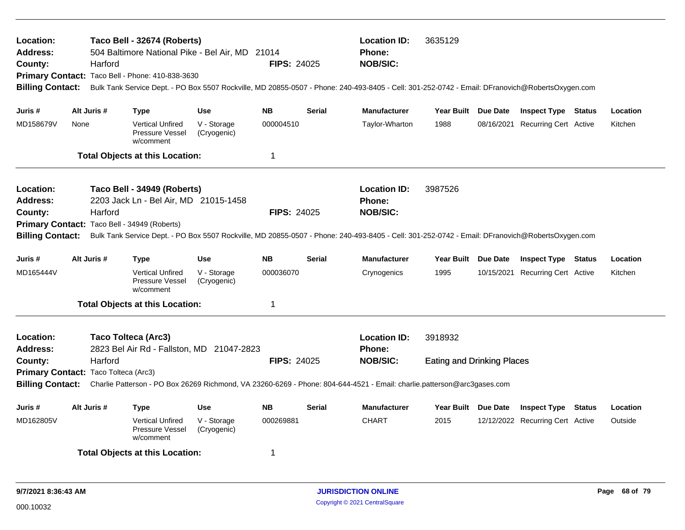| Location:<br><b>Address:</b><br>County:<br><b>Billing Contact:</b> |                                                                                                                                                                                                                                                                                                        | Harford     | Taco Bell - 32674 (Roberts)<br>504 Baltimore National Pike - Bel Air, MD 21014<br>Primary Contact: Taco Bell - Phone: 410-838-3630 |                            | <b>FIPS: 24025</b> |               | <b>Location ID:</b><br>3635129<br><b>Phone:</b><br><b>NOB/SIC:</b><br>Bulk Tank Service Dept. - PO Box 5507 Rockville, MD 20855-0507 - Phone: 240-493-8405 - Cell: 301-252-0742 - Email: DFranovich@RobertsOxygen.com |                                              |  |                                  |        |          |  |
|--------------------------------------------------------------------|--------------------------------------------------------------------------------------------------------------------------------------------------------------------------------------------------------------------------------------------------------------------------------------------------------|-------------|------------------------------------------------------------------------------------------------------------------------------------|----------------------------|--------------------|---------------|-----------------------------------------------------------------------------------------------------------------------------------------------------------------------------------------------------------------------|----------------------------------------------|--|----------------------------------|--------|----------|--|
| Juris #                                                            |                                                                                                                                                                                                                                                                                                        | Alt Juris # | <b>Type</b>                                                                                                                        | <b>Use</b>                 | <b>NB</b>          | <b>Serial</b> | <b>Manufacturer</b>                                                                                                                                                                                                   | Year Built Due Date                          |  | <b>Inspect Type Status</b>       |        | Location |  |
| MD158679V                                                          | None                                                                                                                                                                                                                                                                                                   |             | <b>Vertical Unfired</b><br>Pressure Vessel<br>w/comment                                                                            | V - Storage<br>(Cryogenic) | 000004510          |               | Taylor-Wharton                                                                                                                                                                                                        | 1988                                         |  | 08/16/2021 Recurring Cert Active |        | Kitchen  |  |
|                                                                    |                                                                                                                                                                                                                                                                                                        |             | <b>Total Objects at this Location:</b>                                                                                             |                            | 1                  |               |                                                                                                                                                                                                                       |                                              |  |                                  |        |          |  |
| Location:<br><b>Address:</b><br>County:<br><b>Billing Contact:</b> |                                                                                                                                                                                                                                                                                                        | Harford     | Taco Bell - 34949 (Roberts)<br>2203 Jack Ln - Bel Air, MD 21015-1458<br>Primary Contact: Taco Bell - 34949 (Roberts)               |                            | <b>FIPS: 24025</b> |               | <b>Location ID:</b><br><b>Phone:</b><br><b>NOB/SIC:</b><br>Bulk Tank Service Dept. - PO Box 5507 Rockville, MD 20855-0507 - Phone: 240-493-8405 - Cell: 301-252-0742 - Email: DFranovich@RobertsOxygen.com            | 3987526                                      |  |                                  |        |          |  |
| Juris #                                                            |                                                                                                                                                                                                                                                                                                        | Alt Juris # | <b>Type</b>                                                                                                                        | <b>Use</b>                 | <b>NB</b>          | <b>Serial</b> | <b>Manufacturer</b>                                                                                                                                                                                                   | Year Built Due Date                          |  | <b>Inspect Type Status</b>       |        | Location |  |
| MD165444V                                                          |                                                                                                                                                                                                                                                                                                        |             | <b>Vertical Unfired</b><br>Pressure Vessel<br>w/comment                                                                            | V - Storage<br>(Cryogenic) | 000036070          |               | Crynogenics                                                                                                                                                                                                           | 1995                                         |  | 10/15/2021 Recurring Cert Active |        | Kitchen  |  |
|                                                                    |                                                                                                                                                                                                                                                                                                        |             | <b>Total Objects at this Location:</b>                                                                                             |                            | 1                  |               |                                                                                                                                                                                                                       |                                              |  |                                  |        |          |  |
| Location:<br><b>Address:</b><br>County:                            | <b>Taco Tolteca (Arc3)</b><br>2823 Bel Air Rd - Fallston, MD 21047-2823<br>Harford<br><b>FIPS: 24025</b><br>Primary Contact: Taco Tolteca (Arc3)<br><b>Billing Contact:</b><br>Charlie Patterson - PO Box 26269 Richmond, VA 23260-6269 - Phone: 804-644-4521 - Email: charlie.patterson@arc3gases.com |             |                                                                                                                                    |                            |                    |               | <b>Location ID:</b><br>Phone:<br><b>NOB/SIC:</b>                                                                                                                                                                      | 3918932<br><b>Eating and Drinking Places</b> |  |                                  |        |          |  |
| Juris#                                                             |                                                                                                                                                                                                                                                                                                        | Alt Juris # | Type                                                                                                                               | <b>Use</b>                 | <b>NB</b>          | Serial        | <b>Manufacturer</b>                                                                                                                                                                                                   | Year Built Due Date                          |  | <b>Inspect Type</b>              | Status | Location |  |
| MD162805V                                                          |                                                                                                                                                                                                                                                                                                        |             | <b>Vertical Unfired</b><br>Pressure Vessel<br>w/comment                                                                            | V - Storage<br>(Cryogenic) | 000269881          |               | <b>CHART</b>                                                                                                                                                                                                          | 2015                                         |  | 12/12/2022 Recurring Cert Active |        | Outside  |  |
|                                                                    |                                                                                                                                                                                                                                                                                                        |             | <b>Total Objects at this Location:</b>                                                                                             |                            | 1                  |               |                                                                                                                                                                                                                       |                                              |  |                                  |        |          |  |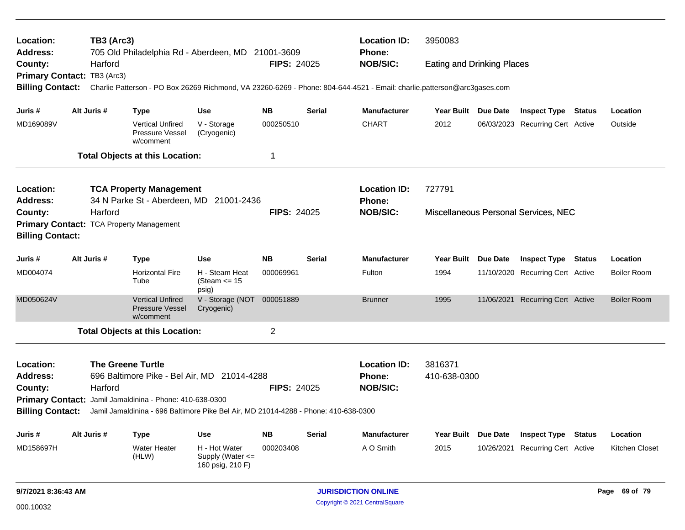| Location:<br>Address:                              |                                                                                                                                                                      | <b>TB3 (Arc3)</b> | 705 Old Philadelphia Rd - Aberdeen, MD 21001-3609                                   |                                                           | <b>Location ID:</b><br><b>Phone:</b> | 3950083       |                                                         |                                                                                                                                                                                                                                                                                                                                                                                                                                                                                                                                                                                                                                                       |  |  |  |          |  |  |
|----------------------------------------------------|----------------------------------------------------------------------------------------------------------------------------------------------------------------------|-------------------|-------------------------------------------------------------------------------------|-----------------------------------------------------------|--------------------------------------|---------------|---------------------------------------------------------|-------------------------------------------------------------------------------------------------------------------------------------------------------------------------------------------------------------------------------------------------------------------------------------------------------------------------------------------------------------------------------------------------------------------------------------------------------------------------------------------------------------------------------------------------------------------------------------------------------------------------------------------------------|--|--|--|----------|--|--|
| County:                                            |                                                                                                                                                                      | Harford           |                                                                                     |                                                           | <b>FIPS: 24025</b>                   |               | <b>NOB/SIC:</b>                                         | <b>Eating and Drinking Places</b>                                                                                                                                                                                                                                                                                                                                                                                                                                                                                                                                                                                                                     |  |  |  |          |  |  |
| <b>Primary Contact:</b>                            |                                                                                                                                                                      | TB3 (Arc3)        |                                                                                     |                                                           |                                      |               |                                                         |                                                                                                                                                                                                                                                                                                                                                                                                                                                                                                                                                                                                                                                       |  |  |  |          |  |  |
| <b>Billing Contact:</b>                            |                                                                                                                                                                      |                   |                                                                                     |                                                           |                                      |               |                                                         |                                                                                                                                                                                                                                                                                                                                                                                                                                                                                                                                                                                                                                                       |  |  |  |          |  |  |
| Juris #                                            |                                                                                                                                                                      | Alt Juris #       | <b>Type</b>                                                                         | <b>Use</b>                                                | <b>NB</b>                            | <b>Serial</b> | <b>Manufacturer</b>                                     |                                                                                                                                                                                                                                                                                                                                                                                                                                                                                                                                                                                                                                                       |  |  |  | Location |  |  |
| MD169089V                                          |                                                                                                                                                                      |                   | <b>Vertical Unfired</b><br>Pressure Vessel<br>w/comment                             | V - Storage<br>(Cryogenic)                                | 000250510                            |               | <b>CHART</b>                                            | 2012                                                                                                                                                                                                                                                                                                                                                                                                                                                                                                                                                                                                                                                  |  |  |  | Outside  |  |  |
|                                                    |                                                                                                                                                                      |                   | <b>Total Objects at this Location:</b>                                              |                                                           | $\mathbf 1$                          |               |                                                         |                                                                                                                                                                                                                                                                                                                                                                                                                                                                                                                                                                                                                                                       |  |  |  |          |  |  |
| Location:                                          |                                                                                                                                                                      |                   | <b>TCA Property Management</b>                                                      |                                                           |                                      |               | <b>Location ID:</b>                                     |                                                                                                                                                                                                                                                                                                                                                                                                                                                                                                                                                                                                                                                       |  |  |  |          |  |  |
| <b>Address:</b>                                    |                                                                                                                                                                      |                   | 34 N Parke St - Aberdeen, MD 21001-2436                                             |                                                           |                                      |               | <b>Phone:</b>                                           |                                                                                                                                                                                                                                                                                                                                                                                                                                                                                                                                                                                                                                                       |  |  |  |          |  |  |
| County:                                            | Harford                                                                                                                                                              |                   |                                                                                     |                                                           | <b>FIPS: 24025</b>                   |               | <b>NOB/SIC:</b>                                         | Charlie Patterson - PO Box 26269 Richmond, VA 23260-6269 - Phone: 804-644-4521 - Email: charlie.patterson@arc3gases.com<br>Year Built Due Date<br><b>Inspect Type Status</b><br>06/03/2023 Recurring Cert Active<br>727791<br>Miscellaneous Personal Services, NEC<br><b>Due Date</b><br><b>Year Built</b><br><b>Inspect Type</b><br>Status<br>Location<br>1994<br>11/10/2020 Recurring Cert Active<br><b>Boiler Room</b><br>1995<br>11/06/2021 Recurring Cert Active<br><b>Boiler Room</b><br>3816371<br>410-638-0300<br>Year Built Due Date<br>Location<br><b>Inspect Type Status</b><br>2015<br>10/26/2021 Recurring Cert Active<br>Kitchen Closet |  |  |  |          |  |  |
| <b>Primary Contact:</b><br><b>Billing Contact:</b> |                                                                                                                                                                      |                   | <b>TCA Property Management</b>                                                      |                                                           |                                      |               |                                                         |                                                                                                                                                                                                                                                                                                                                                                                                                                                                                                                                                                                                                                                       |  |  |  |          |  |  |
| Juris#                                             |                                                                                                                                                                      | Alt Juris #       | <b>Type</b>                                                                         | <b>Use</b>                                                | <b>NB</b>                            | <b>Serial</b> | <b>Manufacturer</b>                                     |                                                                                                                                                                                                                                                                                                                                                                                                                                                                                                                                                                                                                                                       |  |  |  |          |  |  |
| MD004074                                           |                                                                                                                                                                      |                   | <b>Horizontal Fire</b><br>Tube                                                      | H - Steam Heat<br>(Steam $\le$ 15<br>psig)                | 000069961                            |               | Fulton                                                  |                                                                                                                                                                                                                                                                                                                                                                                                                                                                                                                                                                                                                                                       |  |  |  |          |  |  |
| MD050624V                                          |                                                                                                                                                                      |                   | <b>Vertical Unfired</b><br><b>Pressure Vessel</b><br>w/comment                      | V - Storage (NOT<br>Cryogenic)                            | 000051889                            |               | <b>Brunner</b>                                          |                                                                                                                                                                                                                                                                                                                                                                                                                                                                                                                                                                                                                                                       |  |  |  |          |  |  |
|                                                    |                                                                                                                                                                      |                   | <b>Total Objects at this Location:</b>                                              |                                                           | $\overline{2}$                       |               |                                                         |                                                                                                                                                                                                                                                                                                                                                                                                                                                                                                                                                                                                                                                       |  |  |  |          |  |  |
| Location:<br><b>Address:</b><br>County:            | <b>The Greene Turtle</b><br>696 Baltimore Pike - Bel Air, MD 21014-4288<br><b>FIPS: 24025</b><br>Harford<br>Primary Contact: Jamil Jamaldinina - Phone: 410-638-0300 |                   |                                                                                     |                                                           |                                      |               | <b>Location ID:</b><br><b>Phone:</b><br><b>NOB/SIC:</b> |                                                                                                                                                                                                                                                                                                                                                                                                                                                                                                                                                                                                                                                       |  |  |  |          |  |  |
| <b>Billing Contact:</b>                            |                                                                                                                                                                      |                   | Jamil Jamaldinina - 696 Baltimore Pike Bel Air, MD 21014-4288 - Phone: 410-638-0300 |                                                           |                                      |               |                                                         |                                                                                                                                                                                                                                                                                                                                                                                                                                                                                                                                                                                                                                                       |  |  |  |          |  |  |
| Juris #                                            |                                                                                                                                                                      | Alt Juris #       | <b>Type</b>                                                                         | <b>Use</b>                                                | <b>NB</b>                            | <b>Serial</b> | <b>Manufacturer</b>                                     |                                                                                                                                                                                                                                                                                                                                                                                                                                                                                                                                                                                                                                                       |  |  |  |          |  |  |
| MD158697H                                          |                                                                                                                                                                      |                   | <b>Water Heater</b><br>(HLW)                                                        | H - Hot Water<br>Supply (Water $\leq$<br>160 psig, 210 F) | 000203408                            |               | A O Smith                                               |                                                                                                                                                                                                                                                                                                                                                                                                                                                                                                                                                                                                                                                       |  |  |  |          |  |  |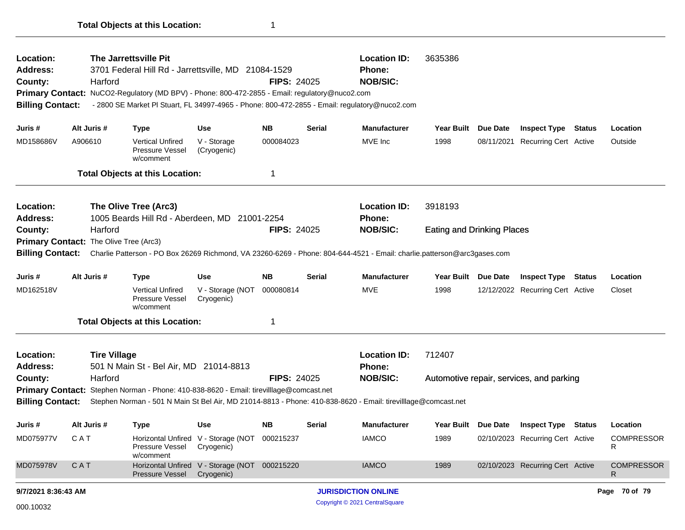| Location:<br><b>Address:</b><br>County:<br><b>Billing Contact:</b> |             | Harford             | The Jarrettsville Pit<br>3701 Federal Hill Rd - Jarrettsville, MD 21084-1529<br>Primary Contact: NuCO2-Regulatory (MD BPV) - Phone: 800-472-2855 - Email: regulatory@nuco2.com<br>- 2800 SE Market PI Stuart, FL 34997-4965 - Phone: 800-472-2855 - Email: regulatory@nuco2.com |                                                             | <b>FIPS: 24025</b> |        | <b>Location ID:</b><br>Phone:<br><b>NOB/SIC:</b>                                                                                         | 3635386                           |  |                                          |  |                         |  |
|--------------------------------------------------------------------|-------------|---------------------|---------------------------------------------------------------------------------------------------------------------------------------------------------------------------------------------------------------------------------------------------------------------------------|-------------------------------------------------------------|--------------------|--------|------------------------------------------------------------------------------------------------------------------------------------------|-----------------------------------|--|------------------------------------------|--|-------------------------|--|
| Juris #                                                            | Alt Juris # |                     | <b>Type</b>                                                                                                                                                                                                                                                                     | Use                                                         | NB                 | Serial | <b>Manufacturer</b>                                                                                                                      | Year Built Due Date               |  | <b>Inspect Type Status</b>               |  | Location                |  |
| MD158686V                                                          | A906610     |                     | <b>Vertical Unfired</b><br>Pressure Vessel<br>w/comment                                                                                                                                                                                                                         | V - Storage<br>(Cryogenic)                                  | 000084023          |        | MVE Inc                                                                                                                                  | 1998                              |  | 08/11/2021 Recurring Cert Active         |  | Outside                 |  |
|                                                                    |             |                     | <b>Total Objects at this Location:</b>                                                                                                                                                                                                                                          |                                                             | 1                  |        |                                                                                                                                          |                                   |  |                                          |  |                         |  |
| Location:<br>Address:                                              |             |                     | The Olive Tree (Arc3)<br>1005 Beards Hill Rd - Aberdeen, MD 21001-2254                                                                                                                                                                                                          |                                                             |                    |        | <b>Location ID:</b><br>Phone:                                                                                                            | 3918193                           |  |                                          |  |                         |  |
| County:                                                            |             | Harford             |                                                                                                                                                                                                                                                                                 |                                                             | <b>FIPS: 24025</b> |        | <b>NOB/SIC:</b>                                                                                                                          | <b>Eating and Drinking Places</b> |  |                                          |  |                         |  |
| Primary Contact: The Olive Tree (Arc3)                             |             |                     |                                                                                                                                                                                                                                                                                 |                                                             |                    |        |                                                                                                                                          |                                   |  |                                          |  |                         |  |
|                                                                    |             |                     |                                                                                                                                                                                                                                                                                 |                                                             |                    |        | Billing Contact: Charlie Patterson - PO Box 26269 Richmond, VA 23260-6269 - Phone: 804-644-4521 - Email: charlie.patterson@arc3gases.com |                                   |  |                                          |  |                         |  |
| Juris #                                                            | Alt Juris # |                     | <b>Type</b>                                                                                                                                                                                                                                                                     | Use                                                         | NB.                | Serial | <b>Manufacturer</b>                                                                                                                      | Year Built Due Date               |  | <b>Inspect Type Status</b>               |  | Location                |  |
| MD162518V                                                          |             |                     | <b>Vertical Unfired</b><br>Pressure Vessel<br>w/comment                                                                                                                                                                                                                         | V - Storage (NOT<br>Cryogenic)                              | 000080814          |        | <b>MVE</b>                                                                                                                               | 1998                              |  | 12/12/2022 Recurring Cert Active         |  | Closet                  |  |
|                                                                    |             |                     | <b>Total Objects at this Location:</b>                                                                                                                                                                                                                                          |                                                             | 1                  |        |                                                                                                                                          |                                   |  |                                          |  |                         |  |
| Location:<br><b>Address:</b>                                       |             | <b>Tire Village</b> | 501 N Main St - Bel Air, MD 21014-8813                                                                                                                                                                                                                                          |                                                             |                    |        | <b>Location ID:</b><br><b>Phone:</b>                                                                                                     | 712407                            |  |                                          |  |                         |  |
| County:                                                            |             | Harford             | Primary Contact: Stephen Norman - Phone: 410-838-8620 - Email: tirevilllage@comcast.net                                                                                                                                                                                         |                                                             | <b>FIPS: 24025</b> |        | <b>NOB/SIC:</b>                                                                                                                          |                                   |  | Automotive repair, services, and parking |  |                         |  |
| <b>Billing Contact:</b>                                            |             |                     |                                                                                                                                                                                                                                                                                 |                                                             |                    |        | Stephen Norman - 501 N Main St Bel Air, MD 21014-8813 - Phone: 410-838-8620 - Email: tirevilllage@comcast.net                            |                                   |  |                                          |  |                         |  |
| Juris #                                                            | Alt Juris # |                     | <b>Type</b>                                                                                                                                                                                                                                                                     | Use                                                         | NB.                | Serial | <b>Manufacturer</b>                                                                                                                      |                                   |  | Year Built Due Date Inspect Type Status  |  | Location                |  |
| MD075977V                                                          | CAT         |                     | Pressure Vessel<br>w/comment                                                                                                                                                                                                                                                    | Horizontal Unfired V - Storage (NOT 000215237<br>Cryogenic) |                    |        | <b>IAMCO</b>                                                                                                                             | 1989                              |  | 02/10/2023 Recurring Cert Active         |  | <b>COMPRESSOR</b><br>R  |  |
| MD075978V                                                          | CAT         |                     | Pressure Vessel                                                                                                                                                                                                                                                                 | Horizontal Unfired V - Storage (NOT 000215220<br>Cryogenic) |                    |        | <b>IAMCO</b>                                                                                                                             | 1989                              |  | 02/10/2023 Recurring Cert Active         |  | <b>COMPRESSOR</b><br>R. |  |
| 9/7/2021 8:36:43 AM                                                |             |                     |                                                                                                                                                                                                                                                                                 |                                                             |                    |        | <b>JURISDICTION ONLINE</b>                                                                                                               |                                   |  |                                          |  | Page 70 of 79           |  |
| 000.10032                                                          |             |                     |                                                                                                                                                                                                                                                                                 |                                                             |                    |        | Copyright © 2021 CentralSquare                                                                                                           |                                   |  |                                          |  |                         |  |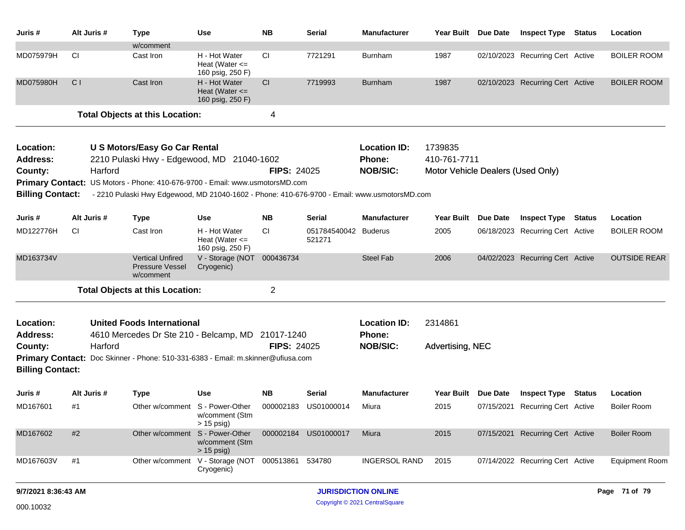| Juris #                 | Alt Juris #    | Type                                                                                         | Use                                                               | <b>NB</b>          | Serial                     | <b>Manufacturer</b>  | Year Built Due Date               |            | <b>Inspect Type Status</b>       |               | Location              |  |  |
|-------------------------|----------------|----------------------------------------------------------------------------------------------|-------------------------------------------------------------------|--------------------|----------------------------|----------------------|-----------------------------------|------------|----------------------------------|---------------|-----------------------|--|--|
|                         |                | w/comment                                                                                    |                                                                   |                    |                            |                      |                                   |            |                                  |               |                       |  |  |
| MD075979H               | <b>CI</b>      | Cast Iron                                                                                    | H - Hot Water<br>Heat (Water $\leq$<br>160 psig, 250 F)           | <b>CI</b>          | 7721291                    | Burnham              | 1987                              |            | 02/10/2023 Recurring Cert Active |               | <b>BOILER ROOM</b>    |  |  |
| MD075980H               | C <sub>1</sub> | Cast Iron                                                                                    | H - Hot Water<br>Heat (Water $\leq$<br>160 psig, 250 F)           | CI                 | 7719993                    | Burnham              | 1987                              |            | 02/10/2023 Recurring Cert Active |               | <b>BOILER ROOM</b>    |  |  |
|                         |                | <b>Total Objects at this Location:</b>                                                       |                                                                   | 4                  |                            |                      |                                   |            |                                  |               |                       |  |  |
| Location:               |                | <b>U S Motors/Easy Go Car Rental</b>                                                         |                                                                   |                    |                            | <b>Location ID:</b>  | 1739835                           |            |                                  |               |                       |  |  |
| <b>Address:</b>         |                | 2210 Pulaski Hwy - Edgewood, MD 21040-1602                                                   |                                                                   |                    |                            | <b>Phone:</b>        | 410-761-7711                      |            |                                  |               |                       |  |  |
| County:                 | Harford        |                                                                                              |                                                                   | <b>FIPS: 24025</b> |                            | <b>NOB/SIC:</b>      | Motor Vehicle Dealers (Used Only) |            |                                  |               |                       |  |  |
|                         |                | Primary Contact: US Motors - Phone: 410-676-9700 - Email: www.usmotorsMD.com                 |                                                                   |                    |                            |                      |                                   |            |                                  |               |                       |  |  |
| <b>Billing Contact:</b> |                | - 2210 Pulaski Hwy Edgewood, MD 21040-1602 - Phone: 410-676-9700 - Email: www.usmotorsMD.com |                                                                   |                    |                            |                      |                                   |            |                                  |               |                       |  |  |
| Juris #                 | Alt Juris #    | <b>Type</b>                                                                                  | Use                                                               | <b>NB</b>          | Serial                     | <b>Manufacturer</b>  | <b>Year Built</b>                 | Due Date   | <b>Inspect Type Status</b>       |               | Location              |  |  |
| MD122776H               | СI             | Cast Iron                                                                                    | H - Hot Water<br>Heat (Water $\leq$<br>160 psig, 250 F)           | CI.                | 051784540042<br>521271     | <b>Buderus</b>       | 2005                              |            | 06/18/2023 Recurring Cert Active |               | <b>BOILER ROOM</b>    |  |  |
| MD163734V               |                | <b>Vertical Unfired</b><br><b>Pressure Vessel</b><br>w/comment                               | V - Storage (NOT 000436734<br>Cryogenic)                          |                    |                            | <b>Steel Fab</b>     | 2006                              |            | 04/02/2023 Recurring Cert Active |               | <b>OUTSIDE REAR</b>   |  |  |
|                         |                | <b>Total Objects at this Location:</b>                                                       |                                                                   | $\overline{2}$     |                            |                      |                                   |            |                                  |               |                       |  |  |
| Location:               |                | <b>United Foods International</b>                                                            |                                                                   |                    |                            | <b>Location ID:</b>  | 2314861                           |            |                                  |               |                       |  |  |
| <b>Address:</b>         |                | 4610 Mercedes Dr Ste 210 - Belcamp, MD 21017-1240                                            |                                                                   |                    |                            | <b>Phone:</b>        |                                   |            |                                  |               |                       |  |  |
| County:                 | Harford        |                                                                                              |                                                                   | <b>FIPS: 24025</b> |                            | <b>NOB/SIC:</b>      | Advertising, NEC                  |            |                                  |               |                       |  |  |
|                         |                | Primary Contact: Doc Skinner - Phone: 510-331-6383 - Email: m.skinner@ufiusa.com             |                                                                   |                    |                            |                      |                                   |            |                                  |               |                       |  |  |
| <b>Billing Contact:</b> |                |                                                                                              |                                                                   |                    |                            |                      |                                   |            |                                  |               |                       |  |  |
| Juris #                 | Alt Juris #    | <b>Type</b>                                                                                  | Use                                                               | NB.                | Serial                     | Manufacturer         | <b>Year Built</b>                 | Due Date   | <b>Inspect Type Status</b>       |               | Location              |  |  |
| MD167601                | #1             |                                                                                              | Other w/comment S - Power-Other<br>w/comment (Stm<br>$> 15$ psig) | 000002183          | US01000014                 | Miura                | 2015                              | 07/15/2021 | <b>Recurring Cert Active</b>     |               | <b>Boiler Room</b>    |  |  |
| MD167602                | #2             | Other w/comment                                                                              | S - Power-Other<br>w/comment (Stm<br>$> 15$ psig)                 |                    | 000002184 US01000017       | Miura                | 2015                              |            | 07/15/2021 Recurring Cert Active |               | <b>Boiler Room</b>    |  |  |
| MD167603V               | #1             |                                                                                              | Other w/comment V - Storage (NOT 000513861 534780<br>Cryogenic)   |                    |                            | <b>INGERSOL RAND</b> | 2015                              |            | 07/14/2022 Recurring Cert Active |               | <b>Equipment Room</b> |  |  |
| 9/7/2021 8:36:43 AM     |                |                                                                                              |                                                                   |                    | <b>JURISDICTION ONLINE</b> |                      |                                   |            |                                  | Page 71 of 79 |                       |  |  |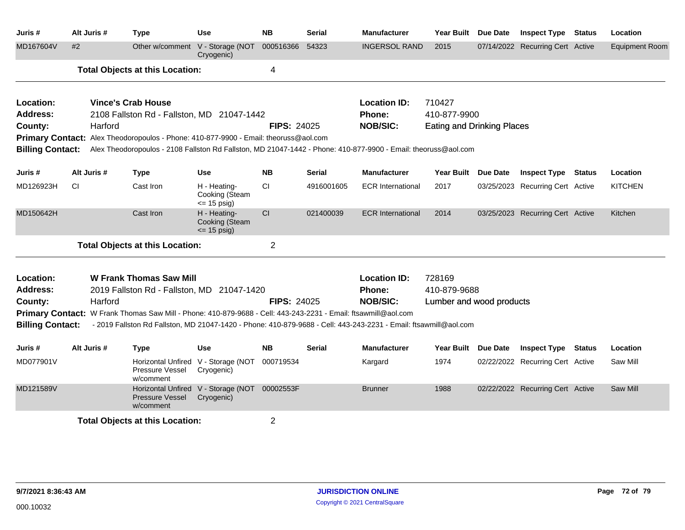| Juris #                    | Alt Juris # | <b>Type</b>                                                                                                                                                  | <b>Use</b>                                                  | <b>NB</b>          | <b>Serial</b> | <b>Manufacturer</b>       |                                          | Year Built Due Date | <b>Inspect Type Status</b>       |  | Location              |  |
|----------------------------|-------------|--------------------------------------------------------------------------------------------------------------------------------------------------------------|-------------------------------------------------------------|--------------------|---------------|---------------------------|------------------------------------------|---------------------|----------------------------------|--|-----------------------|--|
| MD167604V                  | #2          |                                                                                                                                                              | Other w/comment V - Storage (NOT<br>Cryogenic)              | 000516366          | 54323         | <b>INGERSOL RAND</b>      | 2015                                     |                     | 07/14/2022 Recurring Cert Active |  | <b>Equipment Room</b> |  |
|                            |             | <b>Total Objects at this Location:</b>                                                                                                                       |                                                             | 4                  |               |                           |                                          |                     |                                  |  |                       |  |
| Location:                  |             | <b>Vince's Crab House</b>                                                                                                                                    |                                                             |                    |               | <b>Location ID:</b>       | 710427                                   |                     |                                  |  |                       |  |
| <b>Address:</b>            |             | 2108 Fallston Rd - Fallston, MD 21047-1442                                                                                                                   |                                                             |                    |               | Phone:                    | 410-877-9900                             |                     |                                  |  |                       |  |
| County:                    | Harford     |                                                                                                                                                              |                                                             | <b>FIPS: 24025</b> |               | <b>NOB/SIC:</b>           | Eating and Drinking Places               |                     |                                  |  |                       |  |
|                            |             | Primary Contact: Alex Theodoropoulos - Phone: 410-877-9900 - Email: theoruss@aol.com                                                                         |                                                             |                    |               |                           |                                          |                     |                                  |  |                       |  |
| <b>Billing Contact:</b>    |             | Alex Theodoropoulos - 2108 Fallston Rd Fallston, MD 21047-1442 - Phone: 410-877-9900 - Email: theoruss@aol.com                                               |                                                             |                    |               |                           |                                          |                     |                                  |  |                       |  |
| Juris #                    | Alt Juris # | <b>Type</b>                                                                                                                                                  | <b>Use</b>                                                  | <b>NB</b>          | <b>Serial</b> | <b>Manufacturer</b>       | Year Built Due Date                      |                     | <b>Inspect Type Status</b>       |  | Location              |  |
| MD126923H                  | CI.         | Cast Iron                                                                                                                                                    | H - Heating-<br>Cooking (Steam<br>$= 15$ psig)              | <b>CI</b>          | 4916001605    | <b>ECR</b> International  | 2017                                     |                     | 03/25/2023 Recurring Cert Active |  | <b>KITCHEN</b>        |  |
| MD150642H                  |             | Cast Iron                                                                                                                                                    | H - Heating-<br>Cooking (Steam<br>$= 15$ psig)              | CI                 | 021400039     | <b>ECR International</b>  | 2014                                     |                     | 03/25/2023 Recurring Cert Active |  | Kitchen               |  |
|                            |             | <b>Total Objects at this Location:</b>                                                                                                                       |                                                             | $\overline{2}$     |               |                           |                                          |                     |                                  |  |                       |  |
| Location:                  |             | <b>W Frank Thomas Saw Mill</b>                                                                                                                               |                                                             |                    |               | <b>Location ID:</b>       | 728169                                   |                     |                                  |  |                       |  |
| <b>Address:</b><br>County: | Harford     | 2019 Fallston Rd - Fallston, MD 21047-1420<br>Primary Contact: W Frank Thomas Saw Mill - Phone: 410-879-9688 - Cell: 443-243-2231 - Email: ftsawmill@aol.com |                                                             | <b>FIPS: 24025</b> |               | Phone:<br><b>NOB/SIC:</b> | 410-879-9688<br>Lumber and wood products |                     |                                  |  |                       |  |
| <b>Billing Contact:</b>    |             | - 2019 Fallston Rd Fallston, MD 21047-1420 - Phone: 410-879-9688 - Cell: 443-243-2231 - Email: ftsawmill@aol.com                                             |                                                             |                    |               |                           |                                          |                     |                                  |  |                       |  |
| Juris #                    | Alt Juris # | Type                                                                                                                                                         | <b>Use</b>                                                  | <b>NB</b>          | Serial        | <b>Manufacturer</b>       |                                          | Year Built Due Date | <b>Inspect Type Status</b>       |  | Location              |  |
| MD077901V                  |             | Pressure Vessel<br>w/comment                                                                                                                                 | Horizontal Unfired V - Storage (NOT<br>Cryogenic)           | 000719534          |               | Kargard                   | 1974                                     |                     | 02/22/2022 Recurring Cert Active |  | Saw Mill              |  |
| MD121589V                  |             | <b>Pressure Vessel</b><br>w/comment                                                                                                                          | Horizontal Unfired V - Storage (NOT 00002553F<br>Cryogenic) |                    |               | <b>Brunner</b>            | 1988                                     |                     | 02/22/2022 Recurring Cert Active |  | Saw Mill              |  |
|                            |             | <b>Total Objects at this Location:</b>                                                                                                                       | 2                                                           |                    |               |                           |                                          |                     |                                  |  |                       |  |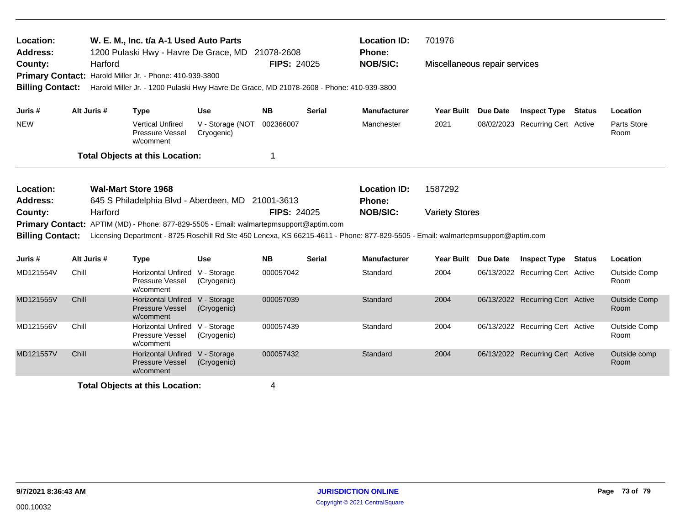| Location:<br><b>Address:</b> |                               |                                                                                                                                                      | W. E. M., Inc. t/a A-1 Used Auto Parts<br>1200 Pulaski Hwy - Havre De Grace, MD                                                                                                                                            |                                | 21078-2608         |                                      | <b>Location ID:</b><br>Phone: | 701976                        |                 |                                  |               |                             |  |  |  |
|------------------------------|-------------------------------|------------------------------------------------------------------------------------------------------------------------------------------------------|----------------------------------------------------------------------------------------------------------------------------------------------------------------------------------------------------------------------------|--------------------------------|--------------------|--------------------------------------|-------------------------------|-------------------------------|-----------------|----------------------------------|---------------|-----------------------------|--|--|--|
| County:                      |                               | Harford                                                                                                                                              |                                                                                                                                                                                                                            |                                | <b>FIPS: 24025</b> |                                      | <b>NOB/SIC:</b>               | Miscellaneous repair services |                 |                                  |               |                             |  |  |  |
| <b>Billing Contact:</b>      |                               | Primary Contact: Harold Miller Jr. - Phone: 410-939-3800<br>Harold Miller Jr. - 1200 Pulaski Hwy Havre De Grace, MD 21078-2608 - Phone: 410-939-3800 |                                                                                                                                                                                                                            |                                |                    |                                      |                               |                               |                 |                                  |               |                             |  |  |  |
| Juris #                      | Alt Juris #                   |                                                                                                                                                      | <b>Type</b>                                                                                                                                                                                                                | <b>Use</b>                     | <b>NB</b>          | <b>Serial</b>                        | <b>Manufacturer</b>           | <b>Year Built</b>             | <b>Due Date</b> | <b>Inspect Type</b>              | <b>Status</b> | Location                    |  |  |  |
| <b>NEW</b>                   |                               |                                                                                                                                                      | <b>Vertical Unfired</b><br>Pressure Vessel<br>w/comment                                                                                                                                                                    | V - Storage (NOT<br>Cryogenic) | 002366007          |                                      | Manchester                    | 2021                          |                 | 08/02/2023 Recurring Cert Active |               | Parts Store<br>Room         |  |  |  |
|                              |                               |                                                                                                                                                      | <b>Total Objects at this Location:</b>                                                                                                                                                                                     |                                | 1                  |                                      |                               |                               |                 |                                  |               |                             |  |  |  |
| Location:<br>Address:        |                               |                                                                                                                                                      | <b>Wal-Mart Store 1968</b><br>645 S Philadelphia Blvd - Aberdeen, MD 21001-3613                                                                                                                                            |                                |                    | <b>Location ID:</b><br><b>Phone:</b> | 1587292                       |                               |                 |                                  |               |                             |  |  |  |
| County:                      | <b>FIPS: 24025</b><br>Harford |                                                                                                                                                      |                                                                                                                                                                                                                            |                                |                    | <b>NOB/SIC:</b>                      | <b>Variety Stores</b>         |                               |                 |                                  |               |                             |  |  |  |
| <b>Billing Contact:</b>      |                               |                                                                                                                                                      | Primary Contact: APTIM (MD) - Phone: 877-829-5505 - Email: walmartepmsupport@aptim.com<br>Licensing Department - 8725 Rosehill Rd Ste 450 Lenexa, KS 66215-4611 - Phone: 877-829-5505 - Email: walmartepmsupport@aptim.com |                                |                    |                                      |                               |                               |                 |                                  |               |                             |  |  |  |
| Juris #                      | Alt Juris #                   |                                                                                                                                                      | <b>Type</b>                                                                                                                                                                                                                | <b>Use</b>                     | <b>NB</b>          | <b>Serial</b>                        | <b>Manufacturer</b>           | <b>Year Built</b>             | <b>Due Date</b> | <b>Inspect Type</b>              | Status        | Location                    |  |  |  |
| MD121554V                    | Chill                         |                                                                                                                                                      | Horizontal Unfired V - Storage<br>Pressure Vessel<br>w/comment                                                                                                                                                             | (Cryogenic)                    | 000057042          |                                      | Standard                      | 2004                          |                 | 06/13/2022 Recurring Cert Active |               | Outside Comp<br>Room        |  |  |  |
| MD121555V                    | Chill                         |                                                                                                                                                      | <b>Horizontal Unfired</b><br><b>Pressure Vessel</b><br>w/comment                                                                                                                                                           | V - Storage<br>(Cryogenic)     | 000057039          |                                      | Standard                      | 2004                          |                 | 06/13/2022 Recurring Cert Active |               | <b>Outside Comp</b><br>Room |  |  |  |
| MD121556V                    | Chill                         |                                                                                                                                                      | Horizontal Unfired V - Storage<br>Pressure Vessel<br>w/comment                                                                                                                                                             | (Cryogenic)                    | 000057439          |                                      | Standard                      | 2004                          |                 | 06/13/2022 Recurring Cert Active |               | Outside Comp<br>Room        |  |  |  |
| MD121557V                    | Chill                         |                                                                                                                                                      | <b>Horizontal Unfired</b><br><b>Pressure Vessel</b><br>w/comment                                                                                                                                                           | V - Storage<br>(Cryogenic)     | 000057432          |                                      | Standard                      | 2004                          |                 | 06/13/2022 Recurring Cert Active |               | Outside comp<br>Room        |  |  |  |
|                              |                               |                                                                                                                                                      | <b>Total Objects at this Location:</b>                                                                                                                                                                                     |                                | 4                  |                                      |                               |                               |                 |                                  |               |                             |  |  |  |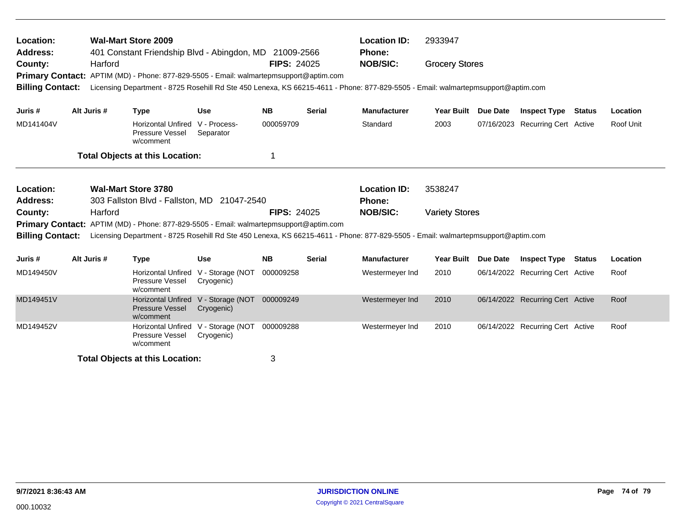| Location:<br><b>Address:</b>                                                                                 | <b>Wal-Mart Store 2009</b><br>401 Constant Friendship Blvd - Abingdon, MD 21009-2566 |         |                                                                       |                                                   |                    |                 | <b>Location ID:</b><br><b>Phone:</b>                                                                                             | 2933947               |  |                                  |  |           |  |
|--------------------------------------------------------------------------------------------------------------|--------------------------------------------------------------------------------------|---------|-----------------------------------------------------------------------|---------------------------------------------------|--------------------|-----------------|----------------------------------------------------------------------------------------------------------------------------------|-----------------------|--|----------------------------------|--|-----------|--|
| Harford<br>County:<br>Primary Contact: APTIM (MD) - Phone: 877-829-5505 - Email: walmartepmsupport@aptim.com |                                                                                      |         |                                                                       | <b>FIPS: 24025</b>                                |                    | <b>NOB/SIC:</b> | <b>Grocery Stores</b>                                                                                                            |                       |  |                                  |  |           |  |
| <b>Billing Contact:</b>                                                                                      |                                                                                      |         |                                                                       |                                                   |                    |                 | Licensing Department - 8725 Rosehill Rd Ste 450 Lenexa, KS 66215-4611 - Phone: 877-829-5505 - Email: walmartepmsupport@aptim.com |                       |  |                                  |  |           |  |
| Juris #                                                                                                      | Alt Juris #                                                                          |         | <b>Type</b>                                                           | <b>Use</b>                                        | <b>NB</b>          | <b>Serial</b>   | <b>Manufacturer</b>                                                                                                              | Year Built Due Date   |  | <b>Inspect Type Status</b>       |  | Location  |  |
| MD141404V                                                                                                    |                                                                                      |         | <b>Horizontal Unfired</b><br>Pressure Vessel<br>w/comment             | V - Process-<br>Separator                         | 000059709          |                 | Standard                                                                                                                         | 2003                  |  | 07/16/2023 Recurring Cert Active |  | Roof Unit |  |
|                                                                                                              |                                                                                      |         | <b>Total Objects at this Location:</b>                                |                                                   | 1                  |                 |                                                                                                                                  |                       |  |                                  |  |           |  |
| Location:                                                                                                    |                                                                                      |         | <b>Wal-Mart Store 3780</b>                                            |                                                   |                    |                 | <b>Location ID:</b>                                                                                                              | 3538247               |  |                                  |  |           |  |
| <b>Address:</b>                                                                                              |                                                                                      |         | 303 Fallston Blvd - Fallston, MD 21047-2540                           |                                                   |                    |                 | <b>Phone:</b>                                                                                                                    |                       |  |                                  |  |           |  |
| County:                                                                                                      |                                                                                      | Harford |                                                                       |                                                   | <b>FIPS: 24025</b> |                 | <b>NOB/SIC:</b>                                                                                                                  | <b>Variety Stores</b> |  |                                  |  |           |  |
| <b>Primary Contact:</b>                                                                                      |                                                                                      |         | APTIM (MD) - Phone: 877-829-5505 - Email: walmartepmsupport@aptim.com |                                                   |                    |                 |                                                                                                                                  |                       |  |                                  |  |           |  |
| <b>Billing Contact:</b>                                                                                      |                                                                                      |         |                                                                       |                                                   |                    |                 | Licensing Department - 8725 Rosehill Rd Ste 450 Lenexa, KS 66215-4611 - Phone: 877-829-5505 - Email: walmartepmsupport@aptim.com |                       |  |                                  |  |           |  |
| Juris #                                                                                                      | Alt Juris #                                                                          |         | <b>Type</b>                                                           | <b>Use</b>                                        | <b>NB</b>          | <b>Serial</b>   | <b>Manufacturer</b>                                                                                                              | Year Built Due Date   |  | <b>Inspect Type Status</b>       |  | Location  |  |
| MD149450V                                                                                                    |                                                                                      |         | <b>Horizontal Unfired</b><br>Pressure Vessel<br>w/comment             | V - Storage (NOT<br>Cryogenic)                    | 000009258          |                 | Westermeyer Ind                                                                                                                  | 2010                  |  | 06/14/2022 Recurring Cert Active |  | Roof      |  |
| MD149451V                                                                                                    |                                                                                      |         | <b>Pressure Vessel</b><br>w/comment                                   | Horizontal Unfired V - Storage (NOT<br>Cryogenic) | 000009249          |                 | Westermeyer Ind                                                                                                                  | 2010                  |  | 06/14/2022 Recurring Cert Active |  | Roof      |  |
| MD149452V                                                                                                    |                                                                                      |         | <b>Horizontal Unfired</b><br>Pressure Vessel<br>w/comment             | V - Storage (NOT<br>Cryogenic)                    | 000009288          |                 | Westermeyer Ind                                                                                                                  | 2010                  |  | 06/14/2022 Recurring Cert Active |  | Roof      |  |
|                                                                                                              |                                                                                      |         | <b>Total Objects at this Location:</b>                                |                                                   | 3                  |                 |                                                                                                                                  |                       |  |                                  |  |           |  |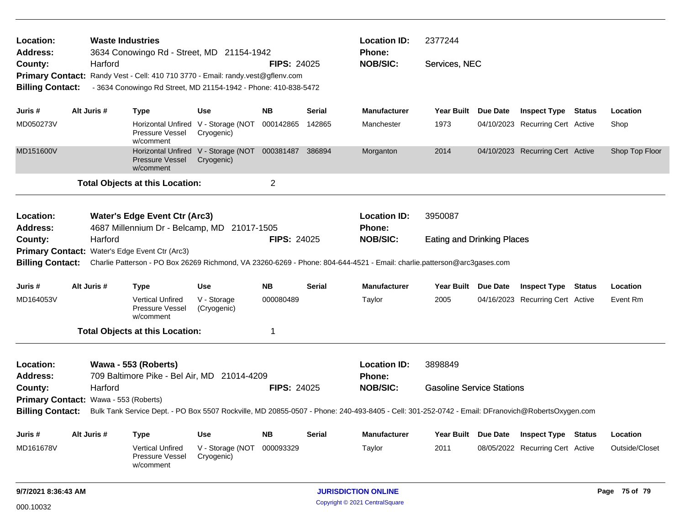| Location:<br><b>Waste Industries</b><br>3634 Conowingo Rd - Street, MD 21154-1942<br><b>Address:</b> |                                       |                                                                                                                                                 |                                                                    | <b>Location ID:</b><br><b>Phone:</b> |        |                            | 2377244                           |  |                                  |  |                |
|------------------------------------------------------------------------------------------------------|---------------------------------------|-------------------------------------------------------------------------------------------------------------------------------------------------|--------------------------------------------------------------------|--------------------------------------|--------|----------------------------|-----------------------------------|--|----------------------------------|--|----------------|
| County:                                                                                              | Harford                               |                                                                                                                                                 |                                                                    | <b>FIPS: 24025</b>                   |        | <b>NOB/SIC:</b>            | Services, NEC                     |  |                                  |  |                |
|                                                                                                      |                                       | Primary Contact: Randy Vest - Cell: 410 710 3770 - Email: randy.vest@gflenv.com                                                                 |                                                                    |                                      |        |                            |                                   |  |                                  |  |                |
| <b>Billing Contact:</b>                                                                              |                                       | - 3634 Conowingo Rd Street, MD 21154-1942 - Phone: 410-838-5472                                                                                 |                                                                    |                                      |        |                            |                                   |  |                                  |  |                |
| Juris #                                                                                              | Alt Juris #                           | <b>Type</b>                                                                                                                                     | Use                                                                | <b>NB</b>                            | Serial | <b>Manufacturer</b>        | Year Built Due Date               |  | <b>Inspect Type Status</b>       |  | Location       |
| MD050273V                                                                                            |                                       | Pressure Vessel<br>w/comment                                                                                                                    | Horizontal Unfired V - Storage (NOT 000142865<br>Cryogenic)        |                                      | 142865 | Manchester                 | 1973                              |  | 04/10/2023 Recurring Cert Active |  | Shop           |
| MD151600V                                                                                            |                                       | <b>Pressure Vessel</b><br>w/comment                                                                                                             | Horizontal Unfired V - Storage (NOT 000381487 386894<br>Cryogenic) |                                      |        | Morganton                  | 2014                              |  | 04/10/2023 Recurring Cert Active |  | Shop Top Floor |
|                                                                                                      |                                       | <b>Total Objects at this Location:</b>                                                                                                          |                                                                    | 2                                    |        |                            |                                   |  |                                  |  |                |
| Location:                                                                                            |                                       | <b>Water's Edge Event Ctr (Arc3)</b>                                                                                                            |                                                                    |                                      |        | <b>Location ID:</b>        | 3950087                           |  |                                  |  |                |
| 4687 Millennium Dr - Belcamp, MD 21017-1505<br><b>Address:</b>                                       |                                       |                                                                                                                                                 |                                                                    |                                      |        | Phone:                     |                                   |  |                                  |  |                |
| County:                                                                                              | Harford                               |                                                                                                                                                 |                                                                    | <b>FIPS: 24025</b>                   |        | <b>NOB/SIC:</b>            | <b>Eating and Drinking Places</b> |  |                                  |  |                |
|                                                                                                      |                                       | Primary Contact: Water's Edge Event Ctr (Arc3)                                                                                                  |                                                                    |                                      |        |                            |                                   |  |                                  |  |                |
| <b>Billing Contact:</b>                                                                              |                                       | Charlie Patterson - PO Box 26269 Richmond, VA 23260-6269 - Phone: 804-644-4521 - Email: charlie.patterson@arc3gases.com                         |                                                                    |                                      |        |                            |                                   |  |                                  |  |                |
| Juris #                                                                                              | Alt Juris #                           | <b>Type</b>                                                                                                                                     | <b>Use</b>                                                         | <b>NB</b>                            | Serial | <b>Manufacturer</b>        | Year Built Due Date               |  | <b>Inspect Type Status</b>       |  | Location       |
| MD164053V                                                                                            |                                       | <b>Vertical Unfired</b><br>Pressure Vessel<br>w/comment                                                                                         | V - Storage<br>(Cryogenic)                                         | 000080489                            |        | Taylor                     | 2005                              |  | 04/16/2023 Recurring Cert Active |  | Event Rm       |
|                                                                                                      |                                       | <b>Total Objects at this Location:</b>                                                                                                          |                                                                    | 1                                    |        |                            |                                   |  |                                  |  |                |
| Location:                                                                                            |                                       | Wawa - 553 (Roberts)                                                                                                                            |                                                                    |                                      |        | <b>Location ID:</b>        | 3898849                           |  |                                  |  |                |
| <b>Address:</b>                                                                                      |                                       | 709 Baltimore Pike - Bel Air, MD 21014-4209                                                                                                     |                                                                    |                                      |        | Phone:                     |                                   |  |                                  |  |                |
| County:                                                                                              | Harford                               |                                                                                                                                                 |                                                                    | <b>FIPS: 24025</b>                   |        | <b>NOB/SIC:</b>            | <b>Gasoline Service Stations</b>  |  |                                  |  |                |
|                                                                                                      | Primary Contact: Wawa - 553 (Roberts) |                                                                                                                                                 |                                                                    |                                      |        |                            |                                   |  |                                  |  |                |
| <b>Billing Contact:</b>                                                                              |                                       | Bulk Tank Service Dept. - PO Box 5507 Rockville, MD 20855-0507 - Phone: 240-493-8405 - Cell: 301-252-0742 - Email: DFranovich@RobertsOxygen.com |                                                                    |                                      |        |                            |                                   |  |                                  |  |                |
| Juris #                                                                                              | Alt Juris #                           | <b>Type</b>                                                                                                                                     | Use                                                                | <b>NB</b>                            | Serial | <b>Manufacturer</b>        | Year Built Due Date               |  | <b>Inspect Type Status</b>       |  | Location       |
| MD161678V                                                                                            |                                       | <b>Vertical Unfired</b><br>Pressure Vessel<br>w/comment                                                                                         | V - Storage (NOT 000093329<br>Cryogenic)                           |                                      |        | Taylor                     | 2011                              |  | 08/05/2022 Recurring Cert Active |  | Outside/Closet |
| 9/7/2021 8:36:43 AM                                                                                  |                                       |                                                                                                                                                 |                                                                    |                                      |        | <b>JURISDICTION ONLINE</b> |                                   |  |                                  |  | Page 75 of 79  |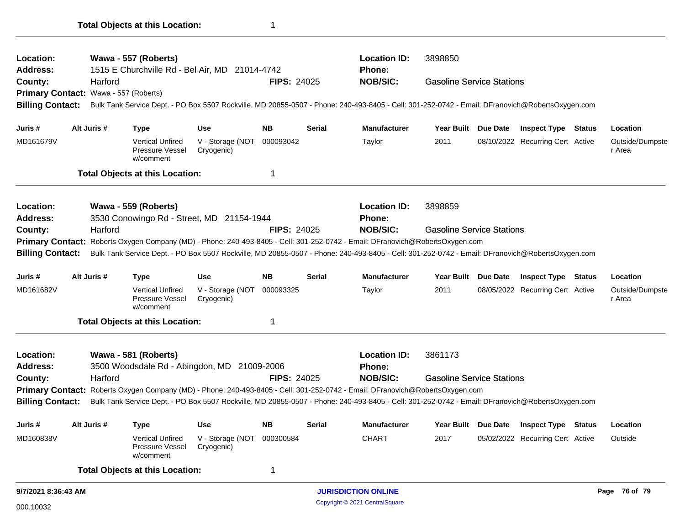| Location:                                                                                                                               |  |             | Wawa - 557 (Roberts)                                           |                                          |                    |                            | <b>Location ID:</b>                                                                                                                             | 3898850                          |                     |                                  |               |                           |  |  |
|-----------------------------------------------------------------------------------------------------------------------------------------|--|-------------|----------------------------------------------------------------|------------------------------------------|--------------------|----------------------------|-------------------------------------------------------------------------------------------------------------------------------------------------|----------------------------------|---------------------|----------------------------------|---------------|---------------------------|--|--|
| Address:                                                                                                                                |  |             | 1515 E Churchville Rd - Bel Air, MD 21014-4742                 |                                          |                    |                            | <b>Phone:</b>                                                                                                                                   |                                  |                     |                                  |               |                           |  |  |
| County:                                                                                                                                 |  | Harford     |                                                                |                                          | <b>FIPS: 24025</b> |                            | <b>NOB/SIC:</b>                                                                                                                                 | <b>Gasoline Service Stations</b> |                     |                                  |               |                           |  |  |
| Primary Contact: Wawa - 557 (Roberts)                                                                                                   |  |             |                                                                |                                          |                    |                            |                                                                                                                                                 |                                  |                     |                                  |               |                           |  |  |
| <b>Billing Contact:</b>                                                                                                                 |  |             |                                                                |                                          |                    |                            | Bulk Tank Service Dept. - PO Box 5507 Rockville, MD 20855-0507 - Phone: 240-493-8405 - Cell: 301-252-0742 - Email: DFranovich@RobertsOxygen.com |                                  |                     |                                  |               |                           |  |  |
| Juris #                                                                                                                                 |  | Alt Juris # | <b>Type</b>                                                    | Use                                      | NB.                | Serial                     | <b>Manufacturer</b>                                                                                                                             |                                  | Year Built Due Date | <b>Inspect Type Status</b>       |               | Location                  |  |  |
| MD161679V                                                                                                                               |  |             | <b>Vertical Unfired</b><br>Pressure Vessel<br>w/comment        | V - Storage (NOT<br>Cryogenic)           | 000093042          |                            | Taylor                                                                                                                                          | 2011                             |                     | 08/10/2022 Recurring Cert Active |               | Outside/Dumpste<br>r Area |  |  |
|                                                                                                                                         |  |             | <b>Total Objects at this Location:</b>                         |                                          | 1                  |                            |                                                                                                                                                 |                                  |                     |                                  |               |                           |  |  |
| Location:                                                                                                                               |  |             | Wawa - 559 (Roberts)                                           |                                          |                    |                            | <b>Location ID:</b>                                                                                                                             | 3898859                          |                     |                                  |               |                           |  |  |
| <b>Address:</b>                                                                                                                         |  |             | 3530 Conowingo Rd - Street, MD 21154-1944                      |                                          |                    |                            | <b>Phone:</b>                                                                                                                                   |                                  |                     |                                  |               |                           |  |  |
| County:<br>Harford                                                                                                                      |  |             |                                                                | <b>FIPS: 24025</b>                       |                    | <b>NOB/SIC:</b>            | <b>Gasoline Service Stations</b>                                                                                                                |                                  |                     |                                  |               |                           |  |  |
| Roberts Oxygen Company (MD) - Phone: 240-493-8405 - Cell: 301-252-0742 - Email: DFranovich@RobertsOxygen.com<br><b>Primary Contact:</b> |  |             |                                                                |                                          |                    |                            |                                                                                                                                                 |                                  |                     |                                  |               |                           |  |  |
| <b>Billing Contact:</b>                                                                                                                 |  |             |                                                                |                                          |                    |                            | Bulk Tank Service Dept. - PO Box 5507 Rockville, MD 20855-0507 - Phone: 240-493-8405 - Cell: 301-252-0742 - Email: DFranovich@RobertsOxygen.com |                                  |                     |                                  |               |                           |  |  |
| Juris #                                                                                                                                 |  | Alt Juris # | <b>Type</b>                                                    | <b>Use</b>                               | <b>NB</b>          | Serial                     | <b>Manufacturer</b>                                                                                                                             |                                  | Year Built Due Date | <b>Inspect Type Status</b>       |               | Location                  |  |  |
| MD161682V                                                                                                                               |  |             | <b>Vertical Unfired</b><br><b>Pressure Vessel</b><br>w/comment | V - Storage (NOT 000093325<br>Cryogenic) |                    |                            | Taylor                                                                                                                                          | 2011                             |                     | 08/05/2022 Recurring Cert Active |               | Outside/Dumpste<br>r Area |  |  |
|                                                                                                                                         |  |             | <b>Total Objects at this Location:</b>                         |                                          | 1                  |                            |                                                                                                                                                 |                                  |                     |                                  |               |                           |  |  |
| Location:                                                                                                                               |  |             | Wawa - 581 (Roberts)                                           |                                          |                    |                            | <b>Location ID:</b>                                                                                                                             | 3861173                          |                     |                                  |               |                           |  |  |
| <b>Address:</b>                                                                                                                         |  |             | 3500 Woodsdale Rd - Abingdon, MD 21009-2006                    |                                          |                    |                            | <b>Phone:</b>                                                                                                                                   |                                  |                     |                                  |               |                           |  |  |
| County:                                                                                                                                 |  | Harford     |                                                                |                                          | <b>FIPS: 24025</b> |                            | <b>NOB/SIC:</b>                                                                                                                                 | <b>Gasoline Service Stations</b> |                     |                                  |               |                           |  |  |
|                                                                                                                                         |  |             |                                                                |                                          |                    |                            | Primary Contact: Roberts Oxygen Company (MD) - Phone: 240-493-8405 - Cell: 301-252-0742 - Email: DFranovich@RobertsOxygen.com                   |                                  |                     |                                  |               |                           |  |  |
| <b>Billing Contact:</b>                                                                                                                 |  |             |                                                                |                                          |                    |                            | Bulk Tank Service Dept. - PO Box 5507 Rockville, MD 20855-0507 - Phone: 240-493-8405 - Cell: 301-252-0742 - Email: DFranovich@RobertsOxygen.com |                                  |                     |                                  |               |                           |  |  |
| Juris #                                                                                                                                 |  | Alt Juris # | Type                                                           | <b>Use</b>                               | <b>NB</b>          | <b>Serial</b>              | Manufacturer                                                                                                                                    |                                  | Year Built Due Date | <b>Inspect Type Status</b>       |               | Location                  |  |  |
| MD160838V                                                                                                                               |  |             | <b>Vertical Unfired</b><br>Pressure Vessel<br>w/comment        | V - Storage (NOT 000300584<br>Cryogenic) |                    |                            | <b>CHART</b>                                                                                                                                    | 2017                             |                     | 05/02/2022 Recurring Cert Active |               | Outside                   |  |  |
|                                                                                                                                         |  |             | <b>Total Objects at this Location:</b>                         |                                          | 1                  |                            |                                                                                                                                                 |                                  |                     |                                  |               |                           |  |  |
| 9/7/2021 8:36:43 AM                                                                                                                     |  |             |                                                                |                                          |                    | <b>JURISDICTION ONLINE</b> |                                                                                                                                                 |                                  |                     |                                  | Page 76 of 79 |                           |  |  |

**Total Objects at this Location:** 1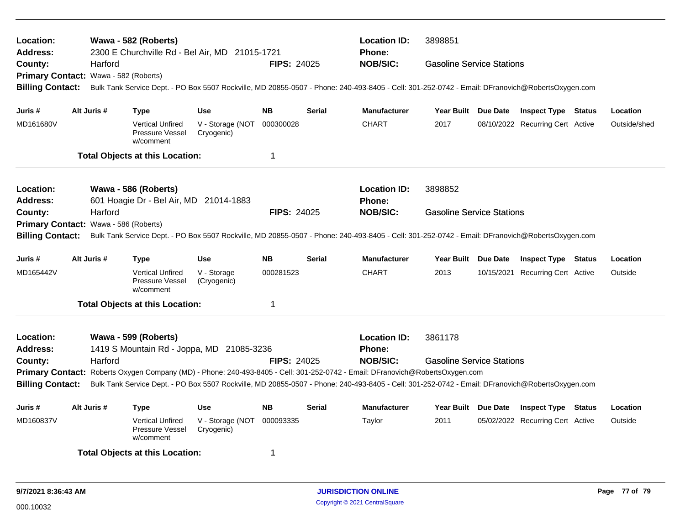| Location:<br><b>Address:</b>          |                                        | Wawa - 582 (Roberts)<br>2300 E Churchville Rd - Bel Air, MD 21015-1721                                                                          |                                |                         |               | <b>Location ID:</b><br><b>Phone:</b>                                                                                                            | 3898851<br><b>Gasoline Service Stations</b> |  |                                  |  |              |  |  |  |
|---------------------------------------|----------------------------------------|-------------------------------------------------------------------------------------------------------------------------------------------------|--------------------------------|-------------------------|---------------|-------------------------------------------------------------------------------------------------------------------------------------------------|---------------------------------------------|--|----------------------------------|--|--------------|--|--|--|
| County:                               | Harford                                |                                                                                                                                                 |                                | <b>FIPS: 24025</b>      |               | <b>NOB/SIC:</b>                                                                                                                                 |                                             |  |                                  |  |              |  |  |  |
|                                       | Primary Contact: Wawa - 582 (Roberts)  |                                                                                                                                                 |                                |                         |               |                                                                                                                                                 |                                             |  |                                  |  |              |  |  |  |
| <b>Billing Contact:</b>               |                                        | Bulk Tank Service Dept. - PO Box 5507 Rockville, MD 20855-0507 - Phone: 240-493-8405 - Cell: 301-252-0742 - Email: DFranovich@RobertsOxygen.com |                                |                         |               |                                                                                                                                                 |                                             |  |                                  |  |              |  |  |  |
| Juris #                               | Alt Juris #                            | <b>Type</b>                                                                                                                                     | <b>Use</b>                     | <b>NB</b>               | <b>Serial</b> | <b>Manufacturer</b>                                                                                                                             | Year Built Due Date                         |  | <b>Inspect Type Status</b>       |  | Location     |  |  |  |
| MD161680V                             |                                        | <b>Vertical Unfired</b><br>Pressure Vessel<br>w/comment                                                                                         | V - Storage (NOT<br>Cryogenic) | 000300028               |               | <b>CHART</b>                                                                                                                                    | 2017                                        |  | 08/10/2022 Recurring Cert Active |  | Outside/shed |  |  |  |
|                                       |                                        | <b>Total Objects at this Location:</b>                                                                                                          |                                | $\overline{\mathbf{1}}$ |               |                                                                                                                                                 |                                             |  |                                  |  |              |  |  |  |
| Location:                             |                                        | Wawa - 586 (Roberts)                                                                                                                            |                                |                         |               | <b>Location ID:</b>                                                                                                                             | 3898852                                     |  |                                  |  |              |  |  |  |
| Address:                              | 601 Hoagie Dr - Bel Air, MD 21014-1883 |                                                                                                                                                 |                                |                         |               | <b>Phone:</b>                                                                                                                                   |                                             |  |                                  |  |              |  |  |  |
| County:                               | Harford                                |                                                                                                                                                 |                                | <b>FIPS: 24025</b>      |               | <b>NOB/SIC:</b>                                                                                                                                 | <b>Gasoline Service Stations</b>            |  |                                  |  |              |  |  |  |
| Primary Contact: Wawa - 586 (Roberts) |                                        |                                                                                                                                                 |                                |                         |               |                                                                                                                                                 |                                             |  |                                  |  |              |  |  |  |
| <b>Billing Contact:</b>               |                                        |                                                                                                                                                 |                                |                         |               | Bulk Tank Service Dept. - PO Box 5507 Rockville, MD 20855-0507 - Phone: 240-493-8405 - Cell: 301-252-0742 - Email: DFranovich@RobertsOxygen.com |                                             |  |                                  |  |              |  |  |  |
| Juris #                               | Alt Juris #                            | <b>Type</b>                                                                                                                                     | <b>Use</b>                     | <b>NB</b>               | <b>Serial</b> | <b>Manufacturer</b>                                                                                                                             | Year Built Due Date                         |  | <b>Inspect Type Status</b>       |  | Location     |  |  |  |
| MD165442V                             |                                        | <b>Vertical Unfired</b><br>Pressure Vessel<br>w/comment                                                                                         | V - Storage<br>(Cryogenic)     | 000281523               |               | <b>CHART</b>                                                                                                                                    | 2013                                        |  | 10/15/2021 Recurring Cert Active |  | Outside      |  |  |  |
|                                       |                                        | <b>Total Objects at this Location:</b>                                                                                                          |                                | -1                      |               |                                                                                                                                                 |                                             |  |                                  |  |              |  |  |  |
| Location:                             |                                        | Wawa - 599 (Roberts)                                                                                                                            |                                |                         |               | <b>Location ID:</b>                                                                                                                             | 3861178                                     |  |                                  |  |              |  |  |  |
| <b>Address:</b>                       |                                        | 1419 S Mountain Rd - Joppa, MD 21085-3236                                                                                                       |                                |                         |               | Phone:                                                                                                                                          |                                             |  |                                  |  |              |  |  |  |
| County:                               | Harford                                |                                                                                                                                                 |                                | <b>FIPS: 24025</b>      |               | <b>NOB/SIC:</b>                                                                                                                                 | <b>Gasoline Service Stations</b>            |  |                                  |  |              |  |  |  |
|                                       |                                        |                                                                                                                                                 |                                |                         |               | Primary Contact: Roberts Oxygen Company (MD) - Phone: 240-493-8405 - Cell: 301-252-0742 - Email: DFranovich@RobertsOxygen.com                   |                                             |  |                                  |  |              |  |  |  |
| <b>Billing Contact:</b>               |                                        |                                                                                                                                                 |                                |                         |               | Bulk Tank Service Dept. - PO Box 5507 Rockville, MD 20855-0507 - Phone: 240-493-8405 - Cell: 301-252-0742 - Email: DFranovich@RobertsOxygen.com |                                             |  |                                  |  |              |  |  |  |
| Juris #                               | Alt Juris #                            | <b>Type</b>                                                                                                                                     | <b>Use</b>                     | <b>NB</b>               | <b>Serial</b> | <b>Manufacturer</b>                                                                                                                             | Year Built Due Date                         |  | <b>Inspect Type Status</b>       |  | Location     |  |  |  |
| MD160837V                             |                                        | <b>Vertical Unfired</b><br>Pressure Vessel<br>w/comment                                                                                         | V - Storage (NOT<br>Cryogenic) | 000093335               |               | Taylor                                                                                                                                          | 2011                                        |  | 05/02/2022 Recurring Cert Active |  | Outside      |  |  |  |
|                                       |                                        | <b>Total Objects at this Location:</b>                                                                                                          |                                | -1                      |               |                                                                                                                                                 |                                             |  |                                  |  |              |  |  |  |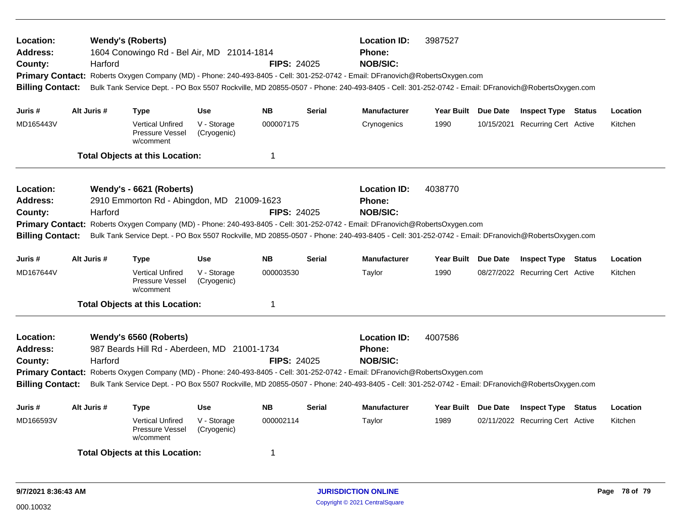| Location:<br>Address:<br>County:<br><b>Billing Contact:</b>                            | Harford     | <b>Wendy's (Roberts)</b><br>1604 Conowingo Rd - Bel Air, MD 21014-1814 |                                                                                                                                                                                                                                                                                                                                      | <b>FIPS: 24025</b> |               | <b>Location ID:</b><br>3987527<br>Phone:<br><b>NOB/SIC:</b><br>Primary Contact: Roberts Oxygen Company (MD) - Phone: 240-493-8405 - Cell: 301-252-0742 - Email: DFranovich@RobertsOxygen.com<br>Bulk Tank Service Dept. - PO Box 5507 Rockville, MD 20855-0507 - Phone: 240-493-8405 - Cell: 301-252-0742 - Email: DFranovich@RobertsOxygen.com |                     |  |                                  |  |          |
|----------------------------------------------------------------------------------------|-------------|------------------------------------------------------------------------|--------------------------------------------------------------------------------------------------------------------------------------------------------------------------------------------------------------------------------------------------------------------------------------------------------------------------------------|--------------------|---------------|-------------------------------------------------------------------------------------------------------------------------------------------------------------------------------------------------------------------------------------------------------------------------------------------------------------------------------------------------|---------------------|--|----------------------------------|--|----------|
| Juris #                                                                                | Alt Juris # | <b>Type</b>                                                            | <b>Use</b>                                                                                                                                                                                                                                                                                                                           | <b>NB</b>          | <b>Serial</b> | <b>Manufacturer</b>                                                                                                                                                                                                                                                                                                                             | Year Built Due Date |  | <b>Inspect Type Status</b>       |  | Location |
| MD165443V                                                                              |             | <b>Vertical Unfired</b><br><b>Pressure Vessel</b><br>w/comment         | V - Storage<br>(Cryogenic)                                                                                                                                                                                                                                                                                                           | 000007175          |               | Crynogenics                                                                                                                                                                                                                                                                                                                                     | 1990                |  | 10/15/2021 Recurring Cert Active |  | Kitchen  |
|                                                                                        |             | <b>Total Objects at this Location:</b>                                 |                                                                                                                                                                                                                                                                                                                                      | $\mathbf 1$        |               |                                                                                                                                                                                                                                                                                                                                                 |                     |  |                                  |  |          |
| Location:<br>Address:<br>County:<br><b>Primary Contact:</b><br><b>Billing Contact:</b> | Harford     | Wendy's - 6621 (Roberts)<br>2910 Emmorton Rd - Abingdon, MD 21009-1623 |                                                                                                                                                                                                                                                                                                                                      | <b>FIPS: 24025</b> |               | <b>Location ID:</b><br><b>Phone:</b><br><b>NOB/SIC:</b><br>Roberts Oxygen Company (MD) - Phone: 240-493-8405 - Cell: 301-252-0742 - Email: DFranovich@RobertsOxygen.com<br>Bulk Tank Service Dept. - PO Box 5507 Rockville, MD 20855-0507 - Phone: 240-493-8405 - Cell: 301-252-0742 - Email: DFranovich@RobertsOxygen.com                      | 4038770             |  |                                  |  |          |
| Juris #                                                                                | Alt Juris # | <b>Type</b>                                                            | <b>Use</b>                                                                                                                                                                                                                                                                                                                           | <b>NB</b>          | <b>Serial</b> | <b>Manufacturer</b>                                                                                                                                                                                                                                                                                                                             | Year Built Due Date |  | <b>Inspect Type Status</b>       |  | Location |
| MD167644V                                                                              |             | <b>Vertical Unfired</b><br>Pressure Vessel<br>w/comment                | V - Storage<br>(Cryogenic)                                                                                                                                                                                                                                                                                                           | 000003530          |               | Taylor                                                                                                                                                                                                                                                                                                                                          | 1990                |  | 08/27/2022 Recurring Cert Active |  | Kitchen  |
|                                                                                        |             | <b>Total Objects at this Location:</b>                                 |                                                                                                                                                                                                                                                                                                                                      | -1                 |               |                                                                                                                                                                                                                                                                                                                                                 |                     |  |                                  |  |          |
| Location:<br><b>Address:</b><br>County:<br><b>Billing Contact:</b>                     | Harford     | Wendy's 6560 (Roberts)<br>987 Beards Hill Rd - Aberdeen, MD 21001-1734 | <b>Location ID:</b><br>Phone:<br><b>NOB/SIC:</b><br>Primary Contact: Roberts Oxygen Company (MD) - Phone: 240-493-8405 - Cell: 301-252-0742 - Email: DFranovich@RobertsOxygen.com<br>Bulk Tank Service Dept. - PO Box 5507 Rockville, MD 20855-0507 - Phone: 240-493-8405 - Cell: 301-252-0742 - Email: DFranovich@RobertsOxygen.com | 4007586            |               |                                                                                                                                                                                                                                                                                                                                                 |                     |  |                                  |  |          |
| Juris #                                                                                | Alt Juris # | <b>Type</b>                                                            | <b>Use</b>                                                                                                                                                                                                                                                                                                                           | <b>NB</b>          | <b>Serial</b> | <b>Manufacturer</b>                                                                                                                                                                                                                                                                                                                             | Year Built Due Date |  | <b>Inspect Type Status</b>       |  | Location |
| MD166593V                                                                              |             | <b>Vertical Unfired</b><br>Pressure Vessel<br>w/comment                | V - Storage<br>(Cryogenic)                                                                                                                                                                                                                                                                                                           | 000002114          |               | Taylor                                                                                                                                                                                                                                                                                                                                          | 1989                |  | 02/11/2022 Recurring Cert Active |  | Kitchen  |
|                                                                                        |             | <b>Total Objects at this Location:</b>                                 |                                                                                                                                                                                                                                                                                                                                      | -1                 |               |                                                                                                                                                                                                                                                                                                                                                 |                     |  |                                  |  |          |